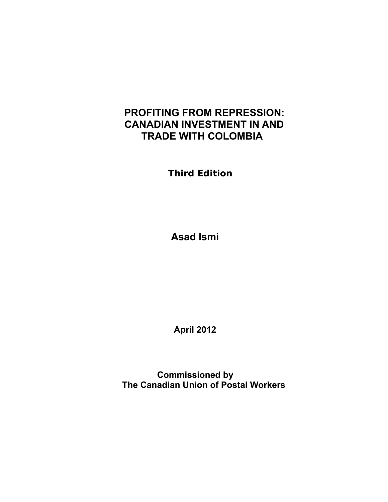# **PROFITING FROM REPRESSION: CANADIAN INVESTMENT IN AND TRADE WITH COLOMBIA**

 **Third Edition**

 **Asad Ismi**

 **April 2012**

**Commissioned by The Canadian Union of Postal Workers**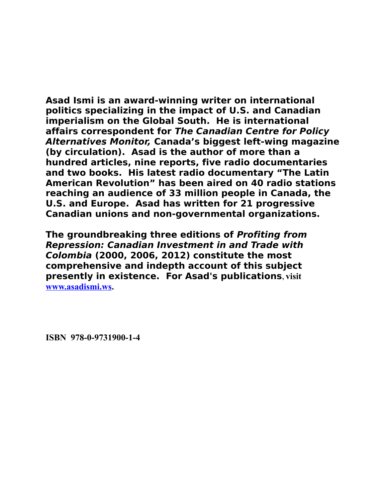**Asad Ismi is an award-winning writer on international politics specializing in the impact of U.S. and Canadian imperialism on the Global South. He is international affairs correspondent for The Canadian Centre for Policy Alternatives Monitor, Canada's biggest left-wing magazine (by circulation). Asad is the author of more than a hundred articles, nine reports, five radio documentaries and two books. His latest radio documentary "The Latin American Revolution" has been aired on 40 radio stations reaching an audience of 33 million people in Canada, the U.S. and Europe. Asad has written for 21 progressive Canadian unions and non-governmental organizations.** 

**The groundbreaking three editions of Profiting from Repression: Canadian Investment in and Trade with Colombia (2000, 2006, 2012) constitute the most comprehensive and indepth account of this subject presently in existence. For Asad's publications, visit [www.asadismi.ws.](http://www.asadismi.ws/)** 

**ISBN 978-0-9731900-1-4**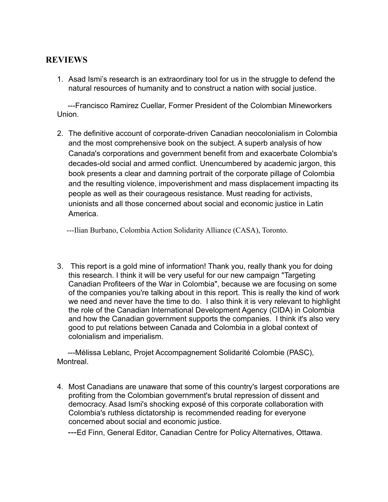## **REVIEWS**

1. Asad Ismi's research is an extraordinary tool for us in the struggle to defend the natural resources of humanity and to construct a nation with social justice.

 ---Francisco Ramirez Cuellar, Former President of the Colombian Mineworkers Union.

2. The definitive account of corporate-driven Canadian neocolonialism in Colombia and the most comprehensive book on the subject. A superb analysis of how Canada's corporations and government benefit from and exacerbate Colombia's decades-old social and armed conflict. Unencumbered by academic jargon, this book presents a clear and damning portrait of the corporate pillage of Colombia and the resulting violence, impoverishment and mass displacement impacting its people as well as their courageous resistance. Must reading for activists, unionists and all those concerned about social and economic justice in Latin America.

---Ilian Burbano, Colombia Action Solidarity Alliance (CASA), Toronto.

3. This report is a gold mine of information! Thank you, really thank you for doing this research. I think it will be very useful for our new campaign "Targeting Canadian Profiteers of the War in Colombia", because we are focusing on some of the companies you're talking about in this report. This is really the kind of work we need and never have the time to do. I also think it is very relevant to highlight the role of the Canadian International Development Agency (CIDA) in Colombia and how the Canadian government supports the companies. I think it's also very good to put relations between Canada and Colombia in a global context of colonialism and imperialism.

 ---Mélissa Leblanc, Projet Accompagnement Solidarité Colombie (PASC), Montreal.

4. Most Canadians are unaware that some of this country's largest corporations are profiting from the Colombian government's brutal repression of dissent and democracy. Asad Ismi's shocking exposé of this corporate collaboration with Colombia's ruthless dictatorship is recommended reading for everyone concerned about social and economic justice*.*

---Ed Finn, General Editor, Canadian Centre for Policy Alternatives, Ottawa.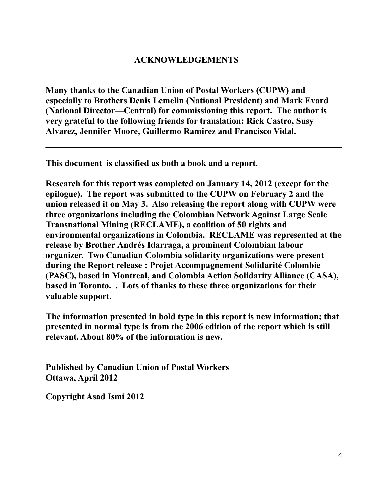## **ACKNOWLEDGEMENTS**

**Many thanks to the Canadian Union of Postal Workers (CUPW) and especially to Brothers Denis Lemelin (National President) and Mark Evard (National Director—Central) for commissioning this report. The author is very grateful to the following friends for translation: Rick Castro, Susy Alvarez, Jennifer Moore, Guillermo Ramirez and Francisco Vidal.**

**This document is classified as both a book and a report.**

**Research for this report was completed on January 14, 2012 (except for the epilogue). The report was submitted to the CUPW on February 2 and the union released it on May 3. Also releasing the report along with CUPW were three organizations including the Colombian Network Against Large Scale Transnational Mining (RECLAME), a coalition of 50 rights and environmental organizations in Colombia. RECLAME was represented at the release by Brother Andrés Idarraga, a prominent Colombian labour organizer. Two Canadian Colombia solidarity organizations were present during the Report release : Projet Accompagnement Solidarité Colombie (PASC), based in Montreal, and Colombia Action Solidarity Alliance (CASA), based in Toronto. . Lots of thanks to these three organizations for their valuable support.**

**The information presented in bold type in this report is new information; that presented in normal type is from the 2006 edition of the report which is still relevant. About 80% of the information is new.**

**Published by Canadian Union of Postal Workers Ottawa, April 2012**

**Copyright Asad Ismi 2012**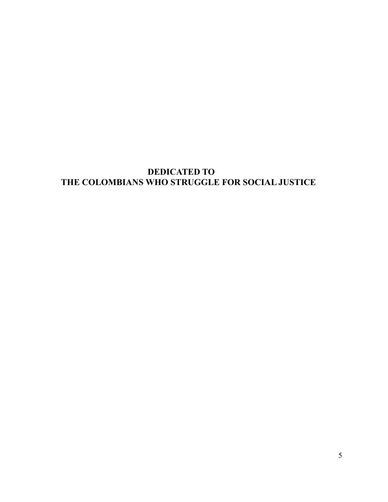# **DEDICATED TO THE COLOMBIANS WHO STRUGGLE FOR SOCIAL JUSTICE**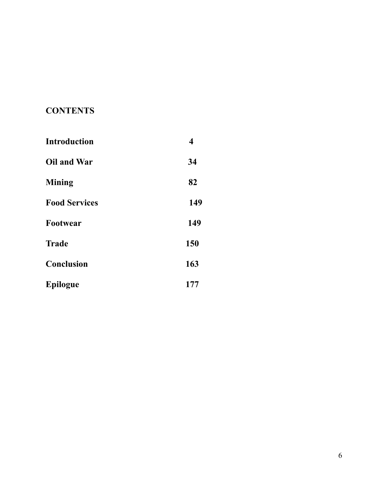# **CONTENTS**

| <b>Introduction</b>  | $\overline{\mathbf{4}}$ |
|----------------------|-------------------------|
| Oil and War          | 34                      |
| <b>Mining</b>        | 82                      |
| <b>Food Services</b> | 149                     |
| Footwear             | 149                     |
| <b>Trade</b>         | 150                     |
| <b>Conclusion</b>    | 163                     |
| <b>Epilogue</b>      | 177                     |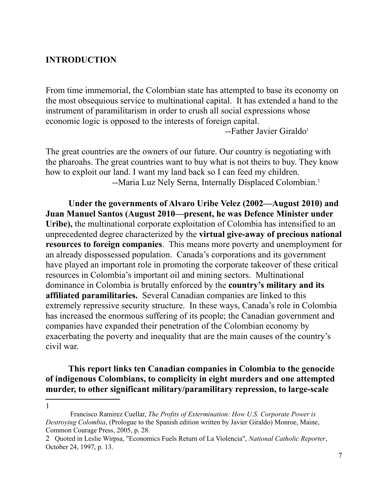### **INTRODUCTION**

From time immemorial, the Colombian state has attempted to base its economy on the most obsequious service to multinational capital. It has extended a hand to the instrument of paramilitarism in order to crush all social expressions whose economic logic is opposed to the interests of foreign capital.

--Father Javier Giraldo<sup>[1](#page-6-0)</sup>

The great countries are the owners of our future. Our country is negotiating with the pharoahs. The great countries want to buy what is not theirs to buy. They know how to exploit our land. I want my land back so I can feed my children. --Maria Luz Nely Serna, Internally Displaced Colombian.<sup>[2](#page-6-1)</sup>

**Under the governments of Alvaro Uribe Velez (2002—August 2010) and Juan Manuel Santos (August 2010—present, he was Defence Minister under Uribe),** the multinational corporate exploitation of Colombia has intensified to an unprecedented degree characterized by the **virtual give-away of precious national resources to foreign companies**. This means more poverty and unemployment for an already dispossessed population. Canada's corporations and its government have played an important role in promoting the corporate takeover of these critical resources in Colombia's important oil and mining sectors. Multinational dominance in Colombia is brutally enforced by the **country's military and its affiliated paramilitaries.** Several Canadian companies are linked to this extremely repressive security structure. In these ways, Canada's role in Colombia has increased the enormous suffering of its people; the Canadian government and companies have expanded their penetration of the Colombian economy by exacerbating the poverty and inequality that are the main causes of the country's civil war.

**This report links ten Canadian companies in Colombia to the genocide of indigenous Colombians, to complicity in eight murders and one attempted murder, to other significant military/paramilitary repression, to large-scale** 

<span id="page-6-0"></span>Francisco Ramirez Cuellar, *The Profits of Extermination: How U.S. Corporate Power is Destroying Colombia*, (Prologue to the Spanish edition written by Javier Giraldo) Monroe, Maine, Common Courage Press, 2005, p. 28.

<span id="page-6-1"></span><sup>2</sup> Quoted in Leslie Wirpsa, "Economics Fuels Return of La Violencia", *National Catholic Reporter*, October 24, 1997, p. 13.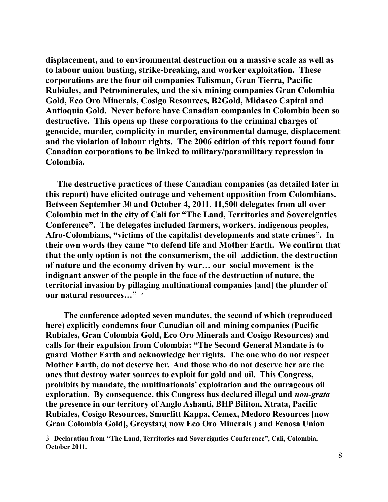**displacement, and to environmental destruction on a massive scale as well as to labour union busting, strike-breaking, and worker exploitation. These corporations are the four oil companies Talisman, Gran Tierra, Pacific Rubiales, and Petrominerales, and the six mining companies Gran Colombia Gold, Eco Oro Minerals, Cosigo Resources, B2Gold, Midasco Capital and Antioquia Gold. Never before have Canadian companies in Colombia been so destructive. This opens up these corporations to the criminal charges of genocide, murder, complicity in murder, environmental damage, displacement and the violation of labour rights. The 2006 edition of this report found four Canadian corporations to be linked to military/paramilitary repression in Colombia.** 

**The destructive practices of these Canadian companies (as detailed later in this report) have elicited outrage and vehement opposition from Colombians. Between September 30 and October 4, 2011, 11,500 delegates from all over Colombia met in the city of Cali for "The Land, Territories and Sovereignties Conference". The delegates included farmers, workers**, **indigenous peoples, Afro-Colombians, "victims of the capitalist developments and state crimes". In their own words they came "to defend life and Mother Earth. We confirm that that the only option is not the consumerism, the oil addiction, the destruction of nature and the economy driven by war… our social movement is the indignant answer of the people in the face of the destruction of nature, the territorial invasion by pillaging multinational companies [and] the plunder of our natural resources…"** [3](#page-7-0)

 **The conference adopted seven mandates, the second of which (reproduced here) explicitly condemns four Canadian oil and mining companies (Pacific Rubiales, Gran Colombia Gold, Eco Oro Minerals and Cosigo Resources) and calls for their expulsion from Colombia: "The Second General Mandate is to guard Mother Earth and acknowledge her rights. The one who do not respect Mother Earth, do not deserve her. And those who do not deserve her are the ones that destroy water sources to exploit for gold and oil. This Congress, prohibits by mandate, the multinationals' exploitation and the outrageous oil exploration. By consequence, this Congress has declared illegal and** *non-grata* **the presence in our territory of Anglo Ashanti, BHP Biliton, Xtrata, Pacific Rubiales, Cosigo Resources, Smurfitt Kappa, Cemex, Medoro Resources [now Gran Colombia Gold], Greystar,( now Eco Oro Minerals ) and Fenosa Union** 

<span id="page-7-0"></span><sup>3</sup> **Declaration from "The Land, Territories and Sovereignties Conference", Cali, Colombia, October 2011.**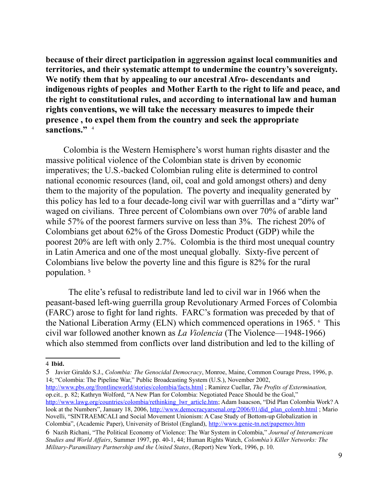**because of their direct participation in aggression against local communities and territories, and their systematic attempt to undermine the country's sovereignty. We notify them that by appealing to our ancestral Afro- descendants and indigenous rights of peoples and Mother Earth to the right to life and peace, and the right to constitutional rules, and according to international law and human rights conventions, we will take the necessary measures to impede their presence , to expel them from the country and seek the appropriate sanctions."** [4](#page-8-0)

Colombia is the Western Hemisphere's worst human rights disaster and the massive political violence of the Colombian state is driven by economic imperatives; the U.S.-backed Colombian ruling elite is determined to control national economic resources (land, oil, coal and gold amongst others) and deny them to the majority of the population. The poverty and inequality generated by this policy has led to a four decade-long civil war with guerrillas and a "dirty war" waged on civilians. Three percent of Colombians own over 70% of arable land while 57% of the poorest farmers survive on less than 3%. The richest 20% of Colombians get about 62% of the Gross Domestic Product (GDP) while the poorest 20% are left with only 2.7%. Colombia is the third most unequal country in Latin America and one of the most unequal globally. Sixty-five percent of Colombians live below the poverty line and this figure is 82% for the rural population.<sup>[5](#page-8-1)</sup>

The elite's refusal to redistribute land led to civil war in 1966 when the peasant-based left-wing guerrilla group Revolutionary Armed Forces of Colombia (FARC) arose to fight for land rights. FARC's formation was preceded by that of the National Liberation Army (ELN) which commenced operations in 1965. [6](#page-8-2) This civil war followed another known as *La Violencia* (The Violence—1948-1966) which also stemmed from conflicts over land distribution and led to the killing of

<span id="page-8-1"></span>5 Javier Giraldo S.J., *Colombia: The Genocidal Democracy*, Monroe, Maine, Common Courage Press, 1996, p. 14; "Colombia: The Pipeline War," Public Broadcasting System (U.S.), November 2002,

http://www.pbs.org/frontlineworld/stories/colombia/facts.html ; Ramirez Cuellar, *The Profits of Extermination,* op.cit*.,* p. 82; Kathryn Wolford, "A New Plan for Colombia: Negotiated Peace Should be the Goal," [http://www.lawg.org/countries/colombia/rethinking\\_lwr\\_article.htm;](http://www.lawg.org/countries/colombia/rethinking_lwr_article.htm) Adam Isaacson, "Did Plan Colombia Work? A look at the Numbers", January 18, 2006, [http://www.democracyarsenal.org/2006/01/did\\_plan\\_colomb.html](http://www.democracyarsenal.org/2006/01/did_plan_colomb.html) ; Mario Novelli, "SINTRAEMCALI and Social Movement Unionism: A Case Study of Bottom-up Globalization in Colombia", (Academic Paper), University of Bristol (England), <http://www.genie-tn.net/papernov.htm> 6 Nazih Richani, "The Political Economy of Violence: The War System in Colombia," *Journal of Interamerican* 

<span id="page-8-2"></span>*Studies and World Affairs*, Summer 1997, pp. 40-1, 44; Human Rights Watch, *Colombia's Killer Networks: The Military-Paramilitary Partnership and the United States*, (Report) New York, 1996, p. 10.

<span id="page-8-0"></span><sup>4</sup> **Ibid.**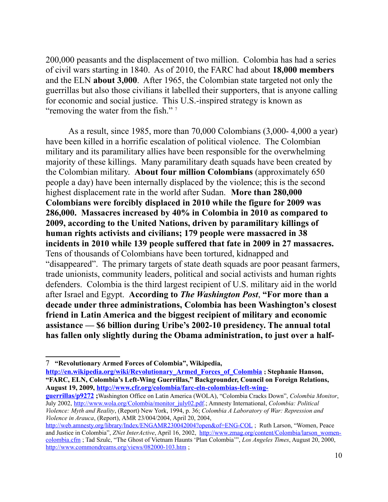200,000 peasants and the displacement of two million. Colombia has had a series of civil wars starting in 1840. As of 2010, the FARC had about **18,000 members** and the ELN **about 3,000**. After 1965, the Colombian state targeted not only the guerrillas but also those civilians it labelled their supporters, that is anyone calling for economic and social justice. This U.S.-inspired strategy is known as "removing the water from the fish."<sup>[7](#page-9-0)</sup>

As a result, since 1985, more than 70,000 Colombians (3,000- 4,000 a year) have been killed in a horrific escalation of political violence. The Colombian military and its paramilitary allies have been responsible for the overwhelming majority of these killings. Many paramilitary death squads have been created by the Colombian military. **About four million Colombians** (approximately 650 people a day) have been internally displaced by the violence; this is the second highest displacement rate in the world after Sudan. **More than 280,000 Colombians were forcibly displaced in 2010 while the figure for 2009 was 286,000. Massacres increased by 40% in Colombia in 2010 as compared to 2009, according to the United Nations, driven by paramilitary killings of human rights activists and civilians; 179 people were massacred in 38 incidents in 2010 while 139 people suffered that fate in 2009 in 27 massacres.** Tens of thousands of Colombians have been tortured, kidnapped and "disappeared". The primary targets of state death squads are poor peasant farmers, trade unionists, community leaders, political and social activists and human rights defenders. Colombia is the third largest recipient of U.S. military aid in the world after Israel and Egypt. **According to** *The Washington Post*, **"For more than a decade under three administrations, Colombia has been Washington's closest friend in Latin America and the biggest recipient of military and economic assistance — \$6 billion during Uribe's 2002-10 presidency. The annual total has fallen only slightly during the Obama administration, to just over a half-**

**[http://en.wikipedia.org/wiki/Revolutionary\\_Armed\\_Forces\\_of\\_Colombia](http://en.wikipedia.org/wiki/Revolutionary_Armed_Forces_of_Colombia) ; Stephanie Hanson, "FARC, ELN, Colombia's Left-Wing Guerrillas," Backgrounder, Council on Foreign Relations, August 19, 2009, [http://www.cfr.org/colombia/farc-eln-colombias-left-wing-](http://www.cfr.org/colombia/farc-eln-colombias-left-wing-guerrillas/p9272)**

**[guerrillas/p9272](http://www.cfr.org/colombia/farc-eln-colombias-left-wing-guerrillas/p9272) ;**Washington Office on Latin America (WOLA), "Colombia Cracks Down", *Colombia Monitor*, July 2002, [http://www.wola.org/Colombia/monitor\\_july02.pdf.](http://www.wola.org/Colombia/monitor_july02.pdf); Amnesty International, *Colombia: Political Violence: Myth and Reality*, (Report) New York, 1994, p. 36; *Colombia A Laboratory of War: Repression and Violence in Arauca*, (Report), AMR 23/004/2004, April 20, 2004,

<span id="page-9-0"></span><sup>7</sup> **"Revolutionary Armed Forces of Colombia", Wikipedia,** 

<http://web.amnesty.org/library/Index/ENGAMR230042004?open&of=ENG-COL>; Ruth Larson, "Women, Peace and Justice in Colombia", *ZNet InterActive*, April 16, 2002, [http://www.zmag.org/content/Colombia/larson\\_women](http://www.zmag.org/content/Colombia/larson_women-colombia.cfm)[colombia.cfm](http://www.zmag.org/content/Colombia/larson_women-colombia.cfm) ; Tad Szulc, "The Ghost of Vietnam Haunts 'Plan Colombia'", *Los Angeles Times*, August 20, 2000, <http://www.commondreams.org/views/082000-103.htm>;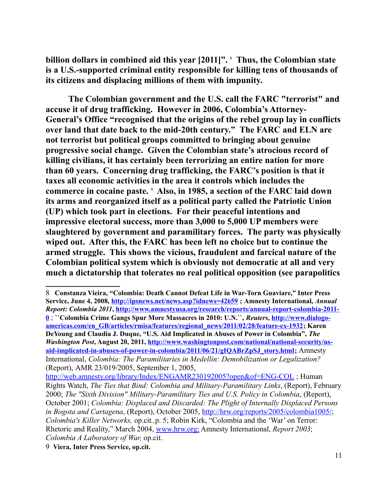**billion dollars in combined aid this year [2011]".** [8](#page-10-0) **Thus, the Colombian state is a U.S.-supported criminal entity responsible for killing tens of thousands of its citizens and displacing millions of them with impunity.**

**The Colombian government and the U.S. call the FARC "terrorist" and accuse it of drug trafficking. However in 2006, Colombia's Attorney-General's Office "recognised that the origins of the rebel group lay in conflicts over land that date back to the mid-20th century." The FARC and ELN are not terrorist but political groups committed to bringing about genuine progressive social change. Given the Colombian state's atrocious record of killing civilians, it has certainly been terrorizing an entire nation for more than 60 years. Concerning drug trafficking, the FARC's position is that it taxes all economic activities in the area it controls which includes the**  commerce in cocaine paste. <sup>[9](#page-10-1)</sup> Also, in 1985, a section of the FARC laid down **its arms and reorganized itself as a political party called the Patriotic Union (UP) which took part in elections. For their peaceful intentions and impressive electoral success, more than 3,000 to 5,000 UP members were slaughtered by government and paramilitary forces. The party was physically wiped out. After this, the FARC has been left no choice but to continue the armed struggle. This shows the vicious, fraudulent and farcical nature of the Colombian political system which is obviously not democratic at all and very much a dictatorship that tolerates no real political opposition (see parapolitics**

<span id="page-10-0"></span><sup>8</sup> **Constanza Vieira, "Colombia: Death Cannot Defeat Life in War-Torn Guaviare," Inter Press Service, June 4, 2008,<http://ipsnews.net/news.asp?idnews=42659>; Amnesty International,** *Annual Report: Colombia 2011***, [http://www.amnestyusa.org/research/reports/annual-report-colombia-2011-](http://www.amnestyusa.org/research/reports/annual-report-colombia-2011-0) [0](http://www.amnestyusa.org/research/reports/annual-report-colombia-2011-0)** ; **``Colombia Crime Gangs Spur More Massacres in 2010: U.N.``,** *Reuters***, [http://www.dialogo](http://www.dialogo-americas.com/en_GB/articles/rmisa/features/regional_news/2011/02/28/feature-ex-1932)[americas.com/en\\_GB/articles/rmisa/features/regional\\_news/2011/02/28/feature-ex-1932;](http://www.dialogo-americas.com/en_GB/articles/rmisa/features/regional_news/2011/02/28/feature-ex-1932) Karen DeYoung and Claudia J. Duque, "U.S. Aid Implicated in Abuses of Power in Colombia",** *The Washington Post***, August 20, 2011, [http://www.washingtonpost.com/national/national-security/us](http://www.washingtonpost.com/national/national-security/us-aid-implicated-in-abuses-of-power-in-colombia/2011/06/21/gIQABrZpSJ_story.html)[aid-implicated-in-abuses-of-power-in-colombia/2011/06/21/gIQABrZpSJ\\_story.html;](http://www.washingtonpost.com/national/national-security/us-aid-implicated-in-abuses-of-power-in-colombia/2011/06/21/gIQABrZpSJ_story.html)** Amnesty International, *Colombia: The Paramilitaries in Medellin: Demobilization or Legalization?* (Report), AMR 23/019/2005, September 1, 2005,

<http://web.amnesty.org/library/Index/ENGAMR230192005?open&of=ENG-COL>; Human Rights Watch, *The Ties that Bind: Colombia and Military-Paramilitary Links*, (Report), February 2000; *The "Sixth Division" Military-Paramilitary Ties and U.S. Policy in Colombia*, (Report), October 2001; *Colombia: Displaced and Discarded: The Plight of Internally Displaced Persons in Bogota and Cartagena*, (Report), October 2005, [http://hrw.org/reports/2005/colombia1005/;](http://hrw.org/reports/2005/colombia1005/) *Colombia's Killer Networks,* op.cit*.,*p. 5; Robin Kirk, "Colombia and the 'War' on Terror: Rhetoric and Reality," March 2004, www.hrw.org; Amnesty International, *Report 2003*; *Colombia A Laboratory of War,* op.cit.

<span id="page-10-1"></span><sup>9</sup> **Viera, Inter Press Service, op.cit.**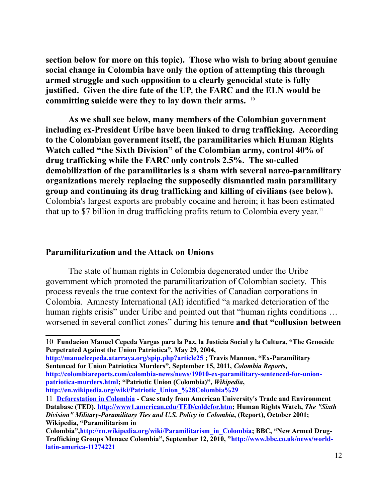**section below for more on this topic). Those who wish to bring about genuine social change in Colombia have only the option of attempting this through armed struggle and such opposition to a clearly genocidal state is fully justified. Given the dire fate of the UP, the FARC and the ELN would be committing suicide were they to lay down their arms.** [10](#page-11-0) 

**As we shall see below, many members of the Colombian government including ex-President Uribe have been linked to drug trafficking. According to the Colombian government itself, the paramilitaries which Human Rights Watch called "the Sixth Division" of the Colombian army, control 40% of drug trafficking while the FARC only controls 2.5%. The so-called demobilization of the paramilitaries is a sham with several narco-paramilitary organizations merely replacing the supposedly dismantled main paramilitary group and continuing its drug trafficking and killing of civilians (see below).**  Colombia's largest exports are probably cocaine and heroin; it has been estimated that up to \$7 billion in drug trafficking profits return to Colombia every year.[11](#page-11-1)

#### **Paramilitarization and the Attack on Unions**

The state of human rights in Colombia degenerated under the Uribe government which promoted the paramilitarization of Colombian society. This process reveals the true context for the activities of Canadian corporations in Colombia. Amnesty International (AI) identified "a marked deterioration of the human rights crisis" under Uribe and pointed out that "human rights conditions ... worsened in several conflict zones" during his tenure **and that "collusion between**

**<http://manuelcepeda.atarraya.org/spip.php?article25>; Travis Mannon, "Ex-Paramilitary Sentenced for Union Patriotica Murders", September 15, 2011,** *Colombia Reports***, [http://colombiareports.com/colombia-news/news/19010-ex-paramilitary-sentenced-for-union](http://colombiareports.com/colombia-news/news/19010-ex-paramilitary-sentenced-for-union-patriotica-murders.html)[patriotica-murders.html;](http://colombiareports.com/colombia-news/news/19010-ex-paramilitary-sentenced-for-union-patriotica-murders.html) "Patriotic Union (Colombia)",** *Wikipedia***, [http://en.wikipedia.org/wiki/Patriotic\\_Union\\_%28Colombia%29](http://en.wikipedia.org/wiki/Patriotic_Union_(Colombia))** 

<span id="page-11-0"></span><sup>10</sup> **Fundacion Manuel Cepeda Vargas para la Paz, la Justicia Social y la Cultura, "The Genocide Perpetrated Against the Union Patriotica", May 29, 2004,** 

<span id="page-11-1"></span><sup>11</sup> **[Deforestation in Colombia](http://www.rainforestweb.org/cgi/links/jump.pl?ID=1350) - Case study from American University's Trade and Environment Database (TED). [http://www1.american.edu/TED/coldefor.htm;](http://www1.american.edu/TED/coldefor.htm) Human Rights Watch,** *The "Sixth Division" Military-Paramilitary Ties and U.S. Policy in Colombia***, (Report), October 2001; Wikipedia, "Paramilitarism in** 

**Colombia"[,http://en.wikipedia.org/wiki/Paramilitarism\\_in\\_Colombia;](http://en.wikipedia.org/wiki/Paramilitarism_in_Colombia) BBC, "New Armed Drug-Trafficking Groups Menace Colombia", September 12, 2010, ["http://www.bbc.co.uk/news/world](http://www.bbc.co.uk/news/world-latin-america-11274221)[latin-america-11274221](http://www.bbc.co.uk/news/world-latin-america-11274221)**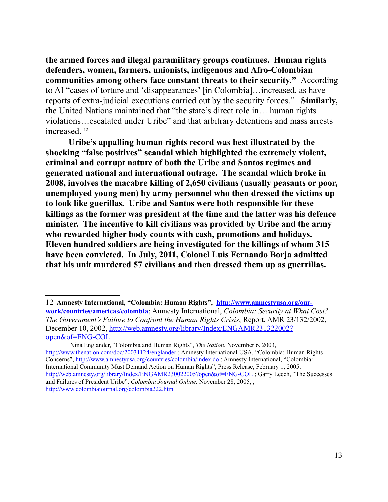**the armed forces and illegal paramilitary groups continues. Human rights defenders, women, farmers, unionists, indigenous and Afro-Colombian communities among others face constant threats to their security."** According to AI "cases of torture and 'disappearances' [in Colombia]…increased, as have reports of extra-judicial executions carried out by the security forces." **Similarly,**  the United Nations maintained that "the state's direct role in… human rights violations…escalated under Uribe" and that arbitrary detentions and mass arrests increased. [12](#page-12-0)

**Uribe's appalling human rights record was best illustrated by the shocking "false positives" scandal which highlighted the extremely violent, criminal and corrupt nature of both the Uribe and Santos regimes and generated national and international outrage. The scandal which broke in 2008, involves the macabre killing of 2,650 civilians (usually peasants or poor, unemployed young men) by army personnel who then dressed the victims up to look like guerillas. Uribe and Santos were both responsible for these killings as the former was president at the time and the latter was his defence minister. The incentive to kill civilians was provided by Uribe and the army who rewarded higher body counts with cash, promotions and holidays. Eleven hundred soldiers are being investigated for the killings of whom 315 have been convicted. In July, 2011, Colonel Luis Fernando Borja admitted that his unit murdered 57 civilians and then dressed them up as guerrillas.** 

 Nina Englander, "Colombia and Human Rights", *The Nation*, November 6, 2003, <http://www.thenation.com/doc/20031124/englander>; Amnesty International USA, "Colombia: Human Rights Concerns",<http://www.amnestyusa.org/countries/colombia/index.do>; Amnesty International, "Colombia: International Community Must Demand Action on Human Rights", Press Release, February 1, 2005, <http://web.amnesty.org/library/Index/ENGAMR230022005?open&of=ENG-COL>; Garry Leech, "The Successes and Failures of President Uribe", *Colombia Journal Online,* November 28, 2005, , <http://www.colombiajournal.org/colombia222.htm>

<span id="page-12-0"></span><sup>12</sup> **Amnesty International, "Colombia: Human Rights", [http://www.amnestyusa.org/our](http://www.amnestyusa.org/our-work/countries/americas/colombia)[work/countries/americas/colombia](http://www.amnestyusa.org/our-work/countries/americas/colombia)**; Amnesty International, *Colombia: Security at What Cost? The Government's Failure to Confront the Human Rights Crisis*, Report, AMR 23/132/2002, December 10, 2002, [http://web.amnesty.org/library/Index/ENGAMR231322002?](http://web.amnesty.org/library/Index/ENGAMR231322002?open&of=ENG-COL) [open&of=ENG-COL](http://web.amnesty.org/library/Index/ENGAMR231322002?open&of=ENG-COL)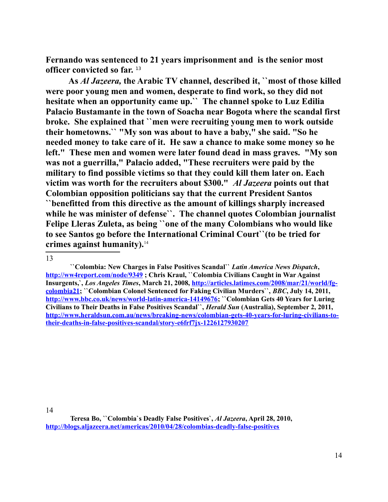**Fernando was sentenced to 21 years imprisonment and is the senior most officer convicted so far.** [13](#page-13-0)

**As** *Al Jazeera,* **the Arabic TV channel, described it, ``most of those killed were poor young men and women, desperate to find work, so they did not hesitate when an opportunity came up.`` The channel spoke to Luz Edilia Palacio Bustamante in the town of Soacha near Bogota where the scandal first broke. She explained that ``men were recruiting young men to work outside their hometowns.`` "My son was about to have a baby," she said. "So he needed money to take care of it. He saw a chance to make some money so he left." These men and women were later found dead in mass graves. "My son was not a guerrilla," Palacio added, "These recruiters were paid by the military to find possible victims so that they could kill them later on. Each victim was worth for the recruiters about \$300."** *Al Jazeera* **points out that Colombian opposition politicians say that the current President Santos ``benefitted from this directive as the amount of killings sharply increased while he was minister of defense``. The channel quotes Colombian journalist Felipe Lleras Zuleta, as being ``one of the many Colombians who would like to see Santos go before the International Criminal Court``(to be tried for crimes against humanity).**[14](#page-13-1)

<span id="page-13-0"></span><sup>13</sup>

 **<sup>``</sup>Colombia: New Charges in False Positives Scandal``** *Latin America News Dispatch***, <http://ww4report.com/node/9349>; Chris Kraul, ``Colombia Civilians Caught in War Against Insurgents,`,** *Los Angeles Times***, March 21, 2008, [http://articles.latimes.com/2008/mar/21/world/fg](http://articles.latimes.com/2008/mar/21/world/fg-colombia21)[colombia21;](http://articles.latimes.com/2008/mar/21/world/fg-colombia21) ``Colombian Colonel Sentenced for Faking Civilian Murders``,** *BBC***, July 14, 2011, [http://www.bbc.co.uk/news/world-latin-america-14149676;](http://www.bbc.co.uk/news/world-latin-america-14149676) ``Colombian Gets 40 Years for Luring Civilians to Their Deaths in False Positives Scandal``,** *Herald Sun* **(Australia), September 2, 2011, [http://www.heraldsun.com.au/news/breaking-news/colombian-gets-40-years-for-luring-civilians-to](http://www.heraldsun.com.au/news/breaking-news/colombian-gets-40-years-for-luring-civilians-to-their-deaths-in-false-positives-scandal/story-e6frf7jx-1226127930207)[their-deaths-in-false-positives-scandal/story-e6frf7jx-1226127930207](http://www.heraldsun.com.au/news/breaking-news/colombian-gets-40-years-for-luring-civilians-to-their-deaths-in-false-positives-scandal/story-e6frf7jx-1226127930207)** 

<span id="page-13-1"></span>**Teresa Bo, ``Colombia`s Deadly False Positives`,** *Al Jazeera***, April 28, 2010, <http://blogs.aljazeera.net/americas/2010/04/28/colombias-deadly-false-positives>**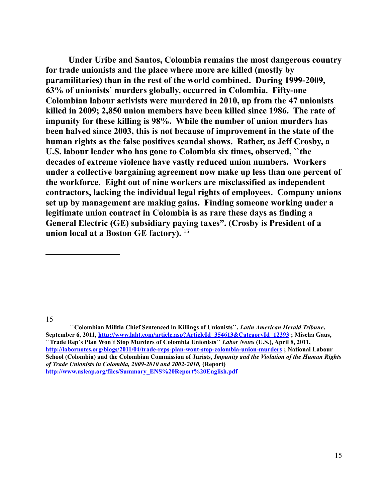**Under Uribe and Santos, Colombia remains the most dangerous country for trade unionists and the place where more are killed (mostly by paramilitaries) than in the rest of the world combined. During 1999-2009, 63% of unionists` murders globally, occurred in Colombia. Fifty-one Colombian labour activists were murdered in 2010, up from the 47 unionists killed in 2009; 2,850 union members have been killed since 1986. The rate of impunity for these killing is 98%. While the number of union murders has been halved since 2003, this is not because of improvement in the state of the human rights as the false positives scandal shows. Rather, as Jeff Crosby, a U.S. labour leader who has gone to Colombia six times, observed, ``the decades of extreme violence have vastly reduced union numbers. Workers under a collective bargaining agreement now make up less than one percent of the workforce. Eight out of nine workers are misclassified as independent contractors, lacking the individual legal rights of employees. Company unions set up by management are making gains. Finding someone working under a legitimate union contract in Colombia is as rare these days as finding a General Electric (GE) subsidiary paying taxes". (Crosby is President of a union local at a Boston GE factory).** [15](#page-14-0)

<span id="page-14-0"></span>15

 **``Colombian Militia Chief Sentenced in Killings of Unionists``,** *Latin American Herald Tribune***, September 6, 2011,<http://www.laht.com/article.asp?ArticleId=354613&CategoryId=12393>; Mischa Gaus, ``Trade Rep`s Plan Won`t Stop Murders of Colombia Unionists``** *Labor Notes* **(U.S.), April 8, 2011, <http://labornotes.org/blogs/2011/04/trade-reps-plan-wont-stop-colombia-union-murders>; National Labour School (Colombia) and the Colombian Commission of Jurists,** *Impunity and the Violation of the Human Rights of Trade Unionists in Colombia, 2009-2010 and 2002-2010,* **(Report) [http://www.usleap.org/files/Summary\\_ENS%20Report%20English.pdf](http://www.usleap.org/files/Summary_ENS%20Report%20English.pdf)**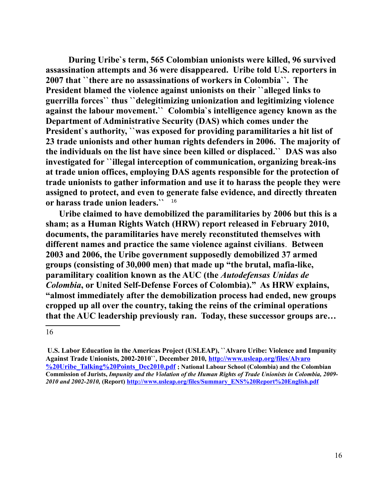**During Uribe`s term, 565 Colombian unionists were killed, 96 survived assassination attempts and 36 were disappeared. Uribe told U.S. reporters in 2007 that ``there are no assassinations of workers in Colombia``. The President blamed the violence against unionists on their ``alleged links to guerrilla forces`` thus ``delegitimizing unionization and legitimizing violence against the labour movement.`` Colombia`s intelligence agency known as the Department of Administrative Security (DAS) which comes under the President`s authority, ``was exposed for providing paramilitaries a hit list of 23 trade unionists and other human rights defenders in 2006. The majority of the individuals on the list have since been killed or displaced.`` DAS was also investigated for ``illegal interception of communication, organizing break-ins at trade union offices, employing DAS agents responsible for the protection of trade unionists to gather information and use it to harass the people they were assigned to protect, and even to generate false evidence, and directly threaten or harass trade union leaders.``** [16](#page-15-0) 

 **Uribe claimed to have demobilized the paramilitaries by 2006 but this is a sham; as a Human Rights Watch (HRW) report released in February 2010, documents, the paramilitaries have merely reconstituted themselves with different names and practice the same violence against civilians**. **Between 2003 and 2006, the Uribe government supposedly demobilized 37 armed groups (consisting of 30,000 men) that made up "the brutal, mafia-like, paramilitary coalition known as the AUC (the** *Autodefensas Unidas de Colombia***, or United Self-Defense Forces of Colombia)." As HRW explains, "almost immediately after the demobilization process had ended, new groups cropped up all over the country, taking the reins of the criminal operations that the AUC leadership previously ran. Today, these successor groups are…**

<span id="page-15-0"></span>**U.S. Labor Education in the Americas Project (USLEAP), ``Alvaro Uribe: Violence and Impunity Against Trade Unionists, 2002-2010``, December 2010, [http://www.usleap.org/files/Alvaro](http://www.usleap.org/files/Alvaro%20Uribe_Talking%20Points_Dec2010.pdf) [%20Uribe\\_Talking%20Points\\_Dec2010.pdf](http://www.usleap.org/files/Alvaro%20Uribe_Talking%20Points_Dec2010.pdf) ; National Labour School (Colombia) and the Colombian Commission of Jurists,** *Impunity and the Violation of the Human Rights of Trade Unionists in Colombia, 2009- 2010 and 2002-2010,* **(Report) [http://www.usleap.org/files/Summary\\_ENS%20Report%20English.pdf](http://www.usleap.org/files/Summary_ENS%20Report%20English.pdf)**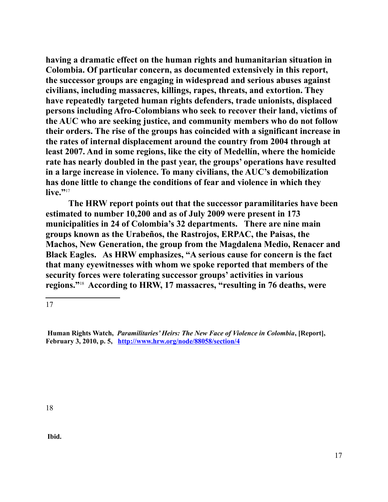**having a dramatic effect on the human rights and humanitarian situation in Colombia. Of particular concern, as documented extensively in this report, the successor groups are engaging in widespread and serious abuses against civilians, including massacres, killings, rapes, threats, and extortion. They have repeatedly targeted human rights defenders, trade unionists, displaced persons including Afro-Colombians who seek to recover their land, victims of the AUC who are seeking justice, and community members who do not follow their orders. The rise of the groups has coincided with a significant increase in the rates of internal displacement around the country from 2004 through at least 2007. And in some regions, like the city of Medellín, where the homicide rate has nearly doubled in the past year, the groups' operations have resulted in a large increase in violence. To many civilians, the AUC's demobilization has done little to change the conditions of fear and violence in which they**  live."<sup>[17](#page-16-0)</sup>

**The HRW report points out that the successor paramilitaries have been estimated to number 10,200 and as of July 2009 were present in 173 municipalities in 24 of Colombia's 32 departments. There are nine main groups known as the Urabeños, the Rastrojos, ERPAC, the Paisas, the Machos, New Generation, the group from the Magdalena Medio, Renacer and Black Eagles. As HRW emphasizes, "A serious cause for concern is the fact that many eyewitnesses with whom we spoke reported that members of the security forces were tolerating successor groups' activities in various regions."**[18](#page-16-1) **According to HRW, 17 massacres, "resulting in 76 deaths, were** 

<span id="page-16-0"></span>17

<span id="page-16-1"></span>18

**Ibid.**

**Human Rights Watch,** *Paramilitaries' Heirs: The New Face of Violence in Colombia***, [Report], February 3, 2010, p. 5, <http://www.hrw.org/node/88058/section/4>**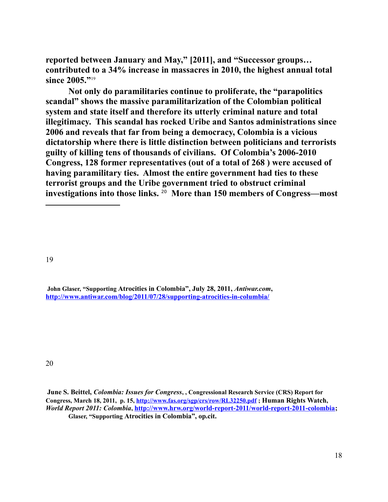**reported between January and May," [2011], and "Successor groups… contributed to a 34% increase in massacres in 2010, the highest annual total since 2005."**[19](#page-17-0)

**Not only do paramilitaries continue to proliferate, the "parapolitics scandal" shows the massive paramilitarization of the Colombian political system and state itself and therefore its utterly criminal nature and total illegitimacy. This scandal has rocked Uribe and Santos administrations since 2006 and reveals that far from being a democracy, Colombia is a vicious dictatorship where there is little distinction between politicians and terrorists guilty of killing tens of thousands of civilians. Of Colombia's 2006-2010 Congress, 128 former representatives (out of a total of 268 ) were accused of having paramilitary ties. Almost the entire government had ties to these terrorist groups and the Uribe government tried to obstruct criminal investigations into those links.** [20](#page-17-1) **More than 150 members of Congress—most** 

<span id="page-17-0"></span>19

**John Glaser, "Supporting Atrocities in Colombia", July 28, 2011,** *Antiwar.com***, <http://www.antiwar.com/blog/2011/07/28/supporting-atrocities-in-columbia/>**

<span id="page-17-1"></span>**June S. Beittel,** *Colombia: Issues for Congress***, , Congressional Research Service (CRS) Report for Congress, March 18, 2011, p. 15,<http://www.fas.org/sgp/crs/row/RL32250.pdf>; Human Rights Watch,**  *World Report 2011: Colombia***, [http://www.hrw.org/world-report-2011/world-report-2011-colombia;](http://www.hrw.org/world-report-2011/world-report-2011-colombia) Glaser, "Supporting Atrocities in Colombia", op.cit.**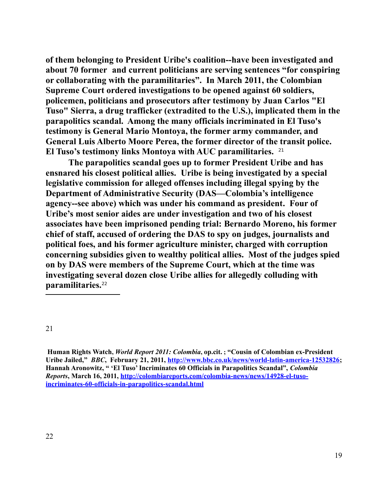**of them belonging to President Uribe's coalition--have been investigated and about 70 former and current politicians are serving sentences "for conspiring or collaborating with the paramilitaries". In March 2011, the Colombian Supreme Court ordered investigations to be opened against 60 soldiers, policemen, politicians and prosecutors after testimony by Juan Carlos "El Tuso" Sierra, a drug trafficker (extradited to the U.S.), implicated them in the parapolitics scandal. Among the many officials incriminated in El Tuso's testimony is General Mario Montoya, the former army commander, and General Luis Alberto Moore Perea, the former director of the transit police. El Tuso's testimony links Montoya with AUC paramilitaries.** [21](#page-18-0)

**The parapolitics scandal goes up to former President Uribe and has ensnared his closest political allies. Uribe is being investigated by a special legislative commission for alleged offenses including illegal spying by the Department of Administrative Security (DAS—Colombia's intelligence agency--see above) which was under his command as president. Four of Uribe's most senior aides are under investigation and two of his closest associates have been imprisoned pending trial: Bernardo Moreno, his former chief of staff, accused of ordering the DAS to spy on judges, journalists and political foes, and his former agriculture minister, charged with corruption concerning subsidies given to wealthy political allies. Most of the judges spied on by DAS were members of the Supreme Court, which at the time was investigating several dozen close Uribe allies for allegedly colluding with paramilitaries.**[22](#page-18-1)

<span id="page-18-0"></span>21

<span id="page-18-1"></span> **Human Rights Watch,** *World Report 2011: Colombia***, op.cit. ; "Cousin of Colombian ex-President Uribe Jailed,"** *BBC***, February 21, 2011, [http://www.bbc.co.uk/news/world-latin-america-12532826;](http://www.bbc.co.uk/news/world-latin-america-12532826) Hannah Aronowitz, " 'El Tuso' Incriminates 60 Officials in Parapolitics Scandal",** *Colombia Reports***, March 16, 2011, [http://colombiareports.com/colombia-news/news/14928-el-tuso](http://colombiareports.com/colombia-news/news/14928-el-tuso-incriminates-60-officials-in-parapolitics-scandal.html)[incriminates-60-officials-in-parapolitics-scandal.html](http://colombiareports.com/colombia-news/news/14928-el-tuso-incriminates-60-officials-in-parapolitics-scandal.html)**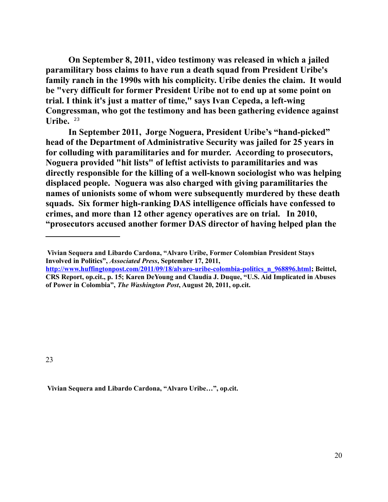**On September 8, 2011, video testimony was released in which a jailed paramilitary boss claims to have run a death squad from President Uribe's family ranch in the 1990s with his complicity. Uribe denies the claim. It would be "very difficult for former President Uribe not to end up at some point on trial. I think it's just a matter of time," says Ivan Cepeda, a left-wing Congressman, who got the testimony and has been gathering evidence against**  Uribe.  $23$ 

**In September 2011, Jorge Noguera, President Uribe's "hand-picked" head of the Department of Administrative Security was jailed for 25 years in for colluding with paramilitaries and for murder. According to prosecutors, Noguera provided "hit lists" of leftist activists to paramilitaries and was directly responsible for the killing of a well-known sociologist who was helping displaced people. Noguera was also charged with giving paramilitaries the names of unionists some of whom were subsequently murdered by these death squads. Six former high-ranking DAS intelligence officials have confessed to crimes, and more than 12 other agency operatives are on trial. In 2010, "prosecutors accused another former DAS director of having helped plan the** 

<span id="page-19-0"></span>23

 **Vivian Sequera and Libardo Cardona, "Alvaro Uribe…", op.cit.** 

**Vivian Sequera and Libardo Cardona, "Alvaro Uribe, Former Colombian President Stays Involved in Politics",** *Associated Press***, September 17, 2011,** 

**[http://www.huffingtonpost.com/2011/09/18/alvaro-uribe-colombia-politics\\_n\\_968896.html;](http://www.huffingtonpost.com/2011/09/18/alvaro-uribe-colombia-politics_n_968896.html) Beittel, CRS Report, op.cit., p. 15; Karen DeYoung and Claudia J. Duque, "U.S. Aid Implicated in Abuses of Power in Colombia",** *The Washington Post***, August 20, 2011, op.cit.**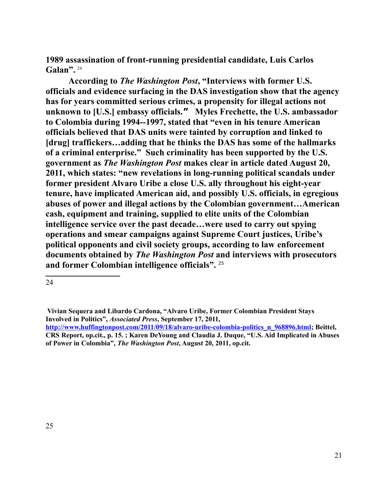**1989 assassination of front-running presidential candidate, Luis Carlos**  Galan". <sup>[24](#page-20-0)</sup>

**According to** *The Washington Post***, "Interviews with former U.S. officials and evidence surfacing in the DAS investigation show that the agency has for years committed serious crimes, a propensity for illegal actions not unknown to [U.S.] embassy officials." Myles Frechette, the U.S. ambassador to Colombia during 1994--1997, stated that "even in his tenure American officials believed that DAS units were tainted by corruption and linked to [drug] traffickers…adding that he thinks the DAS has some of the hallmarks of a criminal enterprise." Such criminality has been supported by the U.S. government as** *The Washington Post* **makes clear in article dated August 20, 2011, which states: "new revelations in long-running political scandals under former president Alvaro Uribe a close U.S. ally throughout his eight-year tenure, have implicated American aid, and possibly U.S. officials, in egregious abuses of power and illegal actions by the Colombian government…American cash, equipment and training, supplied to elite units of the Colombian intelligence service over the past decade…were used to carry out spying operations and smear campaigns against Supreme Court justices, Uribe's political opponents and civil society groups, according to law enforcement documents obtained by** *The Washington Post* **and interviews with prosecutors and former Colombian intelligence officials".** [25](#page-20-1)

<span id="page-20-0"></span><sup>24</sup>

**Vivian Sequera and Libardo Cardona, "Alvaro Uribe, Former Colombian President Stays Involved in Politics",** *Associated Press***, September 17, 2011,** 

<span id="page-20-1"></span>**[http://www.huffingtonpost.com/2011/09/18/alvaro-uribe-colombia-politics\\_n\\_968896.html;](http://www.huffingtonpost.com/2011/09/18/alvaro-uribe-colombia-politics_n_968896.html) Beittel, CRS Report, op.cit., p. 15. ; Karen DeYoung and Claudia J. Duque, "U.S. Aid Implicated in Abuses of Power in Colombia",** *The Washington Post***, August 20, 2011, op.cit.**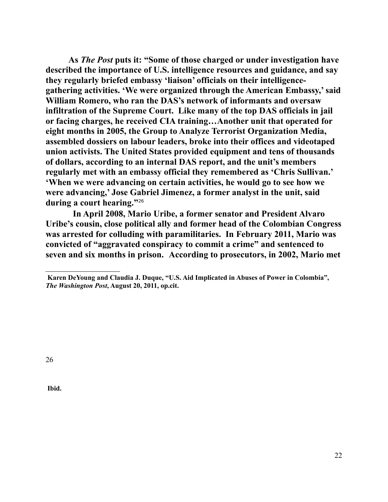**As** *The Post* **puts it: "Some of those charged or under investigation have described the importance of U.S. intelligence resources and guidance, and say they regularly briefed embassy 'liaison' officials on their intelligencegathering activities. 'We were organized through the American Embassy,' said William Romero, who ran the DAS's network of informants and oversaw infiltration of the Supreme Court. Like many of the top DAS officials in jail or facing charges, he received CIA training…Another unit that operated for eight months in 2005, the Group to Analyze Terrorist Organization Media, assembled dossiers on labour leaders, broke into their offices and videotaped union activists. The United States provided equipment and tens of thousands of dollars, according to an internal DAS report, and the unit's members regularly met with an embassy official they remembered as 'Chris Sullivan.' 'When we were advancing on certain activities, he would go to see how we were advancing,' Jose Gabriel Jimenez, a former analyst in the unit, said during a court hearing."**[26](#page-21-0)

 **In April 2008, Mario Uribe, a former senator and President Alvaro Uribe's cousin, close political ally and former head of the Colombian Congress was arrested for colluding with paramilitaries. In February 2011, Mario was convicted of "aggravated conspiracy to commit a crime" and sentenced to seven and six months in prison. According to prosecutors, in 2002, Mario met**

<span id="page-21-0"></span>26

**Ibid.**

**Karen DeYoung and Claudia J. Duque, "U.S. Aid Implicated in Abuses of Power in Colombia",**  *The Washington Post***, August 20, 2011, op.cit.**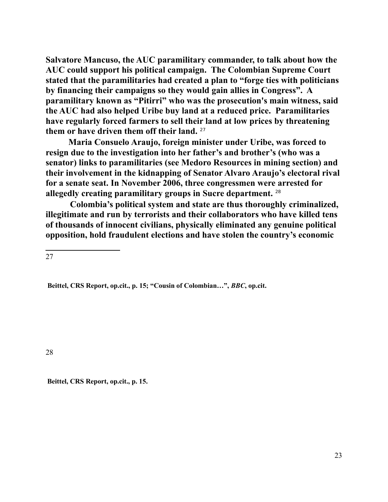**Salvatore Mancuso, the AUC paramilitary commander, to talk about how the AUC could support his political campaign. The Colombian Supreme Court stated that the paramilitaries had created a plan to "forge ties with politicians by financing their campaigns so they would gain allies in Congress". A paramilitary known as "Pitirri" who was the prosecution's main witness, said the AUC had also helped Uribe buy land at a reduced price. Paramilitaries have regularly forced farmers to sell their land at low prices by threatening them or have driven them off their land.** [27](#page-22-0) 

**Maria Consuelo Araujo, foreign minister under Uribe, was forced to resign due to the investigation into her father's and brother's (who was a senator) links to paramilitaries (see Medoro Resources in mining section) and their involvement in the kidnapping of Senator Alvaro Araujo's electoral rival for a senate seat. In November 2006, three congressmen were arrested for allegedly creating paramilitary groups in Sucre department.** [28](#page-22-1)

 **Colombia's political system and state are thus thoroughly criminalized, illegitimate and run by terrorists and their collaborators who have killed tens of thousands of innocent civilians, physically eliminated any genuine political opposition, hold fraudulent elections and have stolen the country's economic** 

<span id="page-22-0"></span>27

**Beittel, CRS Report, op.cit., p. 15; "Cousin of Colombian…",** *BBC***, op.cit.**

<span id="page-22-1"></span>28

**Beittel, CRS Report, op.cit., p. 15.**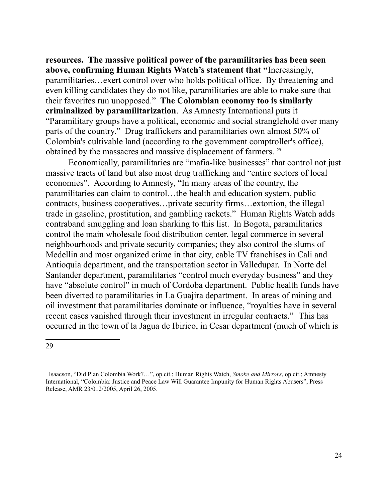**resources. The massive political power of the paramilitaries has been seen above, confirming Human Rights Watch's statement that "**Increasingly, paramilitaries…exert control over who holds political office. By threatening and even killing candidates they do not like, paramilitaries are able to make sure that their favorites run unopposed." **The Colombian economy too is similarly criminalized by paramilitarization**. As Amnesty International puts it "Paramilitary groups have a political, economic and social stranglehold over many parts of the country." Drug traffickers and paramilitaries own almost 50% of Colombia's cultivable land (according to the government comptroller's office), obtained by the massacres and massive displacement of farmers.<sup>[29](#page-23-0)</sup>

Economically, paramilitaries are "mafia-like businesses" that control not just massive tracts of land but also most drug trafficking and "entire sectors of local economies". According to Amnesty, "In many areas of the country, the paramilitaries can claim to control…the health and education system, public contracts, business cooperatives…private security firms…extortion, the illegal trade in gasoline, prostitution, and gambling rackets." Human Rights Watch adds contraband smuggling and loan sharking to this list. In Bogota, paramilitaries control the main wholesale food distribution center, legal commerce in several neighbourhoods and private security companies; they also control the slums of Medellin and most organized crime in that city, cable TV franchises in Cali and Antioquia department, and the transportation sector in Valledupar. In Norte del Santander department, paramilitaries "control much everyday business" and they have "absolute control" in much of Cordoba department. Public health funds have been diverted to paramilitaries in La Guajira department. In areas of mining and oil investment that paramilitaries dominate or influence, "royalties have in several recent cases vanished through their investment in irregular contracts." This has occurred in the town of la Jagua de Ibirico, in Cesar department (much of which is

<span id="page-23-0"></span>Isaacson, "Did Plan Colombia Work?…", op.cit.; Human Rights Watch, *Smoke and Mirrors*, op.cit.; Amnesty International, "Colombia: Justice and Peace Law Will Guarantee Impunity for Human Rights Abusers", Press Release, AMR 23/012/2005, April 26, 2005.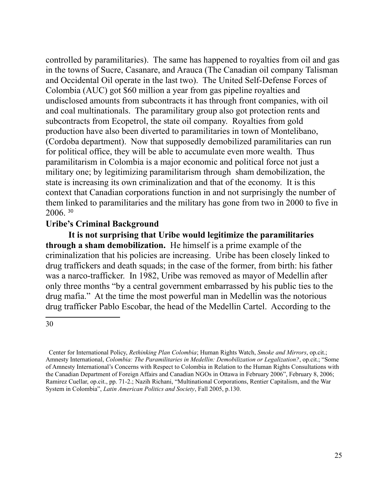controlled by paramilitaries). The same has happened to royalties from oil and gas in the towns of Sucre, Casanare, and Arauca (The Canadian oil company Talisman and Occidental Oil operate in the last two). The United Self-Defense Forces of Colombia (AUC) got \$60 million a year from gas pipeline royalties and undisclosed amounts from subcontracts it has through front companies, with oil and coal multinationals. The paramilitary group also got protection rents and subcontracts from Ecopetrol, the state oil company. Royalties from gold production have also been diverted to paramilitaries in town of Montelibano, (Cordoba department). Now that supposedly demobilized paramilitaries can run for political office, they will be able to accumulate even more wealth. Thus paramilitarism in Colombia is a major economic and political force not just a military one; by legitimizing paramilitarism through sham demobilization, the state is increasing its own criminalization and that of the economy. It is this context that Canadian corporations function in and not surprisingly the number of them linked to paramilitaries and the military has gone from two in 2000 to five in 2006. [30](#page-24-0)

### **Uribe's Criminal Background**

**It is not surprising that Uribe would legitimize the paramilitaries through a sham demobilization.** He himself is a prime example of the criminalization that his policies are increasing. Uribe has been closely linked to drug traffickers and death squads; in the case of the former, from birth: his father was a narco-trafficker. In 1982, Uribe was removed as mayor of Medellin after only three months "by a central government embarrassed by his public ties to the drug mafia." At the time the most powerful man in Medellin was the notorious drug trafficker Pablo Escobar, the head of the Medellin Cartel. According to the

<span id="page-24-0"></span>Center for International Policy, *Rethinking Plan Colombia*; Human Rights Watch, *Smoke and Mirrors*, op.cit.; Amnesty International, *Colombia: The Paramilitaries in Medellin: Demobilization or Legalization?*, op.cit.; "Some of Amnesty International's Concerns with Respect to Colombia in Relation to the Human Rights Consultations with the Canadian Department of Foreign Affairs and Canadian NGOs in Ottawa in February 2006", February 8, 2006; Ramirez Cuellar, op.cit., pp. 71-2.; Nazih Richani, "Multinational Corporations, Rentier Capitalism, and the War System in Colombia", *Latin American Politics and Society*, Fall 2005, p.130.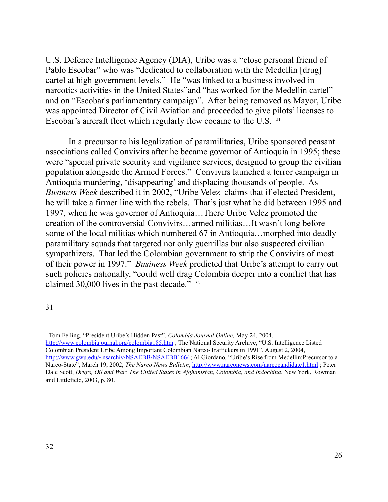U.S. Defence Intelligence Agency (DIA), Uribe was a "close personal friend of Pablo Escobar" who was "dedicated to collaboration with the Medellín [drug] cartel at high government levels." He "was linked to a business involved in narcotics activities in the United States"and "has worked for the Medellín cartel" and on "Escobar's parliamentary campaign". After being removed as Mayor, Uribe was appointed Director of Civil Aviation and proceeded to give pilots' licenses to Escobar's aircraft fleet which regularly flew cocaine to the U.S. [31](#page-25-0)

In a precursor to his legalization of paramilitaries, Uribe sponsored peasant associations called Convivirs after he became governor of Antioquia in 1995; these were "special private security and vigilance services, designed to group the civilian population alongside the Armed Forces." Convivirs launched a terror campaign in Antioquia murdering, 'disappearing' and displacing thousands of people. As *Business Week* described it in 2002, "Uribe Velezclaims that if elected President, he will take a firmer line with the rebels. That's just what he did between 1995 and 1997, when he was governor of Antioquia…There Uribe Velez promoted the creation of the controversial Convivirs…armed militias…It wasn't long before some of the local militias which numbered 67 in Antioquia…morphed into deadly paramilitary squads that targeted not only guerrillas but also suspected civilian sympathizers. That led the Colombian government to strip the Convivirs of most of their power in 1997." *Business Week* predicted that Uribe's attempt to carry out such policies nationally, "could well drag Colombia deeper into a conflict that has claimed 30,000 lives in the past decade." <sup>[32](#page-25-1)</sup>

<span id="page-25-0"></span><sup>31</sup>

<span id="page-25-1"></span>Tom Feiling, "President Uribe's Hidden Past", *Colombia Journal Online,* May 24, 2004, <http://www.colombiajournal.org/colombia185.htm> ; The National Security Archive, "U.S. Intelligence Listed Colombian President Uribe Among Important Colombian Narco-Traffickers in 1991", August 2, 2004, http://www.gwu.edu/~nsarchiv/NSAEBB/NSAEBB166/; Al Giordano, "Uribe's Rise from Medellin:Precursor to a Narco-State", March 19, 2002, *The Narco News Bulletin*,<http://www.narconews.com/narcocandidate1.html>; Peter Dale Scott, *Drugs, Oil and War: The United States in Afghanistan, Colombia, and Indochina*, New York, Rowman and Littlefield, 2003, p. 80.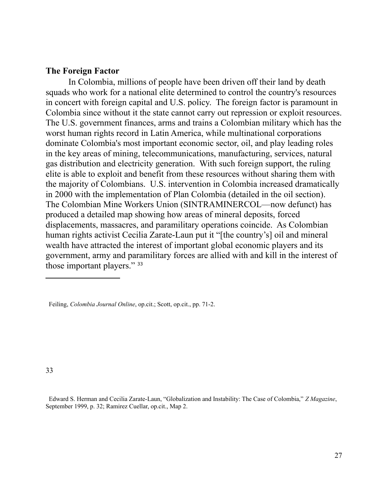#### **The Foreign Factor**

In Colombia, millions of people have been driven off their land by death squads who work for a national elite determined to control the country's resources in concert with foreign capital and U.S. policy. The foreign factor is paramount in Colombia since without it the state cannot carry out repression or exploit resources. The U.S. government finances, arms and trains a Colombian military which has the worst human rights record in Latin America, while multinational corporations dominate Colombia's most important economic sector, oil, and play leading roles in the key areas of mining, telecommunications, manufacturing, services, natural gas distribution and electricity generation. With such foreign support, the ruling elite is able to exploit and benefit from these resources without sharing them with the majority of Colombians. U.S. intervention in Colombia increased dramatically in 2000 with the implementation of Plan Colombia (detailed in the oil section). The Colombian Mine Workers Union (SINTRAMINERCOL—now defunct) has produced a detailed map showing how areas of mineral deposits, forced displacements, massacres, and paramilitary operations coincide. As Colombian human rights activist Cecilia Zarate-Laun put it "[the country's] oil and mineral wealth have attracted the interest of important global economic players and its government, army and paramilitary forces are allied with and kill in the interest of those important players." [33](#page-26-0)

Feiling, *Colombia Journal Online*, op.cit.; Scott, op.cit., pp. 71-2.

<span id="page-26-0"></span>33

 Edward S. Herman and Cecilia Zarate-Laun, "Globalization and Instability: The Case of Colombia," *Z Magazine*, September 1999, p. 32; Ramirez Cuellar, op.cit., Map 2.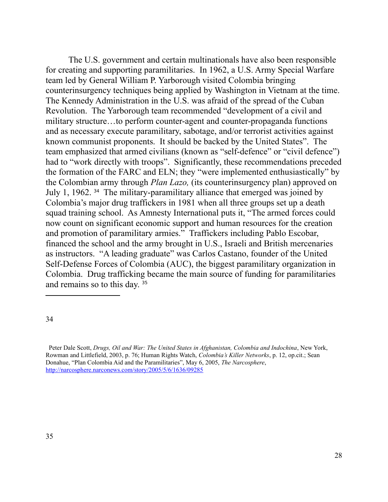The U.S. government and certain multinationals have also been responsible for creating and supporting paramilitaries. In 1962, a U.S. Army Special Warfare team led by General William P. Yarborough visited Colombia bringing counterinsurgency techniques being applied by Washington in Vietnam at the time. The Kennedy Administration in the U.S. was afraid of the spread of the Cuban Revolution. The Yarborough team recommended "development of a civil and military structure…to perform counter-agent and counter-propaganda functions and as necessary execute paramilitary, sabotage, and/or terrorist activities against known communist proponents. It should be backed by the United States". The team emphasized that armed civilians (known as "self-defence" or "civil defence") had to "work directly with troops". Significantly, these recommendations preceded the formation of the FARC and ELN; they "were implemented enthusiastically" by the Colombian army through *Plan Lazo,* (its counterinsurgency plan) approved on July 1, 1962. [34](#page-27-0) The military-paramilitary alliance that emerged was joined by Colombia's major drug traffickers in 1981 when all three groups set up a death squad training school. As Amnesty International puts it, "The armed forces could now count on significant economic support and human resources for the creation and promotion of paramilitary armies." Traffickers including Pablo Escobar, financed the school and the army brought in U.S., Israeli and British mercenaries as instructors. "A leading graduate" was Carlos Castano, founder of the United Self-Defense Forces of Colombia (AUC), the biggest paramilitary organization in Colombia. Drug trafficking became the main source of funding for paramilitaries and remains so to this day. [35](#page-27-1)

<span id="page-27-0"></span><sup>34</sup>

<span id="page-27-1"></span>Peter Dale Scott, *Drugs, Oil and War: The United States in Afghanistan, Colombia and Indochina*, New York, Rowman and Littlefield, 2003, p. 76; Human Rights Watch, *Colombia's Killer Networks*, p. 12, op.cit.; Sean Donahue, "Plan Colombia Aid and the Paramilitaries", May 6, 2005, *The Narcosphere*, <http://narcosphere.narconews.com/story/2005/5/6/1636/09285>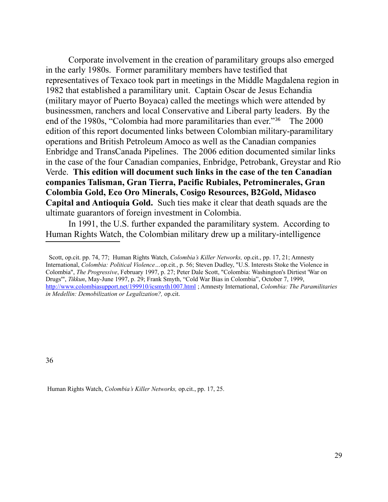Corporate involvement in the creation of paramilitary groups also emerged in the early 1980s. Former paramilitary members have testified that representatives of Texaco took part in meetings in the Middle Magdalena region in 1982 that established a paramilitary unit. Captain Oscar de Jesus Echandia (military mayor of Puerto Boyaca) called the meetings which were attended by businessmen, ranchers and local Conservative and Liberal party leaders. By the end of the 1980s, "Colombia had more paramilitaries than ever."[36](#page-28-0) The 2000 edition of this report documented links between Colombian military-paramilitary operations and British Petroleum Amoco as well as the Canadian companies Enbridge and TransCanada Pipelines. The 2006 edition documented similar links in the case of the four Canadian companies, Enbridge, Petrobank, Greystar and Rio Verde. **This edition will document such links in the case of the ten Canadian companies Talisman, Gran Tierra, Pacific Rubiales, Petrominerales, Gran Colombia Gold, Eco Oro Minerals, Cosigo Resources, B2Gold, Midasco Capital and Antioquia Gold.** Such ties make it clear that death squads are the ultimate guarantors of foreign investment in Colombia.

In 1991, the U.S. further expanded the paramilitary system. According to Human Rights Watch, the Colombian military drew up a military-intelligence

<span id="page-28-0"></span>36

Human Rights Watch, *Colombia's Killer Networks,* op.cit., pp. 17, 25.

Scott, op.cit. pp. 74, 77; Human Rights Watch, *Colombia's Killer Networks,* op.cit., pp. 17, 21; Amnesty International, *Colombia: Political Violence…*op.cit*.*, p. 56; Steven Dudley, "U.S. Interests Stoke the Violence in Colombia", *The Progressive*, February 1997, p. 27; Peter Dale Scott, "Colombia: Washington's Dirtiest 'War on Drugs'", *Tikkun*, May-June 1997, p. 29; Frank Smyth, "Cold War Bias in Colombia", October 7, 1999, <http://www.colombiasupport.net/199910/icsmyth1007.html>; Amnesty International, *Colombia: The Paramilitaries in Medellin: Demobilization or Legalization?,* op.cit.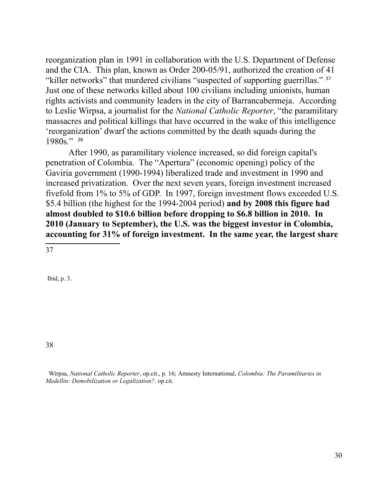reorganization plan in 1991 in collaboration with the U.S. Department of Defense and the CIA. This plan, known as Order 200-05/91, authorized the creation of 41 "killer networks" that murdered civilians "suspected of supporting guerrillas." [37](#page-29-0) Just one of these networks killed about 100 civilians including unionists, human rights activists and community leaders in the city of Barrancabermeja. According to Leslie Wirpsa, a journalist for the *National Catholic Reporter*, "the paramilitary massacres and political killings that have occurred in the wake of this intelligence 'reorganization' dwarf the actions committed by the death squads during the 1980s." [38](#page-29-1)

After 1990, as paramilitary violence increased, so did foreign capital's penetration of Colombia. The "Apertura" (economic opening) policy of the Gaviria government (1990-1994) liberalized trade and investment in 1990 and increased privatization. Over the next seven years, foreign investment increased fivefold from 1% to 5% of GDP. In 1997, foreign investment flows exceeded U.S. \$5.4 billion (the highest for the 1994-2004 period) **and by 2008 this figure had almost doubled to \$10.6 billion before dropping to \$6.8 billion in 2010. In 2010 (January to September), the U.S. was the biggest investor in Colombia, accounting for 31% of foreign investment. In the same year, the largest share** 

<span id="page-29-0"></span>37

Ibid, p. 3.

<span id="page-29-1"></span>38

 Wirpsa, *National Catholic Reporter*, op.cit., p. 16; Amnesty International, *Colombia: The Paramilitaries in Medellin: Demobilization or Legalization?,* op.cit.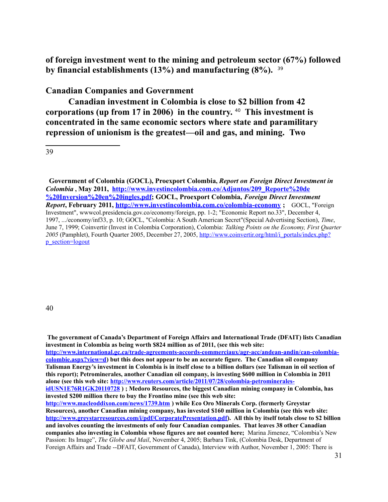**of foreign investment went to the mining and petroleum sector (67%) followed by financial establishments (13%) and manufacturing (8%).** [39](#page-30-0)

**Canadian Companies and Government**

**Canadian investment in Colombia is close to \$2 billion from 42 corporations (up from 17 in 2006) in the country.** [40](#page-30-1) **This investment is concentrated in the same economic sectors where state and paramilitary repression of unionism is the greatest—oil and gas, and mining. Two** 

<span id="page-30-0"></span>39

**Government of Colombia (GOCL), Proexport Colombia,** *Report on Foreign Direct Investment in Colombia* **, May 2011, [http://www.investincolombia.com.co/Adjuntos/209\\_Reporte%20de](http://www.investincolombia.com.co/Adjuntos/209_Reporte%20de%20Inversion%20en%20ingles.pdf) [%20Inversion%20en%20ingles.pdf;](http://www.investincolombia.com.co/Adjuntos/209_Reporte%20de%20Inversion%20en%20ingles.pdf) GOCL, Proexport Colombia,** *Foreign Direct Investment Report***, February 2011,<http://www.investincolombia.com.co/colombia-economy>;** GOCL, "Foreign Investment", wwwcol.presidencia.gov.co/economy/foreign, pp. 1-2; "Economic Report no.33", December 4, 1997, .../economy/inf33, p. 10; GOCL, "Colombia: A South American Secret"(Special Advertising Section), *Time*, June 7, 1999; Coinvertir (Invest in Colombia Corporation), Colombia: *Talking Points on the Economy, First Quarter 2005* (Pamphlet), Fourth Quarter 2005, December 27, 2005, [http://www.coinvertir.org/html/i\\_portals/index.php?](http://www.coinvertir.org/html/i_portals/index.php?p_section=logout) [p\\_section=logout](http://www.coinvertir.org/html/i_portals/index.php?p_section=logout) 

<span id="page-30-1"></span>**The government of Canada's Department of Foreign Affairs and International Trade (DFAIT) lists Canadian investment in Colombia as being worth \$824 million as of 2011, (see this web site: [http://www.international.gc.ca/trade-agreements-accords-commerciaux/agr-acc/andean-andin/can-colombia](http://www.international.gc.ca/trade-agreements-accords-commerciaux/agr-acc/andean-andin/can-colombia-colombie.aspx?view=d)[colombie.aspx?view=d\)](http://www.international.gc.ca/trade-agreements-accords-commerciaux/agr-acc/andean-andin/can-colombia-colombie.aspx?view=d) but this does not appear to be an accurate figure. The Canadian oil company Talisman Energy's investment in Colombia is in itself close to a billion dollars (see Talisman in oil section of this report); Petrominerales, another Canadian oil company, is investing \$600 million in Colombia in 2011 alone (see this web site: [http://www.reuters.com/article/2011/07/28/colombia-petrominerales](http://www.reuters.com/article/2011/07/28/colombia-petrominerales-idUSN1E76R1GK20110728)[idUSN1E76R1GK20110728](http://www.reuters.com/article/2011/07/28/colombia-petrominerales-idUSN1E76R1GK20110728) ) ; Medoro Resources, the biggest Canadian mining company in Colombia, has invested \$200 million there to buy the Frontino mine (see this web site: <http://www.macleoddixon.com/news/1739.htm>) while Eco Oro Minerals Corp. (formerly Greystar Resources), another Canadian mining company, has invested \$160 million in Colombia (see this web site: [http://www.greystarresources.com/i/pdf/CorporatePresentation.pdf\)](http://www.greystarresources.com/i/pdf/CorporatePresentation.pdf). All this by itself totals close to \$2 billion and involves counting the investments of only four Canadian companies. That leaves 38 other Canadian companies also investing in Colombia whose figures are not counted here;** Marina Jimenez, "Colombia's New Passion: Its Image", *The Globe and Mail*, November 4, 2005; Barbara Tink, (Colombia Desk, Department of Foreign Affairs and Trade --DFAIT, Government of Canada), Interview with Author, November 1, 2005: There is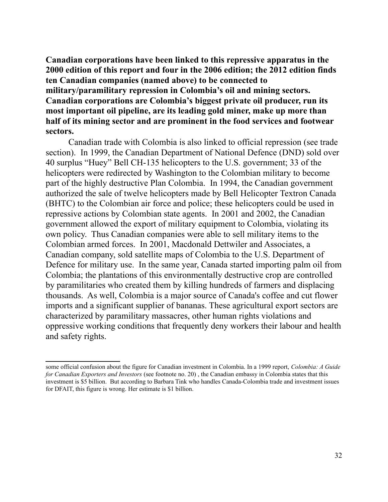**Canadian corporations have been linked to this repressive apparatus in the 2000 edition of this report and four in the 2006 edition; the 2012 edition finds ten Canadian companies (named above) to be connected to military/paramilitary repression in Colombia's oil and mining sectors. Canadian corporations are Colombia's biggest private oil producer, run its most important oil pipeline, are its leading gold miner, make up more than half of its mining sector and are prominent in the food services and footwear sectors.**

Canadian trade with Colombia is also linked to official repression (see trade section). In 1999, the Canadian Department of National Defence (DND) sold over 40 surplus "Huey" Bell CH-135 helicopters to the U.S. government; 33 of the helicopters were redirected by Washington to the Colombian military to become part of the highly destructive Plan Colombia. In 1994, the Canadian government authorized the sale of twelve helicopters made by Bell Helicopter Textron Canada (BHTC) to the Colombian air force and police; these helicopters could be used in repressive actions by Colombian state agents. In 2001 and 2002, the Canadian government allowed the export of military equipment to Colombia, violating its own policy. Thus Canadian companies were able to sell military items to the Colombian armed forces. In 2001, Macdonald Dettwiler and Associates, a Canadian company, sold satellite maps of Colombia to the U.S. Department of Defence for military use. In the same year, Canada started importing palm oil from Colombia; the plantations of this environmentally destructive crop are controlled by paramilitaries who created them by killing hundreds of farmers and displacing thousands. As well, Colombia is a major source of Canada's coffee and cut flower imports and a significant supplier of bananas. These agricultural export sectors are characterized by paramilitary massacres, other human rights violations and oppressive working conditions that frequently deny workers their labour and health and safety rights.

some official confusion about the figure for Canadian investment in Colombia. In a 1999 report, *Colombia: A Guide for Canadian Exporters and Investors* (see footnote no. 20) , the Canadian embassy in Colombia states that this investment is \$5 billion. But according to Barbara Tink who handles Canada-Colombia trade and investment issues for DFAIT, this figure is wrong. Her estimate is \$1 billion.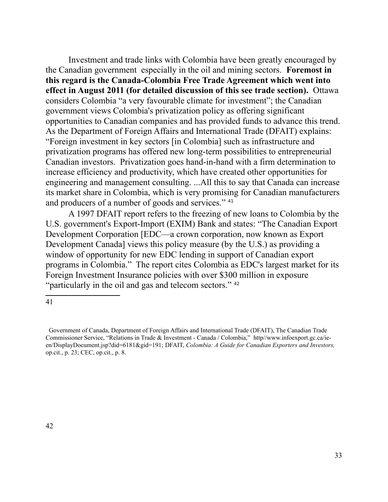Investment and trade links with Colombia have been greatly encouraged by the Canadian government especially in the oil and mining sectors. **Foremost in this regard is the Canada-Colombia Free Trade Agreement which went into effect in August 2011 (for detailed discussion of this see trade section).** Ottawa considers Colombia "a very favourable climate for investment"; the Canadian government views Colombia's privatization policy as offering significant opportunities to Canadian companies and has provided funds to advance this trend. As the Department of Foreign Affairs and International Trade (DFAIT) explains: "Foreign investment in key sectors [in Colombia] such as infrastructure and privatization programs has offered new long-term possibilities to entrepreneurial Canadian investors. Privatization goes hand-in-hand with a firm determination to increase efficiency and productivity, which have created other opportunities for engineering and management consulting. ...All this to say that Canada can increase its market share in Colombia, which is very promising for Canadian manufacturers and producers of a number of goods and services." <sup>[41](#page-32-0)</sup>

A 1997 DFAIT report refers to the freezing of new loans to Colombia by the U.S. government's Export-Import (EXIM) Bank and states: "The Canadian Export Development Corporation [EDC—a crown corporation, now known as Export Development Canada] views this policy measure (by the U.S.) as providing a window of opportunity for new EDC lending in support of Canadian export programs in Colombia." The report cites Colombia as EDC's largest market for its Foreign Investment Insurance policies with over \$300 million in exposure "particularly in the oil and gas and telecom sectors." <sup>[42](#page-32-1)</sup>

<span id="page-32-1"></span><span id="page-32-0"></span>Government of Canada, Department of Foreign Affairs and International Trade (DFAIT), The Canadian Trade Commissioner Service, "Relations in Trade & Investment - Canada / Colombia," http//www.infoexport.gc.ca/ieen/DisplayDocument.jsp?did=6181&gid=191; DFAIT, *Colombia: A Guide for Canadian Exporters and Investors,* op.cit., p. 23; CEC, op.cit., p. 8.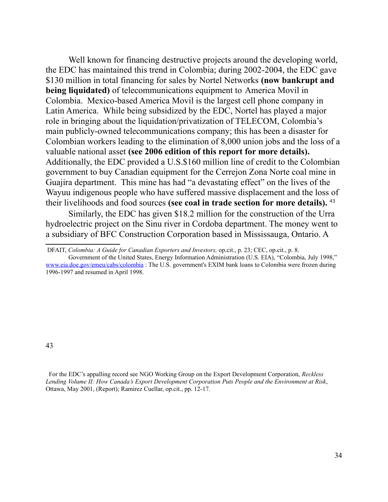Well known for financing destructive projects around the developing world, the EDC has maintained this trend in Colombia; during 2002-2004, the EDC gave \$130 million in total financing for sales by Nortel Networks **(now bankrupt and being liquidated)** of telecommunications equipment to America Movil in Colombia. Mexico-based America Movil is the largest cell phone company in Latin America. While being subsidized by the EDC, Nortel has played a major role in bringing about the liquidation/privatization of TELECOM, Colombia's main publicly-owned telecommunications company; this has been a disaster for Colombian workers leading to the elimination of 8,000 union jobs and the loss of a valuable national asset **(see 2006 edition of this report for more details).** Additionally, the EDC provided a U.S.\$160 million line of credit to the Colombian government to buy Canadian equipment for the Cerrejon Zona Norte coal mine in Guajira department. This mine has had "a devastating effect" on the lives of the Wayuu indigenous people who have suffered massive displacement and the loss of their livelihoods and food sources **(see coal in trade section for more details).** [43](#page-33-0)

Similarly, the EDC has given \$18.2 million for the construction of the Urra hydroelectric project on the Sinu river in Cordoba department. The money went to a subsidiary of BFC Construction Corporation based in Mississauga, Ontario. A

DFAIT, *Colombia: A Guide for Canadian Exporters and Investors,* op.cit., p. 23; CEC, op.cit., p. 8.

Government of the United States, Energy Information Administration (U.S. EIA), "Colombia, July 1998," [www.eia.doe.gov/emeu/cabs/colombia](http://www.eia.doe.gov/emeu/cabs/colombia) : The U.S. government's EXIM bank loans to Colombia were frozen during 1996-1997 and resumed in April 1998.

<span id="page-33-0"></span>For the EDC's appalling record see NGO Working Group on the Export Development Corporation, *Reckless Lending Volume II: How Canada's Export Development Corporation Puts People and the Environment at Risk*, Ottawa, May 2001, (Report); Ramirez Cuellar, op.cit., pp. 12-17.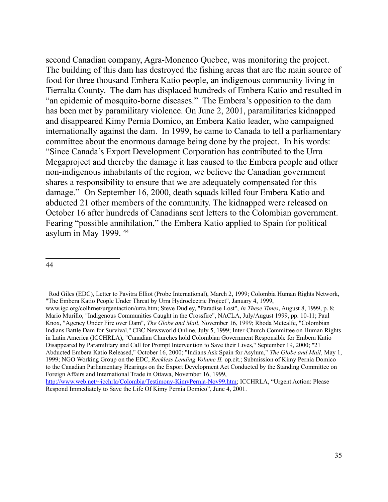second Canadian company, Agra-Monenco Quebec, was monitoring the project. The building of this dam has destroyed the fishing areas that are the main source of food for three thousand Embera Katio people, an indigenous community living in Tierralta County. The dam has displaced hundreds of Embera Katio and resulted in "an epidemic of mosquito-borne diseases." The Embera's opposition to the dam has been met by paramilitary violence. On June 2, 2001, paramilitaries kidnapped and disappeared Kimy Pernia Domico, an Embera Katio leader, who campaigned internationally against the dam. In 1999, he came to Canada to tell a parliamentary committee about the enormous damage being done by the project. In his words: "Since Canada's Export Development Corporation has contributed to the Urra Megaproject and thereby the damage it has caused to the Embera people and other non-indigenous inhabitants of the region, we believe the Canadian government shares a responsibility to ensure that we are adequately compensated for this damage." On September 16, 2000, death squads killed four Embera Katio and abducted 21 other members of the community. The kidnapped were released on October 16 after hundreds of Canadians sent letters to the Colombian government. Fearing "possible annihilation," the Embera Katio applied to Spain for political asylum in May 1999. [44](#page-34-0)

<span id="page-34-0"></span>Rod Giles (EDC), Letter to Pavitra Elliot (Probe International), March 2, 1999; Colombia Human Rights Network, "The Embera Katio People Under Threat by Urra Hydroelectric Project", January 4, 1999,

www.igc.org/colhrnet/urgentaction/urra.htm; Steve Dudley, "Paradise Lost", *In These Times*, August 8, 1999, p. 8; Mario Murillo, "Indigenous Communities Caught in the Crossfire", NACLA, July/August 1999, pp. 10-11; Paul Knox, "Agency Under Fire over Dam", *The Globe and Mail*, November 16, 1999; Rhoda Metcalfe, "Colombian Indians Battle Dam for Survival," CBC Newsworld Online, July 5, 1999; Inter-Church Committee on Human Rights in Latin America (ICCHRLA), "Canadian Churches hold Colombian Government Responsible for Embera Katio Disappeared by Paramilitary and Call for Prompt Intervention to Save their Lives," September 19, 2000; "21 Abducted Embera Katio Released," October 16, 2000; "Indians Ask Spain for Asylum," *The Globe and Mail*, May 1, 1999; NGO Working Group on the EDC, *Reckless Lending Volume II,* op.cit.; Submission of Kimy Pernia Domico to the Canadian Parliamentary Hearings on the Export Development Act Conducted by the Standing Committee on Foreign Affairs and International Trade in Ottawa, November 16, 1999, [http://www.web.net/~icchrla/Colombia/Testimony-KimyPernia-Nov99.htm;](http://www.web.net/~icchrla/Colombia/Testimony-KimyPernia-Nov99.htm) ICCHRLA, "Urgent Action: Please

Respond Immediately to Save the Life Of Kimy Pernia Domico", June 4, 2001.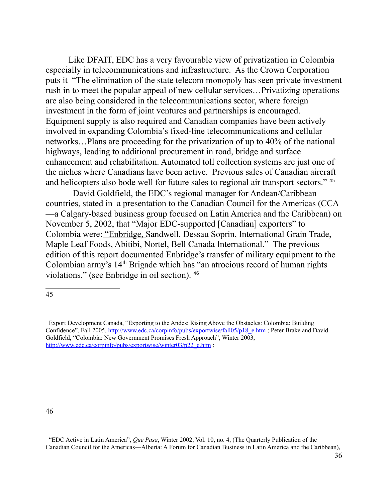Like DFAIT, EDC has a very favourable view of privatization in Colombia especially in telecommunications and infrastructure. As the Crown Corporation puts it "The elimination of the state telecom monopoly has seen private investment rush in to meet the popular appeal of new cellular services…Privatizing operations are also being considered in the telecommunications sector, where foreign investment in the form of joint ventures and partnerships is encouraged. Equipment supply is also required and Canadian companies have been actively involved in expanding Colombia's fixed-line telecommunications and cellular networks…Plans are proceeding for the privatization of up to 40% of the national highways, leading to additional procurement in road, bridge and surface enhancement and rehabilitation. Automated toll collection systems are just one of the niches where Canadians have been active. Previous sales of Canadian aircraft and helicopters also bode well for future sales to regional air transport sectors." [45](#page-35-0)

 David Goldfield, the EDC's regional manager for Andean/Caribbean countries, stated in a presentation to the Canadian Council for the Americas (CCA —a Calgary-based business group focused on Latin America and the Caribbean) on November 5, 2002, that "Major EDC-supported [Canadian] exporters" to Colombia were: "Enbridge, Sandwell, Dessau Soprin, International Grain Trade, Maple Leaf Foods, Abitibi, Nortel, Bell Canada International." The previous edition of this report documented Enbridge's transfer of military equipment to the Colombian army's 14<sup>th</sup> Brigade which has "an atrocious record of human rights violations." (see Enbridge in oil section). [46](#page-35-1)

<span id="page-35-0"></span><sup>45</sup>

<span id="page-35-1"></span>Export Development Canada, "Exporting to the Andes: Rising Above the Obstacles: Colombia: Building Confidence", Fall 2005, [http://www.edc.ca/corpinfo/pubs/exportwise/fall05/p18\\_e.htm](http://www.edc.ca/corpinfo/pubs/exportwise/fall05/p18_e.htm) ; Peter Brake and David Goldfield, "Colombia: New Government Promises Fresh Approach", Winter 2003, http://www.edc.ca/corpinfo/pubs/exportwise/winter03/p22\_e.htm;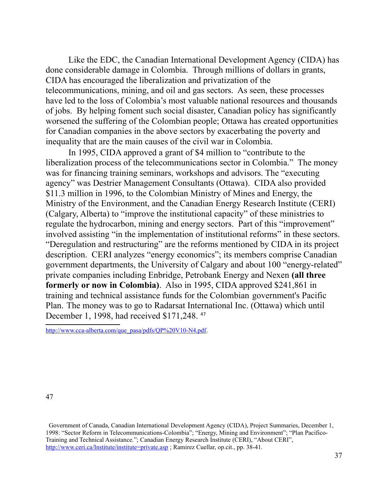Like the EDC, the Canadian International Development Agency (CIDA) has done considerable damage in Colombia. Through millions of dollars in grants, CIDA has encouraged the liberalization and privatization of the telecommunications, mining, and oil and gas sectors. As seen, these processes have led to the loss of Colombia's most valuable national resources and thousands of jobs. By helping foment such social disaster, Canadian policy has significantly worsened the suffering of the Colombian people; Ottawa has created opportunities for Canadian companies in the above sectors by exacerbating the poverty and inequality that are the main causes of the civil war in Colombia.

In 1995, CIDA approved a grant of \$4 million to "contribute to the liberalization process of the telecommunications sector in Colombia." The money was for financing training seminars, workshops and advisors. The "executing agency" was Destrier Management Consultants (Ottawa). CIDA also provided \$11.3 million in 1996, to the Colombian Ministry of Mines and Energy, the Ministry of the Environment, and the Canadian Energy Research Institute (CERI) (Calgary, Alberta) to "improve the institutional capacity" of these ministries to regulate the hydrocarbon, mining and energy sectors. Part of this "improvement" involved assisting "in the implementation of institutional reforms" in these sectors. "Deregulation and restructuring" are the reforms mentioned by CIDA in its project description. CERI analyzes "energy economics"; its members comprise Canadian government departments, the University of Calgary and about 100 "energy-related" private companies including Enbridge, Petrobank Energy and Nexen **(all three formerly or now in Colombia)**. Also in 1995, CIDA approved \$241,861 in training and technical assistance funds for the Colombian government's Pacific Plan. The money was to go to Radarsat International Inc. (Ottawa) which until December 1, 1998, had received \$171,248. [47](#page-36-0)

[http://www.cca-alberta.com/que\\_pasa/pdfs/QP%20V10-N4.pdf.](http://www.cca-alberta.com/que_pasa/pdfs/QP%20V10-N4.pdf)

<span id="page-36-0"></span>47

 Government of Canada, Canadian International Development Agency (CIDA), Project Summaries, December 1, 1998: "Sector Reform in Telecommunications-Colombia"; "Energy, Mining and Environment"; "Plan Pacifico-Training and Technical Assistance."; Canadian Energy Research Institute (CERI), "About CERI", <http://www.ceri.ca/Institute/institute=private.asp>; Ramirez Cuellar, op.cit., pp. 38-41.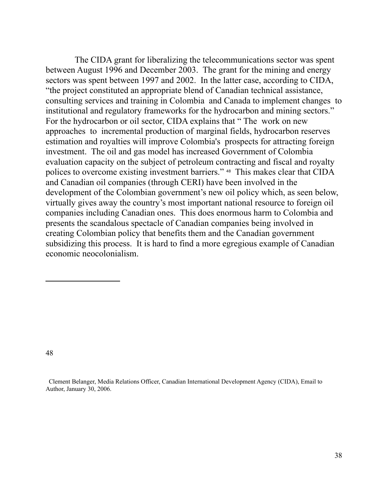The CIDA grant for liberalizing the telecommunications sector was spent between August 1996 and December 2003. The grant for the mining and energy sectors was spent between 1997 and 2002. In the latter case, according to CIDA, "the project constituted an appropriate blend of Canadian technical assistance, consulting services and training in Colombia and Canada to implement changes to institutional and regulatory frameworks for the hydrocarbon and mining sectors." For the hydrocarbon or oil sector, CIDA explains that " The work on new approaches to incremental production of marginal fields, hydrocarbon reserves estimation and royalties will improve Colombia's prospects for attracting foreign investment. The oil and gas model has increased Government of Colombia evaluation capacity on the subject of petroleum contracting and fiscal and royalty polices to overcome existing investment barriers." [48](#page-37-0) This makes clear that CIDA and Canadian oil companies (through CERI) have been involved in the development of the Colombian government's new oil policy which, as seen below, virtually gives away the country's most important national resource to foreign oil companies including Canadian ones. This does enormous harm to Colombia and presents the scandalous spectacle of Canadian companies being involved in creating Colombian policy that benefits them and the Canadian government subsidizing this process. It is hard to find a more egregious example of Canadian economic neocolonialism.

<span id="page-37-0"></span>48

 Clement Belanger, Media Relations Officer, Canadian International Development Agency (CIDA), Email to Author, January 30, 2006.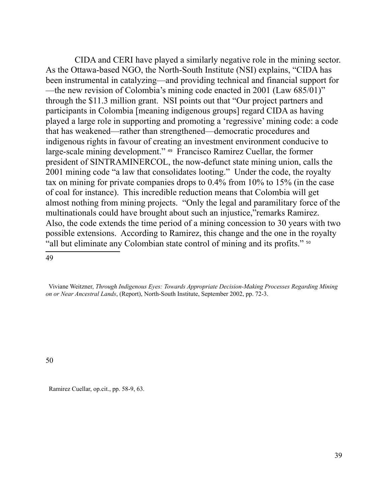CIDA and CERI have played a similarly negative role in the mining sector. As the Ottawa-based NGO, the North-South Institute (NSI) explains, "CIDA has been instrumental in catalyzing—and providing technical and financial support for —the new revision of Colombia's mining code enacted in 2001 (Law 685/01)" through the \$11.3 million grant. NSI points out that "Our project partners and participants in Colombia [meaning indigenous groups] regard CIDA as having played a large role in supporting and promoting a 'regressive' mining code: a code that has weakened—rather than strengthened—democratic procedures and indigenous rights in favour of creating an investment environment conducive to large-scale mining development." [49](#page-38-0) Francisco Ramirez Cuellar, the former president of SINTRAMINERCOL, the now-defunct state mining union, calls the 2001 mining code "a law that consolidates looting." Under the code, the royalty tax on mining for private companies drops to 0.4% from 10% to 15% (in the case of coal for instance). This incredible reduction means that Colombia will get almost nothing from mining projects. "Only the legal and paramilitary force of the multinationals could have brought about such an injustice,"remarks Ramirez. Also, the code extends the time period of a mining concession to 30 years with two possible extensions. According to Ramirez, this change and the one in the royalty "all but eliminate any Colombian state control of mining and its profits." [50](#page-38-1)

<span id="page-38-0"></span>49

<span id="page-38-1"></span>50

Ramirez Cuellar, op.cit., pp. 58-9, 63.

Viviane Weitzner, *Through Indigenous Eyes: Towards Appropriate Decision-Making Processes Regarding Mining on or Near Ancestral Lands*, (Report), North-South Institute, September 2002, pp. 72-3.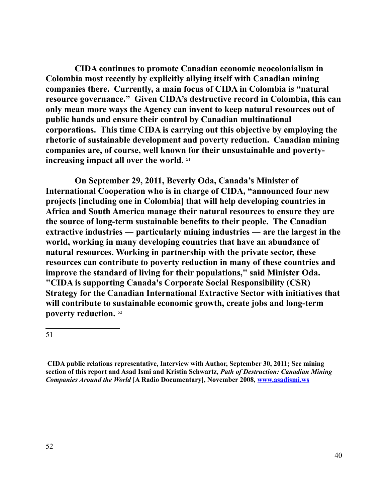**CIDA continues to promote Canadian economic neocolonialism in Colombia most recently by explicitly allying itself with Canadian mining companies there. Currently, a main focus of CIDA in Colombia is "natural resource governance." Given CIDA's destructive record in Colombia, this can only mean more ways the Agency can invent to keep natural resources out of public hands and ensure their control by Canadian multinational corporations. This time CIDA is carrying out this objective by employing the rhetoric of sustainable development and poverty reduction. Canadian mining companies are, of course, well known for their unsustainable and povertyincreasing impact all over the world.** [51](#page-39-0) 

**On September 29, 2011, Beverly Oda, Canada's Minister of International Cooperation who is in charge of CIDA, "announced four new projects [including one in Colombia] that will help developing countries in Africa and South America manage their natural resources to ensure they are the source of long-term sustainable benefits to their people. The Canadian extractive industries ― particularly mining industries ― are the largest in the world, working in many developing countries that have an abundance of natural resources. Working in partnership with the private sector, these resources can contribute to poverty reduction in many of these countries and improve the standard of living for their populations," said Minister Oda. "CIDA is supporting Canada's Corporate Social Responsibility (CSR) Strategy for the Canadian International Extractive Sector with initiatives that will contribute to sustainable economic growth, create jobs and long-term poverty reduction.** [52](#page-39-1)

<span id="page-39-1"></span><span id="page-39-0"></span>**CIDA public relations representative, Interview with Author, September 30, 2011; See mining section of this report and Asad Ismi and Kristin Schwartz,** *Path of Destruction: Canadian Mining Companies Around the World* **[A Radio Documentary], November 2008, [www.asadismi.ws](http://www.asadismi.ws/)**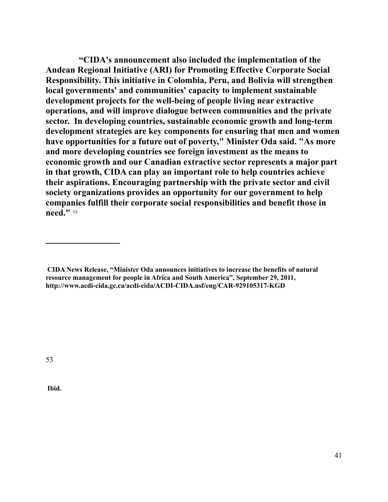**"CIDA's announcement also included the implementation of the Andean Regional Initiative (ARI) for Promoting Effective Corporate Social Responsibility. This initiative in Colombia, Peru, and Bolivia will strengthen local governments' and communities' capacity to implement sustainable development projects for the well-being of people living near extractive operations, and will improve dialogue between communities and the private sector. In developing countries, sustainable economic growth and long-term development strategies are key components for ensuring that men and women have opportunities for a future out of poverty," Minister Oda said. "As more and more developing countries see foreign investment as the means to economic growth and our Canadian extractive sector represents a major part in that growth, CIDA can play an important role to help countries achieve their aspirations. Encouraging partnership with the private sector and civil society organizations provides an opportunity for our government to help companies fulfill their corporate social responsibilities and benefit those in need."** [53](#page-40-0)

<span id="page-40-0"></span>53

 **Ibid.**

**CIDA News Release, "Minister Oda announces initiatives to increase the benefits of natural resource management for people in Africa and South America", September 29, 2011, http://www.acdi-cida.gc.ca/acdi-cida/ACDI-CIDA.nsf/eng/CAR-929105317-KGD**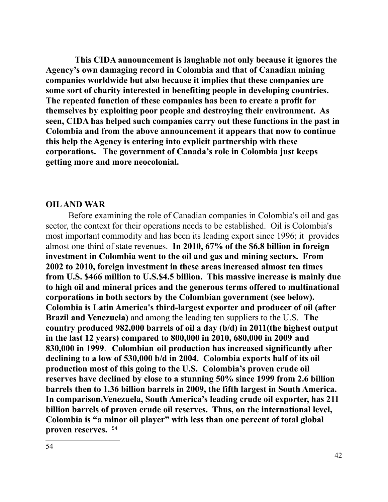**This CIDA announcement is laughable not only because it ignores the Agency's own damaging record in Colombia and that of Canadian mining companies worldwide but also because it implies that these companies are some sort of charity interested in benefiting people in developing countries. The repeated function of these companies has been to create a profit for themselves by exploiting poor people and destroying their environment. As seen, CIDA has helped such companies carry out these functions in the past in Colombia and from the above announcement it appears that now to continue this help the Agency is entering into explicit partnership with these corporations. The government of Canada's role in Colombia just keeps getting more and more neocolonial.** 

#### **OIL AND WAR**

<span id="page-41-0"></span>Before examining the role of Canadian companies in Colombia's oil and gas sector, the context for their operations needs to be established. Oil is Colombia's most important commodity and has been its leading export since 1996; it provides almost one-third of state revenues. **In 2010, 67% of the \$6.8 billion in foreign investment in Colombia went to the oil and gas and mining sectors. From 2002 to 2010, foreign investment in these areas increased almost ten times from U.S. \$466 million to U.S.\$4.5 billion. This massive increase is mainly due to high oil and mineral prices and the generous terms offered to multinational corporations in both sectors by the Colombian government (see below). Colombia is Latin America's third-largest exporter and producer of oil (after Brazil and Venezuela)** and among the leading ten suppliers to the U.S. **The country produced 982,000 barrels of oil a day (b/d) in 2011(the highest output in the last 12 years) compared to 800,000 in 2010, 680,000 in 2009 and 830,000 in 1999**. **Colombian oil production has increased significantly after declining to a low of 530,000 b/d in 2004. Colombia exports half of its oil production most of this going to the U.S. Colombia's proven crude oil reserves have declined by close to a stunning 50% since 1999 from 2.6 billion barrels then to 1.36 billion barrels in 2009, the fifth largest in South America. In comparison,Venezuela, South America's leading crude oil exporter, has 211 billion barrels of proven crude oil reserves. Thus, on the international level, Colombia is "a minor oil player" with less than one percent of total global proven reserves.** [54](#page-41-0)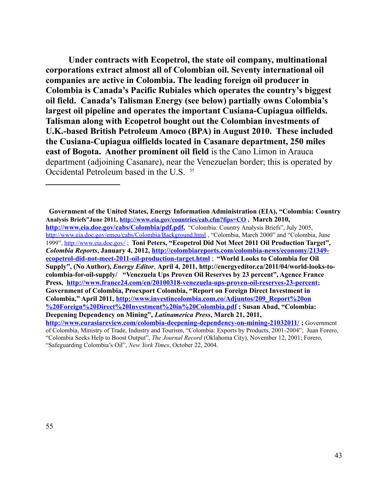**Under contracts with Ecopetrol, the state oil company, multinational corporations extract almost all of Colombian oil. Seventy international oil companies are active in Colombia. The leading foreign oil producer in Colombia is Canada's Pacific Rubiales which operates the country's biggest oil field. Canada's Talisman Energy (see below) partially owns Colombia's largest oil pipeline and operates the important Cusiana-Cupiagua oilfields. Talisman along with Ecopetrol bought out the Colombian investments of U.K.-based British Petroleum Amoco (BPA) in August 2010. These included the Cusiana-Cupiagua oilfields located in Casanare department, 250 miles east of Bogota. Another prominent oil field** is the Cano Limon in Arauca department (adjoining Casanare), near the Venezuelan border; this is operated by Occidental Petroleum based in the U.S. <sup>[55](#page-42-0)</sup>

**Government of the United States, Energy Information Administration (EIA), "Colombia: Country Analysis Briefs"June 2011,<http://www.eia.gov/countries/cab.cfm?fips=CO>, March 2010, <http://www.eia.doe.gov/cabs/Colombia/pdf.pdf>,** "Colombia: Country Analysis Briefs", July 2005, <http://www.eia.doe.gov/emeu/cabs/Colombia/Background.html>, "Colombia, March 2000" and "Colombia, June 1999",<http://www.eia.doe.gov/>; **Toni Peters, "Ecopetrol Did Not Meet 2011 Oil Production Target",**  *Colombia Reports***, January 4, 2012, [http://colombiareports.com/colombia-news/economy/21349](http://colombiareports.com/colombia-news/economy/21349-ecopetrol-did-not-meet-2011-oil-production-target.html) [ecopetrol-did-not-meet-2011-oil-production-target.html](http://colombiareports.com/colombia-news/economy/21349-ecopetrol-did-not-meet-2011-oil-production-target.html)** ; **"World Looks to Colombia for Oil Supply", (No Author),** *Energy Editor*, **April 4, 2011, http://energyeditor.ca/2011/04/world-looks-tocolombia-for-oil-supply/ "Venezuela Ups Proven Oil Reserves by 23 percent", Agence France Press, <http://www.france24.com/en/20100318-venezuela-ups-proven-oil-reserves-23-percent>; Government of Colombia, Proexport Colombia, "Report on Foreign Direct Investment in Colombia," April 2011, [http://www.investincolombia.com.co/Adjuntos/209\\_Report%20on](http://www.investincolombia.com.co/Adjuntos/209_Report%20on%20Foreign%20Direct%20Investment%20in%20Colombia.pdf) [%20Foreign%20Direct%20Investment%20in%20Colombia.pdf](http://www.investincolombia.com.co/Adjuntos/209_Report%20on%20Foreign%20Direct%20Investment%20in%20Colombia.pdf) ; Susan Abad, "Colombia: Deepening Dependency on Mining",** *Latinamerica Press***, March 21, 2011, <http://www.eurasiareview.com/colombia-deepening-dependency-on-mining-21032011/>;** Government of Colombia, Ministry of Trade, Industry and Tourism, "Colombia: Exports by Products, 2001-2004"; Juan Forero, "Colombia Seeks Help to Boost Output", *The Journal Record* (Oklahoma City), November 12, 2001; Forero,

<span id="page-42-0"></span><sup>&</sup>quot;Safeguarding Colombia's Oil", *New York Times*, October 22, 2004.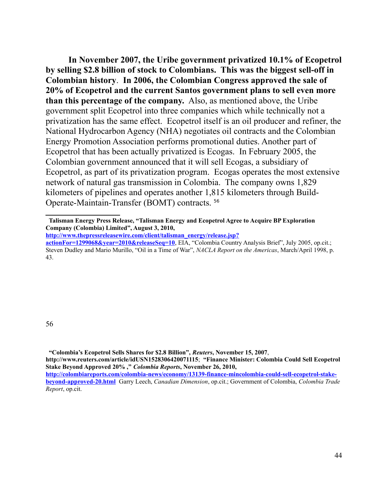**In November 2007, the Uribe government privatized 10.1% of Ecopetrol by selling \$2.8 billion of stock to Colombians. This was the biggest sell-off in Colombian history**. **In 2006, the Colombian Congress approved the sale of 20% of Ecopetrol and the current Santos government plans to sell even more than this percentage of the company.** Also, as mentioned above, the Uribe government split Ecopetrol into three companies which while technically not a privatization has the same effect. Ecopetrol itself is an oil producer and refiner, the National Hydrocarbon Agency (NHA) negotiates oil contracts and the Colombian Energy Promotion Association performs promotional duties. Another part of Ecopetrol that has been actually privatized is Ecogas. In February 2005, the Colombian government announced that it will sell Ecogas, a subsidiary of Ecopetrol, as part of its privatization program. Ecogas operates the most extensive network of natural gas transmission in Colombia. The company owns 1,829 kilometers of pipelines and operates another 1,815 kilometers through Build-Operate-Maintain-Transfer (BOMT) contracts. [56](#page-43-0)

<span id="page-43-0"></span>56

**"Colombia's Ecopetrol Sells Shares for \$2.8 Billion",** *Reuters***, November 15, 2007**,

**http://www.reuters.com/article/idUSN1528306420071115**; **"Finance Minister: Colombia Could Sell Ecopetrol Stake Beyond Approved 20% ,"** *Colombia Reports***, November 26, 2010, [http://colombiareports.com/colombia-news/economy/13139-finance-mincolombia-could-sell-ecopetrol-stake-](http://colombiareports.com/colombia-news/economy/13139-finance-mincolombia-could-sell-ecopetrol-stake-beyond-approved-20.html)**

**Talisman Energy Press Release, "Talisman Energy and Ecopetrol Agree to Acquire BP Exploration Company (Colombia) Limited", August 3, 2010,** 

**[http://www.thepressreleasewire.com/client/talisman\\_energy/release.jsp?](http://www.thepressreleasewire.com/client/talisman_energy/release.jsp?actionFor=1299068&year=2010&releaseSeq=10)**

**[actionFor=1299068&year=2010&releaseSeq=10](http://www.thepressreleasewire.com/client/talisman_energy/release.jsp?actionFor=1299068&year=2010&releaseSeq=10)**, EIA, "Colombia Country Analysis Brief", July 2005, op.cit.; Steven Dudley and Mario Murillo, "Oil in a Time of War", *NACLA Report on the Americas*, March/April 1998, p. 43.

**[beyond-approved-20.html](http://colombiareports.com/colombia-news/economy/13139-finance-mincolombia-could-sell-ecopetrol-stake-beyond-approved-20.html)** Garry Leech, *Canadian Dimension*, op.cit.; Government of Colombia, *Colombia Trade Report*, op.cit.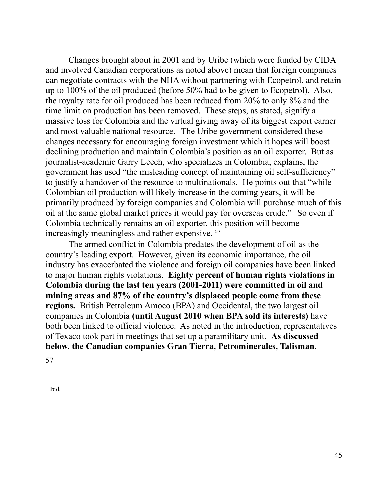Changes brought about in 2001 and by Uribe (which were funded by CIDA and involved Canadian corporations as noted above) mean that foreign companies can negotiate contracts with the NHA without partnering with Ecopetrol, and retain up to 100% of the oil produced (before 50% had to be given to Ecopetrol). Also, the royalty rate for oil produced has been reduced from 20% to only 8% and the time limit on production has been removed. These steps, as stated, signify a massive loss for Colombia and the virtual giving away of its biggest export earner and most valuable national resource. The Uribe government considered these changes necessary for encouraging foreign investment which it hopes will boost declining production and maintain Colombia's position as an oil exporter. But as journalist-academic Garry Leech, who specializes in Colombia, explains, the government has used "the misleading concept of maintaining oil self-sufficiency" to justify a handover of the resource to multinationals. He points out that "while Colombian oil production will likely increase in the coming years, it will be primarily produced by foreign companies and Colombia will purchase much of this oil at the same global market prices it would pay for overseas crude." So even if Colombia technically remains an oil exporter, this position will become increasingly meaningless and rather expensive. [57](#page-44-0)

The armed conflict in Colombia predates the development of oil as the country's leading export. However, given its economic importance, the oil industry has exacerbated the violence and foreign oil companies have been linked to major human rights violations. **Eighty percent of human rights violations in Colombia during the last ten years (2001-2011) were committed in oil and mining areas and 87% of the country's displaced people come from these regions.** British Petroleum Amoco (BPA) and Occidental, the two largest oil companies in Colombia **(until August 2010 when BPA sold its interests)** have both been linked to official violence. As noted in the introduction, representatives of Texaco took part in meetings that set up a paramilitary unit. **As discussed below, the Canadian companies Gran Tierra, Petrominerales, Talisman,** 

<span id="page-44-0"></span>57

Ibid.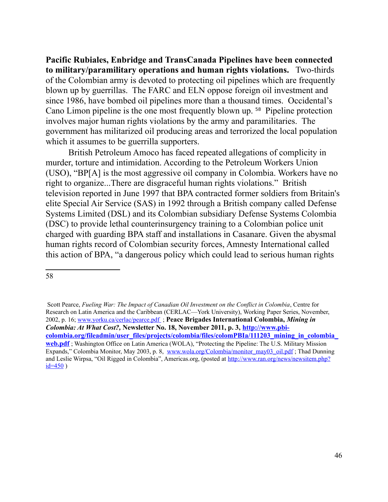**Pacific Rubiales, Enbridge and TransCanada Pipelines have been connected to military/paramilitary operations and human rights violations.** Two-thirds of the Colombian army is devoted to protecting oil pipelines which are frequently blown up by guerrillas. The FARC and ELN oppose foreign oil investment and since 1986, have bombed oil pipelines more than a thousand times. Occidental's Cano Limon pipeline is the one most frequently blown up. [58](#page-45-0) Pipeline protection involves major human rights violations by the army and paramilitaries. The government has militarized oil producing areas and terrorized the local population which it assumes to be guerrilla supporters.

British Petroleum Amoco has faced repeated allegations of complicity in murder, torture and intimidation. According to the Petroleum Workers Union (USO), "BP[A] is the most aggressive oil company in Colombia. Workers have no right to organize...There are disgraceful human rights violations." British television reported in June 1997 that BPA contracted former soldiers from Britain's elite Special Air Service (SAS) in 1992 through a British company called Defense Systems Limited (DSL) and its Colombian subsidiary Defense Systems Colombia (DSC) to provide lethal counterinsurgency training to a Colombian police unit charged with guarding BPA staff and installations in Casanare. Given the abysmal human rights record of Colombian security forces, Amnesty International called this action of BPA, "a dangerous policy which could lead to serious human rights

<span id="page-45-0"></span><sup>58</sup>

Scott Pearce, *Fueling War: The Impact of Canadian Oil Investment on the Conflict in Colombia*, Centre for Research on Latin America and the Caribbean (CERLAC—York University), Working Paper Series, November, 2002, p. 16; [www.yorku.ca/cerlac/pearce.pdf](http://www.yorku.ca/cerlac/pearce.pdf) ; **Peace Brigades International Colombia,** *Mining in Colombia: At What Cost?,* **Newsletter No. 18, November 2011, p. 3, [http://www.pbi](http://www.pbi-colombia.org/fileadmin/user_files/projects/colombia/files/colomPBIa/111203_mining_in_colombia_web.pdf)[colombia.org/fileadmin/user\\_files/projects/colombia/files/colomPBIa/111203\\_mining\\_in\\_colombia\\_](http://www.pbi-colombia.org/fileadmin/user_files/projects/colombia/files/colomPBIa/111203_mining_in_colombia_web.pdf) [web.pdf](http://www.pbi-colombia.org/fileadmin/user_files/projects/colombia/files/colomPBIa/111203_mining_in_colombia_web.pdf)** ; Washington Office on Latin America (WOLA), "Protecting the Pipeline: The U.S. Military Mission Expands," Colombia Monitor, May 2003, p. 8, www.wola.org/Colombia/monitor\_may03\_oil.pdf ; Thad Dunning and Leslie Wirpsa, "Oil Rigged in Colombia", Americas.org, (posted at [http://www.ran.org/news/newsitem.php?](http://www.ran.org/news/newsitem.php?id=450)  $id=450$ )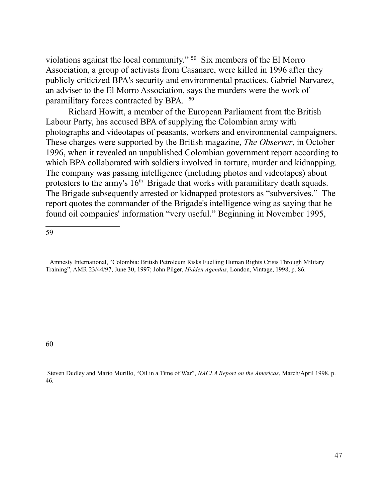violations against the local community." [59](#page-46-0) Six members of the El Morro Association, a group of activists from Casanare, were killed in 1996 after they publicly criticized BPA's security and environmental practices. Gabriel Narvarez, an adviser to the El Morro Association, says the murders were the work of paramilitary forces contracted by BPA. <sup>[60](#page-46-1)</sup>

Richard Howitt, a member of the European Parliament from the British Labour Party, has accused BPA of supplying the Colombian army with photographs and videotapes of peasants, workers and environmental campaigners. These charges were supported by the British magazine, *The Observer*, in October 1996, when it revealed an unpublished Colombian government report according to which BPA collaborated with soldiers involved in torture, murder and kidnapping. The company was passing intelligence (including photos and videotapes) about protesters to the army's  $16<sup>th</sup>$  Brigade that works with paramilitary death squads. The Brigade subsequently arrested or kidnapped protestors as "subversives." The report quotes the commander of the Brigade's intelligence wing as saying that he found oil companies' information "very useful." Beginning in November 1995,

<span id="page-46-0"></span>59

<span id="page-46-1"></span>60

 Steven Dudley and Mario Murillo, "Oil in a Time of War", *NACLA Report on the Americas*, March/April 1998, p. 46.

Amnesty International, "Colombia: British Petroleum Risks Fuelling Human Rights Crisis Through Military Training", AMR 23/44/97, June 30, 1997; John Pilger, *Hidden Agendas*, London, Vintage, 1998, p. 86.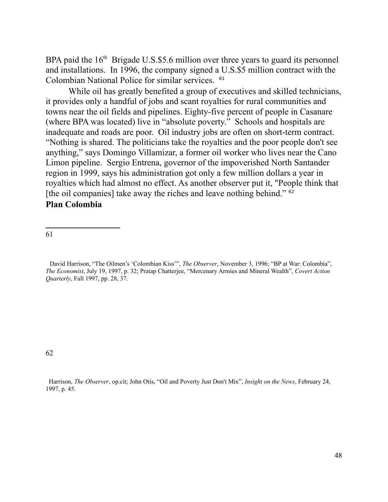BPA paid the  $16<sup>th</sup>$  Brigade U.S.\$5.6 million over three years to guard its personnel and installations. In 1996, the company signed a U.S.\$5 million contract with the Colombian National Police for similar services. [61](#page-47-0)

While oil has greatly benefited a group of executives and skilled technicians, it provides only a handful of jobs and scant royalties for rural communities and towns near the oil fields and pipelines. Eighty-five percent of people in Casanare (where BPA was located) live in "absolute poverty." Schools and hospitals are inadequate and roads are poor. Oil industry jobs are often on short-term contract. "Nothing is shared. The politicians take the royalties and the poor people don't see anything," says Domingo Villamizar, a former oil worker who lives near the Cano Limon pipeline. Sergio Entrena, governor of the impoverished North Santander region in 1999, says his administration got only a few million dollars a year in royalties which had almost no effect. As another observer put it, "People think that [the oil companies] take away the riches and leave nothing behind." <sup>[62](#page-47-1)</sup>

## **Plan Colombia**

<span id="page-47-0"></span>61

 David Harrison, "The Oilmen's 'Colombian Kiss'", *The Observer*, November 3, 1996; "BP at War: Colombia", *The Economist*, July 19, 1997, p. 32; Pratap Chatterjee, "Mercenary Armies and Mineral Wealth", *Covert Action Quarterly*, Fall 1997, pp. 28, 37.

<span id="page-47-1"></span>62

 Harrison, *The Observer*, op.cit; John Otis, "Oil and Poverty Just Don't Mix", *Insight on the News*, February 24, 1997, p. 45.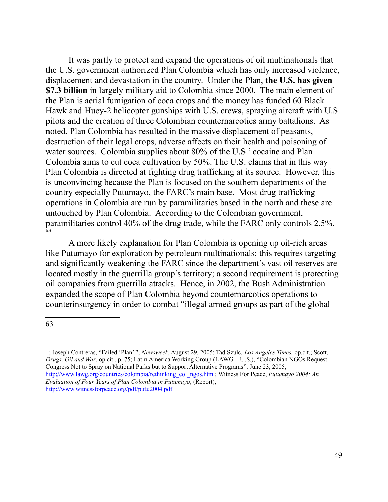It was partly to protect and expand the operations of oil multinationals that the U.S. government authorized Plan Colombia which has only increased violence, displacement and devastation in the country. Under the Plan, **the U.S. has given \$7.3 billion** in largely military aid to Colombia since 2000. The main element of the Plan is aerial fumigation of coca crops and the money has funded 60 Black Hawk and Huey-2 helicopter gunships with U.S. crews, spraying aircraft with U.S. pilots and the creation of three Colombian counternarcotics army battalions. As noted, Plan Colombia has resulted in the massive displacement of peasants, destruction of their legal crops, adverse affects on their health and poisoning of water sources. Colombia supplies about 80% of the U.S.' cocaine and Plan Colombia aims to cut coca cultivation by 50%. The U.S. claims that in this way Plan Colombia is directed at fighting drug trafficking at its source. However, this is unconvincing because the Plan is focused on the southern departments of the country especially Putumayo, the FARC's main base. Most drug trafficking operations in Colombia are run by paramilitaries based in the north and these are untouched by Plan Colombia. According to the Colombian government, paramilitaries control 40% of the drug trade, while the FARC only controls 2.5%. [63](#page-48-0)

A more likely explanation for Plan Colombia is opening up oil-rich areas like Putumayo for exploration by petroleum multinationals; this requires targeting and significantly weakening the FARC since the department's vast oil reserves are located mostly in the guerrilla group's territory; a second requirement is protecting oil companies from guerrilla attacks. Hence, in 2002, the Bush Administration expanded the scope of Plan Colombia beyond counternarcotics operations to counterinsurgency in order to combat "illegal armed groups as part of the global

<span id="page-48-0"></span><sup>63</sup>

 <sup>;</sup> Joseph Contreras, "Failed 'Plan' ", *Newsweek*, August 29, 2005; Tad Szulc, *Los Angeles Times,* op.cit.; Scott, *Drugs, Oil and War*, op.cit., p. 75; Latin America Working Group (LAWG—U.S.), "Colombian NGOs Request Congress Not to Spray on National Parks but to Support Alternative Programs", June 23, 2005, [http://www.lawg.org/countries/colombia/rethinking\\_col\\_ngos.htm](http://www.lawg.org/countries/colombia/rethinking_col_ngos.htm) ; Witness For Peace, *Putumayo 2004: An Evaluation of Four Years of Plan Colombia in Putumayo*, (Report), <http://www.witnessforpeace.org/pdf/putu2004.pdf>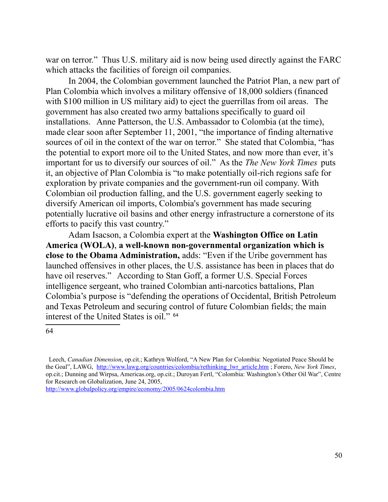war on terror." Thus U.S. military aid is now being used directly against the FARC which attacks the facilities of foreign oil companies.

In 2004, the Colombian government launched the Patriot Plan, a new part of Plan Colombia which involves a military offensive of 18,000 soldiers (financed with \$100 million in US military aid) to eject the guerrillas from oil areas. The government has also created two army battalions specifically to guard oil installations. Anne Patterson, the U.S. Ambassador to Colombia (at the time), made clear soon after September 11, 2001, "the importance of finding alternative sources of oil in the context of the war on terror." She stated that Colombia, "has the potential to export more oil to the United States, and now more than ever, it's important for us to diversify our sources of oil." As the *The New York Times* puts it, an objective of Plan Colombia is "to make potentially oil-rich regions safe for exploration by private companies and the government-run oil company. With Colombian oil production falling, and the U.S. government eagerly seeking to diversify American oil imports, Colombia's government has made securing potentially lucrative oil basins and other energy infrastructure a cornerstone of its efforts to pacify this vast country."

Adam Isacson, a Colombia expert at the **Washington Office on Latin America (WOLA)**, **a well-known non-governmental organization which is close to the Obama Administration,** adds: "Even if the Uribe government has launched offensives in other places, the U.S. assistance has been in places that do have oil reserves." According to Stan Goff, a former U.S. Special Forces intelligence sergeant, who trained Colombian anti-narcotics battalions, Plan Colombia's purpose is "defending the operations of Occidental, British Petroleum and Texas Petroleum and securing control of future Colombian fields; the main interest of the United States is oil." [64](#page-49-0)

<span id="page-49-0"></span>Leech, *Canadian Dimension*, op.cit.; Kathryn Wolford, "A New Plan for Colombia: Negotiated Peace Should be the Goal", LAWG, [http://www.lawg.org/countries/colombia/rethinking\\_lwr\\_article.htm](http://www.lawg.org/countries/colombia/rethinking_lwr_article.htm) ; Forero, *New York Times*, op.cit.; Dunning and Wirpsa, Americas.org, op.cit.; Duroyan Fertl, "Colombia: Washington's Other Oil War", Centre for Research on Globalization, June 24, 2005,

<http://www.globalpolicy.org/empire/economy/2005/0624colombia.htm>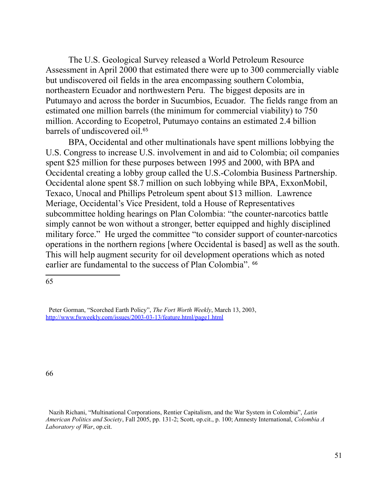The U.S. Geological Survey released a World Petroleum Resource Assessment in April 2000 that estimated there were up to 300 commercially viable but undiscovered oil fields in the area encompassing southern Colombia, northeastern Ecuador and northwestern Peru. The biggest deposits are in Putumayo and across the border in Sucumbios, Ecuador. The fields range from an estimated one million barrels (the minimum for commercial viability) to 750 million. According to Ecopetrol, Putumayo contains an estimated 2.4 billion barrels of undiscovered oil.<sup>[65](#page-50-0)</sup>

BPA, Occidental and other multinationals have spent millions lobbying the U.S. Congress to increase U.S. involvement in and aid to Colombia; oil companies spent \$25 million for these purposes between 1995 and 2000, with BPA and Occidental creating a lobby group called the U.S.-Colombia Business Partnership. Occidental alone spent \$8.7 million on such lobbying while BPA, ExxonMobil, Texaco, Unocal and Phillips Petroleum spent about \$13 million. Lawrence Meriage, Occidental's Vice President, told a House of Representatives subcommittee holding hearings on Plan Colombia: "the counter-narcotics battle simply cannot be won without a stronger, better equipped and highly disciplined military force." He urged the committee "to consider support of counter-narcotics operations in the northern regions [where Occidental is based] as well as the south. This will help augment security for oil development operations which as noted earlier are fundamental to the success of Plan Colombia". <sup>[66](#page-50-1)</sup>

<span id="page-50-0"></span>65

Peter Gorman, "Scorched Earth Policy", *The Fort Worth Weekly*, March 13, 2003, <http://www.fwweekly.com/issues/2003-03-13/feature.html/page1.html>

<span id="page-50-1"></span>Nazih Richani, "Multinational Corporations, Rentier Capitalism, and the War System in Colombia", *Latin American Politics and Society*, Fall 2005, pp. 131-2; Scott, op.cit., p. 100; Amnesty International, *Colombia A Laboratory of War*, op.cit.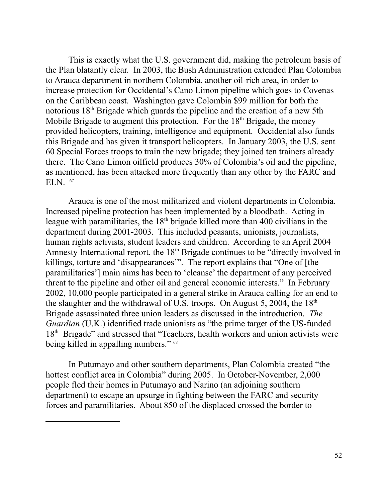This is exactly what the U.S. government did, making the petroleum basis of the Plan blatantly clear. In 2003, the Bush Administration extended Plan Colombia to Arauca department in northern Colombia, another oil-rich area, in order to increase protection for Occidental's Cano Limon pipeline which goes to Covenas on the Caribbean coast. Washington gave Colombia \$99 million for both the notorious 18th Brigade which guards the pipeline and the creation of a new 5th Mobile Brigade to augment this protection. For the 18<sup>th</sup> Brigade, the money provided helicopters, training, intelligence and equipment. Occidental also funds this Brigade and has given it transport helicopters. In January 2003, the U.S. sent 60 Special Forces troops to train the new brigade; they joined ten trainers already there. The Cano Limon oilfield produces 30% of Colombia's oil and the pipeline, as mentioned, has been attacked more frequently than any other by the FARC and ELN. <sup>67</sup>

Arauca is one of the most militarized and violent departments in Colombia. Increased pipeline protection has been implemented by a bloodbath. Acting in league with paramilitaries, the  $18<sup>th</sup>$  brigade killed more than 400 civilians in the department during 2001-2003. This included peasants, unionists, journalists, human rights activists, student leaders and children. According to an April 2004 Amnesty International report, the 18<sup>th</sup> Brigade continues to be "directly involved in killings, torture and 'disappearances'". The report explains that "One of [the paramilitaries'] main aims has been to 'cleanse' the department of any perceived threat to the pipeline and other oil and general economic interests." In February 2002, 10,000 people participated in a general strike in Arauca calling for an end to the slaughter and the withdrawal of U.S. troops. On August 5, 2004, the  $18<sup>th</sup>$ Brigade assassinated three union leaders as discussed in the introduction. *The Guardian* (U.K.) identified trade unionists as "the prime target of the US-funded 18<sup>th</sup> Brigade" and stressed that "Teachers, health workers and union activists were being killed in appalling numbers." <sup>68</sup>

In Putumayo and other southern departments, Plan Colombia created "the hottest conflict area in Colombia" during 2005. In October-November, 2,000 people fled their homes in Putumayo and Narino (an adjoining southern department) to escape an upsurge in fighting between the FARC and security forces and paramilitaries. About 850 of the displaced crossed the border to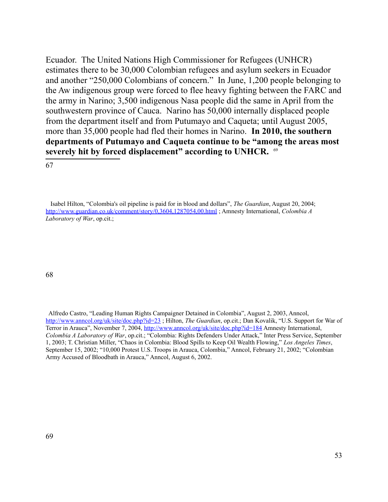Ecuador. The United Nations High Commissioner for Refugees (UNHCR) estimates there to be 30,000 Colombian refugees and asylum seekers in Ecuador and another "250,000 Colombians of concern." In June, 1,200 people belonging to the Aw indigenous group were forced to flee heavy fighting between the FARC and the army in Narino; 3,500 indigenous Nasa people did the same in April from the southwestern province of Cauca. Narino has 50,000 internally displaced people from the department itself and from Putumayo and Caqueta; until August 2005, more than 35,000 people had fled their homes in Narino. **In 2010, the southern departments of Putumayo and Caqueta continue to be "among the areas most severely hit by forced displacement" according to UNHCR.** [69](#page-52-0)

#### 67

68

<span id="page-52-0"></span> Alfredo Castro, "Leading Human Rights Campaigner Detained in Colombia", August 2, 2003, Anncol, <http://www.anncol.org/uk/site/doc.php?id=23>; Hilton, *The Guardian*, op.cit.; Dan Kovalik, "U.S. Support for War of Terror in Arauca", November 7, 2004,<http://www.anncol.org/uk/site/doc.php?id=184>Amnesty International, *Colombia A Laboratory of War*, op.cit.; "Colombia: Rights Defenders Under Attack," Inter Press Service, September 1, 2003; T. Christian Miller, "Chaos in Colombia: Blood Spills to Keep Oil Wealth Flowing," *Los Angeles Times*, September 15, 2002; "10,000 Protest U.S. Troops in Arauca, Colombia," Anncol, February 21, 2002; "Colombian Army Accused of Bloodbath in Arauca," Anncol, August 6, 2002.

Isabel Hilton, "Colombia's oil pipeline is paid for in blood and dollars", *The Guardian*, August 20, 2004; <http://www.guardian.co.uk/comment/story/0,3604,1287054,00.html>; Amnesty International, *Colombia A Laboratory of War*, op.cit.;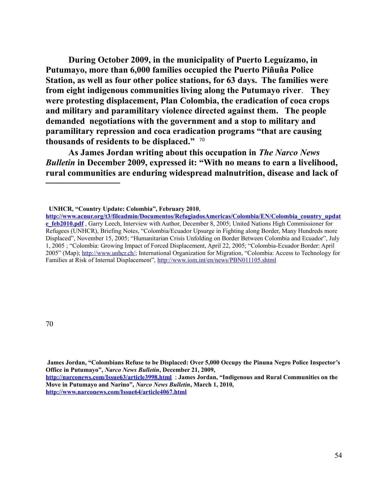**During October 2009, in the municipality of Puerto Leguízamo, in Putumayo, more than 6,000 families occupied the Puerto Piñuña Police Station, as well as four other police stations, for 63 days. The families were from eight indigenous communities living along the Putumayo river**. **They were protesting displacement, Plan Colombia, the eradication of coca crops and military and paramilitary violence directed against them. The people demanded negotiations with the government and a stop to military and paramilitary repression and coca eradication programs "that are causing thousands of residents to be displaced."** [70](#page-53-0)

**As James Jordan writing about this occupation in** *The Narco News Bulletin* **in December 2009, expressed it: "With no means to earn a livelihood, rural communities are enduring widespread malnutrition, disease and lack of** 

**UNHCR, "Country Update: Colombia", February 2010**,

**[http://www.acnur.org/t3/fileadmin/Documentos/RefugiadosAmericas/Colombia/EN/Colombia\\_country\\_updat](http://www.acnur.org/t3/fileadmin/Documentos/RefugiadosAmericas/Colombia/EN/Colombia_country_update_feb2010.pdf) [e\\_feb2010.pdf](http://www.acnur.org/t3/fileadmin/Documentos/RefugiadosAmericas/Colombia/EN/Colombia_country_update_feb2010.pdf)** , Garry Leech, Interview with Author, December 8, 2005; United Nations High Commissioner for Refugees (UNHCR), Briefing Notes, "Colombia/Ecuador Upsurge in Fighting along Border, Many Hundreds more Displaced", November 15, 2005; "Humanitarian Crisis Unfolding on Border Between Colombia and Ecuador", July 1, 2005 ; "Colombia: Growing Impact of Forced Displacement, April 22, 2005; "Colombia-Ecuador Border: April 2005" (Map); [http://www.unhcr.ch/;](http://www.unhcr.ch/) International Organization for Migration, "Colombia: Access to Technology for Families at Risk of Internal Displacement",<http://www.iom.int/en/news/PBN011105.shtml>

<span id="page-53-0"></span>**James Jordan, "Colombians Refuse to be Displaced: Over 5,000 Occupy the Pinuna Negro Police Inspector's Office in Putumayo",** *Narco News Bulletin***, December 21, 2009,** 

**<http://narconews.com/Issue63/article3998.html>** ; **James Jordan, "Indigenous and Rural Communities on the Move in Putumayo and Narino",** *Narco News Bulletin***, March 1, 2010, <http://www.narconews.com/Issue64/article4067.html>**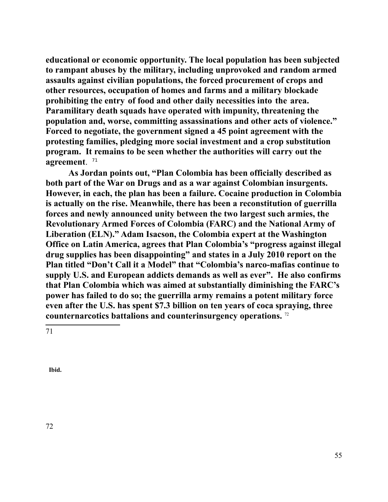**educational or economic opportunity. The local population has been subjected to rampant abuses by the military, including unprovoked and random armed assaults against civilian populations, the forced procurement of crops and other resources, occupation of homes and farms and a military blockade prohibiting the entry of food and other daily necessities into the area. Paramilitary death squads have operated with impunity, threatening the population and, worse, committing assassinations and other acts of violence." Forced to negotiate, the government signed a 45 point agreement with the protesting families, pledging more social investment and a crop substitution program. It remains to be seen whether the authorities will carry out the agreement**. [71](#page-54-0)

**As Jordan points out, "Plan Colombia has been officially described as both part of the War on Drugs and as a war against Colombian insurgents. However, in each, the plan has been a failure. Cocaine production in Colombia is actually on the rise. Meanwhile, there has been a reconstitution of guerrilla forces and newly announced unity between the two largest such armies, the Revolutionary Armed Forces of Colombia (FARC) and the National Army of Liberation (ELN)." Adam Isacson, the Colombia expert at the Washington Office on Latin America, agrees that Plan Colombia's "progress against illegal drug supplies has been disappointing" and states in a July 2010 report on the Plan titled "Don't Call it a Model" that "Colombia's narco-mafias continue to supply U.S. and European addicts demands as well as ever". He also confirms that Plan Colombia which was aimed at substantially diminishing the FARC's power has failed to do so; the guerrilla army remains a potent military force even after the U.S. has spent \$7.3 billion on ten years of coca spraying, three counternarcotics battalions and counterinsurgency operations.** [72](#page-54-1) 

<span id="page-54-0"></span>71

<span id="page-54-1"></span>**Ibid.**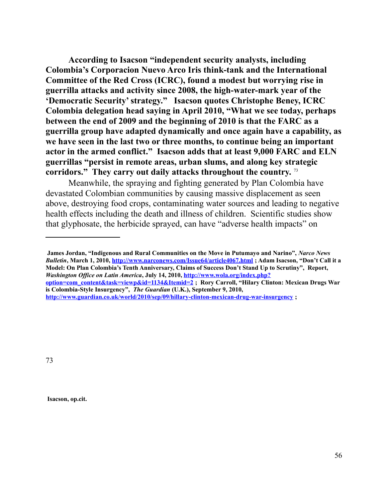**According to Isacson "independent security analysts, including Colombia's Corporacion Nuevo Arco Iris think-tank and the International Committee of the Red Cross (ICRC), found a modest but worrying rise in guerrilla attacks and activity since 2008, the high-water-mark year of the 'Democratic Security' strategy." Isacson quotes Christophe Beney, ICRC Colombia delegation head saying in April 2010, "What we see today, perhaps between the end of 2009 and the beginning of 2010 is that the FARC as a guerrilla group have adapted dynamically and once again have a capability, as we have seen in the last two or three months, to continue being an important actor in the armed conflict." Isacson adds that at least 9,000 FARC and ELN guerrillas "persist in remote areas, urban slums, and along key strategic corridors." They carry out daily attacks throughout the country.** [73](#page-55-0) 

Meanwhile, the spraying and fighting generated by Plan Colombia have devastated Colombian communities by causing massive displacement as seen above, destroying food crops, contaminating water sources and leading to negative health effects including the death and illness of children. Scientific studies show that glyphosate, the herbicide sprayed, can have "adverse health impacts" on

**James Jordan, "Indigenous and Rural Communities on the Move in Putumayo and Narino",** *Narco News Bulletin***, March 1, 2010,<http://www.narconews.com/Issue64/article4067.html>; Adam Isacson, "Don't Call it a Model: On Plan Colombia's Tenth Anniversary, Claims of Success Don't Stand Up to Scrutiny", Report,**  *Washington Office on Latin America***, July 14, 2010, [http://www.wola.org/index.php?](http://www.wola.org/index.php?option=com_content&task=viewp&id=1134&Itemid=2) [option=com\\_content&task=viewp&id=1134&Itemid=2](http://www.wola.org/index.php?option=com_content&task=viewp&id=1134&Itemid=2) ; Rory Carroll, "Hilary Clinton: Mexican Drugs War is Colombia-Style Insurgency",** *The Guardian* **(U.K.), September 9, 2010, <http://www.guardian.co.uk/world/2010/sep/09/hillary-clinton-mexican-drug-war-insurgency>;** 

<span id="page-55-0"></span>73

**Isacson, op.cit.**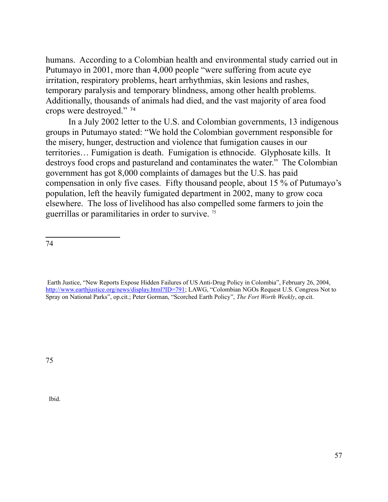humans. According to a Colombian health and environmental study carried out in Putumayo in 2001, more than 4,000 people "were suffering from acute eye irritation, respiratory problems, heart arrhythmias, skin lesions and rashes, temporary paralysis and temporary blindness, among other health problems. Additionally, thousands of animals had died, and the vast majority of area food crops were destroyed." [74](#page-56-0)

In a July 2002 letter to the U.S. and Colombian governments, 13 indigenous groups in Putumayo stated: "We hold the Colombian government responsible for the misery, hunger, destruction and violence that fumigation causes in our territories… Fumigation is death. Fumigation is ethnocide. Glyphosate kills. It destroys food crops and pastureland and contaminates the water." The Colombian government has got 8,000 complaints of damages but the U.S. has paid compensation in only five cases. Fifty thousand people, about 15 % of Putumayo's population, left the heavily fumigated department in 2002, many to grow coca elsewhere. The loss of livelihood has also compelled some farmers to join the guerrillas or paramilitaries in order to survive. [75](#page-56-1)

<span id="page-56-0"></span>74

<span id="page-56-1"></span>75

Ibid.

Earth Justice, "New Reports Expose Hidden Failures of US Anti-Drug Policy in Colombia", February 26, 2004, [http://www.earthjustice.org/news/display.html?ID=791;](http://www.earthjustice.org/news/display.html?ID=791) LAWG, "Colombian NGOs Request U.S. Congress Not to Spray on National Parks", op.cit.; Peter Gorman, "Scorched Earth Policy", *The Fort Worth Weekly*, op.cit.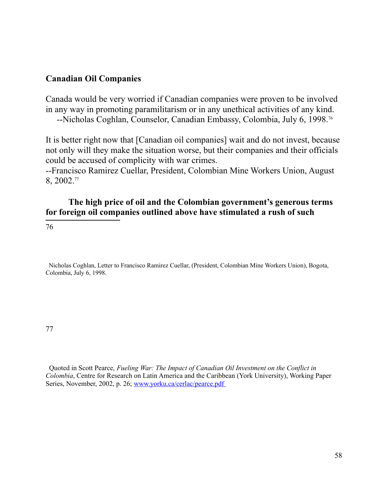## **Canadian Oil Companies**

Canada would be very worried if Canadian companies were proven to be involved in any way in promoting paramilitarism or in any unethical activities of any kind. --Nicholas Coghlan, Counselor, Canadian Embassy, Colombia, July 6, 1998.[76](#page-57-0)

It is better right now that [Canadian oil companies] wait and do not invest, because not only will they make the situation worse, but their companies and their officials could be accused of complicity with war crimes.

--Francisco Ramirez Cuellar, President, Colombian Mine Workers Union, August 8, 2002.[77](#page-57-1)

## **The high price of oil and the Colombian government's generous terms for foreign oil companies outlined above have stimulated a rush of such**

<span id="page-57-0"></span>76

 Nicholas Coghlan, Letter to Francisco Ramirez Cuellar, (President, Colombian Mine Workers Union), Bogota, Colombia, July 6, 1998.

<span id="page-57-1"></span>77

 Quoted in Scott Pearce, *Fueling War: The Impact of Canadian Oil Investment on the Conflict in Colombia*, Centre for Research on Latin America and the Caribbean (York University), Working Paper Series, November, 2002, p. 26; [www.yorku.ca/cerlac/pearce.pdf](http://www.yorku.ca/cerlac/pearce.pdf)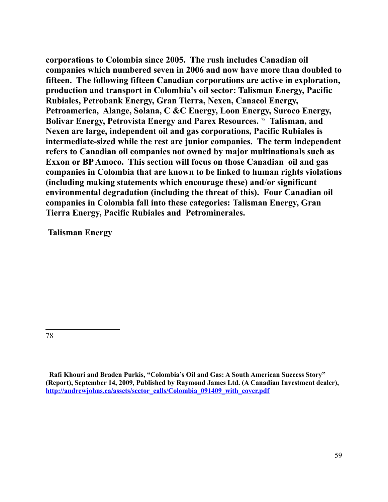**corporations to Colombia since 2005. The rush includes Canadian oil companies which numbered seven in 2006 and now have more than doubled to fifteen. The following fifteen Canadian corporations are active in exploration, production and transport in Colombia's oil sector: Talisman Energy, Pacific Rubiales, Petrobank Energy, Gran Tierra, Nexen, Canacol Energy, Petroamerica, Alange, Solana, C &C Energy, Loon Energy, Suroco Energy, Bolivar Energy, Petrovista Energy and Parex Resources.** [78](#page-58-0) **Talisman, and Nexen are large, independent oil and gas corporations, Pacific Rubiales is intermediate-sized while the rest are junior companies. The term independent refers to Canadian oil companies not owned by major multinationals such as Exxon or BP Amoco. This section will focus on those Canadian oil and gas companies in Colombia that are known to be linked to human rights violations (including making statements which encourage these) and**/**or significant environmental degradation (including the threat of this). Four Canadian oil companies in Colombia fall into these categories: Talisman Energy, Gran Tierra Energy, Pacific Rubiales and Petrominerales.**

**Talisman Energy**

<span id="page-58-0"></span>**Rafi Khouri and Braden Purkis, "Colombia's Oil and Gas: A South American Success Story" (Report), September 14, 2009, Published by Raymond James Ltd. (A Canadian Investment dealer), [http://andrewjohns.ca/assets/sector\\_calls/Colombia\\_091409\\_with\\_cover.pdf](http://andrewjohns.ca/assets/sector_calls/Colombia_091409_with_cover.pdf)**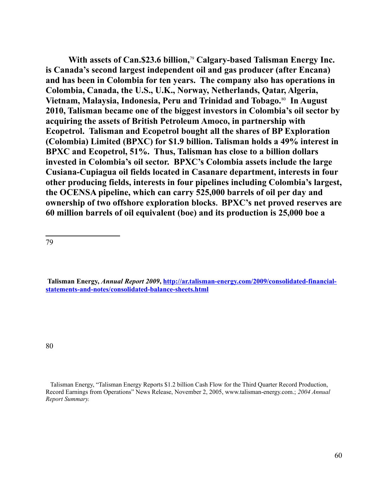With assets of Can. \$23.6 billion,<sup>[79](#page-59-0)</sup> Calgary-based Talisman Energy Inc. **is Canada's second largest independent oil and gas producer (after Encana) and has been in Colombia for ten years. The company also has operations in Colombia, Canada, the U.S., U.K., Norway, Netherlands, Qatar, Algeria, Vietnam, Malaysia, Indonesia, Peru and Trinidad and Tobago.**[80](#page-59-1) **In August 2010, Talisman became one of the biggest investors in Colombia's oil sector by acquiring the assets of British Petroleum Amoco, in partnership with Ecopetrol. Talisman and Ecopetrol bought all the shares of BP Exploration (Colombia) Limited (BPXC) for \$1.9 billion. Talisman holds a 49% interest in BPXC and Ecopetrol, 51%. Thus, Talisman has close to a billion dollars invested in Colombia's oil sector. BPXC's Colombia assets include the large Cusiana-Cupiagua oil fields located in Casanare department, interests in four other producing fields, interests in four pipelines including Colombia's largest, the OCENSA pipeline, which can carry 525,000 barrels of oil per day and ownership of two offshore exploration blocks. BPXC's net proved reserves are 60 million barrels of oil equivalent (boe) and its production is 25,000 boe a** 

<span id="page-59-0"></span>79

**Talisman Energy,** *Annual Report 2009***, [http://ar.talisman-energy.com/2009/consolidated-financial](http://ar.talisman-energy.com/2009/consolidated-financial-statements-and-notes/consolidated-balance-sheets.html)[statements-and-notes/consolidated-balance-sheets.html](http://ar.talisman-energy.com/2009/consolidated-financial-statements-and-notes/consolidated-balance-sheets.html)**

<span id="page-59-1"></span>Talisman Energy, "Talisman Energy Reports \$1.2 billion Cash Flow for the Third Quarter Record Production, Record Earnings from Operations" News Release, November 2, 2005, www.talisman-energy.com.; *2004 Annual Report Summary.*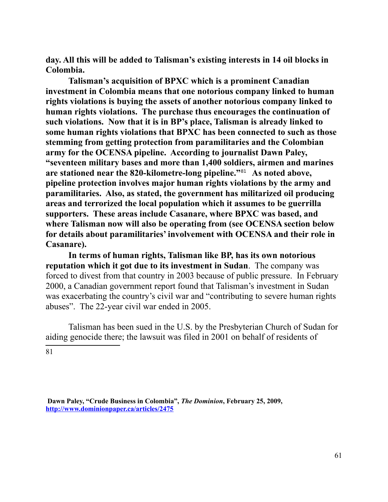**day. All this will be added to Talisman's existing interests in 14 oil blocks in Colombia.** 

**Talisman's acquisition of BPXC which is a prominent Canadian investment in Colombia means that one notorious company linked to human rights violations is buying the assets of another notorious company linked to human rights violations. The purchase thus encourages the continuation of such violations. Now that it is in BP's place, Talisman is already linked to some human rights violations that BPXC has been connected to such as those stemming from getting protection from paramilitaries and the Colombian army for the OCENSA pipeline. According to journalist Dawn Paley, "seventeen military bases and more than 1,400 soldiers, airmen and marines are stationed near the 820-kilometre-long pipeline."**[81](#page-60-0) **As noted above, pipeline protection involves major human rights violations by the army and paramilitaries. Also, as stated, the government has militarized oil producing areas and terrorized the local population which it assumes to be guerrilla supporters. These areas include Casanare, where BPXC was based, and where Talisman now will also be operating from (see OCENSA section below for details about paramilitaries' involvement with OCENSA and their role in Casanare).**

**In terms of human rights, Talisman like BP, has its own notorious reputation which it got due to its investment in Sudan**. The company was forced to divest from that country in 2003 because of public pressure. In February 2000, a Canadian government report found that Talisman's investment in Sudan was exacerbating the country's civil war and "contributing to severe human rights abuses". The 22-year civil war ended in 2005.

<span id="page-60-0"></span>Talisman has been sued in the U.S. by the Presbyterian Church of Sudan for aiding genocide there; the lawsuit was filed in 2001 on behalf of residents of 81

**Dawn Paley, "Crude Business in Colombia",** *The Dominion***, February 25, 2009, <http://www.dominionpaper.ca/articles/2475>**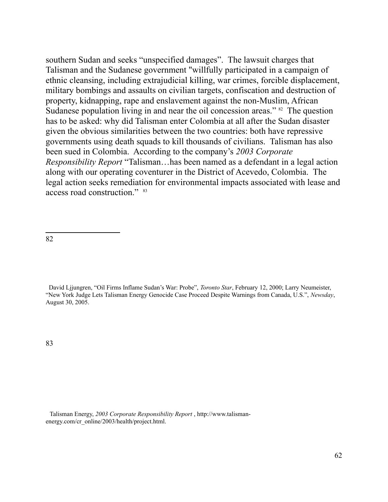southern Sudan and seeks "unspecified damages". The lawsuit charges that Talisman and the Sudanese government "willfully participated in a campaign of ethnic cleansing, including extrajudicial killing, war crimes, forcible displacement, military bombings and assaults on civilian targets, confiscation and destruction of property, kidnapping, rape and enslavement against the non-Muslim, African Sudanese population living in and near the oil concession areas." <sup>[82](#page-61-0)</sup> The question has to be asked: why did Talisman enter Colombia at all after the Sudan disaster given the obvious similarities between the two countries: both have repressive governments using death squads to kill thousands of civilians. Talisman has also been sued in Colombia. According to the company's *2003 Corporate Responsibility Report* "Talisman…has been named as a defendant in a legal action along with our operating coventurer in the District of Acevedo, Colombia. The legal action seeks remediation for environmental impacts associated with lease and access road construction." [83](#page-61-1)

<span id="page-61-0"></span>82

<span id="page-61-1"></span>David Ljjungren, "Oil Firms Inflame Sudan's War: Probe", *Toronto Star*, February 12, 2000; Larry Neumeister, "New York Judge Lets Talisman Energy Genocide Case Proceed Despite Warnings from Canada, U.S.", *Newsday*, August 30, 2005.

Talisman Energy, *2003 Corporate Responsibility Report* , http://www.talismanenergy.com/cr\_online/2003/health/project.html.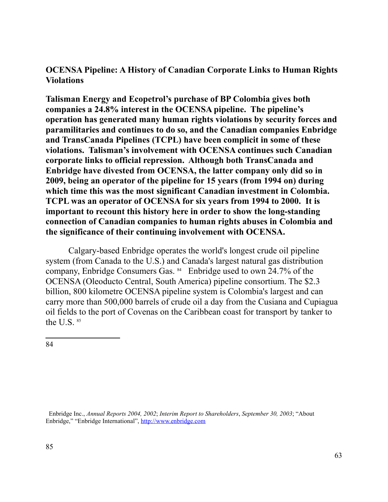# **OCENSA Pipeline: A History of Canadian Corporate Links to Human Rights Violations**

**Talisman Energy and Ecopetrol's purchase of BP Colombia gives both companies a 24.8% interest in the OCENSA pipeline. The pipeline's operation has generated many human rights violations by security forces and paramilitaries and continues to do so, and the Canadian companies Enbridge and TransCanada Pipelines (TCPL) have been complicit in some of these violations. Talisman's involvement with OCENSA continues such Canadian corporate links to official repression. Although both TransCanada and Enbridge have divested from OCENSA, the latter company only did so in 2009, being an operator of the pipeline for 15 years (from 1994 on) during which time this was the most significant Canadian investment in Colombia. TCPL was an operator of OCENSA for six years from 1994 to 2000. It is important to recount this history here in order to show the long-standing connection of Canadian companies to human rights abuses in Colombia and the significance of their continuing involvement with OCENSA.** 

Calgary-based Enbridge operates the world's longest crude oil pipeline system (from Canada to the U.S.) and Canada's largest natural gas distribution company, Enbridge Consumers Gas. [84](#page-62-0) Enbridge used to own 24.7% of the OCENSA (Oleoducto Central, South America) pipeline consortium. The \$2.3 billion, 800 kilometre OCENSA pipeline system is Colombia's largest and can carry more than 500,000 barrels of crude oil a day from the Cusiana and Cupiagua oil fields to the port of Covenas on the Caribbean coast for transport by tanker to the U.S.  $85$ 

<span id="page-62-1"></span><span id="page-62-0"></span>Enbridge Inc., *Annual Reports 2004, 2002*; *Interim Report to Shareholders*, *September 30, 2003*; "About Enbridge," "Enbridge International", [http://www.enbridge.com](http://www.enbridge.com/)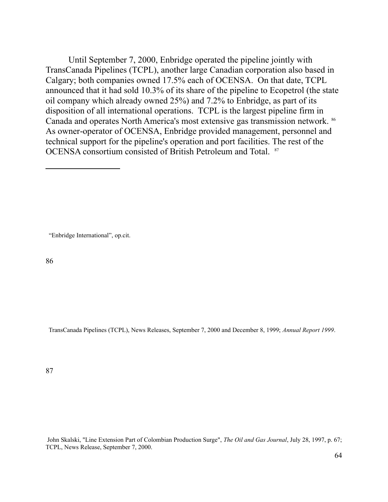Until September 7, 2000, Enbridge operated the pipeline jointly with TransCanada Pipelines (TCPL), another large Canadian corporation also based in Calgary; both companies owned 17.5% each of OCENSA. On that date, TCPL announced that it had sold 10.3% of its share of the pipeline to Ecopetrol (the state oil company which already owned 25%) and 7.2% to Enbridge, as part of its disposition of all international operations. TCPL is the largest pipeline firm in Canada and operates North America's most extensive gas transmission network. <sup>[86](#page-63-0)</sup> As owner-operator of OCENSA, Enbridge provided management, personnel and technical support for the pipeline's operation and port facilities. The rest of the OCENSA consortium consisted of British Petroleum and Total. <sup>[87](#page-63-1)</sup>

"Enbridge International", op.cit.

<span id="page-63-0"></span>86

TransCanada Pipelines (TCPL), News Releases, September 7, 2000 and December 8, 1999; *Annual Report 1999*.

<span id="page-63-1"></span>87

 John Skalski, "Line Extension Part of Colombian Production Surge", *The Oil and Gas Journal*, July 28, 1997, p. 67; TCPL, News Release, September 7, 2000.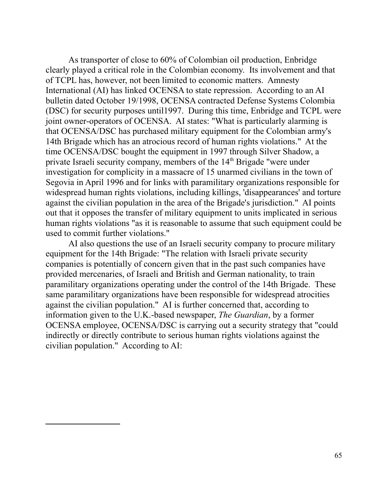As transporter of close to 60% of Colombian oil production, Enbridge clearly played a critical role in the Colombian economy. Its involvement and that of TCPL has, however, not been limited to economic matters. Amnesty International (AI) has linked OCENSA to state repression. According to an AI bulletin dated October 19/1998, OCENSA contracted Defense Systems Colombia (DSC) for security purposes until1997. During this time, Enbridge and TCPL were joint owner-operators of OCENSA. AI states: "What is particularly alarming is that OCENSA/DSC has purchased military equipment for the Colombian army's 14th Brigade which has an atrocious record of human rights violations." At the time OCENSA/DSC bought the equipment in 1997 through Silver Shadow, a private Israeli security company, members of the 14<sup>th</sup> Brigade "were under investigation for complicity in a massacre of 15 unarmed civilians in the town of Segovia in April 1996 and for links with paramilitary organizations responsible for widespread human rights violations, including killings, 'disappearances' and torture against the civilian population in the area of the Brigade's jurisdiction." AI points out that it opposes the transfer of military equipment to units implicated in serious human rights violations "as it is reasonable to assume that such equipment could be used to commit further violations."

AI also questions the use of an Israeli security company to procure military equipment for the 14th Brigade: "The relation with Israeli private security companies is potentially of concern given that in the past such companies have provided mercenaries, of Israeli and British and German nationality, to train paramilitary organizations operating under the control of the 14th Brigade. These same paramilitary organizations have been responsible for widespread atrocities against the civilian population." AI is further concerned that, according to information given to the U.K.-based newspaper, *The Guardian*, by a former OCENSA employee, OCENSA/DSC is carrying out a security strategy that "could indirectly or directly contribute to serious human rights violations against the civilian population." According to AI: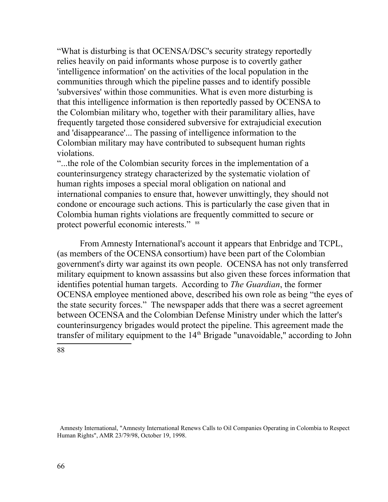"What is disturbing is that OCENSA/DSC's security strategy reportedly relies heavily on paid informants whose purpose is to covertly gather 'intelligence information' on the activities of the local population in the communities through which the pipeline passes and to identify possible 'subversives' within those communities. What is even more disturbing is that this intelligence information is then reportedly passed by OCENSA to the Colombian military who, together with their paramilitary allies, have frequently targeted those considered subversive for extrajudicial execution and 'disappearance'... The passing of intelligence information to the Colombian military may have contributed to subsequent human rights violations.

"...the role of the Colombian security forces in the implementation of a counterinsurgency strategy characterized by the systematic violation of human rights imposes a special moral obligation on national and international companies to ensure that, however unwittingly, they should not condone or encourage such actions. This is particularly the case given that in Colombia human rights violations are frequently committed to secure or protect powerful economic interests." [88](#page-65-0)

From Amnesty International's account it appears that Enbridge and TCPL, (as members of the OCENSA consortium) have been part of the Colombian government's dirty war against its own people. OCENSA has not only transferred military equipment to known assassins but also given these forces information that identifies potential human targets. According to *The Guardian*, the former OCENSA employee mentioned above, described his own role as being "the eyes of the state security forces." The newspaper adds that there was a secret agreement between OCENSA and the Colombian Defense Ministry under which the latter's counterinsurgency brigades would protect the pipeline. This agreement made the transfer of military equipment to the 14<sup>th</sup> Brigade "unavoidable," according to John

<span id="page-65-0"></span>88

 Amnesty International, "Amnesty International Renews Calls to Oil Companies Operating in Colombia to Respect Human Rights", AMR 23/79/98, October 19, 1998.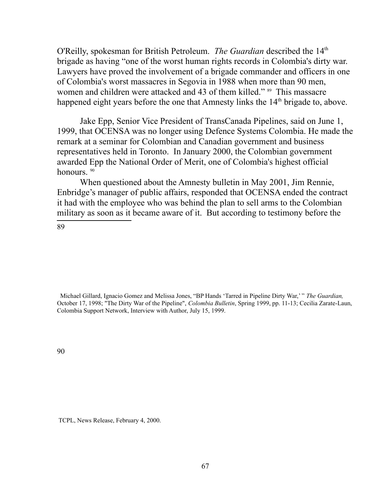O'Reilly, spokesman for British Petroleum. *The Guardian* described the 14<sup>th</sup> brigade as having "one of the worst human rights records in Colombia's dirty war. Lawyers have proved the involvement of a brigade commander and officers in one of Colombia's worst massacres in Segovia in 1988 when more than 90 men, women and children were attacked and 43 of them killed." <sup>[89](#page-66-0)</sup> This massacre happened eight years before the one that Amnesty links the 14<sup>th</sup> brigade to, above.

Jake Epp, Senior Vice President of TransCanada Pipelines, said on June 1, 1999, that OCENSA was no longer using Defence Systems Colombia. He made the remark at a seminar for Colombian and Canadian government and business representatives held in Toronto. In January 2000, the Colombian government awarded Epp the National Order of Merit, one of Colombia's highest official honours.<sup>[90](#page-66-1)</sup>

When questioned about the Amnesty bulletin in May 2001, Jim Rennie, Enbridge's manager of public affairs, responded that OCENSA ended the contract it had with the employee who was behind the plan to sell arms to the Colombian military as soon as it became aware of it. But according to testimony before the

<span id="page-66-0"></span>89

 Michael Gillard, Ignacio Gomez and Melissa Jones, "BP Hands 'Tarred in Pipeline Dirty War,' " *The Guardian,* October 17, 1998; "The Dirty War of the Pipeline", *Colombia Bulletin*, Spring 1999, pp. 11-13; Cecilia Zarate-Laun, Colombia Support Network, Interview with Author, July 15, 1999.

<span id="page-66-1"></span>90

TCPL, News Release, February 4, 2000.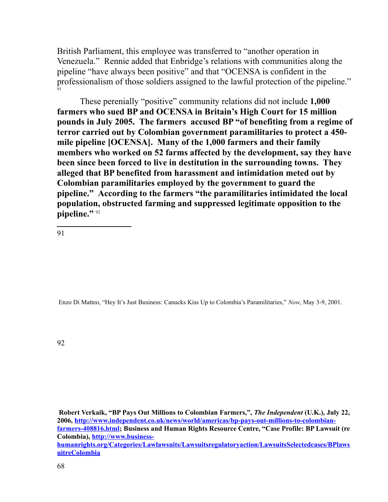British Parliament, this employee was transferred to "another operation in Venezuela." Rennie added that Enbridge's relations with communities along the pipeline "have always been positive" and that "OCENSA is confident in the professionalism of those soldiers assigned to the lawful protection of the pipeline." [91](#page-67-0)

These perenially "positive" community relations did not include **1,000 farmers who sued BP and OCENSA in Britain's High Court for 15 million pounds in July 2005. The farmers accused BP "of benefiting from a regime of terror carried out by Colombian government paramilitaries to protect a 450 mile pipeline [OCENSA]. Many of the 1,000 farmers and their family members who worked on 52 farms affected by the development, say they have been since been forced to live in destitution in the surrounding towns. They alleged that BP benefited from harassment and intimidation meted out by Colombian paramilitaries employed by the government to guard the pipeline." According to the farmers "the paramilitaries intimidated the local population, obstructed farming and suppressed legitimate opposition to the pipeline."** [92](#page-67-1)

<span id="page-67-0"></span>91

Enzo Di Matteo, "Hey It's Just Business: Canucks Kiss Up to Colombia's Paramilitaries," *Now*, May 3-9, 2001.

<span id="page-67-1"></span>92

**Robert Verkaik, "BP Pays Out Millions to Colombian Farmers,",** *The Independent* **(U.K.), July 22, 2006, [http://www.independent.co.uk/news/world/americas/bp-pays-out-millions-to-colombian](http://www.independent.co.uk/news/world/americas/bp-pays-out-millions-to-colombian-farmers-408816.html)[farmers-408816.html;](http://www.independent.co.uk/news/world/americas/bp-pays-out-millions-to-colombian-farmers-408816.html) Business and Human Rights Resource Centre, "Case Profile: BP Lawsuit (re Colombia), [http://www.business](http://www.business-humanrights.org/Categories/Lawlawsuits/Lawsuitsregulatoryaction/LawsuitsSelectedcases/BPlawsuitreColombia)[humanrights.org/Categories/Lawlawsuits/Lawsuitsregulatoryaction/LawsuitsSelectedcases/BPlaws](http://www.business-humanrights.org/Categories/Lawlawsuits/Lawsuitsregulatoryaction/LawsuitsSelectedcases/BPlawsuitreColombia) [uitreColombia](http://www.business-humanrights.org/Categories/Lawlawsuits/Lawsuitsregulatoryaction/LawsuitsSelectedcases/BPlawsuitreColombia)**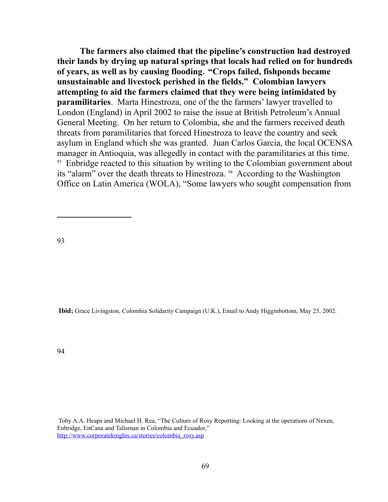**The farmers also claimed that the pipeline's construction had destroyed their lands by drying up natural springs that locals had relied on for hundreds of years, as well as by causing flooding. "Crops failed, fishponds became unsustainable and livestock perished in the fields." Colombian lawyers attempting to aid the farmers claimed that they were being intimidated by paramilitaries**. Marta Hinestroza, one of the the farmers' lawyer travelled to London (England) in April 2002 to raise the issue at British Petroleum's Annual General Meeting. On her return to Colombia, she and the farmers received death threats from paramilitaries that forced Hinestroza to leave the country and seek asylum in England which she was granted. Juan Carlos Garcia, the local OCENSA manager in Antioquia, was allegedly in contact with the paramilitaries at this time. <sup>[93](#page-68-0)</sup> Enbridge reacted to this situation by writing to the Colombian government about its "alarm" over the death threats to Hinestroza. [94](#page-68-1) According to the Washington Office on Latin America (WOLA), "Some lawyers who sought compensation from

<span id="page-68-0"></span>93

<span id="page-68-1"></span>**Ibid;** Grace Livingston, Colombia Solidarity Campaign (U.K.), Email to Andy Higginbottom, May 25, 2002.

Toby A.A. Heaps and Michael H. Rea, "The Culture of Rosy Reporting: Looking at the operations of Nexen, Enbridge, EnCana and Talisman in Colombia and Ecuador," http://www.corporateknights.ca/stories/colombia\_rosy.asp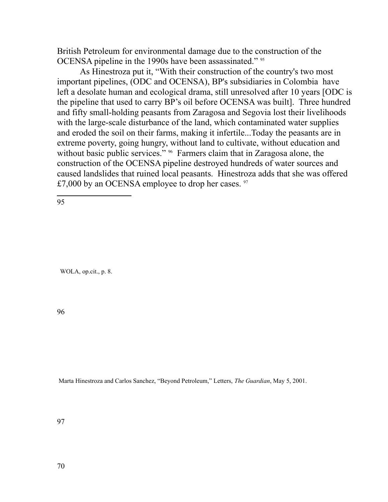British Petroleum for environmental damage due to the construction of the OCENSA pipeline in the 1990s have been assassinated." [95](#page-69-0)

As Hinestroza put it, "With their construction of the country's two most important pipelines, (ODC and OCENSA), BP's subsidiaries in Colombia have left a desolate human and ecological drama, still unresolved after 10 years [ODC is the pipeline that used to carry BP's oil before OCENSA was built]. Three hundred and fifty small-holding peasants from Zaragosa and Segovia lost their livelihoods with the large-scale disturbance of the land, which contaminated water supplies and eroded the soil on their farms, making it infertile...Today the peasants are in extreme poverty, going hungry, without land to cultivate, without education and without basic public services." <sup>[96](#page-69-1)</sup> Farmers claim that in Zaragosa alone, the construction of the OCENSA pipeline destroyed hundreds of water sources and caused landslides that ruined local peasants. Hinestroza adds that she was offered £7,000 by an OCENSA employee to drop her cases.  $97$ 

<span id="page-69-0"></span>95

WOLA, op.cit., p. 8.

<span id="page-69-1"></span>96

<span id="page-69-2"></span>Marta Hinestroza and Carlos Sanchez, "Beyond Petroleum," Letters, *The Guardian*, May 5, 2001.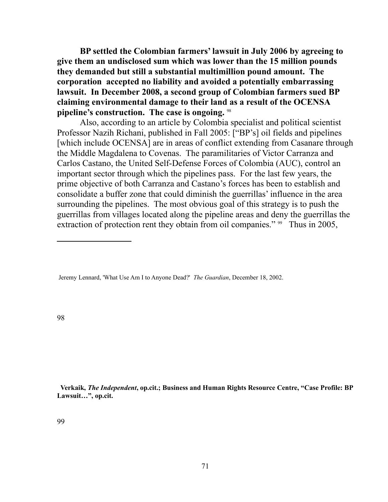**BP settled the Colombian farmers' lawsuit in July 2006 by agreeing to give them an undisclosed sum which was lower than the 15 million pounds they demanded but still a substantial multimillion pound amount. The corporation accepted no liability and avoided a potentially embarrassing lawsuit. In December 2008, a second group of Colombian farmers sued BP claiming environmental damage to their land as a result of the OCENSA pipeline's construction. The case is ongoing.** [98](#page-70-0) 

Also, according to an article by Colombia specialist and political scientist Professor Nazih Richani, published in Fall 2005: ["BP's] oil fields and pipelines [which include OCENSA] are in areas of conflict extending from Casanare through the Middle Magdalena to Covenas. The paramilitaries of Victor Carranza and Carlos Castano, the United Self-Defense Forces of Colombia (AUC), control an important sector through which the pipelines pass. For the last few years, the prime objective of both Carranza and Castano's forces has been to establish and consolidate a buffer zone that could diminish the guerrillas' influence in the area surrounding the pipelines. The most obvious goal of this strategy is to push the guerrillas from villages located along the pipeline areas and deny the guerrillas the extraction of protection rent they obtain from oil companies." <sup>[99](#page-70-1)</sup> Thus in 2005,

<span id="page-70-1"></span> **Verkaik,** *The Independent***, op.cit.; Business and Human Rights Resource Centre, "Case Profile: BP Lawsuit…", op.cit.**

<span id="page-70-0"></span>Jeremy Lennard, 'What Use Am I to Anyone Dead?' *The Guardian*, December 18, 2002.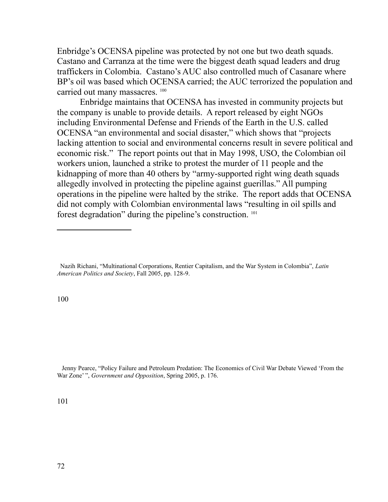Enbridge's OCENSA pipeline was protected by not one but two death squads. Castano and Carranza at the time were the biggest death squad leaders and drug traffickers in Colombia. Castano's AUC also controlled much of Casanare where BP's oil was based which OCENSA carried; the AUC terrorized the population and carried out many massacres.<sup>[100](#page-71-0)</sup>

Enbridge maintains that OCENSA has invested in community projects but the company is unable to provide details. A report released by eight NGOs including Environmental Defense and Friends of the Earth in the U.S. called OCENSA "an environmental and social disaster," which shows that "projects lacking attention to social and environmental concerns result in severe political and economic risk." The report points out that in May 1998, USO, the Colombian oil workers union, launched a strike to protest the murder of 11 people and the kidnapping of more than 40 others by "army-supported right wing death squads allegedly involved in protecting the pipeline against guerillas." All pumping operations in the pipeline were halted by the strike. The report adds that OCENSA did not comply with Colombian environmental laws "resulting in oil spills and forest degradation" during the pipeline's construction. [101](#page-71-1)

<span id="page-71-0"></span>100

<span id="page-71-1"></span> Jenny Pearce, "Policy Failure and Petroleum Predation: The Economics of Civil War Debate Viewed 'From the War Zone' ", *Government and Opposition*, Spring 2005, p. 176.

Nazih Richani, "Multinational Corporations, Rentier Capitalism, and the War System in Colombia", *Latin American Politics and Society*, Fall 2005, pp. 128-9.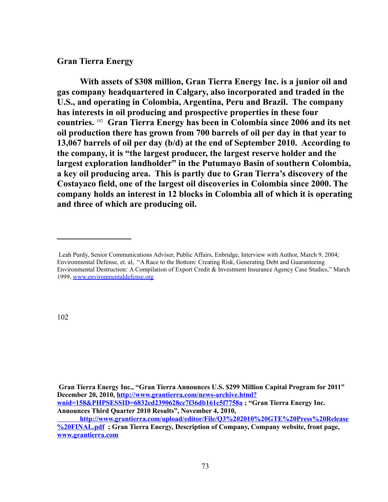## **Gran Tierra Energy**

**With assets of \$308 million, Gran Tierra Energy Inc. is a junior oil and gas company headquartered in Calgary, also incorporated and traded in the U.S., and operating in Colombia, Argentina, Peru and Brazil. The company has interests in oil producing and prospective properties in these four countries.** [102](#page-72-0) **Gran Tierra Energy has been in Colombia since 2006 and its net oil production there has grown from 700 barrels of oil per day in that year to 13,067 barrels of oil per day (b/d) at the end of September 2010. According to the company, it is "the largest producer, the largest reserve holder and the largest exploration landholder" in the Putumayo Basin of southern Colombia, a key oil producing area. This is partly due to Gran Tierra's discovery of the Costayaco field, one of the largest oil discoveries in Colombia since 2000. The company holds an interest in 12 blocks in Colombia all of which it is operating and three of which are producing oil.**

<span id="page-72-0"></span>102

**Gran Tierra Energy Inc., "Gran Tierra Announces U.S. \$299 Million Capital Program for 2011" December 20, 2010, [http://www.grantierra.com/news-archive.html?](http://www.grantierra.com/news-archive.html?wnid=158&PHPSESSID=6832ed2390628cc7f36db161c5f7758a) [wnid=158&PHPSESSID=6832ed2390628cc7f36db161c5f7758a](http://www.grantierra.com/news-archive.html?wnid=158&PHPSESSID=6832ed2390628cc7f36db161c5f7758a) ; "Gran Tierra Energy Inc. Announces Third Quarter 2010 Results", November 4, 2010,** 

 **[http://www.grantierra.com/upload/editor/File/Q3%202010%20GTE%20Press%20Release](http://www.grantierra.com/upload/editor/File/Q3%202010%20GTE%20Press%20Release%20FINAL.pdf) [%20FINAL.pdf](http://www.grantierra.com/upload/editor/File/Q3%202010%20GTE%20Press%20Release%20FINAL.pdf) ; Gran Tierra Energy, Description of Company, Company website, front page, [www.grantierra.com](http://www.grantierra.com/)**

Leah Purdy, Senior Communications Adviser, Public Affairs, Enbridge, Interview with Author, March 9, 2004; Environmental Defense, et. al, "A Race to the Bottom: Creating Risk, Generating Debt and Guaranteeing Environmental Destruction: A Compilation of Export Credit & Investment Insurance Agency Case Studies," March 1999, www.environmentaldefense.org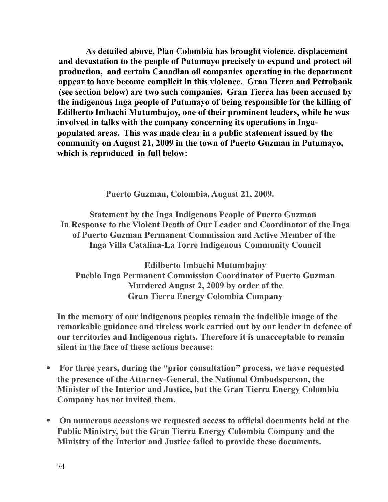**As detailed above, Plan Colombia has brought violence, displacement and devastation to the people of Putumayo precisely to expand and protect oil production, and certain Canadian oil companies operating in the department appear to have become complicit in this violence. Gran Tierra and Petrobank (see section below) are two such companies. Gran Tierra has been accused by the indigenous Inga people of Putumayo of being responsible for the killing of Edilberto Imbachi Mutumbajoy, one of their prominent leaders, while he was involved in talks with the company concerning its operations in Ingapopulated areas. This was made clear in a public statement issued by the community on August 21, 2009 in the town of Puerto Guzman in Putumayo, which is reproduced in full below:**

 **Puerto Guzman, Colombia, August 21, 2009.**

**Statement by the Inga Indigenous People of Puerto Guzman In Response to the Violent Death of Our Leader and Coordinator of the Inga of Puerto Guzman Permanent Commission and Active Member of the Inga Villa Catalina-La Torre Indigenous Community Council**

**Edilberto Imbachi Mutumbajoy Pueblo Inga Permanent Commission Coordinator of Puerto Guzman Murdered August 2, 2009 by order of the Gran Tierra Energy Colombia Company**

**In the memory of our indigenous peoples remain the indelible image of the remarkable guidance and tireless work carried out by our leader in defence of our territories and Indigenous rights. Therefore it is unacceptable to remain silent in the face of these actions because:**

- **For three years, during the "prior consultation" process, we have requested the presence of the Attorney-General, the National Ombudsperson, the Minister of the Interior and Justice, but the Gran Tierra Energy Colombia Company has not invited them.**
- **On numerous occasions we requested access to official documents held at the Public Ministry, but the Gran Tierra Energy Colombia Company and the Ministry of the Interior and Justice failed to provide these documents.**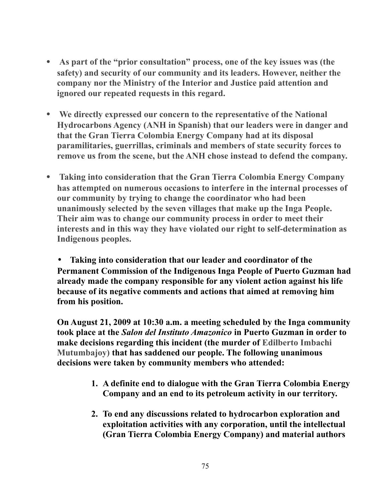- **As part of the "prior consultation" process, one of the key issues was (the safety) and security of our community and its leaders. However, neither the company nor the Ministry of the Interior and Justice paid attention and ignored our repeated requests in this regard.**
- **We directly expressed our concern to the representative of the National Hydrocarbons Agency (ANH in Spanish) that our leaders were in danger and that the Gran Tierra Colombia Energy Company had at its disposal paramilitaries, guerrillas, criminals and members of state security forces to remove us from the scene, but the ANH chose instead to defend the company.**
- **Taking into consideration that the Gran Tierra Colombia Energy Company has attempted on numerous occasions to interfere in the internal processes of our community by trying to change the coordinator who had been unanimously selected by the seven villages that make up the Inga People. Their aim was to change our community process in order to meet their interests and in this way they have violated our right to self-determination as Indigenous peoples.**

• **Taking into consideration that our leader and coordinator of the Permanent Commission of the Indigenous Inga People of Puerto Guzman had already made the company responsible for any violent action against his life because of its negative comments and actions that aimed at removing him from his position.**

**On August 21, 2009 at 10:30 a.m. a meeting scheduled by the Inga community took place at the** *Salon del Instituto Amazonico* **in Puerto Guzman in order to make decisions regarding this incident (the murder of Edilberto Imbachi Mutumbajoy) that has saddened our people. The following unanimous decisions were taken by community members who attended:**

- **1. A definite end to dialogue with the Gran Tierra Colombia Energy Company and an end to its petroleum activity in our territory.**
- **2. To end any discussions related to hydrocarbon exploration and exploitation activities with any corporation, until the intellectual (Gran Tierra Colombia Energy Company) and material authors**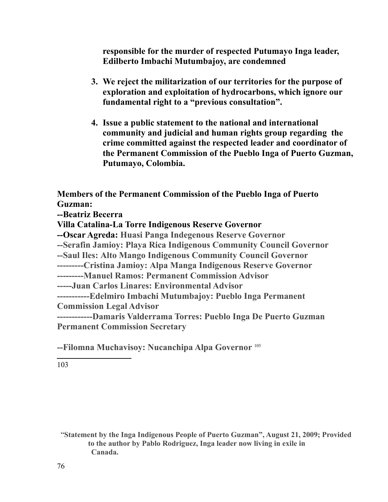**responsible for the murder of respected Putumayo Inga leader, Edilberto Imbachi Mutumbajoy, are condemned**

- **3. We reject the militarization of our territories for the purpose of exploration and exploitation of hydrocarbons, which ignore our fundamental right to a "previous consultation".**
- **4. Issue a public statement to the national and international community and judicial and human rights group regarding the crime committed against the respected leader and coordinator of the Permanent Commission of the Pueblo Inga of Puerto Guzman, Putumayo, Colombia.**

**Members of the Permanent Commission of the Pueblo Inga of Puerto Guzman: --Beatriz Becerra Villa Catalina-La Torre Indigenous Reserve Governor --Oscar Agreda: Huasi Panga Indegenous Reserve Governor --Serafin Jamioy: Playa Rica Indigenous Community Council Governor --Saul Iles: Alto Mango Indigenous Community Council Governor ---------Cristina Jamioy: Alpa Manga Indigenous Reserve Governor ---------Manuel Ramos: Permanent Commission Advisor -----Juan Carlos Linares: Environmental Advisor -----------Edelmiro Imbachi Mutumbajoy: Pueblo Inga Permanent Commission Legal Advisor ------------Damaris Valderrama Torres: Pueblo Inga De Puerto Guzman Permanent Commission Secretary**

**--Filomna Muchavisoy: Nucanchipa Alpa Governor** [103](#page-75-0)

<span id="page-75-0"></span>103

"**Statement by the Inga Indigenous People of Puerto Guzman", August 21, 2009; Provided to the author by Pablo Rodriguez, Inga leader now living in exile in Canada.**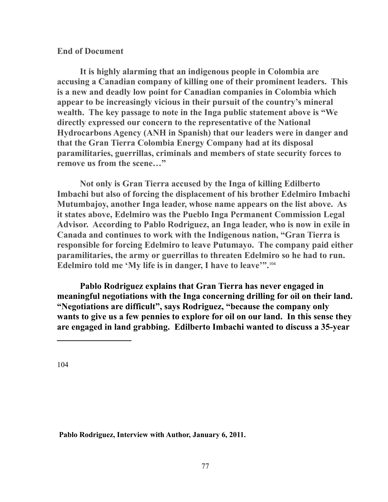## **End of Document**

 **It is highly alarming that an indigenous people in Colombia are accusing a Canadian company of killing one of their prominent leaders. This is a new and deadly low point for Canadian companies in Colombia which appear to be increasingly vicious in their pursuit of the country's mineral wealth. The key passage to note in the Inga public statement above is "We directly expressed our concern to the representative of the National Hydrocarbons Agency (ANH in Spanish) that our leaders were in danger and that the Gran Tierra Colombia Energy Company had at its disposal paramilitaries, guerrillas, criminals and members of state security forces to remove us from the scene…"**

**Not only is Gran Tierra accused by the Inga of killing Edilberto Imbachi but also of forcing the displacement of his brother Edelmiro Imbachi Mutumbajoy, another Inga leader, whose name appears on the list above. As it states above, Edelmiro was the Pueblo Inga Permanent Commission Legal Advisor. According to Pablo Rodriguez, an Inga leader, who is now in exile in Canada and continues to work with the Indigenous nation, "Gran Tierra is responsible for forcing Edelmiro to leave Putumayo. The company paid either paramilitaries, the army or guerrillas to threaten Edelmiro so he had to run. Edelmiro told me 'My life is in danger, I have to leave'".**[104](#page-76-0) 

**Pablo Rodriguez explains that Gran Tierra has never engaged in meaningful negotiations with the Inga concerning drilling for oil on their land. "Negotiations are difficult", says Rodriguez, "because the company only wants to give us a few pennies to explore for oil on our land. In this sense they are engaged in land grabbing. Edilberto Imbachi wanted to discuss a 35-year** 

<span id="page-76-0"></span>104

**Pablo Rodriguez, Interview with Author, January 6, 2011.**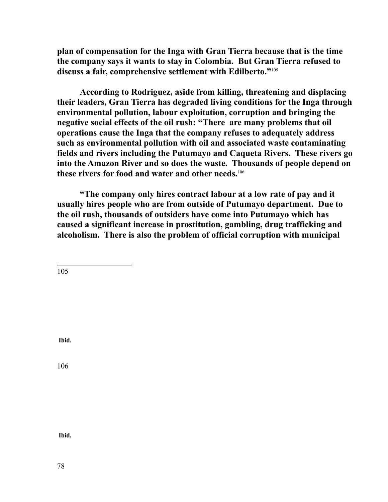**plan of compensation for the Inga with Gran Tierra because that is the time the company says it wants to stay in Colombia. But Gran Tierra refused to discuss a fair, comprehensive settlement with Edilberto."**[105](#page-77-0)

**According to Rodriguez, aside from killing, threatening and displacing their leaders, Gran Tierra has degraded living conditions for the Inga through environmental pollution, labour exploitation, corruption and bringing the negative social effects of the oil rush: "There are many problems that oil operations cause the Inga that the company refuses to adequately address such as environmental pollution with oil and associated waste contaminating fields and rivers including the Putumayo and Caqueta Rivers. These rivers go into the Amazon River and so does the waste. Thousands of people depend on these rivers for food and water and other needs.**[106](#page-77-1)

**"The company only hires contract labour at a low rate of pay and it usually hires people who are from outside of Putumayo department. Due to the oil rush, thousands of outsiders have come into Putumayo which has caused a significant increase in prostitution, gambling, drug trafficking and alcoholism. There is also the problem of official corruption with municipal** 

<span id="page-77-0"></span>105

**Ibid.**

<span id="page-77-1"></span>106

**Ibid.**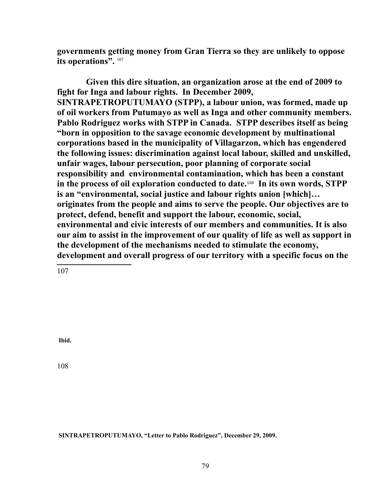**governments getting money from Gran Tierra so they are unlikely to oppose its operations".** [107](#page-78-0)

**Given this dire situation, an organization arose at the end of 2009 to fight for Inga and labour rights. In December 2009, SINTRAPETROPUTUMAYO (STPP), a labour union, was formed, made up of oil workers from Putumayo as well as Inga and other community members. Pablo Rodriguez works with STPP in Canada. STPP describes itself as being "born in opposition to the savage economic development by multinational corporations based in the municipality of Villagarzon, which has engendered the following issues: discrimination against local labour, skilled and unskilled, unfair wages, labour persecution, poor planning of corporate social responsibility and environmental contamination, which has been a constant in the process of oil exploration conducted to date.**[108](#page-78-1) **In its own words, STPP is an "environmental, social justice and labour rights union [which]… originates from the people and aims to serve the people. Our objectives are to protect, defend, benefit and support the labour, economic, social, environmental and civic interests of our members and communities. It is also our aim to assist in the improvement of our quality of life as well as support in the development of the mechanisms needed to stimulate the economy, development and overall progress of our territory with a specific focus on the** 

<span id="page-78-0"></span>107

**Ibid.** 

<span id="page-78-1"></span>108

 **SINTRAPETROPUTUMAYO, "Letter to Pablo Rodriguez", December 29, 2009.**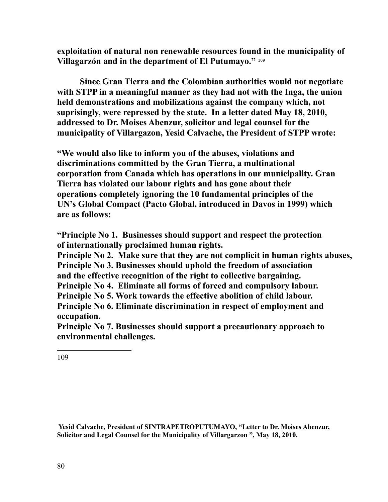**exploitation of natural non renewable resources found in the municipality of Villagarzón and in the department of El Putumayo."** [109](#page-79-0)

**Since Gran Tierra and the Colombian authorities would not negotiate with STPP in a meaningful manner as they had not with the Inga, the union held demonstrations and mobilizations against the company which, not suprisingly, were repressed by the state. In a letter dated May 18, 2010, addressed to Dr. Moises Abenzur, solicitor and legal counsel for the municipality of Villargazon, Yesid Calvache, the President of STPP wrote:**

**"We would also like to inform you of the abuses, violations and discriminations committed by the Gran Tierra, a multinational corporation from Canada which has operations in our municipality. Gran Tierra has violated our labour rights and has gone about their operations completely ignoring the 10 fundamental principles of the UN's Global Compact (Pacto Global, introduced in Davos in 1999) which are as follows:**

**"Principle No 1. Businesses should support and respect the protection of internationally proclaimed human rights.**

**Principle No 2. Make sure that they are not complicit in human rights abuses, Principle No 3. Businesses should uphold the freedom of association and the effective recognition of the right to collective bargaining.**

**Principle No 4. Eliminate all forms of forced and compulsory labour.**

**Principle No 5. Work towards the effective abolition of child labour.**

**Principle No 6. Eliminate discrimination in respect of employment and occupation.**

**Principle No 7. Businesses should support a precautionary approach to environmental challenges.**

<span id="page-79-0"></span>109

 **Yesid Calvache, President of SINTRAPETROPUTUMAYO, "Letter to Dr. Moises Abenzur, Solicitor and Legal Counsel for the Municipality of Villargarzon ", May 18, 2010.**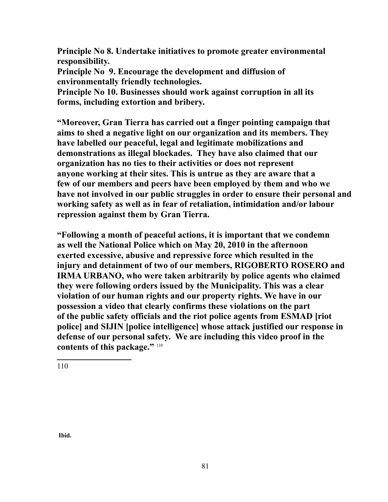**Principle No 8. Undertake initiatives to promote greater environmental responsibility.**

**Principle No 9. Encourage the development and diffusion of environmentally friendly technologies.**

**Principle No 10. Businesses should work against corruption in all its forms, including extortion and bribery.**

**"Moreover, Gran Tierra has carried out a finger pointing campaign that aims to shed a negative light on our organization and its members. They have labelled our peaceful, legal and legitimate mobilizations and demonstrations as illegal blockades. They have also claimed that our organization has no ties to their activities or does not represent anyone working at their sites. This is untrue as they are aware that a few of our members and peers have been employed by them and who we have not involved in our public struggles in order to ensure their personal and working safety as well as in fear of retaliation, intimidation and/or labour repression against them by Gran Tierra.**

<span id="page-80-0"></span>**"Following a month of peaceful actions, it is important that we condemn as well the National Police which on May 20, 2010 in the afternoon exerted excessive, abusive and repressive force which resulted in the injury and detainment of two of our members, RIGOBERTO ROSERO and IRMA URBANO, who were taken arbitrarily by police agents who claimed they were following orders issued by the Municipality. This was a clear violation of our human rights and our property rights. We have in our possession a video that clearly confirms these violations on the part of the public safety officials and the riot police agents from ESMAD [riot police] and SIJIN [police intelligence] whose attack justified our response in defense of our personal safety. We are including this video proof in the contents of this package."** [110](#page-80-0)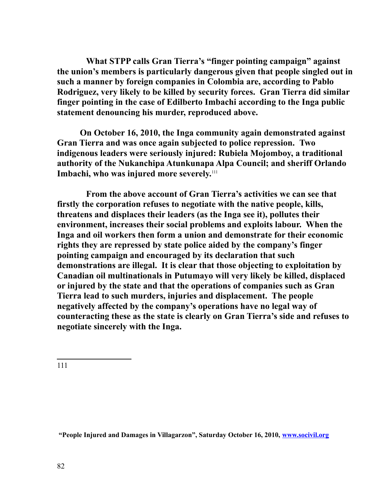**What STPP calls Gran Tierra's "finger pointing campaign" against the union's members is particularly dangerous given that people singled out in such a manner by foreign companies in Colombia are, according to Pablo Rodriguez, very likely to be killed by security forces. Gran Tierra did similar finger pointing in the case of Edilberto Imbachi according to the Inga public statement denouncing his murder, reproduced above.** 

**On October 16, 2010, the Inga community again demonstrated against Gran Tierra and was once again subjected to police repression. Two indigenous leaders were seriously injured: Rubiela Mojomboy, a traditional authority of the Nukanchipa Atunkunapa Alpa Council; and sheriff Orlando Imbachi, who was injured more severely.**[111](#page-81-0)

**From the above account of Gran Tierra's activities we can see that firstly the corporation refuses to negotiate with the native people, kills, threatens and displaces their leaders (as the Inga see it), pollutes their environment, increases their social problems and exploits labour. When the Inga and oil workers then form a union and demonstrate for their economic rights they are repressed by state police aided by the company's finger pointing campaign and encouraged by its declaration that such demonstrations are illegal. It is clear that those objecting to exploitation by Canadian oil multinationals in Putumayo will very likely be killed, displaced or injured by the state and that the operations of companies such as Gran Tierra lead to such murders, injuries and displacement. The people negatively affected by the company's operations have no legal way of counteracting these as the state is clearly on Gran Tierra's side and refuses to negotiate sincerely with the Inga.**

<span id="page-81-0"></span>111

 **"People Injured and Damages in Villagarzon", Saturday October 16, 2010, [www.socivil.org](http://www.socivil.org/)**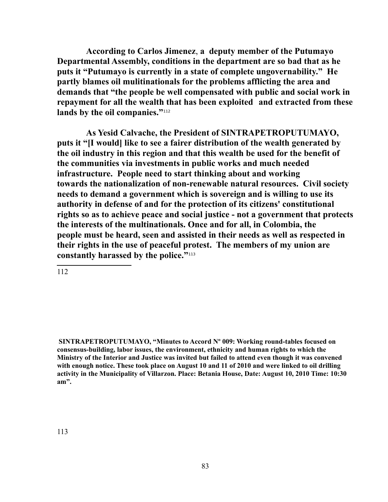**According to Carlos Jimenez**, **a deputy member of the Putumayo Departmental Assembly, conditions in the department are so bad that as he puts it "Putumayo is currently in a state of complete ungovernability." He partly blames oil mulitinationals for the problems afflicting the area and demands that "the people be well compensated with public and social work in repayment for all the wealth that has been exploited and extracted from these** lands by the oil companies."<sup>[112](#page-82-0)</sup>

**As Yesid Calvache, the President of SINTRAPETROPUTUMAYO, puts it "[I would] like to see a fairer distribution of the wealth generated by the oil industry in this region and that this wealth be used for the benefit of the communities via investments in public works and much needed infrastructure. People need to start thinking about and working towards the nationalization of non-renewable natural resources. Civil society needs to demand a government which is sovereign and is willing to use its authority in defense of and for the protection of its citizens' constitutional rights so as to achieve peace and social justice - not a government that protects the interests of the multinationals. Once and for all, in Colombia, the people must be heard, seen and assisted in their needs as well as respected in their rights in the use of peaceful protest. The members of my union are constantly harassed by the police."**[113](#page-82-1)

<span id="page-82-1"></span><span id="page-82-0"></span>**SINTRAPETROPUTUMAYO, "Minutes to Accord Nº 009: Working round-tables focused on consensus-building, labor issues, the environment, ethnicity and human rights to which the Ministry of the Interior and Justice was invited but failed to attend even though it was convened with enough notice. These took place on August 10 and 11 of 2010 and were linked to oil drilling activity in the Municipality of Villarzon. Place: Betania House, Date: August 10, 2010 Time: 10:30 am".**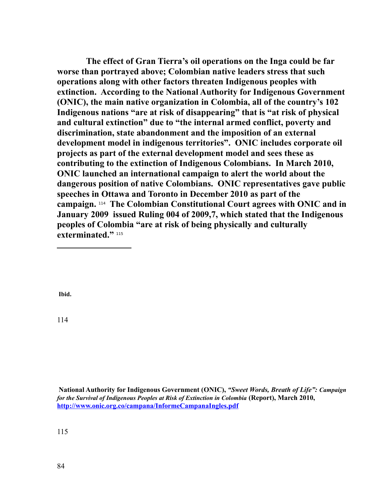**The effect of Gran Tierra's oil operations on the Inga could be far worse than portrayed above; Colombian native leaders stress that such operations along with other factors threaten Indigenous peoples with extinction. According to the National Authority for Indigenous Government (ONIC), the main native organization in Colombia, all of the country's 102 Indigenous nations "are at risk of disappearing" that is "at risk of physical and cultural extinction" due to "the internal armed conflict, poverty and discrimination, state abandonment and the imposition of an external development model in indigenous territories". ONIC includes corporate oil projects as part of the external development model and sees these as contributing to the extinction of Indigenous Colombians. In March 2010, ONIC launched an international campaign to alert the world about the dangerous position of native Colombians. ONIC representatives gave public speeches in Ottawa and Toronto in December 2010 as part of the campaign.** [114](#page-83-0) **The Colombian Constitutional Court agrees with ONIC and in January 2009 issued Ruling 004 of 2009,7, which stated that the Indigenous peoples of Colombia "are at risk of being physically and culturally exterminated."** [115](#page-83-1)

**Ibid.**

<span id="page-83-0"></span>114

<span id="page-83-1"></span>**National Authority for Indigenous Government (ONIC),** *"Sweet Words, Breath of Life": Campaign for the Survival of Indigenous Peoples at Risk of Extinction in Colombia* **(Report), March 2010, <http://www.onic.org.co/campana/InformeCampanaIngles.pdf>**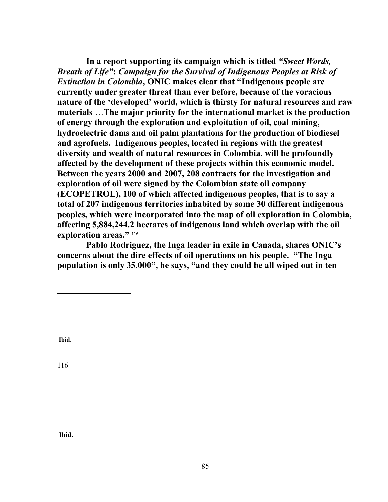**In a report supporting its campaign which is titled** *"Sweet Words, Breath of Life"***:** *Campaign for the Survival of Indigenous Peoples at Risk of Extinction in Colombia***, ONIC makes clear that "Indigenous people are currently under greater threat than ever before, because of the voracious nature of the 'developed' world, which is thirsty for natural resources and raw materials** …**The major priority for the international market is the production of energy through the exploration and exploitation of oil, coal mining, hydroelectric dams and oil palm plantations for the production of biodiesel and agrofuels. Indigenous peoples, located in regions with the greatest diversity and wealth of natural resources in Colombia, will be profoundly affected by the development of these projects within this economic model. Between the years 2000 and 2007, 208 contracts for the investigation and exploration of oil were signed by the Colombian state oil company (ECOPETROL), 100 of which affected indigenous peoples, that is to say a total of 207 indigenous territories inhabited by some 30 different indigenous peoples, which were incorporated into the map of oil exploration in Colombia, affecting 5,884,244.2 hectares of indigenous land which overlap with the oil exploration areas."** [116](#page-84-0)

**Pablo Rodriguez, the Inga leader in exile in Canada, shares ONIC's concerns about the dire effects of oil operations on his people. "The Inga population is only 35,000", he says, "and they could be all wiped out in ten** 

**Ibid.**

<span id="page-84-0"></span>116

**Ibid.**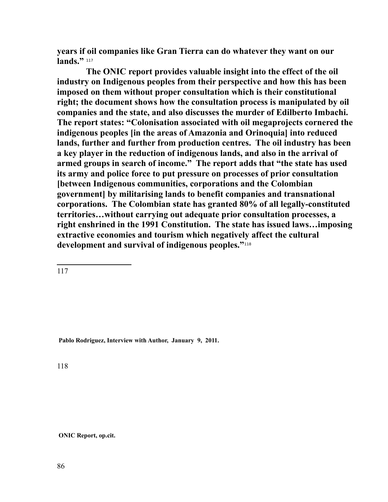**years if oil companies like Gran Tierra can do whatever they want on our**  lands."<sup>[117](#page-85-0)</sup>

**The ONIC report provides valuable insight into the effect of the oil industry on Indigenous peoples from their perspective and how this has been imposed on them without proper consultation which is their constitutional right; the document shows how the consultation process is manipulated by oil companies and the state, and also discusses the murder of Edilberto Imbachi. The report states: "Colonisation associated with oil megaprojects cornered the indigenous peoples [in the areas of Amazonia and Orinoquia] into reduced lands, further and further from production centres. The oil industry has been a key player in the reduction of indigenous lands, and also in the arrival of armed groups in search of income." The report adds that "the state has used its army and police force to put pressure on processes of prior consultation [between Indigenous communities, corporations and the Colombian government] by militarising lands to benefit companies and transnational corporations. The Colombian state has granted 80% of all legally-constituted territories…without carrying out adequate prior consultation processes, a right enshrined in the 1991 Constitution. The state has issued laws…imposing extractive economies and tourism which negatively affect the cultural development and survival of indigenous peoples."**[118](#page-85-1)

<span id="page-85-0"></span>117

**Pablo Rodriguez, Interview with Author, January 9, 2011.**

<span id="page-85-1"></span>118

**ONIC Report, op.cit.**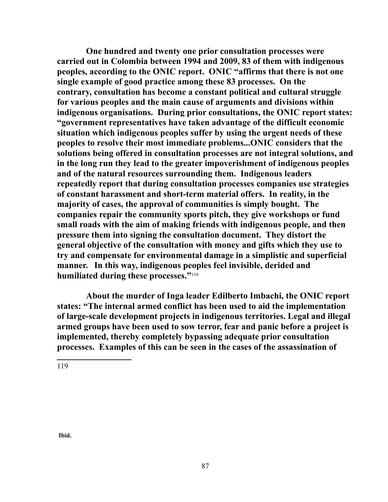**One hundred and twenty one prior consultation processes were carried out in Colombia between 1994 and 2009, 83 of them with indigenous peoples, according to the ONIC report. ONIC "affirms that there is not one single example of good practice among these 83 processes. On the contrary, consultation has become a constant political and cultural struggle for various peoples and the main cause of arguments and divisions within indigenous organisations. During prior consultations, the ONIC report states: "government representatives have taken advantage of the difficult economic situation which indigenous peoples suffer by using the urgent needs of these peoples to resolve their most immediate problems...ONIC considers that the solutions being offered in consultation processes are not integral solutions, and in the long run they lead to the greater impoverishment of indigenous peoples and of the natural resources surrounding them. Indigenous leaders repeatedly report that during consultation processes companies use strategies of constant harassment and short-term material offers. In reality, in the majority of cases, the approval of communities is simply bought. The companies repair the community sports pitch, they give workshops or fund small roads with the aim of making friends with indigenous people, and then pressure them into signing the consultation document. They distort the general objective of the consultation with money and gifts which they use to try and compensate for environmental damage in a simplistic and superficial manner. In this way, indigenous peoples feel invisible, derided and humiliated during these processes."**[119](#page-86-0)

**About the murder of Inga leader Edilberto Imbachi, the ONIC report states: "The internal armed conflict has been used to aid the implementation of large-scale development projects in indigenous territories. Legal and illegal armed groups have been used to sow terror, fear and panic before a project is implemented, thereby completely bypassing adequate prior consultation processes. Examples of this can be seen in the cases of the assassination of** 

<span id="page-86-0"></span>119

**Ibid.**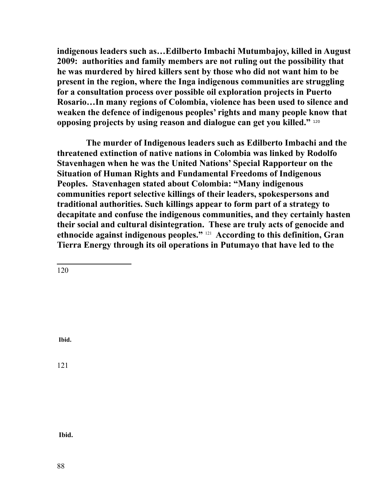**indigenous leaders such as…Edilberto Imbachi Mutumbajoy, killed in August 2009: authorities and family members are not ruling out the possibility that he was murdered by hired killers sent by those who did not want him to be present in the region, where the Inga indigenous communities are struggling for a consultation process over possible oil exploration projects in Puerto Rosario…In many regions of Colombia, violence has been used to silence and weaken the defence of indigenous peoples' rights and many people know that opposing projects by using reason and dialogue can get you killed."** [120](#page-87-0) 

**The murder of Indigenous leaders such as Edilberto Imbachi and the threatened extinction of native nations in Colombia was linked by Rodolfo Stavenhagen when he was the United Nations' Special Rapporteur on the Situation of Human Rights and Fundamental Freedoms of Indigenous Peoples. Stavenhagen stated about Colombia: "Many indigenous communities report selective killings of their leaders, spokespersons and traditional authorities. Such killings appear to form part of a strategy to decapitate and confuse the indigenous communities, and they certainly hasten their social and cultural disintegration. These are truly acts of genocide and ethnocide against indigenous peoples."** [121](#page-87-1) **According to this definition, Gran Tierra Energy through its oil operations in Putumayo that have led to the** 

<span id="page-87-0"></span>120

**Ibid.**

<span id="page-87-1"></span>121

**Ibid.**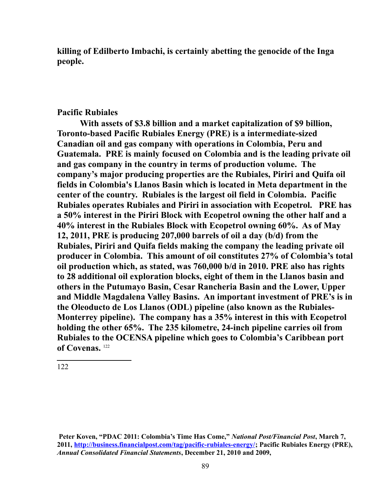**killing of Edilberto Imbachi, is certainly abetting the genocide of the Inga people.** 

## **Pacific Rubiales**

**With assets of \$3.8 billion and a market capitalization of \$9 billion, Toronto-based Pacific Rubiales Energy (PRE) is a intermediate-sized Canadian oil and gas company with operations in Colombia, Peru and Guatemala. PRE is mainly focused on Colombia and is the leading private oil and gas company in the country in terms of production volume. The company's major producing properties are the Rubiales, Piriri and Quifa oil fields in Colombia's Llanos Basin which is located in Meta department in the center of the country. Rubiales is the largest oil field in Colombia. Pacific Rubiales operates Rubiales and Piriri in association with Ecopetrol. PRE has a 50% interest in the Piriri Block with Ecopetrol owning the other half and a 40% interest in the Rubiales Block with Ecopetrol owning 60%. As of May 12, 2011, PRE is producing 207,000 barrels of oil a day (b/d) from the Rubiales, Piriri and Quifa fields making the company the leading private oil producer in Colombia. This amount of oil constitutes 27% of Colombia's total oil production which, as stated, was 760,000 b/d in 2010. PRE also has rights to 28 additional oil exploration blocks, eight of them in the Llanos basin and others in the Putumayo Basin, Cesar Rancheria Basin and the Lower, Upper and Middle Magdalena Valley Basins. An important investment of PRE's is in the Oleoducto de Los Llanos (ODL) pipeline (also known as the Rubiales-Monterrey pipeline). The company has a 35% interest in this with Ecopetrol holding the other 65%. The 235 kilometre, 24-inch pipeline carries oil from Rubiales to the OCENSA pipeline which goes to Colombia's Caribbean port of Covenas.** [122](#page-88-0)

<span id="page-88-0"></span>**Peter Koven, "PDAC 2011: Colombia's Time Has Come,"** *National Post/Financial Post***, March 7, 2011, [http://business.financialpost.com/tag/pacific-rubiales-energy/;](http://business.financialpost.com/tag/pacific-rubiales-energy/) Pacific Rubiales Energy (PRE),** *Annual Consolidated Financial Statements***, December 21, 2010 and 2009,**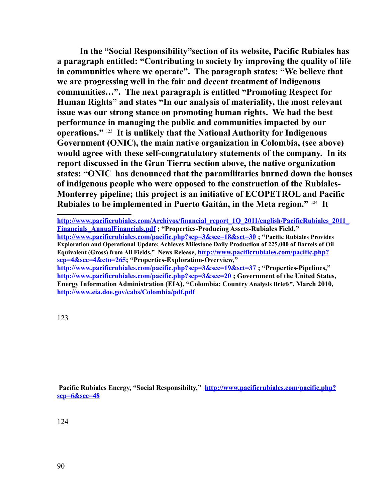**In the "Social Responsibility"section of its website, Pacific Rubiales has a paragraph entitled: "Contributing to society by improving the quality of life in communities where we operate". The paragraph states: "We believe that we are progressing well in the fair and decent treatment of indigenous communities…". The next paragraph is entitled "Promoting Respect for Human Rights" and states "In our analysis of materiality, the most relevant issue was our strong stance on promoting human rights. We had the best performance in managing the public and communities impacted by our operations."** [123](#page-89-0) **It is unlikely that the National Authority for Indigenous Government (ONIC), the main native organization in Colombia, (see above) would agree with these self-congratulatory statements of the company. In its report discussed in the Gran Tierra section above, the native organization states: "ONIC has denounced that the paramilitaries burned down the houses of indigenous people who were opposed to the construction of the Rubiales-Monterrey pipeline; this project is an initiative of ECOPETROL and Pacific Rubiales to be implemented in Puerto Gaitán, in the Meta region."** [124](#page-89-1) **It** 

**[http://www.pacificrubiales.com/Archivos/financial\\_report\\_1Q\\_2011/english/PacificRubiales\\_2011\\_](http://www.pacificrubiales.com/Archivos/financial_report_1Q_2011/english/PacificRubiales_2011_Financials_AnnualFinancials.pdf) [Financials\\_AnnualFinancials.pdf](http://www.pacificrubiales.com/Archivos/financial_report_1Q_2011/english/PacificRubiales_2011_Financials_AnnualFinancials.pdf) ; "Properties-Producing Assets-Rubiales Field," <http://www.pacificrubiales.com/pacific.php?scp=3&scc=18&sct=30>; "Pacific Rubiales Provides Exploration and Operational Update; Achieves Milestone Daily Production of 225,000 of Barrels of Oil Equivalent (Gross) from All Fields," News Release, [http://www.pacificrubiales.com/pacific.php?](http://www.pacificrubiales.com/pacific.php?scp=4&scc=4&ctn=265) [scp=4&scc=4&ctn=265;](http://www.pacificrubiales.com/pacific.php?scp=4&scc=4&ctn=265) "Properties-Exploration-Overview," <http://www.pacificrubiales.com/pacific.php?scp=3&scc=19&sct=37>; "Properties-Pipelines," <http://www.pacificrubiales.com/pacific.php?scp=3&scc=20>; Government of the United States, Energy Information Administration (EIA), "Colombia: Country Analysis Briefs", March 2010,** 

<span id="page-89-0"></span>123

**<http://www.eia.doe.gov/cabs/Colombia/pdf.pdf>**

<span id="page-89-1"></span> **Pacific Rubiales Energy, "Social Responsibilty," [http://www.pacificrubiales.com/pacific.php?](http://www.pacificrubiales.com/pacific.php?scp=6&scc=48) [scp=6&scc=48](http://www.pacificrubiales.com/pacific.php?scp=6&scc=48)**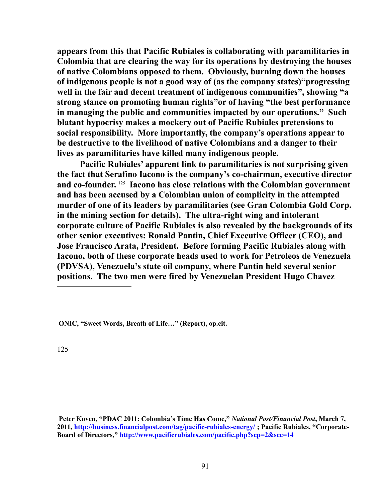**appears from this that Pacific Rubiales is collaborating with paramilitaries in Colombia that are clearing the way for its operations by destroying the houses of native Colombians opposed to them. Obviously, burning down the houses of indigenous people is not a good way of (as the company states)"progressing well in the fair and decent treatment of indigenous communities", showing "a strong stance on promoting human rights"or of having "the best performance in managing the public and communities impacted by our operations." Such blatant hypocrisy makes a mockery out of Pacific Rubiales pretensions to social responsibility. More importantly, the company's operations appear to be destructive to the livelihood of native Colombians and a danger to their lives as paramilitaries have killed many indigenous people.** 

**Pacific Rubiales' apparent link to paramilitaries is not surprising given the fact that Serafino Iacono is the company's co-chairman, executive director and co-founder.** [125](#page-90-0) **Iacono has close relations with the Colombian government and has been accused by a Colombian union of complicity in the attempted murder of one of its leaders by paramilitaries (see Gran Colombia Gold Corp. in the mining section for details). The ultra-right wing and intolerant corporate culture of Pacific Rubiales is also revealed by the backgrounds of its other senior executives: Ronald Pantin, Chief Executive Officer (CEO), and Jose Francisco Arata, President. Before forming Pacific Rubiales along with Iacono, both of these corporate heads used to work for Petroleos de Venezuela (PDVSA), Venezuela's state oil company, where Pantin held several senior positions. The two men were fired by Venezuelan President Hugo Chavez** 

 **ONIC, "Sweet Words, Breath of Life…" (Report), op.cit.**

<span id="page-90-0"></span>125

**Peter Koven, "PDAC 2011: Colombia's Time Has Come,"** *National Post/Financial Post***, March 7, 2011,<http://business.financialpost.com/tag/pacific-rubiales-energy/>; Pacific Rubiales, "Corporate-Board of Directors,"<http://www.pacificrubiales.com/pacific.php?scp=2&scc=14>**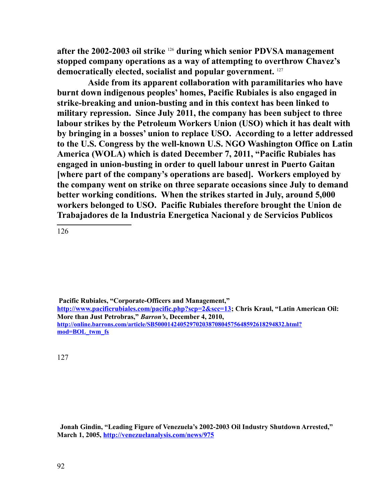**after the 2002-2003 oil strike** [126](#page-91-0) **during which senior PDVSA management stopped company operations as a way of attempting to overthrow Chavez's democratically elected, socialist and popular government.** [127](#page-91-1)

 **Aside from its apparent collaboration with paramilitaries who have burnt down indigenous peoples' homes, Pacific Rubiales is also engaged in strike-breaking and union-busting and in this context has been linked to military repression. Since July 2011, the company has been subject to three labour strikes by the Petroleum Workers Union (USO) which it has dealt with by bringing in a bosses' union to replace USO. According to a letter addressed to the U.S. Congress by the well-known U.S. NGO Washington Office on Latin America (WOLA) which is dated December 7, 2011, "Pacific Rubiales has engaged in union-busting in order to quell labour unrest in Puerto Gaitan [where part of the company's operations are based]. Workers employed by the company went on strike on three separate occasions since July to demand better working conditions. When the strikes started in July, around 5,000 workers belonged to USO. Pacific Rubiales therefore brought the Union de Trabajadores de la Industria Energetica Nacional y de Servicios Publicos** 

<span id="page-91-0"></span>126

 **Pacific Rubiales, "Corporate-Officers and Management,"** 

**[http://www.pacificrubiales.com/pacific.php?scp=2&scc=13;](http://www.pacificrubiales.com/pacific.php?scp=2&scc=13) Chris Kraul, "Latin American Oil: More than Just Petrobras,"** *Barron's***, December 4, 2010, [http://online.barrons.com/article/SB50001424052970203870804575648592618294832.html?](http://online.barrons.com/article/SB50001424052970203870804575648592618294832.html?mod=BOL_twm_fs) [mod=BOL\\_twm\\_fs](http://online.barrons.com/article/SB50001424052970203870804575648592618294832.html?mod=BOL_twm_fs)**

<span id="page-91-1"></span>127

 **Jonah Gindin, "Leading Figure of Venezuela's 2002-2003 Oil Industry Shutdown Arrested," March 1, 2005,<http://venezuelanalysis.com/news/975>**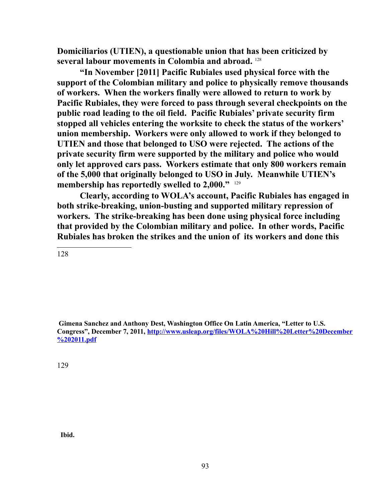**Domiciliarios (UTIEN), a questionable union that has been criticized by several labour movements in Colombia and abroad.** [128](#page-92-0)

**"In November [2011] Pacific Rubiales used physical force with the support of the Colombian military and police to physically remove thousands of workers. When the workers finally were allowed to return to work by Pacific Rubiales, they were forced to pass through several checkpoints on the public road leading to the oil field. Pacific Rubiales' private security firm stopped all vehicles entering the worksite to check the status of the workers' union membership. Workers were only allowed to work if they belonged to UTIEN and those that belonged to USO were rejected. The actions of the private security firm were supported by the military and police who would only let approved cars pass. Workers estimate that only 800 workers remain of the 5,000 that originally belonged to USO in July. Meanwhile UTIEN's membership has reportedly swelled to 2,000."** [129](#page-92-1)

**Clearly, according to WOLA's account, Pacific Rubiales has engaged in both strike-breaking, union-busting and supported military repression of workers. The strike-breaking has been done using physical force including that provided by the Colombian military and police. In other words, Pacific Rubiales has broken the strikes and the union of its workers and done this** 

<span id="page-92-0"></span>128

 **Gimena Sanchez and Anthony Dest, Washington Office On Latin America, "Letter to U.S. Congress", December 7, 2011, [http://www.usleap.org/files/WOLA%20Hill%20Letter%20December](http://www.usleap.org/files/WOLA%20Hill%20Letter%20December%202011.pdf) [%202011.pdf](http://www.usleap.org/files/WOLA%20Hill%20Letter%20December%202011.pdf)**

<span id="page-92-1"></span>129

 **Ibid.**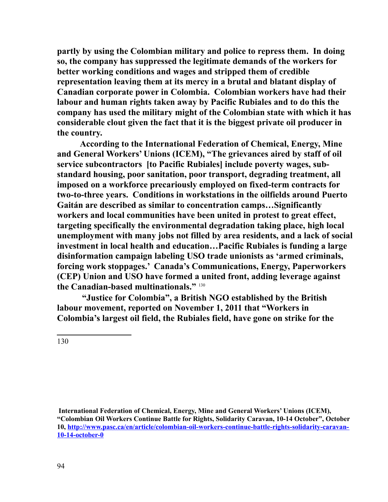**partly by using the Colombian military and police to repress them. In doing so, the company has suppressed the legitimate demands of the workers for better working conditions and wages and stripped them of credible representation leaving them at its mercy in a brutal and blatant display of Canadian corporate power in Colombia. Colombian workers have had their labour and human rights taken away by Pacific Rubiales and to do this the company has used the military might of the Colombian state with which it has considerable clout given the fact that it is the biggest private oil producer in the country.** 

**According to the International Federation of Chemical, Energy, Mine and General Workers' Unions (ICEM), "The grievances aired by staff of oil service subcontractors [to Pacific Rubiales] include poverty wages, substandard housing, poor sanitation, poor transport, degrading treatment, all imposed on a workforce precariously employed on fixed-term contracts for two-to-three years. Conditions in workstations in the oilfields around Puerto Gaitán are described as similar to concentration camps…Significantly workers and local communities have been united in protest to great effect, targeting specifically the environmental degradation taking place, high local unemployment with many jobs not filled by area residents, and a lack of social investment in local health and education…Pacific Rubiales is funding a large disinformation campaign labeling USO trade unionists as 'armed criminals, forcing work stoppages.' Canada's Communications, Energy, Paperworkers (CEP) Union and USO have formed a united front, adding leverage against the Canadian-based multinationals."** [130](#page-93-0)

 **"Justice for Colombia", a British NGO established by the British labour movement, reported on November 1, 2011 that "Workers in Colombia's largest oil field, the Rubiales field, have gone on strike for the** 

<span id="page-93-0"></span>130

**International Federation of Chemical, Energy, Mine and General Workers' Unions (ICEM), "Colombian Oil Workers Continue Battle for Rights, Solidarity Caravan, 10-14 October", October 10, [http://www.pasc.ca/en/article/colombian-oil-workers-continue-battle-rights-solidarity-caravan-](http://www.pasc.ca/en/article/colombian-oil-workers-continue-battle-rights-solidarity-caravan-10-14-october-0)[10-14-october-0](http://www.pasc.ca/en/article/colombian-oil-workers-continue-battle-rights-solidarity-caravan-10-14-october-0)**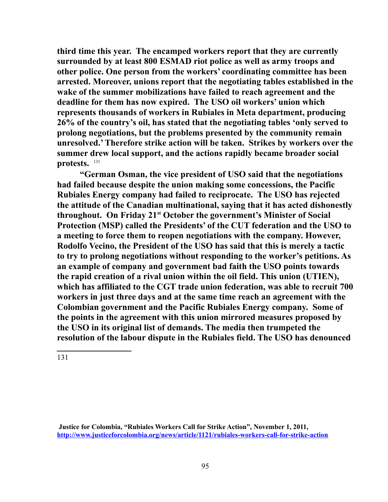**third time this year. The encamped workers report that they are currently surrounded by at least 800 ESMAD riot police as well as army troops and other police. One person from the workers' coordinating committee has been arrested. Moreover, unions report that the negotiating tables established in the wake of the summer mobilizations have failed to reach agreement and the deadline for them has now expired. The USO oil workers' union which represents thousands of workers in Rubiales in Meta department, producing 26% of the country's oil, has stated that the negotiating tables 'only served to prolong negotiations, but the problems presented by the community remain unresolved.' Therefore strike action will be taken. Strikes by workers over the summer drew local support, and the actions rapidly became broader social protests.** [131](#page-94-0)

**"German Osman, the vice president of USO said that the negotiations had failed because despite the union making some concessions, the Pacific Rubiales Energy company had failed to reciprocate. The USO has rejected the attitude of the Canadian multinational, saying that it has acted dishonestly throughout. On Friday 21st October the government's Minister of Social Protection (MSP) called the Presidents' of the CUT federation and the USO to a meeting to force them to reopen negotiations with the company. However, Rodolfo Vecino, the President of the USO has said that this is merely a tactic to try to prolong negotiations without responding to the worker's petitions. As an example of company and government bad faith the USO points towards the rapid creation of a rival union within the oil field. This union (UTIEN), which has affiliated to the CGT trade union federation, was able to recruit 700 workers in just three days and at the same time reach an agreement with the Colombian government and the Pacific Rubiales Energy company. Some of the points in the agreement with this union mirrored measures proposed by the USO in its original list of demands. The media then trumpeted the resolution of the labour dispute in the Rubiales field. The USO has denounced** 

<span id="page-94-0"></span>**Justice for Colombia, "Rubiales Workers Call for Strike Action", November 1, 2011, <http://www.justiceforcolombia.org/news/article/1121/rubiales-workers-call-for-strike-action>**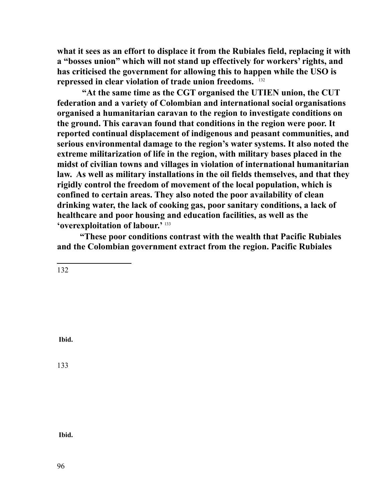**what it sees as an effort to displace it from the Rubiales field, replacing it with a "bosses union" which will not stand up effectively for workers' rights, and has criticised the government for allowing this to happen while the USO is repressed in clear violation of trade union freedoms.** [132](#page-95-0)

 **"At the same time as the CGT organised the UTIEN union, the CUT federation and a variety of Colombian and international social organisations organised a humanitarian caravan to the region to investigate conditions on the ground. This caravan found that conditions in the region were poor. It reported continual displacement of indigenous and peasant communities, and serious environmental damage to the region's water systems. It also noted the extreme militarization of life in the region, with military bases placed in the midst of civilian towns and villages in violation of international humanitarian law. As well as military installations in the oil fields themselves, and that they rigidly control the freedom of movement of the local population, which is confined to certain areas. They also noted the poor availability of clean drinking water, the lack of cooking gas, poor sanitary conditions, a lack of healthcare and poor housing and education facilities, as well as the 'overexploitation of labour.'** [133](#page-95-1)

**"These poor conditions contrast with the wealth that Pacific Rubiales and the Colombian government extract from the region. Pacific Rubiales** 

<span id="page-95-0"></span>132

 **Ibid.**

<span id="page-95-1"></span>133

 **Ibid.**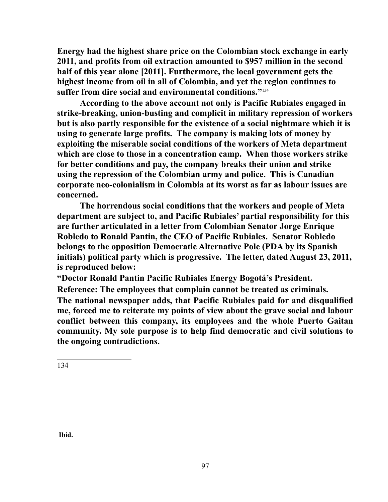**Energy had the highest share price on the Colombian stock exchange in early 2011, and profits from oil extraction amounted to \$957 million in the second half of this year alone [2011]. Furthermore, the local government gets the highest income from oil in all of Colombia, and yet the region continues to suffer from dire social and environmental conditions."**[134](#page-96-0)

**According to the above account not only is Pacific Rubiales engaged in strike-breaking, union-busting and complicit in military repression of workers but is also partly responsible for the existence of a social nightmare which it is using to generate large profits. The company is making lots of money by exploiting the miserable social conditions of the workers of Meta department which are close to those in a concentration camp. When those workers strike for better conditions and pay, the company breaks their union and strike using the repression of the Colombian army and police. This is Canadian corporate neo-colonialism in Colombia at its worst as far as labour issues are concerned.**

**The horrendous social conditions that the workers and people of Meta department are subject to, and Pacific Rubiales' partial responsibility for this are further articulated in a letter from Colombian Senator Jorge Enrique Robledo to Ronald Pantin, the CEO of Pacific Rubiales. Senator Robledo belongs to the opposition Democratic Alternative Pole (PDA by its Spanish initials) political party which is progressive. The letter, dated August 23, 2011, is reproduced below:** 

**"Doctor Ronald Pantin Pacific Rubiales Energy Bogotá's President.** 

**Reference: The employees that complain cannot be treated as criminals. The national newspaper adds, that Pacific Rubiales paid for and disqualified me, forced me to reiterate my points of view about the grave social and labour conflict between this company, its employees and the whole Puerto Gaitan community. My sole purpose is to help find democratic and civil solutions to the ongoing contradictions.** 

<span id="page-96-0"></span>134

**Ibid.**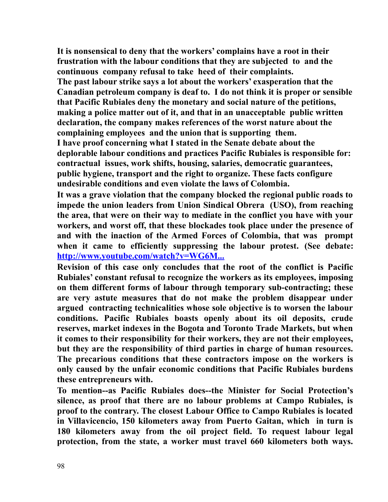**It is nonsensical to deny that the workers' complains have a root in their frustration with the labour conditions that they are subjected to and the continuous company refusal to take heed of their complaints. The past labour strike says a lot about the workers' exasperation that the Canadian petroleum company is deaf to. I do not think it is proper or sensible that Pacific Rubiales deny the monetary and social nature of the petitions, making a police matter out of it, and that in an unacceptable public written declaration, the company makes references of the worst nature about the complaining employees and the union that is supporting them. I have proof concerning what I stated in the Senate debate about the deplorable labour conditions and practices Pacific Rubiales is responsible for: contractual issues, work shifts, housing, salaries, democratic guarantees,** 

**public hygiene, transport and the right to organize. These facts configure undesirable conditions and even violate the laws of Colombia.**

**It was a grave violation that the company blocked the regional public roads to impede the union leaders from Union Sindical Obrera (USO), from reaching the area, that were on their way to mediate in the conflict you have with your workers, and worst off, that these blockades took place under the presence of and with the inaction of the Armed Forces of Colombia, that was prompt when it came to efficiently suppressing the labour protest. (See debate: [http://www.youtube.com/watch?v=WG6M...](http://www.youtube.com/watch?v=WG6M3kdUdMw)**

**Revision of this case only concludes that the root of the conflict is Pacific Rubiales' constant refusal to recognize the workers as its employees, imposing on them different forms of labour through temporary sub-contracting; these are very astute measures that do not make the problem disappear under argued contracting technicalities whose sole objective is to worsen the labour conditions. Pacific Rubiales boasts openly about its oil deposits, crude reserves, market indexes in the Bogota and Toronto Trade Markets, but when it comes to their responsibility for their workers, they are not their employees, but they are the responsibility of third parties in charge of human resources. The precarious conditions that these contractors impose on the workers is only caused by the unfair economic conditions that Pacific Rubiales burdens these entrepreneurs with.** 

**To mention--as Pacific Rubiales does--the Minister for Social Protection's silence, as proof that there are no labour problems at Campo Rubiales, is proof to the contrary. The closest Labour Office to Campo Rubiales is located in Villavicencio, 150 kilometers away from Puerto Gaitan, which in turn is 180 kilometers away from the oil project field. To request labour legal protection, from the state, a worker must travel 660 kilometers both ways.**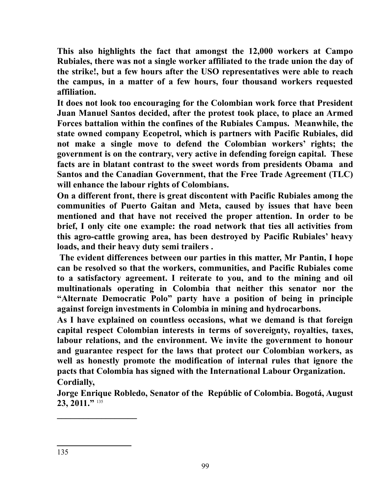**This also highlights the fact that amongst the 12,000 workers at Campo Rubiales, there was not a single worker affiliated to the trade union the day of the strike!, but a few hours after the USO representatives were able to reach the campus, in a matter of a few hours, four thousand workers requested affiliation.**

**It does not look too encouraging for the Colombian work force that President Juan Manuel Santos decided, after the protest took place, to place an Armed Forces battalion within the confines of the Rubiales Campus. Meanwhile, the state owned company Ecopetrol, which is partners with Pacific Rubiales, did not make a single move to defend the Colombian workers' rights; the government is on the contrary, very active in defending foreign capital. These facts are in blatant contrast to the sweet words from presidents Obama and Santos and the Canadian Government, that the Free Trade Agreement (TLC) will enhance the labour rights of Colombians.**

**On a different front, there is great discontent with Pacific Rubiales among the communities of Puerto Gaitan and Meta, caused by issues that have been mentioned and that have not received the proper attention. In order to be brief, I only cite one example: the road network that ties all activities from this agro-cattle growing area, has been destroyed by Pacific Rubiales' heavy loads, and their heavy duty semi trailers .**

 **The evident differences between our parties in this matter, Mr Pantin, I hope can be resolved so that the workers, communities, and Pacific Rubiales come to a satisfactory agreement. I reiterate to you, and to the mining and oil multinationals operating in Colombia that neither this senator nor the "Alternate Democratic Polo" party have a position of being in principle against foreign investments in Colombia in mining and hydrocarbons.** 

**As I have explained on countless occasions, what we demand is that foreign capital respect Colombian interests in terms of sovereignty, royalties, taxes, labour relations, and the environment. We invite the government to honour and guarantee respect for the laws that protect our Colombian workers, as well as honestly promote the modification of internal rules that ignore the pacts that Colombia has signed with the International Labour Organization. Cordially,** 

**Jorge Enrique Robledo, Senator of the Repúblic of Colombia. Bogotá, August** 23, 2011."<sup>[135](#page-98-0)</sup>

<span id="page-98-0"></span>**\_\_\_\_\_\_\_\_\_\_\_\_\_\_\_\_\_\_**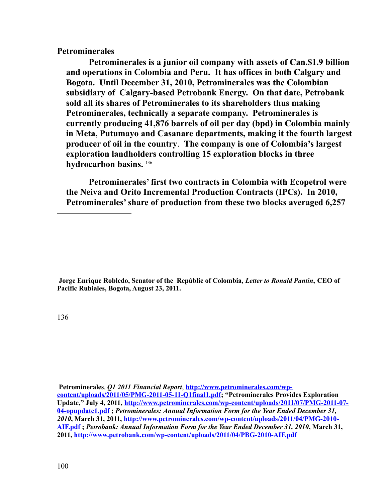**Petrominerales**

**Petrominerales is a junior oil company with assets of Can.\$1.9 billion and operations in Colombia and Peru. It has offices in both Calgary and Bogota. Until December 31, 2010, Petrominerales was the Colombian subsidiary of Calgary-based Petrobank Energy. On that date, Petrobank sold all its shares of Petrominerales to its shareholders thus making Petrominerales, technically a separate company. Petrominerales is currently producing 41,876 barrels of oil per day (bpd) in Colombia mainly in Meta, Putumayo and Casanare departments, making it the fourth largest producer of oil in the country**. **The company is one of Colombia's largest exploration landholders controlling 15 exploration blocks in three hydrocarbon basins.** [136](#page-99-0)

**Petrominerales' first two contracts in Colombia with Ecopetrol were the Neiva and Orito Incremental Production Contracts (IPCs). In 2010, Petrominerales' share of production from these two blocks averaged 6,257** 

**Jorge Enrique Robledo, Senator of the Repúblic of Colombia,** *Letter to Ronald Pantin***, CEO of Pacific Rubiales, Bogota, August 23, 2011.**

<span id="page-99-0"></span>136

**Petrominerales**, *Q1 2011 Financial Report*, **[http://www.petrominerales.com/wp](http://www.petrominerales.com/wp-content/uploads/2011/05/PMG-2011-05-11-Q1final1.pdf)[content/uploads/2011/05/PMG-2011-05-11-Q1final1.pdf;](http://www.petrominerales.com/wp-content/uploads/2011/05/PMG-2011-05-11-Q1final1.pdf) "Petrominerales Provides Exploration Update," July 4, 2011, [http://www.petrominerales.com/wp-content/uploads/2011/07/PMG-2011-07-](http://www.petrominerales.com/wp-content/uploads/2011/07/PMG-2011-07-04-opupdate1.pdf) [04-opupdate1.pdf](http://www.petrominerales.com/wp-content/uploads/2011/07/PMG-2011-07-04-opupdate1.pdf) ;** *Petrominerales: Annual Information Form for the Year Ended December 31, 2010***, March 31, 2011, [http://www.petrominerales.com/wp-content/uploads/2011/04/PMG-2010-](http://www.petrominerales.com/wp-content/uploads/2011/04/PMG-2010-AIF.pdf) [AIF.pdf](http://www.petrominerales.com/wp-content/uploads/2011/04/PMG-2010-AIF.pdf) ;** *Petrobank: Annual Information Form for the Year Ended December 31, 2010***, March 31, 2011, <http://www.petrobank.com/wp-content/uploads/2011/04/PBG-2010-AIF.pdf>**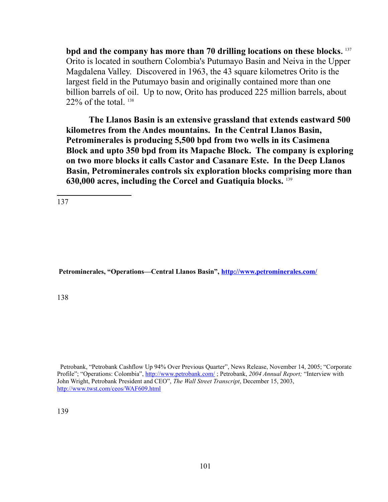**bpd and the company has more than 70 drilling locations on these blocks.** [137](#page-100-0) Orito is located in southern Colombia's Putumayo Basin and Neiva in the Upper Magdalena Valley. Discovered in 1963, the 43 square kilometres Orito is the largest field in the Putumayo basin and originally contained more than one billion barrels of oil. Up to now, Orito has produced 225 million barrels, about  $22\%$  of the total.  $138$ 

**The Llanos Basin is an extensive grassland that extends eastward 500 kilometres from the Andes mountains. In the Central Llanos Basin, Petrominerales is producing 5,500 bpd from two wells in its Casimena Block and upto 350 bpd from its Mapache Block. The company is exploring on two more blocks it calls Castor and Casanare Este. In the Deep Llanos Basin, Petrominerales controls six exploration blocks comprising more than 630,000 acres, including the Corcel and Guatiquia blocks.** [139](#page-100-2)

<span id="page-100-0"></span>137

 **Petrominerales, "Operations—Central Llanos Basin",<http://www.petrominerales.com/>**

<span id="page-100-1"></span>138

<span id="page-100-2"></span> Petrobank, "Petrobank Cashflow Up 94% Over Previous Quarter", News Release, November 14, 2005; "Corporate Profile"; "Operations: Colombia",<http://www.petrobank.com/>; Petrobank, *2004 Annual Report;* "Interview with John Wright, Petrobank President and CEO", *The Wall Street Transcript*, December 15, 2003, <http://www.twst.com/ceos/WAF609.html>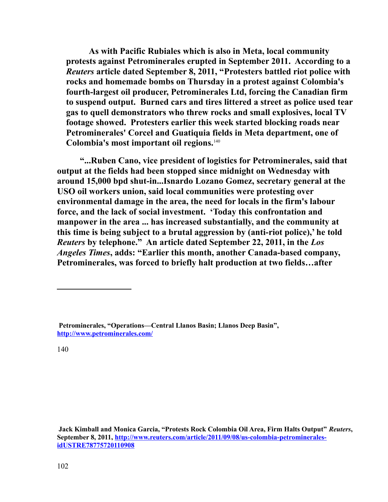**As with Pacific Rubiales which is also in Meta, local community protests against Petrominerales erupted in September 2011. According to a**  *Reuters* **article dated September 8, 2011, "Protesters battled riot police with rocks and homemade bombs on Thursday in a protest against Colombia's fourth-largest oil producer, Petrominerales Ltd, forcing the Canadian firm to suspend output. Burned cars and tires littered a street as police used tear gas to quell demonstrators who threw rocks and small explosives, local TV footage showed. Protesters earlier this week started blocking roads near Petrominerales' Corcel and Guatiquia fields in Meta department, one of Colombia's most important oil regions.**[140](#page-101-0)

**"...Ruben Cano, vice president of logistics for Petrominerales, said that output at the fields had been stopped since midnight on Wednesday with around 15,000 bpd shut-in...Isnardo Lozano Gomez, secretary general at the USO oil workers union, said local communities were protesting over environmental damage in the area, the need for locals in the firm's labour force, and the lack of social investment. 'Today this confrontation and manpower in the area ... has increased substantially, and the community at this time is being subject to a brutal aggression by (anti-riot police),' he told**  *Reuters* **by telephone." An article dated September 22, 2011, in the** *Los Angeles Times***, adds: "Earlier this month, another Canada-based company, Petrominerales, was forced to briefly halt production at two fields…after** 

<span id="page-101-0"></span>**Petrominerales, "Operations—Central Llanos Basin; Llanos Deep Basin", <http://www.petrominerales.com/>**

**Jack Kimball and Monica Garcia, "Protests Rock Colombia Oil Area, Firm Halts Output"** *Reuters***, September 8, 2011, [http://www.reuters.com/article/2011/09/08/us-colombia-petrominerales](http://www.reuters.com/article/2011/09/08/us-colombia-petrominerales-idUSTRE78775720110908)[idUSTRE78775720110908](http://www.reuters.com/article/2011/09/08/us-colombia-petrominerales-idUSTRE78775720110908)**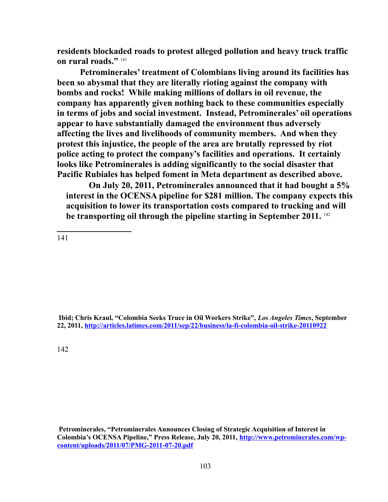**residents blockaded roads to protest alleged pollution and heavy truck traffic on rural roads."** [141](#page-102-0)

**Petrominerales' treatment of Colombians living around its facilities has been so abysmal that they are literally rioting against the company with bombs and rocks! While making millions of dollars in oil revenue, the company has apparently given nothing back to these communities especially in terms of jobs and social investment. Instead, Petrominerales' oil operations appear to have substantially damaged the environment thus adversely affecting the lives and livelihoods of community members. And when they protest this injustice, the people of the area are brutally repressed by riot police acting to protect the company's facilities and operations. It certainly looks like Petrominerales is adding significantly to the social disaster that Pacific Rubiales has helped foment in Meta department as described above.** 

**On July 20, 2011, Petrominerales announced that it had bought a 5% interest in the OCENSA pipeline for \$281 million. The company expects this acquisition to lower its transportation costs compared to trucking and will be transporting oil through the pipeline starting in September 2011.** [142](#page-102-1) 

<span id="page-102-0"></span>141

 **Ibid; Chris Kraul, "Colombia Seeks Truce in Oil Workers Strike",** *Los Angeles Times***, September 22, 2011,<http://articles.latimes.com/2011/sep/22/business/la-fi-colombia-oil-strike-20110922>**

<span id="page-102-1"></span>142

**Petrominerales, "Petrominerales Announces Closing of Strategic Acquisition of Interest in Colombia's OCENSA Pipeline," Press Release, July 20, 2011, [http://www.petrominerales.com/wp](http://www.petrominerales.com/wp-content/uploads/2011/07/PMG-2011-07-20.pdf)[content/uploads/2011/07/PMG-2011-07-20.pdf](http://www.petrominerales.com/wp-content/uploads/2011/07/PMG-2011-07-20.pdf)**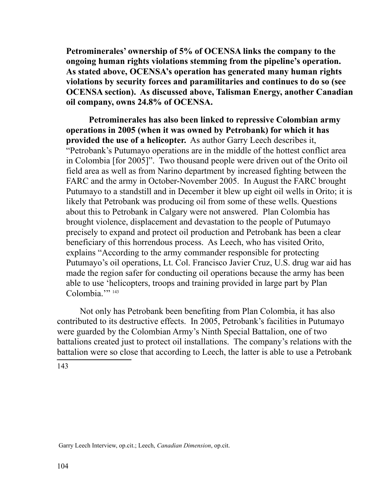**Petrominerales' ownership of 5% of OCENSA links the company to the ongoing human rights violations stemming from the pipeline's operation. As stated above, OCENSA's operation has generated many human rights violations by security forces and paramilitaries and continues to do so (see OCENSA section). As discussed above, Talisman Energy, another Canadian oil company, owns 24.8% of OCENSA.** 

**Petrominerales has also been linked to repressive Colombian army operations in 2005 (when it was owned by Petrobank) for which it has provided the use of a helicopter.** As author Garry Leech describes it, "Petrobank's Putumayo operations are in the middle of the hottest conflict area in Colombia [for 2005]". Two thousand people were driven out of the Orito oil field area as well as from Narino department by increased fighting between the FARC and the army in October-November 2005. In August the FARC brought Putumayo to a standstill and in December it blew up eight oil wells in Orito; it is likely that Petrobank was producing oil from some of these wells. Questions about this to Petrobank in Calgary were not answered. Plan Colombia has brought violence, displacement and devastation to the people of Putumayo precisely to expand and protect oil production and Petrobank has been a clear beneficiary of this horrendous process. As Leech, who has visited Orito, explains "According to the army commander responsible for protecting Putumayo's oil operations, Lt. Col. Francisco Javier Cruz, U.S. drug war aid has made the region safer for conducting oil operations because the army has been able to use 'helicopters, troops and training provided in large part by Plan Colombia."<sup>[143](#page-103-0)</sup>

Not only has Petrobank been benefiting from Plan Colombia, it has also contributed to its destructive effects. In 2005, Petrobank's facilities in Putumayo were guarded by the Colombian Army's Ninth Special Battalion, one of two battalions created just to protect oil installations. The company's relations with the battalion were so close that according to Leech, the latter is able to use a Petrobank

<span id="page-103-0"></span>143

Garry Leech Interview, op.cit.; Leech, *Canadian Dimension*, op.cit.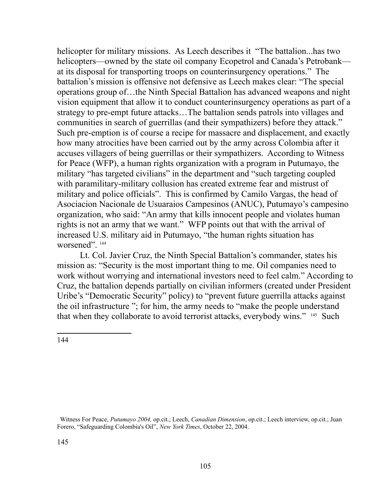helicopter for military missions. As Leech describes it "The battalion...has two helicopters—owned by the state oil company Ecopetrol and Canada's Petrobank at its disposal for transporting troops on counterinsurgency operations." The battalion's mission is offensive not defensive as Leech makes clear: "The special operations group of…the Ninth Special Battalion has advanced weapons and night vision equipment that allow it to conduct counterinsurgency operations as part of a strategy to pre-empt future attacks…The battalion sends patrols into villages and communities in search of guerrillas (and their sympathizers) before they attack." Such pre-emption is of course a recipe for massacre and displacement, and exactly how many atrocities have been carried out by the army across Colombia after it accuses villagers of being guerrillas or their sympathizers. According to Witness for Peace (WFP), a human rights organization with a program in Putumayo, the military "has targeted civilians" in the department and "such targeting coupled with paramilitary-military collusion has created extreme fear and mistrust of military and police officials". This is confirmed by Camilo Vargas, the head of Asociacion Nacionale de Usuaraios Campesinos (ANUC), Putumayo's campesino organization, who said: "An army that kills innocent people and violates human rights is not an army that we want." WFP points out that with the arrival of increased U.S. military aid in Putumayo, "the human rights situation has worsened"<sup>[144](#page-104-0)</sup>

Lt. Col. Javier Cruz, the Ninth Special Battalion's commander, states his mission as: "Security is the most important thing to me. Oil companies need to work without worrying and international investors need to feel calm." According to Cruz, the battalion depends partially on civilian informers (created under President Uribe's "Democratic Security" policy) to "prevent future guerrilla attacks against the oil infrastructure "; for him, the army needs to "make the people understand that when they collaborate to avoid terrorist attacks, everybody wins." <sup>[145](#page-104-1)</sup> Such

<span id="page-104-1"></span><span id="page-104-0"></span>Witness For Peace, *Putumayo 2004,* op.cit.; Leech, *Canadian Dimension*, op.cit.; Leech interview, op.cit.; Juan Forero, "Safeguarding Colombia's Oil", *New York Times*, October 22, 2004.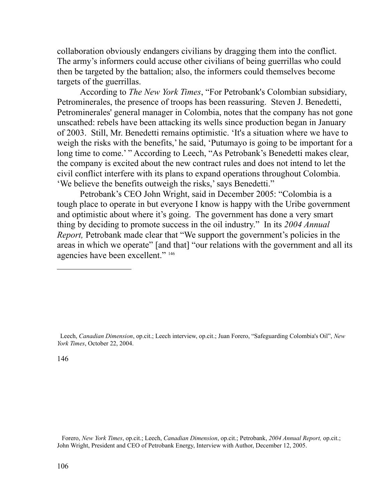collaboration obviously endangers civilians by dragging them into the conflict. The army's informers could accuse other civilians of being guerrillas who could then be targeted by the battalion; also, the informers could themselves become targets of the guerrillas.

According to *The New York Times*, "For Petrobank's Colombian subsidiary, Petrominerales, the presence of troops has been reassuring. Steven J. Benedetti, Petrominerales' general manager in Colombia, notes that the company has not gone unscathed: rebels have been attacking its wells since production began in January of 2003. Still, Mr. Benedetti remains optimistic. 'It's a situation where we have to weigh the risks with the benefits,' he said, 'Putumayo is going to be important for a long time to come.' " According to Leech, "As Petrobank's Benedetti makes clear, the company is excited about the new contract rules and does not intend to let the civil conflict interfere with its plans to expand operations throughout Colombia. 'We believe the benefits outweigh the risks,' says Benedetti."

Petrobank's CEO John Wright, said in December 2005: "Colombia is a tough place to operate in but everyone I know is happy with the Uribe government and optimistic about where it's going. The government has done a very smart thing by deciding to promote success in the oil industry." In its *2004 Annual Report,* Petrobank made clear that "We support the government's policies in the areas in which we operate" [and that] "our relations with the government and all its agencies have been excellent." [146](#page-105-0)

<span id="page-105-0"></span>146

 Forero, *New York Times*, op.cit.; Leech, *Canadian Dimension*, op.cit.; Petrobank, *2004 Annual Report,* op.cit.; John Wright, President and CEO of Petrobank Energy, Interview with Author, December 12, 2005.

Leech, *Canadian Dimension*, op.cit.; Leech interview, op.cit.; Juan Forero, "Safeguarding Colombia's Oil", *New York Times*, October 22, 2004.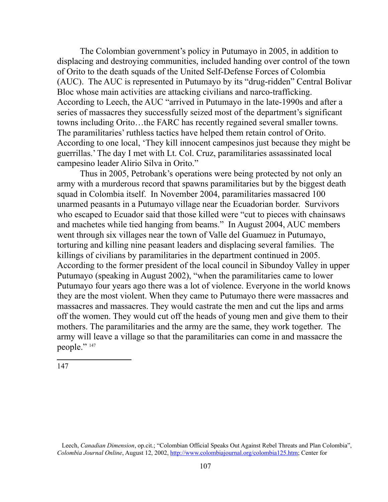The Colombian government's policy in Putumayo in 2005, in addition to displacing and destroying communities, included handing over control of the town of Orito to the death squads of the United Self-Defense Forces of Colombia (AUC). The AUC is represented in Putumayo by its "drug-ridden" Central Bolivar Bloc whose main activities are attacking civilians and narco-trafficking. According to Leech, the AUC "arrived in Putumayo in the late-1990s and after a series of massacres they successfully seized most of the department's significant towns including Orito…the FARC has recently regained several smaller towns. The paramilitaries' ruthless tactics have helped them retain control of Orito. According to one local, 'They kill innocent campesinos just because they might be guerrillas.' The day I met with Lt. Col. Cruz, paramilitaries assassinated local campesino leader Alirio Silva in Orito."

Thus in 2005, Petrobank's operations were being protected by not only an army with a murderous record that spawns paramilitaries but by the biggest death squad in Colombia itself. In November 2004, paramilitaries massacred 100 unarmed peasants in a Putumayo village near the Ecuadorian border. Survivors who escaped to Ecuador said that those killed were "cut to pieces with chainsaws and machetes while tied hanging from beams." In August 2004, AUC members went through six villages near the town of Valle del Guamuez in Putumayo, torturing and killing nine peasant leaders and displacing several families. The killings of civilians by paramilitaries in the department continued in 2005. According to the former president of the local council in Sibundoy Valley in upper Putumayo (speaking in August 2002), "when the paramilitaries came to lower Putumayo four years ago there was a lot of violence. Everyone in the world knows they are the most violent. When they came to Putumayo there were massacres and massacres and massacres. They would castrate the men and cut the lips and arms off the women. They would cut off the heads of young men and give them to their mothers. The paramilitaries and the army are the same, they work together. The army will leave a village so that the paramilitaries can come in and massacre the people."<sup>[147](#page-106-0)</sup>

<span id="page-106-0"></span>Leech, *Canadian Dimension*, op.cit.; "Colombian Official Speaks Out Against Rebel Threats and Plan Colombia", *Colombia Journal Online*, August 12, 2002, [http://www.colombiajournal.org/colombia125.htm;](http://www.colombiajournal.org/colombia125.htm) Center for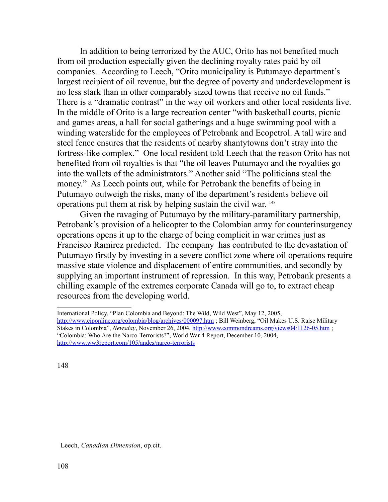In addition to being terrorized by the AUC, Orito has not benefited much from oil production especially given the declining royalty rates paid by oil companies. According to Leech, "Orito municipality is Putumayo department's largest recipient of oil revenue, but the degree of poverty and underdevelopment is no less stark than in other comparably sized towns that receive no oil funds." There is a "dramatic contrast" in the way oil workers and other local residents live. In the middle of Orito is a large recreation center "with basketball courts, picnic and games areas, a hall for social gatherings and a huge swimming pool with a winding waterslide for the employees of Petrobank and Ecopetrol. A tall wire and steel fence ensures that the residents of nearby shantytowns don't stray into the fortress-like complex." One local resident told Leech that the reason Orito has not benefited from oil royalties is that "the oil leaves Putumayo and the royalties go into the wallets of the administrators." Another said "The politicians steal the money." As Leech points out, while for Petrobank the benefits of being in Putumayo outweigh the risks, many of the department's residents believe oil operations put them at risk by helping sustain the civil war. [148](#page-107-0)

Given the ravaging of Putumayo by the military-paramilitary partnership, Petrobank's provision of a helicopter to the Colombian army for counterinsurgency operations opens it up to the charge of being complicit in war crimes just as Francisco Ramirez predicted. The company has contributed to the devastation of Putumayo firstly by investing in a severe conflict zone where oil operations require massive state violence and displacement of entire communities, and secondly by supplying an important instrument of repression. In this way, Petrobank presents a chilling example of the extremes corporate Canada will go to, to extract cheap resources from the developing world.

<span id="page-107-0"></span>148

Leech, *Canadian Dimension*, op.cit.

International Policy, "Plan Colombia and Beyond: The Wild, Wild West", May 12, 2005, http://www.ciponline.org/colombia/blog/archives/000097.htm; Bill Weinberg, "Oil Makes U.S. Raise Military Stakes in Colombia", *Newsday*, November 26, 2004,<http://www.commondreams.org/views04/1126-05.htm>; "Colombia: Who Are the Narco-Terrorists?", World War 4 Report, December 10, 2004, <http://www.ww3report.com/105/andes/narco-terrorists>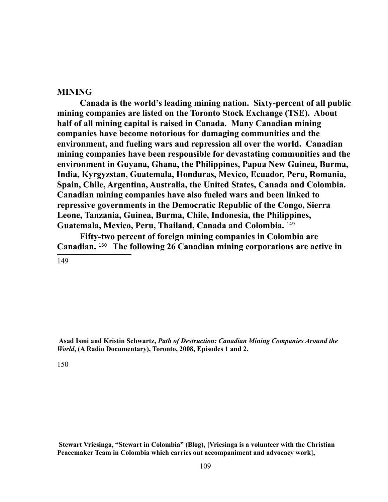#### **MINING**

**Canada is the world's leading mining nation. Sixty-percent of all public mining companies are listed on the Toronto Stock Exchange (TSE). About half of all mining capital is raised in Canada. Many Canadian mining companies have become notorious for damaging communities and the environment, and fueling wars and repression all over the world. Canadian mining companies have been responsible for devastating communities and the environment in Guyana, Ghana, the Philippines, Papua New Guinea, Burma, India, Kyrgyzstan, Guatemala, Honduras, Mexico, Ecuador, Peru, Romania, Spain, Chile, Argentina, Australia, the United States, Canada and Colombia. Canadian mining companies have also fueled wars and been linked to repressive governments in the Democratic Republic of the Congo, Sierra Leone, Tanzania, Guinea, Burma, Chile, Indonesia, the Philippines, Guatemala, Mexico, Peru, Thailand, Canada and Colombia.** [149](#page-108-0)

**Fifty-two percent of foreign mining companies in Colombia are Canadian.** [150](#page-108-1) **The following 26 Canadian mining corporations are active in** 

<span id="page-108-0"></span>149

**Asad Ismi and Kristin Schwartz,** *Path of Destruction: Canadian Mining Companies Around the World***, (A Radio Documentary), Toronto, 2008, Episodes 1 and 2.** 

<span id="page-108-1"></span>150

**Stewart Vriesinga, "Stewart in Colombia" (Blog), [Vriesinga is a volunteer with the Christian Peacemaker Team in Colombia which carries out accompaniment and advocacy work],**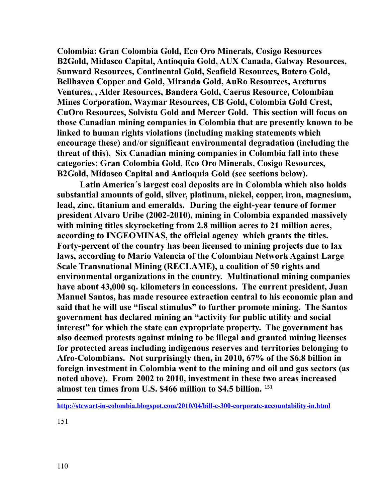**Colombia: Gran Colombia Gold, Eco Oro Minerals, Cosigo Resources B2Gold, Midasco Capital, Antioquia Gold, AUX Canada, Galway Resources, Sunward Resources, Continental Gold, Seafield Resources, Batero Gold, Bellhaven Copper and Gold, Miranda Gold, AuRo Resources, Arcturus Ventures, , Alder Resources, Bandera Gold, Caerus Resource, Colombian Mines Corporation, Waymar Resources, CB Gold, Colombia Gold Crest, CuOro Resources, Solvista Gold and Mercer Gold. This section will focus on those Canadian mining companies in Colombia that are presently known to be linked to human rights violations (including making statements which encourage these) and**/**or significant environmental degradation (including the threat of this). Six Canadian mining companies in Colombia fall into these categories: Gran Colombia Gold, Eco Oro Minerals, Cosigo Resources, B2Gold, Midasco Capital and Antioquia Gold (see sections below).**

**Latin America´s largest coal deposits are in Colombia which also holds substantial amounts of gold, silver, platinum, nickel, copper, iron, magnesium, lead, zinc, titanium and emeralds. During the eight-year tenure of former president Alvaro Uribe (2002-2010), mining in Colombia expanded massively with mining titles skyrocketing from 2.8 million acres to 21 million acres, according to INGEOMINAS, the official agency which grants the titles. Forty-percent of the country has been licensed to mining projects due to lax laws, according to Mario Valencia of the Colombian Network Against Large Scale Transnational Mining (RECLAME), a coalition of 50 rights and environmental organizations in the country. Multinational mining companies have about 43,000 sq. kilometers in concessions. The current president, Juan Manuel Santos, has made resource extraction central to his economic plan and said that he will use "fiscal stimulus" to further promote mining. The Santos government has declared mining an "activity for public utility and social interest" for which the state can expropriate property. The government has also deemed protests against mining to be illegal and granted mining licenses for protected areas including indigenous reserves and territories belonging to Afro-Colombians. Not surprisingly then, in 2010, 67% of the \$6.8 billion in foreign investment in Colombia went to the mining and oil and gas sectors (as noted above). From 2002 to 2010, investment in these two areas increased almost ten times from U.S. \$466 million to \$4.5 billion.** [151](#page-109-0)

<span id="page-109-0"></span>**<http://stewart-in-colombia.blogspot.com/2010/04/bill-c-300-corporate-accountability-in.html>**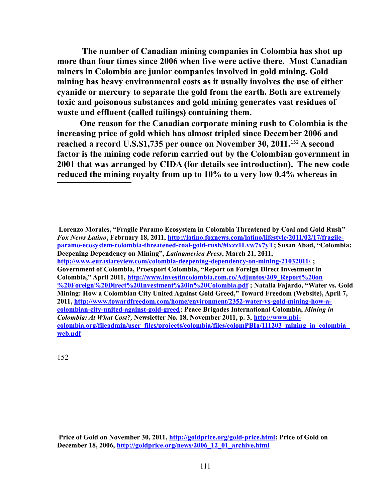**The number of Canadian mining companies in Colombia has shot up more than four times since 2006 when five were active there. Most Canadian miners in Colombia are junior companies involved in gold mining. Gold mining has heavy environmental costs as it usually involves the use of either cyanide or mercury to separate the gold from the earth. Both are extremely toxic and poisonous substances and gold mining generates vast residues of waste and effluent (called tailings) containing them.** 

**One reason for the Canadian corporate mining rush to Colombia is the increasing price of gold which has almost tripled since December 2006 and reached a record U.S.\$1,735 per ounce on November 30, 2011.**[152](#page-110-1) **A second factor is the mining code reform carried out by the Colombian government in 2001 that was arranged by CIDA (for details see introduction). The new code reduced the mining royalty from up to 10% to a very low 0.4% whereas in** 

<span id="page-110-0"></span>**Lorenzo Morales, "Fragile Paramo Ecosystem in Colombia Threatened by Coal and Gold Rush"**  *Fox News Latino***, February 18, 2011, [http://latino.foxnews.com/latino/lifestyle/2011/02/17/fragile](#page-110-0)[paramo-ecosystem-colombia-threatened-coal-gold-rush/#ixzz1Lvw7x7yT;](#page-110-0) Susan Abad, "Colombia: Deepening Dependency on Mining",** *Latinamerica Press***, March 21, 2011, <http://www.eurasiareview.com/colombia-deepening-dependency-on-mining-21032011/>; Government of Colombia, Proexport Colombia, "Report on Foreign Direct Investment in Colombia," April 2011, [http://www.investincolombia.com.co/Adjuntos/209\\_Report%20on](http://www.investincolombia.com.co/Adjuntos/209_Report%20on%20Foreign%20Direct%20Investment%20in%20Colombia.pdf) [%20Foreign%20Direct%20Investment%20in%20Colombia.pdf](http://www.investincolombia.com.co/Adjuntos/209_Report%20on%20Foreign%20Direct%20Investment%20in%20Colombia.pdf) ; Natalia Fajardo, "Water vs. Gold Mining: How a Colombian City United Against Gold Greed," Toward Freedom (Website), April 7, 2011, [http://www.towardfreedom.com/home/environment/2352-water-vs-gold-mining-how-a](http://www.towardfreedom.com/home/environment/2352-water-vs-gold-mining-how-a-colombian-city-united-against-gold-greed)[colombian-city-united-against-gold-greed;](http://www.towardfreedom.com/home/environment/2352-water-vs-gold-mining-how-a-colombian-city-united-against-gold-greed) Peace Brigades International Colombia,** *Mining in Colombia: At What Cost?,* **Newsletter No. 18, November 2011, p. 3, [http://www.pbi](http://www.pbi-colombia.org/fileadmin/user_files/projects/colombia/files/colomPBIa/111203_mining_in_colombia_web.pdf)[colombia.org/fileadmin/user\\_files/projects/colombia/files/colomPBIa/111203\\_mining\\_in\\_colombia\\_](http://www.pbi-colombia.org/fileadmin/user_files/projects/colombia/files/colomPBIa/111203_mining_in_colombia_web.pdf) [web.pdf](http://www.pbi-colombia.org/fileadmin/user_files/projects/colombia/files/colomPBIa/111203_mining_in_colombia_web.pdf)**

<span id="page-110-1"></span>**Price of Gold on November 30, 2011, [http://goldprice.org/gold-price.html;](http://goldprice.org/gold-price.html) Price of Gold on December 18, 2006, [http://goldprice.org/news/2006\\_12\\_01\\_archive.html](http://goldprice.org/news/2006_12_01_archive.html)**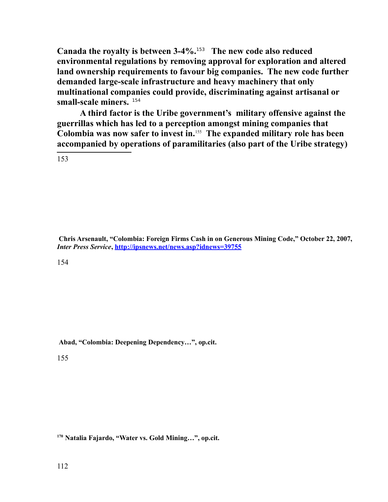**Canada the royalty is between 3-4%.**[153](#page-111-0) **The new code also reduced environmental regulations by removing approval for exploration and altered land ownership requirements to favour big companies. The new code further demanded large-scale infrastructure and heavy machinery that only multinational companies could provide, discriminating against artisanal or small-scale miners.** [154](#page-111-1)

**A third factor is the Uribe government's military offensive against the guerrillas which has led to a perception amongst mining companies that Colombia was now safer to invest in.**[155](#page-111-2) **The expanded military role has been accompanied by operations of paramilitaries (also part of the Uribe strategy)** 

<span id="page-111-0"></span>153

**Chris Arsenault, "Colombia: Foreign Firms Cash in on Generous Mining Code," October 22, 2007,** *Inter Press Service***, [http://ipsnews.net/news.asp?idnews=39755](http://www.ipsnews.net/)**

<span id="page-111-1"></span>154

**Abad, "Colombia: Deepening Dependency…", op.cit.**

<span id="page-111-2"></span>155

**<sup>170</sup>Natalia Fajardo, "Water vs. Gold Mining…", op.cit.**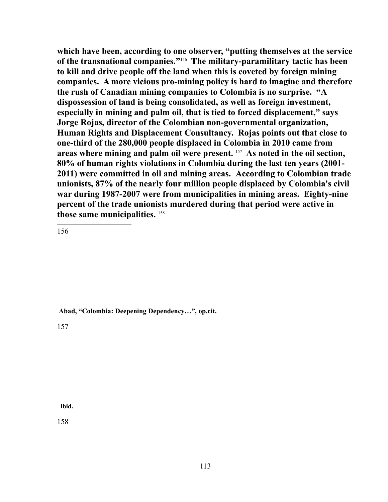**which have been, according to one observer, "putting themselves at the service of the transnational companies."**[156](#page-112-0) **The military-paramilitary tactic has been to kill and drive people off the land when this is coveted by foreign mining companies. A more vicious pro-mining policy is hard to imagine and therefore the rush of Canadian mining companies to Colombia is no surprise. "A dispossession of land is being consolidated, as well as foreign investment, especially in mining and palm oil, that is tied to forced displacement," says Jorge Rojas, director of the Colombian non-governmental organization, Human Rights and Displacement Consultancy. Rojas points out that close to one-third of the 280,000 people displaced in Colombia in 2010 came from areas where mining and palm oil were present.** [157](#page-112-1) **As noted in the oil section, 80% of human rights violations in Colombia during the last ten years (2001- 2011) were committed in oil and mining areas. According to Colombian trade unionists, 87% of the nearly four million people displaced by Colombia's civil war during 1987-2007 were from municipalities in mining areas. Eighty-nine percent of the trade unionists murdered during that period were active in those same municipalities.** [158](#page-112-2)

<span id="page-112-0"></span>156

**Abad, "Colombia: Deepening Dependency…", op.cit.**

<span id="page-112-1"></span>157

<span id="page-112-2"></span> **Ibid.**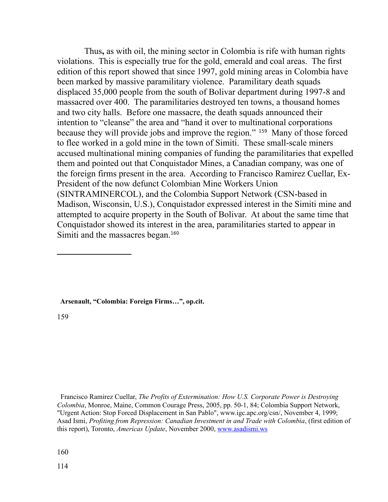Thus**,** as with oil, the mining sector in Colombia is rife with human rights violations. This is especially true for the gold, emerald and coal areas. The first edition of this report showed that since 1997, gold mining areas in Colombia have been marked by massive paramilitary violence. Paramilitary death squads displaced 35,000 people from the south of Bolivar department during 1997-8 and massacred over 400. The paramilitaries destroyed ten towns, a thousand homes and two city halls. Before one massacre, the death squads announced their intention to "cleanse" the area and "hand it over to multinational corporations because they will provide jobs and improve the region." [159](#page-113-0) Many of those forced to flee worked in a gold mine in the town of Simiti. These small-scale miners accused multinational mining companies of funding the paramilitaries that expelled them and pointed out that Conquistador Mines, a Canadian company, was one of the foreign firms present in the area. According to Francisco Ramirez Cuellar, Ex-President of the now defunct Colombian Mine Workers Union (SINTRAMINERCOL), and the Colombia Support Network (CSN-based in Madison, Wisconsin, U.S.), Conquistador expressed interest in the Simiti mine and attempted to acquire property in the South of Bolivar. At about the same time that Conquistador showed its interest in the area, paramilitaries started to appear in Simiti and the massacres began.<sup>[160](#page-113-1)</sup>

<span id="page-113-0"></span> **Arsenault, "Colombia: Foreign Firms…", op.cit.**

<span id="page-113-1"></span>Francisco Ramirez Cuellar, *The Profits of Extermination: How U.S. Corporate Power is Destroying Colombia*, Monroe, Maine, Common Courage Press, 2005, pp. 50-1, 84; Colombia Support Network, "Urgent Action: Stop Forced Displacement in San Pablo", www.igc.apc.org/csn/, November 4, 1999; Asad Ismi, *Profiting from Repression: Canadian Investment in and Trade with Colombia*, (first edition of this report), Toronto, *Americas Update*, November 2000, [www.asadismi.ws](http://www.asadismi.ws/)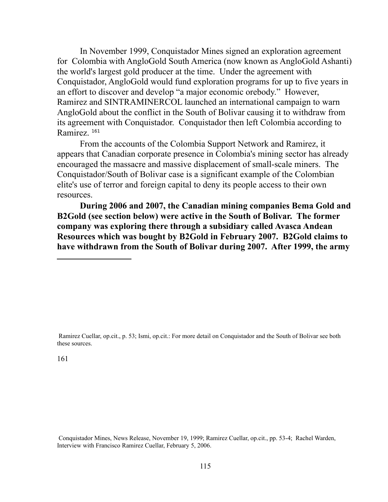In November 1999, Conquistador Mines signed an exploration agreement for Colombia with AngloGold South America (now known as AngloGold Ashanti) the world's largest gold producer at the time. Under the agreement with Conquistador, AngloGold would fund exploration programs for up to five years in an effort to discover and develop "a major economic orebody." However, Ramirez and SINTRAMINERCOL launched an international campaign to warn AngloGold about the conflict in the South of Bolivar causing it to withdraw from its agreement with Conquistador. Conquistador then left Colombia according to Ramirez. <sup>[161](#page-114-0)</sup>

From the accounts of the Colombia Support Network and Ramirez, it appears that Canadian corporate presence in Colombia's mining sector has already encouraged the massacre and massive displacement of small-scale miners. The Conquistador/South of Bolivar case is a significant example of the Colombian elite's use of terror and foreign capital to deny its people access to their own resources.

**During 2006 and 2007, the Canadian mining companies Bema Gold and B2Gold (see section below) were active in the South of Bolivar. The former company was exploring there through a subsidiary called Avasca Andean Resources which was bought by B2Gold in February 2007. B2Gold claims to have withdrawn from the South of Bolivar during 2007. After 1999, the army** 

 Ramirez Cuellar, op.cit., p. 53; Ismi, op.cit.: For more detail on Conquistador and the South of Bolivar see both these sources.

<span id="page-114-0"></span>161

Conquistador Mines, News Release, November 19, 1999; Ramirez Cuellar, op.cit., pp. 53-4; Rachel Warden, Interview with Francisco Ramirez Cuellar, February 5, 2006.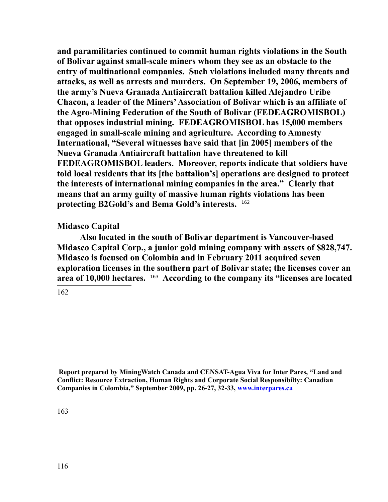**and paramilitaries continued to commit human rights violations in the South of Bolivar against small-scale miners whom they see as an obstacle to the entry of multinational companies. Such violations included many threats and attacks, as well as arrests and murders. On September 19, 2006, members of the army's Nueva Granada Antiaircraft battalion killed Alejandro Uribe Chacon, a leader of the Miners' Association of Bolivar which is an affiliate of the Agro-Mining Federation of the South of Bolivar (FEDEAGROMISBOL) that opposes industrial mining. FEDEAGROMISBOL has 15,000 members engaged in small-scale mining and agriculture. According to Amnesty International, "Several witnesses have said that [in 2005] members of the Nueva Granada Antiaircraft battalion have threatened to kill FEDEAGROMISBOL leaders. Moreover, reports indicate that soldiers have told local residents that its [the battalion's] operations are designed to protect the interests of international mining companies in the area." Clearly that means that an army guilty of massive human rights violations has been protecting B2Gold's and Bema Gold's interests.** [162](#page-115-0)

### **Midasco Capital**

**Also located in the south of Bolivar department is Vancouver-based Midasco Capital Corp., a junior gold mining company with assets of \$828,747. Midasco is focused on Colombia and in February 2011 acquired seven exploration licenses in the southern part of Bolivar state; the licenses cover an area of 10,000 hectares.** [163](#page-115-1) **According to the company its "licenses are located**

<span id="page-115-0"></span>162

<span id="page-115-1"></span> **Report prepared by MiningWatch Canada and CENSAT-Agua Viva for Inter Pares, "Land and Conflict: Resource Extraction, Human Rights and Corporate Social Responsibilty: Canadian Companies in Colombia," September 2009, pp. 26-27, 32-33, [www.interpares.ca](http://www.interpares.ca/)**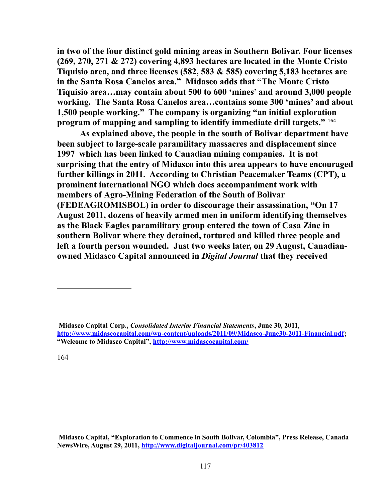**in two of the four distinct gold mining areas in Southern Bolivar. Four licenses (269, 270, 271 & 272) covering 4,893 hectares are located in the Monte Cristo Tiquisio area, and three licenses (582, 583 & 585) covering 5,183 hectares are in the Santa Rosa Canelos area." Midasco adds that "The Monte Cristo Tiquisio area…may contain about 500 to 600 'mines' and around 3,000 people working. The Santa Rosa Canelos area…contains some 300 'mines' and about 1,500 people working." The company is organizing "an initial exploration program of mapping and sampling to identify immediate drill targets."** [164](#page-116-0)

**As explained above, the people in the south of Bolivar department have been subject to large-scale paramilitary massacres and displacement since 1997 which has been linked to Canadian mining companies. It is not surprising that the entry of Midasco into this area appears to have encouraged further killings in 2011. According to Christian Peacemaker Teams (CPT), a prominent international NGO which does accompaniment work with members of Agro-Mining Federation of the South of Bolivar (FEDEAGROMISBOL) in order to discourage their assassination, "On 17 August 2011, dozens of heavily armed men in uniform identifying themselves as the Black Eagles paramilitary group entered the town of Casa Zinc in southern Bolivar where they detained, tortured and killed three people and left a fourth person wounded. Just two weeks later, on 29 August, Canadianowned Midasco Capital announced in** *Digital Journal* **that they received** 

**Midasco Capital, "Exploration to Commence in South Bolivar, Colombia", Press Release, Canada NewsWire, August 29, 2011,<http://www.digitaljournal.com/pr/403812>**

<span id="page-116-0"></span>**Midasco Capital Corp.,** *Consolidated Interim Financial Statements***, June 30, 2011**, **[http://www.midascocapital.com/wp-content/uploads/2011/09/Midasco-June30-2011-Financial.pdf;](http://www.midascocapital.com/wp-content/uploads/2011/09/Midasco-June30-2011-Financial.pdf) "Welcome to Midasco Capital",<http://www.midascocapital.com/>**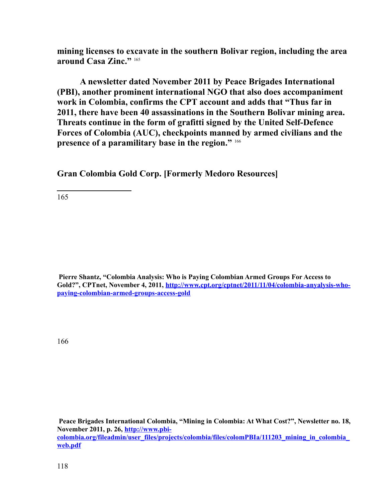**mining licenses to excavate in the southern Bolivar region, including the area around Casa Zinc."** [165](#page-117-0) 

**A newsletter dated November 2011 by Peace Brigades International (PBI), another prominent international NGO that also does accompaniment work in Colombia, confirms the CPT account and adds that "Thus far in 2011, there have been 40 assassinations in the Southern Bolivar mining area. Threats continue in the form of grafitti signed by the United Self-Defence Forces of Colombia (AUC), checkpoints manned by armed civilians and the presence of a paramilitary base in the region."** [166](#page-117-1)

**Gran Colombia Gold Corp. [Formerly Medoro Resources]**

<span id="page-117-0"></span>165

 **Pierre Shantz, "Colombia Analysis: Who is Paying Colombian Armed Groups For Access to Gold?", CPTnet, November 4, 2011, [http://www.cpt.org/cptnet/2011/11/04/colombia-anyalysis-who](http://www.cpt.org/cptnet/2011/11/04/colombia-anyalysis-who-paying-colombian-armed-groups-access-gold)[paying-colombian-armed-groups-access-gold](http://www.cpt.org/cptnet/2011/11/04/colombia-anyalysis-who-paying-colombian-armed-groups-access-gold)** 

<span id="page-117-1"></span>166

**Peace Brigades International Colombia, "Mining in Colombia: At What Cost?", Newsletter no. 18, November 2011, p. 26, [http://www.pbi](http://www.pbi-colombia.org/fileadmin/user_files/projects/colombia/files/colomPBIa/111203_mining_in_colombia_web.pdf)[colombia.org/fileadmin/user\\_files/projects/colombia/files/colomPBIa/111203\\_mining\\_in\\_colombia\\_](http://www.pbi-colombia.org/fileadmin/user_files/projects/colombia/files/colomPBIa/111203_mining_in_colombia_web.pdf) [web.pdf](http://www.pbi-colombia.org/fileadmin/user_files/projects/colombia/files/colomPBIa/111203_mining_in_colombia_web.pdf)**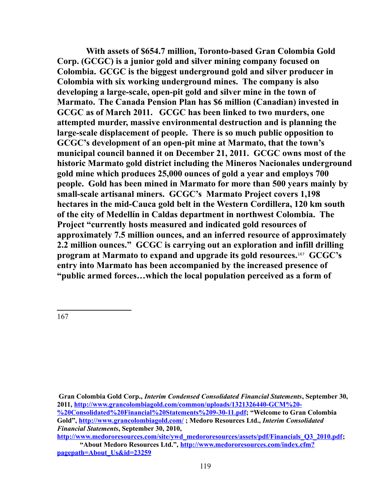**With assets of \$654.7 million, Toronto-based Gran Colombia Gold Corp. (GCGC) is a junior gold and silver mining company focused on Colombia. GCGC is the biggest underground gold and silver producer in Colombia with six working underground mines. The company is also developing a large-scale, open-pit gold and silver mine in the town of Marmato. The Canada Pension Plan has \$6 million (Canadian) invested in GCGC as of March 2011. GCGC has been linked to two murders, one attempted murder, massive environmental destruction and is planning the large-scale displacement of people. There is so much public opposition to GCGC's development of an open-pit mine at Marmato, that the town's municipal council banned it on December 21, 2011. GCGC owns most of the historic Marmato gold district including the Mineros Nacionales underground gold mine which produces 25,000 ounces of gold a year and employs 700 people. Gold has been mined in Marmato for more than 500 years mainly by small-scale artisanal miners. GCGC's Marmato Project covers 1,198 hectares in the mid-Cauca gold belt in the Western Cordillera, 120 km south of the city of Medellín in Caldas department in northwest Colombia. The Project "currently hosts measured and indicated gold resources of approximately 7.5 million ounces, and an inferred resource of approximately 2.2 million ounces." GCGC is carrying out an exploration and infill drilling program at Marmato to expand and upgrade its gold resources.**[167](#page-118-0) **GCGC's entry into Marmato has been accompanied by the increased presence of "public armed forces…which the local population perceived as a form of** 

<span id="page-118-0"></span>**Gran Colombia Gold Corp.,** *Interim Condensed Consolidated Financial Statements***, September 30, 2011, [http://www.grancolombiagold.com/common/uploads/1321326440-GCM%20-](http://www.grancolombiagold.com/common/uploads/1321326440-GCM%20-%20Consolidated%20Financial%20Statements%209-30-11.pdf) [%20Consolidated%20Financial%20Statements%209-30-11.pdf;](http://www.grancolombiagold.com/common/uploads/1321326440-GCM%20-%20Consolidated%20Financial%20Statements%209-30-11.pdf) "Welcome to Gran Colombia Gold",<http://www.grancolombiagold.com/>; Medoro Resources Ltd.,** *Interim Consolidated Financial Statements***, September 30, 2010,** 

**[http://www.medororesources.com/site/ywd\\_medororesources/assets/pdf/Financials\\_Q3\\_2010.pdf;](http://www.medororesources.com/site/ywd_medororesources/assets/pdf/Financials_Q3_2010.pdf) "About Medoro Resources Ltd.", [http://www.medororesources.com/index.cfm?](http://www.medororesources.com/index.cfm?pagepath=About_Us&id=23259) [pagepath=About\\_Us&id=23259](http://www.medororesources.com/index.cfm?pagepath=About_Us&id=23259)**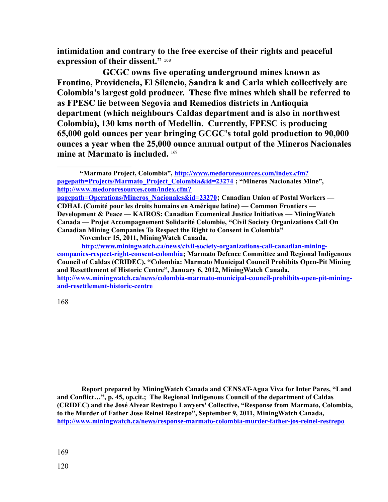**intimidation and contrary to the free exercise of their rights and peaceful expression of their dissent."** [168](#page-119-0)

**GCGC owns five operating underground mines known as Frontino, Providencia, El Silencio, Sandra k and Carla which collectively are Colombia's largest gold producer. These five mines which shall be referred to as FPESC lie between Segovia and Remedios districts in Antioquia department (which neighbours Caldas department and is also in northwest Colombia), 130 kms north of Medellin. Currently, FPESC** is **producing 65,000 gold ounces per year bringing GCGC's total gold production to 90,000 ounces a year when the 25,000 ounce annual output of the Mineros Nacionales mine at Marmato is included.** [169](#page-119-1) 

<span id="page-119-0"></span>168

<span id="page-119-1"></span> **Report prepared by MiningWatch Canada and CENSAT-Agua Viva for Inter Pares, "Land and Conflict…", p. 45, op.cit.; The Regional Indigenous Council of the department of Caldas (CRIDEC) and the José Alvear Restrepo Lawyers' Collective, "Response from Marmato, Colombia, to the Murder of Father Jose Reinel Restrepo", September 9, 2011, MiningWatch Canada, <http://www.miningwatch.ca/news/response-marmato-colombia-murder-father-jos-reinel-restrepo>**

**<sup>&</sup>quot;Marmato Project, Colombia", [http://www.medororesources.com/index.cfm?](http://www.medororesources.com/index.cfm?pagepath=Projects/Marmato_Project_Colombia&id=23274) [pagepath=Projects/Marmato\\_Project\\_Colombia&id=23274](http://www.medororesources.com/index.cfm?pagepath=Projects/Marmato_Project_Colombia&id=23274) ; "Mineros Nacionales Mine", [http://www.medororesources.com/index.cfm?](http://www.medororesources.com/index.cfm?pagepath=Operations/Mineros_Nacionales&id=23270)**

**[pagepath=Operations/Mineros\\_Nacionales&id=23270](http://www.medororesources.com/index.cfm?pagepath=Operations/Mineros_Nacionales&id=23270); Canadian Union of Postal Workers — CDHAL (Comité pour les droits humains en Amérique latine) — Common Frontiers — Development & Peace — KAIROS: Canadian Ecumenical Justice Initiatives — MiningWatch Canada — Projet Accompagnement Solidarité Colombie, "Civil Society Organizations Call On Canadian Mining Companies To Respect the Right to Consent in Colombia"** 

**November 15, 2011, MiningWatch Canada,** 

**[http://www.miningwatch.ca/news/civil-society-organizations-call-canadian-mining](http://www.miningwatch.ca/news/civil-society-organizations-call-canadian-mining-companies-respect-right-consent-colombia)[companies-respect-right-consent-colombia;](http://www.miningwatch.ca/news/civil-society-organizations-call-canadian-mining-companies-respect-right-consent-colombia) Marmato Defence Committee and Regional Indigenous Council of Caldas (CRIDEC), "Colombia: Marmato Municipal Council Prohibits Open-Pit Mining and Resettlement of Historic Centre", January 6, 2012, MiningWatch Canada, [http://www.miningwatch.ca/news/colombia-marmato-municipal-council-prohibits-open-pit-mining](http://www.miningwatch.ca/news/colombia-marmato-municipal-council-prohibits-open-pit-mining-and-resettlement-historic-centre)[and-resettlement-historic-centre](http://www.miningwatch.ca/news/colombia-marmato-municipal-council-prohibits-open-pit-mining-and-resettlement-historic-centre)**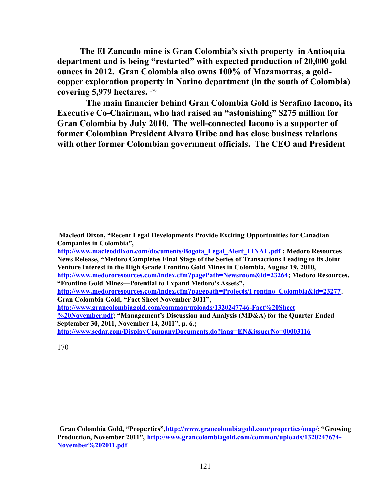**The El Zancudo mine is Gran Colombia's sixth property in Antioquia department and is being "restarted" with expected production of 20,000 gold ounces in 2012. Gran Colombia also owns 100% of Mazamorras, a goldcopper exploration property in Narino department (in the south of Colombia) covering 5,979 hectares.** [170](#page-120-0)

**The main financier behind Gran Colombia Gold is Serafino Iacono, its Executive Co-Chairman, who had raised an "astonishing" \$275 million for Gran Colombia by July 2010. The well-connected Iacono is a supporter of former Colombian President Alvaro Uribe and has close business relations with other former Colombian government officials. The CEO and President** 

**[http://www.medororesources.com/index.cfm?pagepath=Projects/Frontino\\_Colombia&id=23277](http://www.medororesources.com/index.cfm?pagepath=Projects/Frontino_Colombia&id=23277)**; **Gran Colombia Gold, "Fact Sheet November 2011",** 

**[http://www.grancolombiagold.com/common/uploads/1320247746-Fact%20Sheet](http://www.grancolombiagold.com/common/uploads/1320247746-Fact%20Sheet%20November.pdf) [%20November.pdf;](http://www.grancolombiagold.com/common/uploads/1320247746-Fact%20Sheet%20November.pdf) "Management's Discussion and Analysis (MD&A) for the Quarter Ended September 30, 2011, November 14, 2011", p. 6.;** 

**<http://www.sedar.com/DisplayCompanyDocuments.do?lang=EN&issuerNo=00003116>** 

<span id="page-120-0"></span>170

**Gran Colombia Gold, "Properties"[,http://www.grancolombiagold.com/properties/map/](http://www.grancolombiagold.com/properties/map/)**; **"Growing Production, November 2011", [http://www.grancolombiagold.com/common/uploads/1320247674-](http://www.grancolombiagold.com/common/uploads/1320247674-November%202011.pdf) [November%202011.pdf](http://www.grancolombiagold.com/common/uploads/1320247674-November%202011.pdf)** 

**Macleod Dixon, "Recent Legal Developments Provide Exciting Opportunities for Canadian Companies in Colombia",** 

**[http://www.macleoddixon.com/documents/Bogota\\_Legal\\_Alert\\_FINAL.pdf](http://www.macleoddixon.com/documents/Bogota_Legal_Alert_FINAL.pdf) ; Medoro Resources News Release, "Medoro Completes Final Stage of the Series of Transactions Leading to its Joint Venture Interest in the High Grade Frontino Gold Mines in Colombia, August 19, 2010, [http://www.medororesources.com/index.cfm?pagePath=Newsroom&id=23264;](http://www.medororesources.com/index.cfm?pagePath=Newsroom&id=23264) Medoro Resources, "Frontino Gold Mines—Potential to Expand Medoro's Assets",**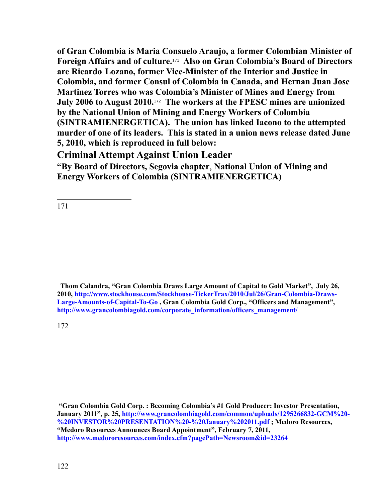**of Gran Colombia is Maria Consuelo Araujo, a former Colombian Minister of Foreign Affairs and of culture.**[171](#page-121-0) **Also on Gran Colombia's Board of Directors are Ricardo Lozano, former Vice-Minister of the Interior and Justice in Colombia, and former Consul of Colombia in Canada, and Hernan Juan Jose Martinez Torres who was Colombia's Minister of Mines and Energy from July 2006 to August 2010.**[172](#page-121-1) **The workers at the FPESC mines are unionized by the National Union of Mining and Energy Workers of Colombia (SINTRAMIENERGETICA). The union has linked Iacono to the attempted murder of one of its leaders. This is stated in a union news release dated June 5, 2010, which is reproduced in full below:** 

# **Criminal Attempt Against Union Leader**

**"By Board of Directors, Segovia chapter**, **National Union of Mining and Energy Workers of Colombia (SINTRAMIENERGETICA)**

<span id="page-121-0"></span>171

 **Thom Calandra, "Gran Colombia Draws Large Amount of Capital to Gold Market", July 26, 2010, [http://www.stockhouse.com/Stockhouse-TickerTrax/2010/Jul/26/Gran-Colombia-Draws-](http://www.stockhouse.com/Stockhouse-TickerTrax/2010/Jul/26/Gran-Colombia-Draws-Large-Amounts-of-Capital-To-Go)[Large-Amounts-of-Capital-To-Go](http://www.stockhouse.com/Stockhouse-TickerTrax/2010/Jul/26/Gran-Colombia-Draws-Large-Amounts-of-Capital-To-Go) , Gran Colombia Gold Corp., "Officers and Management", [http://www.grancolombiagold.com/corporate\\_information/officers\\_management/](http://www.grancolombiagold.com/corporate_information/officers_management/)** 

<span id="page-121-1"></span>172

**"Gran Colombia Gold Corp. : Becoming Colombia's #1 Gold Producer: Investor Presentation, January 2011", p. 25, [http://www.grancolombiagold.com/common/uploads/1295266832-GCM%20-](http://www.grancolombiagold.com/common/uploads/1295266832-GCM%20-%20INVESTOR%20PRESENTATION%20-%20January%202011.pdf) [%20INVESTOR%20PRESENTATION%20-%20January%202011.pdf](http://www.grancolombiagold.com/common/uploads/1295266832-GCM%20-%20INVESTOR%20PRESENTATION%20-%20January%202011.pdf) ; Medoro Resources, "Medoro Resources Announces Board Appointment", February 7, 2011, <http://www.medororesources.com/index.cfm?pagePath=Newsroom&id=23264>**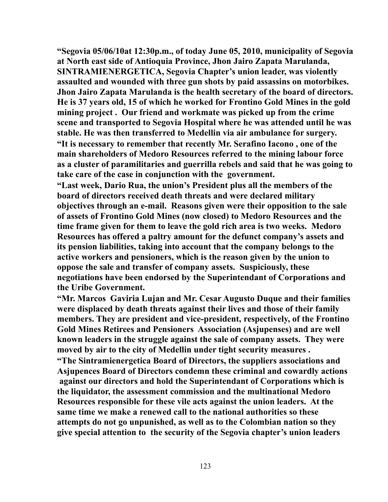**"Segovia 05/06/10at 12:30p.m., of today June 05, 2010, municipality of Segovia at North east side of Antioquia Province, Jhon Jairo Zapata Marulanda, SINTRAMIENERGETICA, Segovia Chapter's union leader, was violently assaulted and wounded with three gun shots by paid assassins on motorbikes. Jhon Jairo Zapata Marulanda is the health secretary of the board of directors. He is 37 years old, 15 of which he worked for Frontino Gold Mines in the gold mining project . Our friend and workmate was picked up from the crime scene and transported to Segovia Hospital where he was attended until he was stable. He was then transferred to Medellin via air ambulance for surgery. "It is necessary to remember that recently Mr. Serafino Iacono , one of the main shareholders of Medoro Resources referred to the mining labour force as a cluster of paramilitaries and guerrilla rebels and said that he was going to take care of the case in conjunction with the government.**

**"Last week, Dario Rua, the union's President plus all the members of the board of directors received death threats and were declared military objectives through an e-mail. Reasons given were their opposition to the sale of assets of Frontino Gold Mines (now closed) to Medoro Resources and the time frame given for them to leave the gold rich area is two weeks. Medoro Resources has offered a paltry amount for the defunct company's assets and its pension liabilities, taking into account that the company belongs to the active workers and pensioners, which is the reason given by the union to oppose the sale and transfer of company assets. Suspiciously, these negotiations have been endorsed by the Superintendant of Corporations and the Uribe Government.**

**"Mr. Marcos Gaviria Lujan and Mr. Cesar Augusto Duque and their families were displaced by death threats against their lives and those of their family members. They are president and vice-president, respectively, of the Frontino Gold Mines Retirees and Pensioners Association (Asjupenses) and are well known leaders in the struggle against the sale of company assets. They were moved by air to the city of Medellin under tight security measures .**

**"The Sintramienergetica Board of Directors, the suppliers associations and Asjupences Board of Directors condemn these criminal and cowardly actions against our directors and hold the Superintendant of Corporations which is the liquidator, the assessment commission and the multinational Medoro Resources responsible for these vile acts against the union leaders. At the same time we make a renewed call to the national authorities so these attempts do not go unpunished, as well as to the Colombian nation so they give special attention to the security of the Segovia chapter's union leaders**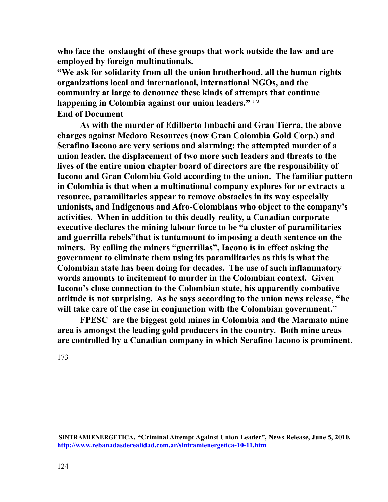**who face the onslaught of these groups that work outside the law and are employed by foreign multinationals.** 

**"We ask for solidarity from all the union brotherhood, all the human rights organizations local and international, international NGOs, and the community at large to denounce these kinds of attempts that continue happening in Colombia against our union leaders."** [173](#page-123-0) **End of Document**

**As with the murder of Edilberto Imbachi and Gran Tierra, the above charges against Medoro Resources (now Gran Colombia Gold Corp.) and Serafino Iacono are very serious and alarming: the attempted murder of a union leader, the displacement of two more such leaders and threats to the lives of the entire union chapter board of directors are the responsibility of Iacono and Gran Colombia Gold according to the union. The familiar pattern in Colombia is that when a multinational company explores for or extracts a resource, paramilitaries appear to remove obstacles in its way especially unionists, and Indigenous and Afro-Colombians who object to the company's activities. When in addition to this deadly reality, a Canadian corporate executive declares the mining labour force to be "a cluster of paramilitaries and guerrilla rebels"that is tantamount to imposing a death sentence on the miners. By calling the miners "guerrillas", Iacono is in effect asking the government to eliminate them using its paramilitaries as this is what the Colombian state has been doing for decades. The use of such inflammatory words amounts to incitement to murder in the Colombian context. Given Iacono's close connection to the Colombian state, his apparently combative attitude is not surprising. As he says according to the union news release, "he will take care of the case in conjunction with the Colombian government."** 

**FPESC are the biggest gold mines in Colombia and the Marmato mine area is amongst the leading gold producers in the country. Both mine areas are controlled by a Canadian company in which Serafino Iacono is prominent.**

<span id="page-123-0"></span>173

**SINTRAMIENERGETICA, "Criminal Attempt Against Union Leader", News Release, June 5, 2010. <http://www.rebanadasderealidad.com.ar/sintramienergetica-10-11.htm>**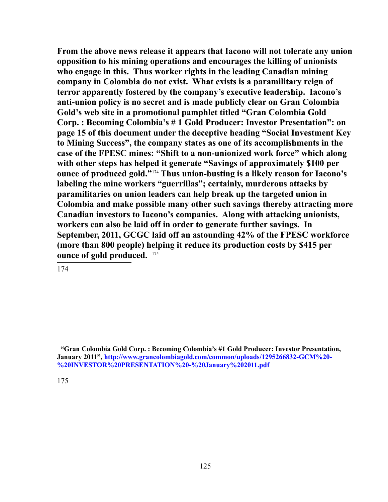**From the above news release it appears that Iacono will not tolerate any union opposition to his mining operations and encourages the killing of unionists who engage in this. Thus worker rights in the leading Canadian mining company in Colombia do not exist. What exists is a paramilitary reign of terror apparently fostered by the company's executive leadership. Iacono's anti-union policy is no secret and is made publicly clear on Gran Colombia Gold's web site in a promotional pamphlet titled "Gran Colombia Gold Corp. : Becoming Colombia's # 1 Gold Producer: Investor Presentation": on page 15 of this document under the deceptive heading "Social Investment Key to Mining Success", the company states as one of its accomplishments in the case of the FPESC mines: "Shift to a non-unionized work force" which along with other steps has helped it generate "Savings of approximately \$100 per ounce of produced gold."**[174](#page-124-0) **Thus union-busting is a likely reason for Iacono's labeling the mine workers "guerrillas"; certainly, murderous attacks by paramilitaries on union leaders can help break up the targeted union in Colombia and make possible many other such savings thereby attracting more Canadian investors to Iacono's companies. Along with attacking unionists, workers can also be laid off in order to generate further savings. In September, 2011, GCGC laid off an astounding 42% of the FPESC workforce (more than 800 people) helping it reduce its production costs by \$415 per ounce of gold produced.** [175](#page-124-1) 

<span id="page-124-0"></span>174

<span id="page-124-1"></span> **<sup>&</sup>quot;Gran Colombia Gold Corp. : Becoming Colombia's #1 Gold Producer: Investor Presentation, January 2011", [http://www.grancolombiagold.com/common/uploads/1295266832-GCM%20-](http://www.grancolombiagold.com/common/uploads/1295266832-GCM%20-%20INVESTOR%20PRESENTATION%20-%20January%202011.pdf) [%20INVESTOR%20PRESENTATION%20-%20January%202011.pdf](http://www.grancolombiagold.com/common/uploads/1295266832-GCM%20-%20INVESTOR%20PRESENTATION%20-%20January%202011.pdf)**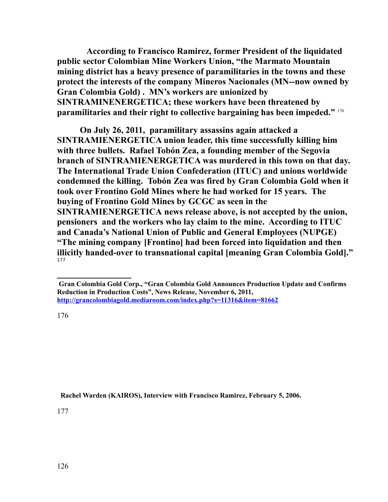**According to Francisco Ramirez, former President of the liquidated public sector Colombian Mine Workers Union, "the Marmato Mountain mining district has a heavy presence of paramilitaries in the towns and these protect the interests of the company Mineros Nacionales (MN--now owned by Gran Colombia Gold) . MN's workers are unionized by SINTRAMINENERGETICA; these workers have been threatened by paramilitaries and their right to collective bargaining has been impeded."** [176](#page-125-0)

**On July 26, 2011, paramilitary assassins again attacked a SINTRAMIENERGETICA union leader, this time successfully killing him with three bullets. Rafael Tobón Zea, a founding member of the Segovia branch of SINTRAMIENERGETICA was murdered in this town on that day. The International Trade Union Confederation (ITUC) and unions worldwide condemned the killing. Tobón Zea was fired by Gran Colombia Gold when it took over Frontino Gold Mines where he had worked for 15 years. The buying of Frontino Gold Mines by GCGC as seen in the SINTRAMIENERGETICA news release above, is not accepted by the union, pensioners and the workers who lay claim to the mine. According to ITUC and Canada's National Union of Public and General Employees (NUPGE) "The mining company [Frontino] had been forced into liquidation and then illicitly handed-over to transnational capital [meaning Gran Colombia Gold]."** [177](#page-125-1)

#### <span id="page-125-0"></span>176

<span id="page-125-1"></span> **Rachel Warden (KAIROS), Interview with Francisco Ramirez, February 5, 2006.**

**Gran Colombia Gold Corp., "Gran Colombia Gold Announces Production Update and Confirms Reduction in Production Costs", News Release, November 6, 2011, <http://grancolombiagold.mediaroom.com/index.php?s=11316&item=81662>**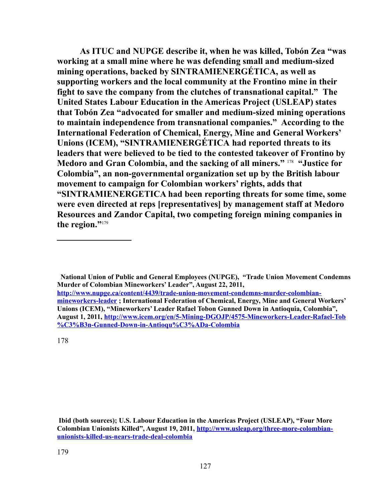**As ITUC and NUPGE describe it, when he was killed, Tobón Zea "was working at a small mine where he was defending small and medium-sized mining operations, backed by SINTRAMIENERGÉTICA, as well as supporting workers and the local community at the Frontino mine in their fight to save the company from the clutches of transnational capital." The United States Labour Education in the Americas Project (USLEAP) states that Tobón Zea "advocated for smaller and medium-sized mining operations to maintain independence from transnational companies." According to the International Federation of Chemical, Energy, Mine and General Workers' Unions (ICEM), "SINTRAMIENERGÉTICA had reported threats to its leaders that were believed to be tied to the contested takeover of Frontino by Medoro and Gran Colombia, and the sacking of all miners."** [178](#page-126-0) **"Justice for Colombia", an non-governmental organization set up by the British labour movement to campaign for Colombian workers' rights, adds that "SINTRAMIENERGETICA had been reporting threats for some time, some were even directed at reps [representatives] by management staff at Medoro Resources and Zandor Capital, two competing foreign mining companies in the region."**[179](#page-126-1)

 **National Union of Public and General Employees (NUPGE), "Trade Union Movement Condemns Murder of Colombian Mineworkers' Leader", August 22, 2011, [http://www.nupge.ca/content/4439/trade-union-movement-condemns-murder-colombian](http://www.nupge.ca/content/4439/trade-union-movement-condemns-murder-colombian-mineworkers-leader)[mineworkers-leader](http://www.nupge.ca/content/4439/trade-union-movement-condemns-murder-colombian-mineworkers-leader) ; International Federation of Chemical, Energy, Mine and General Workers' Unions (ICEM), "Mineworkers' Leader Rafael Tobon Gunned Down in Antioquia, Colombia", August 1, 2011, [http://www.icem.org/en/5-Mining-DGOJP/4575-Mineworkers-Leader-Rafael-Tob](http://www.icem.org/en/5-Mining-DGOJP/4575-Mineworkers-Leader-Rafael-Tob%C3%B3n-Gunned-Down-in-Antioqu%C3%ADa-Colombia) [%C3%B3n-Gunned-Down-in-Antioqu%C3%ADa-Colombia](http://www.icem.org/en/5-Mining-DGOJP/4575-Mineworkers-Leader-Rafael-Tob%C3%B3n-Gunned-Down-in-Antioqu%C3%ADa-Colombia)**

<span id="page-126-0"></span>178

<span id="page-126-1"></span> **Ibid (both sources); U.S. Labour Education in the Americas Project (USLEAP), "Four More Colombian Unionists Killed", August 19, 2011, [http://www.usleap.org/three-more-colombian](http://www.usleap.org/three-more-colombian-unionists-killed-us-nears-trade-deal-colombia)[unionists-killed-us-nears-trade-deal-colombia](http://www.usleap.org/three-more-colombian-unionists-killed-us-nears-trade-deal-colombia)**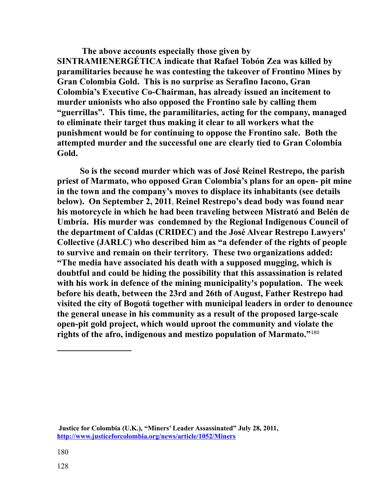**The above accounts especially those given by SINTRAMIENERGÉTICA indicate that Rafael Tobón Zea was killed by paramilitaries because he was contesting the takeover of Frontino Mines by Gran Colombia Gold. This is no surprise as Serafino Iacono, Gran Colombia's Executive Co-Chairman, has already issued an incitement to murder unionists who also opposed the Frontino sale by calling them "guerrillas". This time, the paramilitaries, acting for the company, managed to eliminate their target thus making it clear to all workers what the punishment would be for continuing to oppose the Frontino sale. Both the attempted murder and the successful one are clearly tied to Gran Colombia Gold.** 

**So is the second murder which was of José Reinel Restrepo, the parish priest of Marmato, who opposed Gran Colombia's plans for an open- pit mine in the town and the company's moves to displace its inhabitants (see details below). On September 2, 2011**, **Reinel Restrepo's dead body was found near his motorcycle in which he had been traveling between Mistrató and Belén de Umbría. His murder was condemned by the Regional Indigenous Council of the department of Caldas (CRIDEC) and the José Alvear Restrepo Lawyers' Collective (JARLC) who described him as "a defender of the rights of people to survive and remain on their territory. These two organizations added: "The media have associated his death with a supposed mugging, which is doubtful and could be hiding the possibility that this assassination is related with his work in defence of the mining municipality's population. The week before his death, between the 23rd and 26th of August, Father Restrepo had visited the city of Bogotá together with municipal leaders in order to denounce the general unease in his community as a result of the proposed large-scale open-pit gold project, which would uproot the community and violate the rights of the afro, indigenous and mestizo population of Marmato."**[180](#page-127-0)

<span id="page-127-0"></span>**Justice for Colombia (U.K.), "Miners' Leader Assassinated" July 28, 2011, <http://www.justiceforcolombia.org/news/article/1052/Miners>**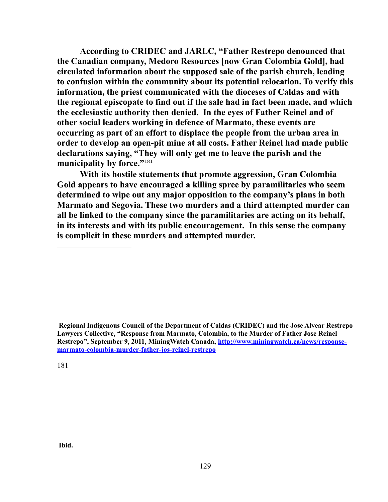**According to CRIDEC and JARLC, "Father Restrepo denounced that the Canadian company, Medoro Resources [now Gran Colombia Gold], had circulated information about the supposed sale of the parish church, leading to confusion within the community about its potential relocation. To verify this information, the priest communicated with the dioceses of Caldas and with the regional episcopate to find out if the sale had in fact been made, and which the ecclesiastic authority then denied. In the eyes of Father Reinel and of other social leaders working in defence of Marmato, these events are occurring as part of an effort to displace the people from the urban area in order to develop an open-pit mine at all costs. Father Reinel had made public declarations saying, "They will only get me to leave the parish and the municipality by force."**[181](#page-128-0)

**With its hostile statements that promote aggression, Gran Colombia Gold appears to have encouraged a killing spree by paramilitaries who seem determined to wipe out any major opposition to the company's plans in both Marmato and Segovia. These two murders and a third attempted murder can all be linked to the company since the paramilitaries are acting on its behalf, in its interests and with its public encouragement. In this sense the company is complicit in these murders and attempted murder.** 

<span id="page-128-0"></span>**Regional Indigenous Council of the Department of Caldas (CRIDEC) and the Jose Alvear Restrepo Lawyers Collective, "Response from Marmato, Colombia, to the Murder of Father Jose Reinel Restrepo", September 9, 2011, MiningWatch Canada, [http://www.miningwatch.ca/news/response](http://www.miningwatch.ca/news/response-marmato-colombia-murder-father-jos-reinel-restrepo)[marmato-colombia-murder-father-jos-reinel-restrepo](http://www.miningwatch.ca/news/response-marmato-colombia-murder-father-jos-reinel-restrepo)**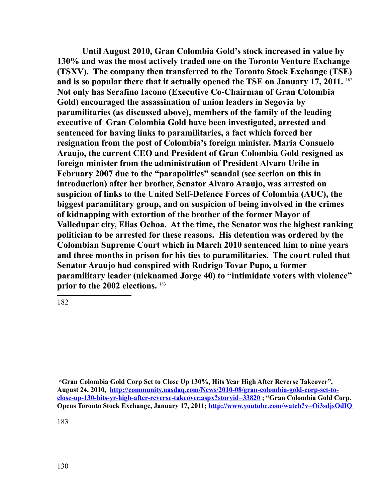**Until August 2010, Gran Colombia Gold's stock increased in value by 130% and was the most actively traded one on the Toronto Venture Exchange (TSXV). The company then transferred to the Toronto Stock Exchange (TSE) and is so popular there that it actually opened the TSE on January 17, 2011.** [182](#page-129-0) **Not only has Serafino Iacono (Executive Co-Chairman of Gran Colombia Gold) encouraged the assassination of union leaders in Segovia by paramilitaries (as discussed above), members of the family of the leading executive of Gran Colombia Gold have been investigated, arrested and sentenced for having links to paramilitaries, a fact which forced her resignation from the post of Colombia's foreign minister. Maria Consuelo Araujo, the current CEO and President of Gran Colombia Gold resigned as foreign minister from the administration of President Alvaro Uribe in February 2007 due to the "parapolitics" scandal (see section on this in introduction) after her brother, Senator Alvaro Araujo, was arrested on suspicion of links to the United Self-Defence Forces of Colombia (AUC), the biggest paramilitary group, and on suspicion of being involved in the crimes of kidnapping with extortion of the brother of the former Mayor of Valledupar city, Elias Ochoa. At the time, the Senator was the highest ranking politician to be arrested for these reasons. His detention was ordered by the Colombian Supreme Court which in March 2010 sentenced him to nine years and three months in prison for his ties to paramilitaries. The court ruled that Senator Araujo had conspired with Rodrigo Tovar Pupo, a former paramilitary leader (nicknamed Jorge 40) to "intimidate voters with violence" prior to the 2002 elections.** [183](#page-129-1) 

<span id="page-129-0"></span>182

<span id="page-129-1"></span> **<sup>&</sup>quot;Gran Colombia Gold Corp Set to Close Up 130%, Hits Year High After Reverse Takeover", August 24, 2010, [http://community.nasdaq.com/News/2010-08/gran-colombia-gold-corp-set-to](http://community.nasdaq.com/News/2010-08/gran-colombia-gold-corp-set-to-close-up-130-hits-yr-high-after-reverse-takeover.aspx?storyid=33820)[close-up-130-hits-yr-high-after-reverse-takeover.aspx?storyid=33820](http://community.nasdaq.com/News/2010-08/gran-colombia-gold-corp-set-to-close-up-130-hits-yr-high-after-reverse-takeover.aspx?storyid=33820) ; "Gran Colombia Gold Corp. Opens Toronto Stock Exchange, January 17, 2011;<http://www.youtube.com/watch?v=Oi3sdjsOdIQ>**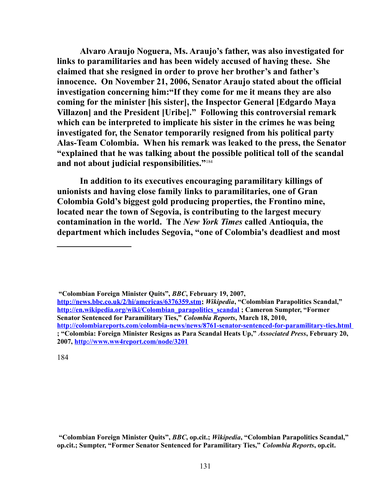**Alvaro Araujo Noguera, Ms. Araujo's father, was also investigated for links to paramilitaries and has been widely accused of having these. She claimed that she resigned in order to prove her brother's and father's innocence. On November 21, 2006, Senator Araujo stated about the official investigation concerning him:"If they come for me it means they are also coming for the minister [his sister], the Inspector General [Edgardo Maya Villazon] and the President [Uribe]." Following this controversial remark which can be interpreted to implicate his sister in the crimes he was being investigated for, the Senator temporarily resigned from his political party Alas-Team Colombia. When his remark was leaked to the press, the Senator "explained that he was talking about the possible political toll of the scandal and not about judicial responsibilities."**[184](#page-130-0) 

**In addition to its executives encouraging paramilitary killings of unionists and having close family links to paramilitaries, one of Gran Colombia Gold's biggest gold producing properties, the Frontino mine, located near the town of Segovia, is contributing to the largest mecury contamination in the world. The** *New York Times* **called Antioquia, the department which includes Segovia, "one of Colombia's deadliest and most** 

**"Colombian Foreign Minister Quits",** *BBC***, February 19, 2007,** 

<span id="page-130-0"></span>**[http://news.bbc.co.uk/2/hi/americas/6376359.stm;](http://news.bbc.co.uk/2/hi/americas/6376359.stm)** *Wikipedia***, "Colombian Parapolitics Scandal," [http://en.wikipedia.org/wiki/Colombian\\_parapolitics\\_scandal](http://en.wikipedia.org/wiki/Colombian_parapolitics_scandal) ; Cameron Sumpter, "Former Senator Sentenced for Paramilitary Ties,"** *Colombia Reports***, March 18, 2010, <http://colombiareports.com/colombia-news/news/8761-senator-sentenced-for-paramilitary-ties.html> ; "Colombia: Foreign Minister Resigns as Para Scandal Heats Up,"** *Associated Press***, February 20, 2007,<http://www.ww4report.com/node/3201>**

**"Colombian Foreign Minister Quits",** *BBC***, op.cit.;** *Wikipedia***, "Colombian Parapolitics Scandal," op.cit.; Sumpter, "Former Senator Sentenced for Paramilitary Ties,"** *Colombia Reports***, op.cit.**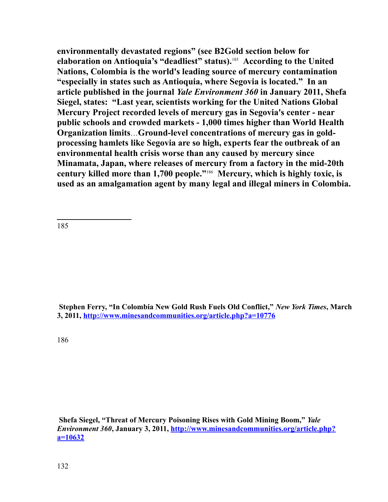**environmentally devastated regions" (see B2Gold section below for elaboration on Antioquia's "deadliest" status).**[185](#page-131-0)  **According to the United Nations, Colombia is the world's leading source of mercury contamination "especially in states such as Antioquia, where Segovia is located." In an article published in the journal** *Yale Environment 360* **in January 2011, Shefa Siegel, states: "Last year, scientists working for the United Nations Global Mercury Project recorded levels of mercury gas in Segovia's center - near public schools and crowded markets - 1,000 times higher than World Health Organization limits**…**Ground-level concentrations of mercury gas in goldprocessing hamlets like Segovia are so high, experts fear the outbreak of an environmental health crisis worse than any caused by mercury since Minamata, Japan, where releases of mercury from a factory in the mid-20th century killed more than 1,700 people."**[186](#page-131-1)  **Mercury, which is highly toxic, is used as an amalgamation agent by many legal and illegal miners in Colombia.** 

<span id="page-131-0"></span>185

 **Stephen Ferry, "In Colombia New Gold Rush Fuels Old Conflict,"** *New York Times***, March 3, 2011,<http://www.minesandcommunities.org/article.php?a=10776>**

<span id="page-131-1"></span>186

 **Shefa Siegel, "Threat of Mercury Poisoning Rises with Gold Mining Boom,"** *Yale Environment 360***, January 3, 2011, [http://www.minesandcommunities.org/article.php?](http://www.minesandcommunities.org/article.php?a=10632) [a=10632](http://www.minesandcommunities.org/article.php?a=10632)**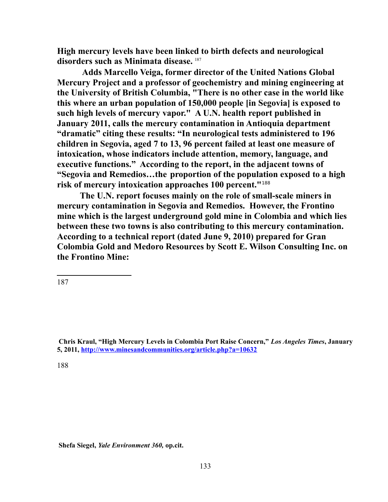**High mercury levels have been linked to birth defects and neurological disorders such as Minimata disease.** [187](#page-132-0)

**Adds Marcello Veiga, former director of the United Nations Global Mercury Project and a professor of geochemistry and mining engineering at the University of British Columbia, "There is no other case in the world like this where an urban population of 150,000 people [in Segovia] is exposed to such high levels of mercury vapor." A U.N. health report published in January 2011, calls the mercury contamination in Antioquia department "dramatic" citing these results: "In neurological tests administered to 196 children in Segovia, aged 7 to 13, 96 percent failed at least one measure of intoxication, whose indicators include attention, memory, language, and executive functions." According to the report, in the adjacent towns of "Segovia and Remedios…the proportion of the population exposed to a high risk of mercury intoxication approaches 100 percent."**[188](#page-132-1)

**The U.N. report focuses mainly on the role of small-scale miners in mercury contamination in Segovia and Remedios. However, the Frontino mine which is the largest underground gold mine in Colombia and which lies between these two towns is also contributing to this mercury contamination. According to a technical report (dated June 9, 2010) prepared for Gran Colombia Gold and Medoro Resources by Scott E. Wilson Consulting Inc. on the Frontino Mine:** 

<span id="page-132-0"></span>187

<span id="page-132-1"></span>188

**Shefa Siegel,** *Yale Environment 360,* **op.cit.**

**Chris Kraul, "High Mercury Levels in Colombia Port Raise Concern,"** *Los Angeles Times***, January 5, 2011,<http://www.minesandcommunities.org/article.php?a=10632>**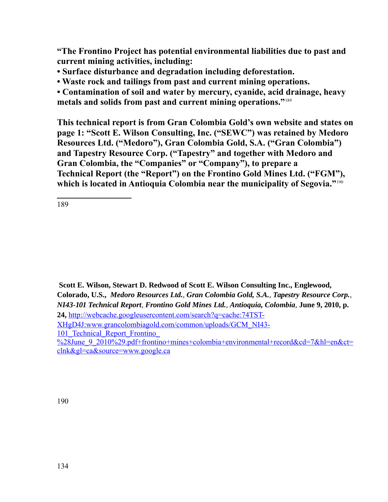**"The Frontino Project has potential environmental liabilities due to past and current mining activities, including:**

- **Surface disturbance and degradation including deforestation.**
- **Waste rock and tailings from past and current mining operations.**

**• Contamination of soil and water by mercury, cyanide, acid drainage, heavy metals and solids from past and current mining operations."**[189](#page-133-0)

**This technical report is from Gran Colombia Gold's own website and states on page 1: "Scott E. Wilson Consulting, Inc. ("SEWC") was retained by Medoro Resources Ltd. ("Medoro"), Gran Colombia Gold, S.A. ("Gran Colombia") and Tapestry Resource Corp. ("Tapestry" and together with Medoro and Gran Colombia, the "Companies" or "Company"), to prepare a Technical Report (the "Report") on the Frontino Gold Mines Ltd. ("FGM"), which is located in Antioquia Colombia near the municipality of Segovia."**[190](#page-133-1)

<span id="page-133-0"></span>189

<span id="page-133-1"></span>**Scott E. Wilson, Stewart D. Redwood of Scott E. Wilson Consulting Inc., Englewood, Colorado, U.S.,** *Medoro Resources Ltd., Gran Colombia Gold, S.A., Tapestry Resource Corp., NI43-101 Technical Report, Frontino Gold Mines Ltd., Antioquia, Colombia*, **June 9, 2010, p. 24,** [http://webcache.googleusercontent.com/search?q=cache:74TST-](http://webcache.googleusercontent.com/search?q=cache:74TST-XHgD4J:www.grancolombiagold.com/common/uploads/GCM_NI43-101_Technical_Report_Frontino_(June_9_2010).pdf+frontino+mines+colombia+environmental+record&cd=7&hl=en&ct=clnk&gl=ca&source=www.google.ca)XHgD4J:www.grancolombiagold.com/common/uploads/GCM\_NI43- 101 Technical Report Frontino [%28June\\_9\\_2010%29.pdf+frontino+mines+colombia+environmental+record&cd=7&hl=en&ct=](http://webcache.googleusercontent.com/search?q=cache:74TST-XHgD4J:www.grancolombiagold.com/common/uploads/GCM_NI43-101_Technical_Report_Frontino_(June_9_2010).pdf+frontino+mines+colombia+environmental+record&cd=7&hl=en&ct=clnk&gl=ca&source=www.google.ca) [clnk&gl=ca&source=www.google.ca](http://webcache.googleusercontent.com/search?q=cache:74TST-XHgD4J:www.grancolombiagold.com/common/uploads/GCM_NI43-101_Technical_Report_Frontino_(June_9_2010).pdf+frontino+mines+colombia+environmental+record&cd=7&hl=en&ct=clnk&gl=ca&source=www.google.ca)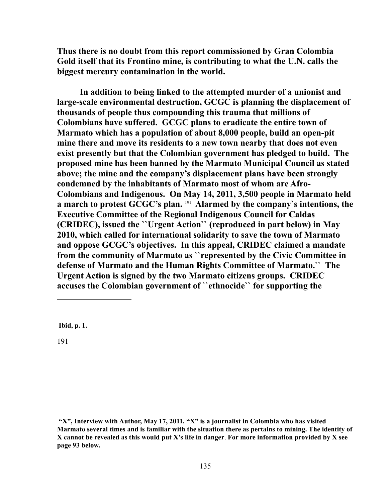**Thus there is no doubt from this report commissioned by Gran Colombia Gold itself that its Frontino mine, is contributing to what the U.N. calls the biggest mercury contamination in the world.** 

**In addition to being linked to the attempted murder of a unionist and large-scale environmental destruction, GCGC is planning the displacement of thousands of people thus compounding this trauma that millions of Colombians have suffered. GCGC plans to eradicate the entire town of Marmato which has a population of about 8,000 people, build an open-pit mine there and move its residents to a new town nearby that does not even exist presently but that the Colombian government has pledged to build. The proposed mine has been banned by the Marmato Municipal Council as stated above; the mine and the company's displacement plans have been strongly condemned by the inhabitants of Marmato most of whom are Afro-Colombians and Indigenous. On May 14, 2011, 3,500 people in Marmato held a march to protest GCGC's plan.** [191](#page-134-0) **Alarmed by the company`s intentions, the Executive Committee of the Regional Indigenous Council for Caldas (CRIDEC), issued the ``Urgent Action`` (reproduced in part below) in May 2010, which called for international solidarity to save the town of Marmato and oppose GCGC's objectives. In this appeal, CRIDEC claimed a mandate from the community of Marmato as ``represented by the Civic Committee in defense of Marmato and the Human Rights Committee of Marmato.`` The Urgent Action is signed by the two Marmato citizens groups. CRIDEC accuses the Colombian government of ``ethnocide`` for supporting the** 

<span id="page-134-0"></span> **Ibid, p. 1.**

 **<sup>&</sup>quot;X", Interview with Author, May 17, 2011. "X" is a journalist in Colombia who has visited Marmato several times and is familiar with the situation there as pertains to mining. The identity of X cannot be revealed as this would put X's life in danger**. **For more information provided by X see page 93 below.**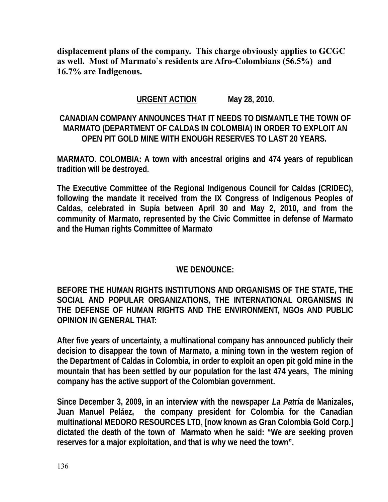**displacement plans of the company. This charge obviously applies to GCGC as well. Most of Marmato`s residents are Afro-Colombians (56.5%) and 16.7% are Indigenous.** 

# **URGENT ACTION May 28, 2010.**

# **CANADIAN COMPANY ANNOUNCES THAT IT NEEDS TO DISMANTLE THE TOWN OF MARMATO (DEPARTMENT OF CALDAS IN COLOMBIA) IN ORDER TO EXPLOIT AN OPEN PIT GOLD MINE WITH ENOUGH RESERVES TO LAST 20 YEARS.**

**MARMATO. COLOMBIA: A town with ancestral origins and 474 years of republican tradition will be destroyed.**

**The Executive Committee of the Regional Indigenous Council for Caldas (CRIDEC), following the mandate it received from the IX Congress of Indigenous Peoples of Caldas, celebrated in Supía between April 30 and May 2, 2010, and from the community of Marmato, represented by the Civic Committee in defense of Marmato and the Human rights Committee of Marmato** 

### **WE DENOUNCE:**

**BEFORE THE HUMAN RIGHTS INSTITUTIONS AND ORGANISMS OF THE STATE, THE SOCIAL AND POPULAR ORGANIZATIONS, THE INTERNATIONAL ORGANISMS IN THE DEFENSE OF HUMAN RIGHTS AND THE ENVIRONMENT, NGOs AND PUBLIC OPINION IN GENERAL THAT:** 

**After five years of uncertainty, a multinational company has announced publicly their decision to disappear the town of Marmato, a mining town in the western region of the Department of Caldas in Colombia, in order to exploit an open pit gold mine in the mountain that has been settled by our population for the last 474 years, The mining company has the active support of the Colombian government.** 

**Since December 3, 2009, in an interview with the newspaper** *La Patria* **de Manizales, Juan Manuel Peláez, the company president for Colombia for the Canadian multinational MEDORO RESOURCES LTD, [now known as Gran Colombia Gold Corp.] dictated the death of the town of Marmato when he said: "We are seeking proven reserves for a major exploitation, and that is why we need the town".**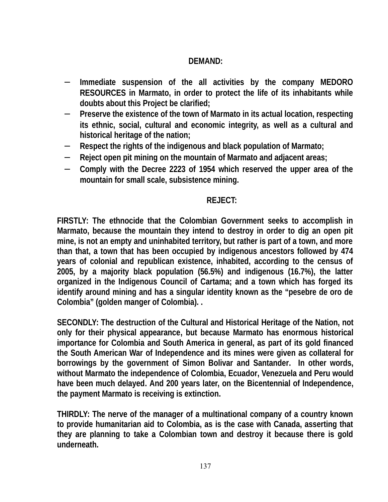#### **DEMAND:**

- − **Immediate suspension of the all activities by the company MEDORO RESOURCES in Marmato, in order to protect the life of its inhabitants while doubts about this Project be clarified;**
- − **Preserve the existence of the town of Marmato in its actual location, respecting its ethnic, social, cultural and economic integrity, as well as a cultural and historical heritage of the nation;**
- − **Respect the rights of the indigenous and black population of Marmato;**
- − **Reject open pit mining on the mountain of Marmato and adjacent areas;**
- − **Comply with the Decree 2223 of 1954 which reserved the upper area of the mountain for small scale, subsistence mining.**

#### **REJECT:**

**FIRSTLY: The ethnocide that the Colombian Government seeks to accomplish in Marmato, because the mountain they intend to destroy in order to dig an open pit mine, is not an empty and uninhabited territory, but rather is part of a town, and more than that, a town that has been occupied by indigenous ancestors followed by 474 years of colonial and republican existence, inhabited, according to the census of 2005, by a majority black population (56.5%) and indigenous (16.7%), the latter organized in the Indigenous Council of Cartama; and a town which has forged its identify around mining and has a singular identity known as the "pesebre de oro de Colombia" (golden manger of Colombia). .**

**SECONDLY: The destruction of the Cultural and Historical Heritage of the Nation, not only for their physical appearance, but because Marmato has enormous historical importance for Colombia and South America in general, as part of its gold financed the South American War of Independence and its mines were given as collateral for borrowings by the government of Simon Bolivar and Santander. In other words, without Marmato the independence of Colombia, Ecuador, Venezuela and Peru would have been much delayed. And 200 years later, on the Bicentennial of Independence, the payment Marmato is receiving is extinction.** 

**THIRDLY: The nerve of the manager of a multinational company of a country known to provide humanitarian aid to Colombia, as is the case with Canada, asserting that they are planning to take a Colombian town and destroy it because there is gold underneath.**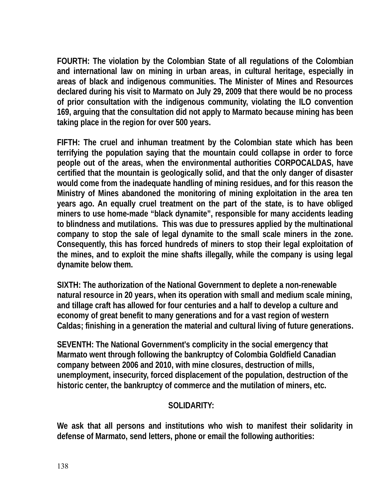**FOURTH: The violation by the Colombian State of all regulations of the Colombian and international law on mining in urban areas, in cultural heritage, especially in areas of black and indigenous communities. The Minister of Mines and Resources declared during his visit to Marmato on July 29, 2009 that there would be no process of prior consultation with the indigenous community, violating the ILO convention 169, arguing that the consultation did not apply to Marmato because mining has been taking place in the region for over 500 years.**

**FIFTH: The cruel and inhuman treatment by the Colombian state which has been terrifying the population saying that the mountain could collapse in order to force people out of the areas, when the environmental authorities CORPOCALDAS, have certified that the mountain is geologically solid, and that the only danger of disaster would come from the inadequate handling of mining residues, and for this reason the Ministry of Mines abandoned the monitoring of mining exploitation in the area ten years ago. An equally cruel treatment on the part of the state, is to have obliged miners to use home-made "black dynamite", responsible for many accidents leading to blindness and mutilations. This was due to pressures applied by the multinational company to stop the sale of legal dynamite to the small scale miners in the zone. Consequently, this has forced hundreds of miners to stop their legal exploitation of the mines, and to exploit the mine shafts illegally, while the company is using legal dynamite below them.** 

**SIXTH: The authorization of the National Government to deplete a non-renewable natural resource in 20 years, when its operation with small and medium scale mining, and tillage craft has allowed for four centuries and a half to develop a culture and economy of great benefit to many generations and for a vast region of western Caldas; finishing in a generation the material and cultural living of future generations.**

**SEVENTH: The National Government's complicity in the social emergency that Marmato went through following the bankruptcy of Colombia Goldfield Canadian company between 2006 and 2010, with mine closures, destruction of mills, unemployment, insecurity, forced displacement of the population, destruction of the historic center, the bankruptcy of commerce and the mutilation of miners, etc.**

### **SOLIDARITY:**

**We ask that all persons and institutions who wish to manifest their solidarity in defense of Marmato, send letters, phone or email the following authorities:**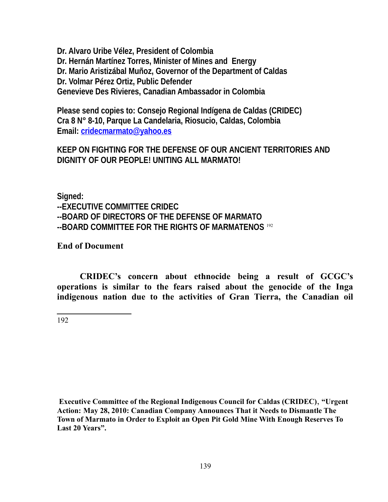**Dr. Alvaro Uribe Vélez, President of Colombia Dr. Hernán Martínez Torres, Minister of Mines and Energy Dr. Mario Aristizábal Muñoz, Governor of the Department of Caldas Dr. Volmar Pérez Ortiz, Public Defender Genevieve Des Rivieres, Canadian Ambassador in Colombia**

**Please send copies to: Consejo Regional Indígena de Caldas (CRIDEC) Cra 8 N° 8-10, Parque La Candelaria, Riosucio, Caldas, Colombia Email: [cridecmarmato@yahoo.es](mailto:cridecmarmato@yahoo.es)**

**KEEP ON FIGHTING FOR THE DEFENSE OF OUR ANCIENT TERRITORIES AND DIGNITY OF OUR PEOPLE! UNITING ALL MARMATO!**

**Signed: --EXECUTIVE COMMITTEE CRIDEC --BOARD OF DIRECTORS OF THE DEFENSE OF MARMATO --BOARD COMMITTEE FOR THE RIGHTS OF MARMATENOS** [192](#page-138-0)

**End of Document**

<span id="page-138-0"></span>**CRIDEC's concern about ethnocide being a result of GCGC's operations is similar to the fears raised about the genocide of the Inga indigenous nation due to the activities of Gran Tierra, the Canadian oil**

**Executive Committee of the Regional Indigenous Council for Caldas (CRIDEC)**, **"Urgent Action: May 28, 2010: Canadian Company Announces That it Needs to Dismantle The Town of Marmato in Order to Exploit an Open Pit Gold Mine With Enough Reserves To Last 20 Years".**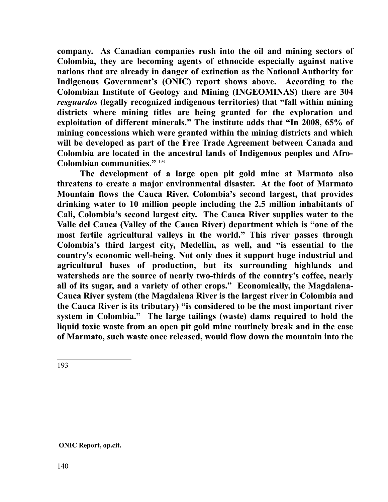**company. As Canadian companies rush into the oil and mining sectors of Colombia, they are becoming agents of ethnocide especially against native nations that are already in danger of extinction as the National Authority for Indigenous Government's (ONIC) report shows above. According to the Colombian Institute of Geology and Mining (INGEOMINAS) there are 304** *resguardos* **(legally recognized indigenous territories) that "fall within mining districts where mining titles are being granted for the exploration and exploitation of different minerals." The institute adds that "In 2008, 65% of mining concessions which were granted within the mining districts and which will be developed as part of the Free Trade Agreement between Canada and Colombia are located in the ancestral lands of Indigenous peoples and Afro-Colombian communities."** [193](#page-139-0)

**The development of a large open pit gold mine at Marmato also threatens to create a major environmental disaster. At the foot of Marmato Mountain flows the Cauca River, Colombia's second largest, that provides drinking water to 10 million people including the 2.5 million inhabitants of Cali, Colombia's second largest city. The Cauca River supplies water to the Valle del Cauca (Valley of the Cauca River) department which is "one of the most fertile agricultural valleys in the world." This river passes through Colombia's third largest city, Medellin, as well, and "is essential to the country's economic well-being. Not only does it support huge industrial and agricultural bases of production, but its surrounding highlands and watersheds are the source of nearly two-thirds of the country's coffee, nearly all of its sugar, and a variety of other crops." Economically, the Magdalena-Cauca River system (the Magdalena River is the largest river in Colombia and the Cauca River is its tributary) "is considered to be the most important river system in Colombia." The large tailings (waste) dams required to hold the liquid toxic waste from an open pit gold mine routinely break and in the case of Marmato, such waste once released, would flow down the mountain into the**

<span id="page-139-0"></span>193

**ONIC Report, op.cit.**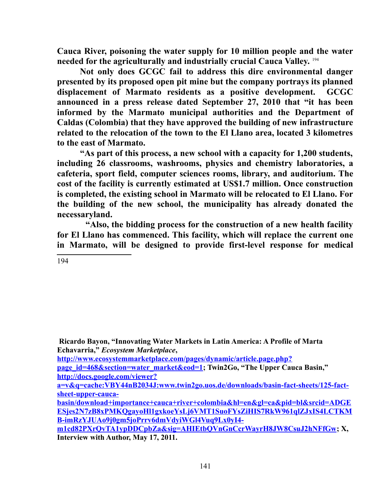**Cauca River, poisoning the water supply for 10 million people and the water needed for the agriculturally and industrially crucial Cauca Valley.** [194](#page-140-0)

**Not only does GCGC fail to address this dire environmental danger presented by its proposed open pit mine but the company portrays its planned displacement of Marmato residents as a positive development. GCGC announced in a press release dated September 27, 2010 that "it has been informed by the Marmato municipal authorities and the Department of Caldas (Colombia) that they have approved the building of new infrastructure related to the relocation of the town to the El Llano area, located 3 kilometres to the east of Marmato.** 

 **"As part of this process, a new school with a capacity for 1,200 students, including 26 classrooms, washrooms, physics and chemistry laboratories, a cafeteria, sport field, computer sciences rooms, library, and auditorium. The cost of the facility is currently estimated at US\$1.7 million. Once construction is completed, the existing school in Marmato will be relocated to El Llano. For the building of the new school, the municipality has already donated the necessaryland.** 

 **"Also, the bidding process for the construction of a new health facility for El Llano has commenced. This facility, which will replace the current one in Marmato, will be designed to provide first-level response for medical**

<span id="page-140-0"></span>194

 **Ricardo Bayon, "Innovating Water Markets in Latin America: A Profile of Marta Echavarria,"** *Ecosystem Marketplace***,** 

**[http://www.ecosystemmarketplace.com/pages/dynamic/article.page.php?](http://www.ecosystemmarketplace.com/pages/dynamic/article.page.php?page_id=468§ion=water_market&eod=1)**

**[page\\_id=468&section=water\\_market&eod=1;](http://www.ecosystemmarketplace.com/pages/dynamic/article.page.php?page_id=468§ion=water_market&eod=1)** Twin2Go, "The Upper Cauca Basin," **[http://docs.google.com/viewer?](http://docs.google.com/viewer?a=v&q=cache:VBY44nB2034J:www.twin2go.uos.de/downloads/basin-fact-sheets/125-fact-sheet-upper-cauca-basin/download+importance+cauca+river+colombia&hl=en&gl=ca&pid=bl&srcid=ADGEESjes2N7zB8xPMKQgayoHl1gxkoeYsLj6VMT1SuoFYsZiHIS7RkW961qlZJxIS4LCTKMB-imRzYJUAo9j0gm5joPrrv6dmVdyiWGl4Vuq9Lx0yI4-m1cd82PXrQvTA1ypDDCpbZa&sig=AHIEtbQVnGnCcrWayrH8JW8CsuJ2hNFfGw)**

**a=v&q=cache:VBY44nB2034J:www.twin2go.uos.de/downloads/basin-fact-sheets/125-factsheet-upper-cauca-**

**basin/download+importance+cauca+river+colombia&hl=en&gl=ca&pid=bl&srcid=ADGE [ESjes2N7zB8xPMKQgayoHl1gxkoeYsLj6VMT1SuoFYsZiHIS7RkW961qlZJxIS4LCTKM](http://docs.google.com/viewer?a=v&q=cache:VBY44nB2034J:www.twin2go.uos.de/downloads/basin-fact-sheets/125-fact-sheet-upper-cauca-basin/download+importance+cauca+river+colombia&hl=en&gl=ca&pid=bl&srcid=ADGEESjes2N7zB8xPMKQgayoHl1gxkoeYsLj6VMT1SuoFYsZiHIS7RkW961qlZJxIS4LCTKMB-imRzYJUAo9j0gm5joPrrv6dmVdyiWGl4Vuq9Lx0yI4-m1cd82PXrQvTA1ypDDCpbZa&sig=AHIEtbQVnGnCcrWayrH8JW8CsuJ2hNFfGw) B-imRzYJUAo9j0gm5joPrrv6dmVdyiWGl4Vuq9Lx0yI4-**

**[m1cd82PXrQvTA1ypDDCpbZa&sig=AHIEtbQVnGnCcrWayrH8JW8CsuJ2hNFfGw;](http://docs.google.com/viewer?a=v&q=cache:VBY44nB2034J:www.twin2go.uos.de/downloads/basin-fact-sheets/125-fact-sheet-upper-cauca-basin/download+importance+cauca+river+colombia&hl=en&gl=ca&pid=bl&srcid=ADGEESjes2N7zB8xPMKQgayoHl1gxkoeYsLj6VMT1SuoFYsZiHIS7RkW961qlZJxIS4LCTKMB-imRzYJUAo9j0gm5joPrrv6dmVdyiWGl4Vuq9Lx0yI4-m1cd82PXrQvTA1ypDDCpbZa&sig=AHIEtbQVnGnCcrWayrH8JW8CsuJ2hNFfGw) X, Interview with Author, May 17, 2011.**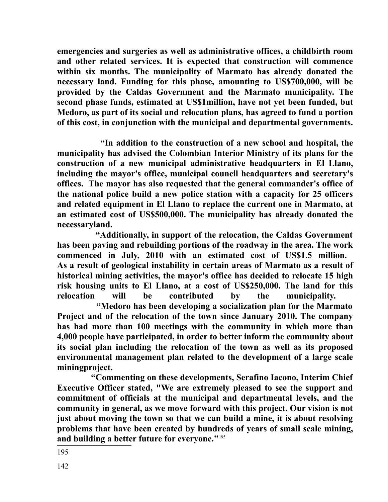**emergencies and surgeries as well as administrative offices, a childbirth room and other related services. It is expected that construction will commence within six months. The municipality of Marmato has already donated the necessary land. Funding for this phase, amounting to US\$700,000, will be provided by the Caldas Government and the Marmato municipality. The second phase funds, estimated at US\$1million, have not yet been funded, but Medoro, as part of its social and relocation plans, has agreed to fund a portion of this cost, in conjunction with the municipal and departmental governments.**

 **"In addition to the construction of a new school and hospital, the municipality has advised the Colombian Interior Ministry of its plans for the construction of a new municipal administrative headquarters in El Llano, including the mayor's office, municipal council headquarters and secretary's offices. The mayor has also requested that the general commander's office of the national police build a new police station with a capacity for 25 officers and related equipment in El Llano to replace the current one in Marmato, at an estimated cost of US\$500,000. The municipality has already donated the necessaryland.** 

 **"Additionally, in support of the relocation, the Caldas Government has been paving and rebuilding portions of the roadway in the area. The work commenced in July, 2010 with an estimated cost of US\$1.5 million. As a result of geological instability in certain areas of Marmato as a result of historical mining activities, the mayor's office has decided to relocate 15 high risk housing units to El Llano, at a cost of US\$250,000. The land for this relocation will be contributed by the municipality.** 

 **"Medoro has been developing a socialization plan for the Marmato Project and of the relocation of the town since January 2010. The company has had more than 100 meetings with the community in which more than 4,000 people have participated, in order to better inform the community about its social plan including the relocation of the town as well as its proposed environmental management plan related to the development of a large scale miningproject.** 

<span id="page-141-0"></span> **"Commenting on these developments, Serafino Iacono, Interim Chief Executive Officer stated, "We are extremely pleased to see the support and commitment of officials at the municipal and departmental levels, and the community in general, as we move forward with this project. Our vision is not just about moving the town so that we can build a mine, it is about resolving problems that have been created by hundreds of years of small scale mining, and building a better future for everyone."**[195](#page-141-0)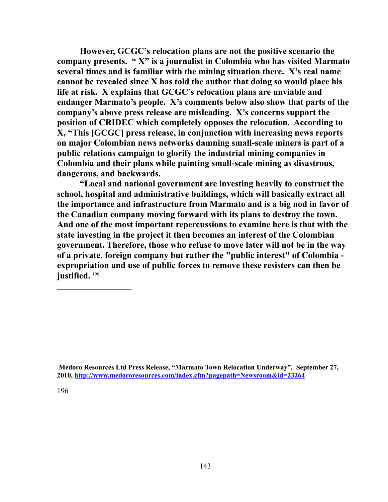**However, GCGC's relocation plans are not the positive scenario the company presents. " X" is a journalist in Colombia who has visited Marmato several times and is familiar with the mining situation there. X's real name cannot be revealed since X has told the author that doing so would place his life at risk. X explains that GCGC's relocation plans are unviable and endanger Marmato's people. X's comments below also show that parts of the company's above press release are misleading. X's concerns support the position of CRIDEC which completely opposes the relocation. According to X, "This [GCGC] press release, in conjunction with increasing news reports on major Colombian news networks damning small-scale miners is part of a public relations campaign to glorify the industrial mining companies in Colombia and their plans while painting small-scale mining as disastrous, dangerous, and backwards.** 

**"Local and national government are investing heavily to construct the school, hospital and administrative buildings, which will basically extract all the importance and infrastructure from Marmato and is a big nod in favor of the Canadian company moving forward with its plans to destroy the town. And one of the most important repercussions to examine here is that with the state investing in the project it then becomes an interest of the Colombian government. Therefore, those who refuse to move later will not be in the way of a private, foreign company but rather the "public interest" of Colombia expropriation and use of public forces to remove these resisters can then be justified.** [196](#page-142-0)

<span id="page-142-0"></span>**Medoro Resources Ltd Press Release, "Marmato Town Relocation Underway", September 27, 2010,<http://www.medororesources.com/index.cfm?pagepath=Newsroom&id=23264>**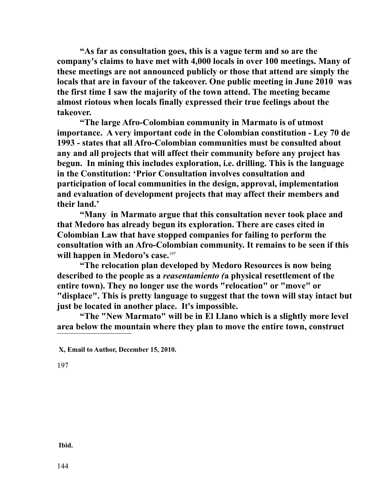**"As far as consultation goes, this is a vague term and so are the company's claims to have met with 4,000 locals in over 100 meetings. Many of these meetings are not announced publicly or those that attend are simply the locals that are in favour of the takeover. One public meeting in June 2010 was the first time I saw the majority of the town attend. The meeting became almost riotous when locals finally expressed their true feelings about the takeover.** 

**"The large Afro-Colombian community in Marmato is of utmost importance. A very important code in the Colombian constitution - Ley 70 de 1993 - states that all Afro-Colombian communities must be consulted about any and all projects that will affect their community before any project has begun. In mining this includes exploration, i.e. drilling. This is the language in the Constitution: 'Prior Consultation involves consultation and participation of local communities in the design, approval, implementation and evaluation of development projects that may affect their members and their land.'** 

**"Many in Marmato argue that this consultation never took place and that Medoro has already begun its exploration. There are cases cited in Colombian Law that have stopped companies for failing to perform the consultation with an Afro-Colombian community. It remains to be seen if this**  will happen in Medoro's case.<sup>[197](#page-143-0)</sup>

**"The relocation plan developed by Medoro Resources is now being described to the people as a** *reasentamiento (***a physical resettlement of the entire town). They no longer use the words "relocation" or "move" or "displace". This is pretty language to suggest that the town will stay intact but just be located in another place. It's impossible.**

**"The "New Marmato" will be in El Llano which is a slightly more level area below the mountain where they plan to move the entire town, construct** 

<span id="page-143-0"></span>197

 **Ibid.**

**X, Email to Author, December 15, 2010.**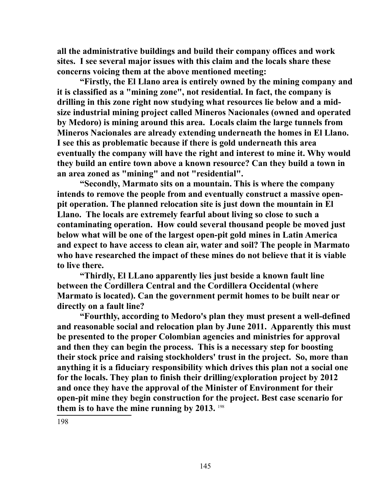**all the administrative buildings and build their company offices and work sites. I see several major issues with this claim and the locals share these concerns voicing them at the above mentioned meeting:**

**"Firstly, the El Llano area is entirely owned by the mining company and it is classified as a "mining zone", not residential. In fact, the company is drilling in this zone right now studying what resources lie below and a midsize industrial mining project called Mineros Nacionales (owned and operated by Medoro) is mining around this area. Locals claim the large tunnels from Mineros Nacionales are already extending underneath the homes in El Llano. I see this as problematic because if there is gold underneath this area eventually the company will have the right and interest to mine it. Why would they build an entire town above a known resource? Can they build a town in an area zoned as "mining" and not "residential".**

**"Secondly, Marmato sits on a mountain. This is where the company intends to remove the people from and eventually construct a massive openpit operation. The planned relocation site is just down the mountain in El Llano. The locals are extremely fearful about living so close to such a contaminating operation. How could several thousand people be moved just below what will be one of the largest open-pit gold mines in Latin America and expect to have access to clean air, water and soil? The people in Marmato who have researched the impact of these mines do not believe that it is viable to live there.**

**"Thirdly, El LLano apparently lies just beside a known fault line between the Cordillera Central and the Cordillera Occidental (where Marmato is located). Can the government permit homes to be built near or directly on a fault line?**

<span id="page-144-0"></span>**"Fourthly, according to Medoro's plan they must present a well-defined and reasonable social and relocation plan by June 2011. Apparently this must be presented to the proper Colombian agencies and ministries for approval and then they can begin the process. This is a necessary step for boosting their stock price and raising stockholders' trust in the project. So, more than anything it is a fiduciary responsibility which drives this plan not a social one for the locals. They plan to finish their drilling/exploration project by 2012 and once they have the approval of the Minister of Environment for their open-pit mine they begin construction for the project. Best case scenario for them is to have the mine running by 2013.** [198](#page-144-0)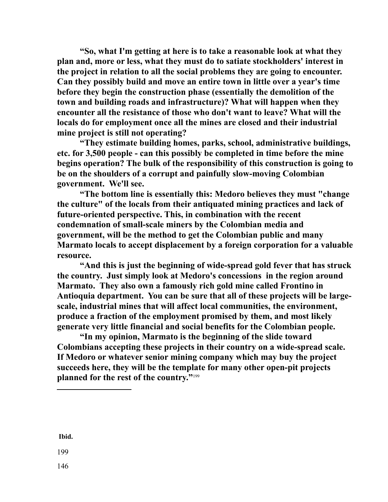**"So, what I'm getting at here is to take a reasonable look at what they plan and, more or less, what they must do to satiate stockholders' interest in the project in relation to all the social problems they are going to encounter. Can they possibly build and move an entire town in little over a year's time before they begin the construction phase (essentially the demolition of the town and building roads and infrastructure)? What will happen when they encounter all the resistance of those who don't want to leave? What will the locals do for employment once all the mines are closed and their industrial mine project is still not operating?** 

**"They estimate building homes, parks, school, administrative buildings, etc. for 3,500 people - can this possibly be completed in time before the mine begins operation? The bulk of the responsibility of this construction is going to be on the shoulders of a corrupt and painfully slow-moving Colombian government. We'll see.**

**"The bottom line is essentially this: Medoro believes they must "change the culture" of the locals from their antiquated mining practices and lack of future-oriented perspective. This, in combination with the recent condemnation of small-scale miners by the Colombian media and government, will be the method to get the Colombian public and many Marmato locals to accept displacement by a foreign corporation for a valuable resource.** 

**"And this is just the beginning of wide-spread gold fever that has struck the country. Just simply look at Medoro's concessions in the region around Marmato. They also own a famously rich gold mine called Frontino in Antioquia department. You can be sure that all of these projects will be largescale, industrial mines that will affect local communities, the environment, produce a fraction of the employment promised by them, and most likely generate very little financial and social benefits for the Colombian people.**

**"In my opinion, Marmato is the beginning of the slide toward Colombians accepting these projects in their country on a wide-spread scale. If Medoro or whatever senior mining company which may buy the project succeeds here, they will be the template for many other open-pit projects planned for the rest of the country."**[199](#page-145-0)

<span id="page-145-0"></span> **Ibid.**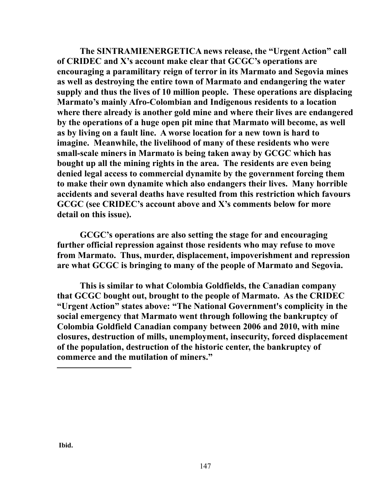**The SINTRAMIENERGETICA news release, the "Urgent Action" call of CRIDEC and X's account make clear that GCGC's operations are encouraging a paramilitary reign of terror in its Marmato and Segovia mines as well as destroying the entire town of Marmato and endangering the water supply and thus the lives of 10 million people. These operations are displacing Marmato's mainly Afro-Colombian and Indigenous residents to a location where there already is another gold mine and where their lives are endangered by the operations of a huge open pit mine that Marmato will become, as well as by living on a fault line. A worse location for a new town is hard to imagine. Meanwhile, the livelihood of many of these residents who were small-scale miners in Marmato is being taken away by GCGC which has bought up all the mining rights in the area. The residents are even being denied legal access to commercial dynamite by the government forcing them to make their own dynamite which also endangers their lives. Many horrible accidents and several deaths have resulted from this restriction which favours GCGC (see CRIDEC's account above and X's comments below for more detail on this issue).** 

**GCGC's operations are also setting the stage for and encouraging further official repression against those residents who may refuse to move from Marmato. Thus, murder, displacement, impoverishment and repression are what GCGC is bringing to many of the people of Marmato and Segovia.**

**This is similar to what Colombia Goldfields, the Canadian company that GCGC bought out, brought to the people of Marmato. As the CRIDEC "Urgent Action" states above: "The National Government's complicity in the social emergency that Marmato went through following the bankruptcy of Colombia Goldfield Canadian company between 2006 and 2010, with mine closures, destruction of mills, unemployment, insecurity, forced displacement of the population, destruction of the historic center, the bankruptcy of commerce and the mutilation of miners."**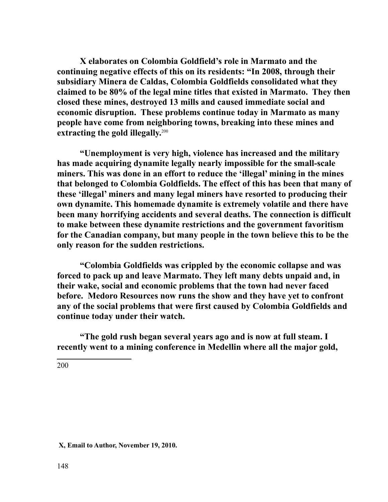**X elaborates on Colombia Goldfield's role in Marmato and the continuing negative effects of this on its residents: "In 2008, through their subsidiary Minera de Caldas, Colombia Goldfields consolidated what they claimed to be 80% of the legal mine titles that existed in Marmato. They then closed these mines, destroyed 13 mills and caused immediate social and economic disruption. These problems continue today in Marmato as many people have come from neighboring towns, breaking into these mines and extracting the gold illegally.**[200](#page-147-0)

**"Unemployment is very high, violence has increased and the military has made acquiring dynamite legally nearly impossible for the small-scale miners. This was done in an effort to reduce the 'illegal' mining in the mines that belonged to Colombia Goldfields. The effect of this has been that many of these 'illegal' miners and many legal miners have resorted to producing their own dynamite. This homemade dynamite is extremely volatile and there have been many horrifying accidents and several deaths. The connection is difficult to make between these dynamite restrictions and the government favoritism for the Canadian company, but many people in the town believe this to be the only reason for the sudden restrictions.**

**"Colombia Goldfields was crippled by the economic collapse and was forced to pack up and leave Marmato. They left many debts unpaid and, in their wake, social and economic problems that the town had never faced before. Medoro Resources now runs the show and they have yet to confront any of the social problems that were first caused by Colombia Goldfields and continue today under their watch.**

**"The gold rush began several years ago and is now at full steam. I recently went to a mining conference in Medellin where all the major gold,** 

<span id="page-147-0"></span>200

 **X, Email to Author, November 19, 2010.**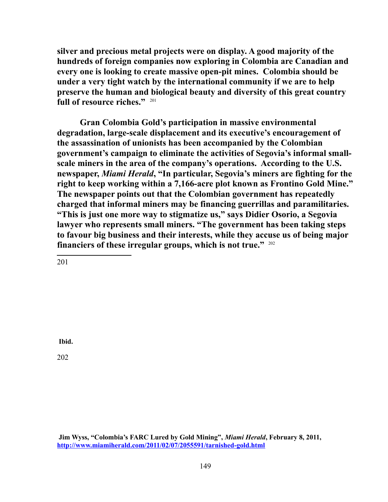**silver and precious metal projects were on display. A good majority of the hundreds of foreign companies now exploring in Colombia are Canadian and every one is looking to create massive open-pit mines. Colombia should be under a very tight watch by the international community if we are to help preserve the human and biological beauty and diversity of this great country full of resource riches."** [201](#page-148-0)

**Gran Colombia Gold's participation in massive environmental degradation, large-scale displacement and its executive's encouragement of the assassination of unionists has been accompanied by the Colombian government's campaign to eliminate the activities of Segovia's informal smallscale miners in the area of the company's operations. According to the U.S. newspaper,** *Miami Herald***, "In particular, Segovia's miners are fighting for the right to keep working within a 7,166-acre plot known as Frontino Gold Mine." The newspaper points out that the Colombian government has repeatedly charged that informal miners may be financing guerrillas and paramilitaries. "This is just one more way to stigmatize us," says Didier Osorio, a Segovia lawyer who represents small miners. "The government has been taking steps to favour big business and their interests, while they accuse us of being major financiers of these irregular groups, which is not true."** [202](#page-148-1)

<span id="page-148-0"></span>201

**Ibid.**

<span id="page-148-1"></span>202

**Jim Wyss, "Colombia's FARC Lured by Gold Mining",** *Miami Herald***, February 8, 2011, <http://www.miamiherald.com/2011/02/07/2055591/tarnished-gold.html>**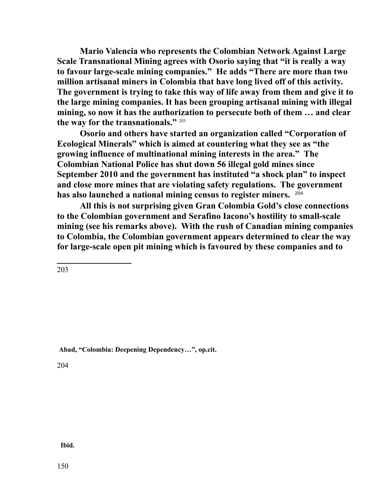**Mario Valencia who represents the Colombian Network Against Large Scale Transnational Mining agrees with Osorio saying that "it is really a way to favour large-scale mining companies." He adds "There are more than two million artisanal miners in Colombia that have long lived off of this activity. The government is trying to take this way of life away from them and give it to the large mining companies. It has been grouping artisanal mining with illegal mining, so now it has the authorization to persecute both of them … and clear the way for the transnationals."** [203](#page-149-0)

**Osorio and others have started an organization called "Corporation of Ecological Minerals" which is aimed at countering what they see as "the growing influence of multinational mining interests in the area." The Colombian National Police has shut down 56 illegal gold mines since September 2010 and the government has instituted "a shock plan" to inspect and close more mines that are violating safety regulations. The government has also launched a national mining census to register miners.** [204](#page-149-1) 

**All this is not surprising given Gran Colombia Gold's close connections to the Colombian government and Serafino Iacono's hostility to small-scale mining (see his remarks above). With the rush of Canadian mining companies to Colombia, the Colombian government appears determined to clear the way for large-scale open pit mining which is favoured by these companies and to** 

<span id="page-149-0"></span>203

**Abad, "Colombia: Deepening Dependency…", op.cit.**

<span id="page-149-1"></span>204

 **Ibid.**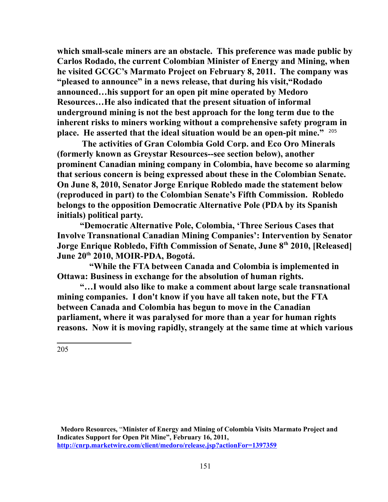**which small-scale miners are an obstacle. This preference was made public by Carlos Rodado, the current Colombian Minister of Energy and Mining, when he visited GCGC's Marmato Project on February 8, 2011. The company was "pleased to announce" in a news release, that during his visit,"Rodado announced…his support for an open pit mine operated by Medoro Resources…He also indicated that the present situation of informal underground mining is not the best approach for the long term due to the inherent risks to miners working without a comprehensive safety program in place. He asserted that the ideal situation would be an open-pit mine."** [205](#page-150-0) 

 **The activities of Gran Colombia Gold Corp. and Eco Oro Minerals (formerly known as Greystar Resources--see section below), another prominent Canadian mining company in Colombia, have become so alarming that serious concern is being expressed about these in the Colombian Senate. On June 8, 2010, Senator Jorge Enrique Robledo made the statement below (reproduced in part) to the Colombian Senate's Fifth Commission. Robledo belongs to the opposition Democratic Alternative Pole (PDA by its Spanish initials) political party.** 

**"Democratic Alternative Pole, Colombia, 'Three Serious Cases that Involve Transnational Canadian Mining Companies': Intervention by Senator Jorge Enrique Robledo, Fifth Commission of Senate, June 8th 2010, [Released] June 20th 2010, MOIR-PDA, Bogotá.** 

 **"While the FTA between Canada and Colombia is implemented in Ottawa: Business in exchange for the absolution of human rights.** 

**"…I would also like to make a comment about large scale transnational mining companies. I don't know if you have all taken note, but the FTA between Canada and Colombia has begun to move in the Canadian parliament, where it was paralysed for more than a year for human rights reasons. Now it is moving rapidly, strangely at the same time at which various**

<span id="page-150-0"></span>205

 **Medoro Resources,** "**Minister of Energy and Mining of Colombia Visits Marmato Project and Indicates Support for Open Pit Mine", February 16, 2011, <http://cnrp.marketwire.com/client/medoro/release.jsp?actionFor=1397359>**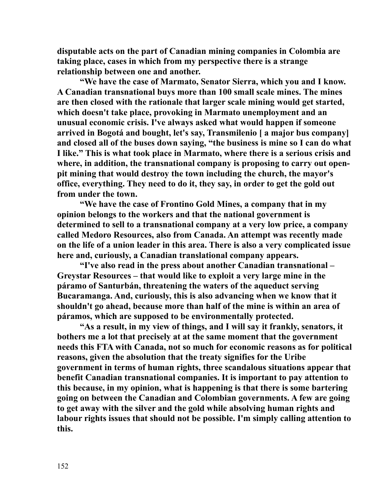**disputable acts on the part of Canadian mining companies in Colombia are taking place, cases in which from my perspective there is a strange relationship between one and another.** 

**"We have the case of Marmato, Senator Sierra, which you and I know. A Canadian transnational buys more than 100 small scale mines. The mines are then closed with the rationale that larger scale mining would get started, which doesn't take place, provoking in Marmato unemployment and an unusual economic crisis. I've always asked what would happen if someone arrived in Bogotá and bought, let's say, Transmilenio [ a major bus company] and closed all of the buses down saying, "the business is mine so I can do what I like." This is what took place in Marmato, where there is a serious crisis and where, in addition, the transnational company is proposing to carry out openpit mining that would destroy the town including the church, the mayor's office, everything. They need to do it, they say, in order to get the gold out from under the town.**

**"We have the case of Frontino Gold Mines, a company that in my opinion belongs to the workers and that the national government is determined to sell to a transnational company at a very low price, a company called Medoro Resources, also from Canada. An attempt was recently made on the life of a union leader in this area. There is also a very complicated issue here and, curiously, a Canadian translational company appears.** 

**"I've also read in the press about another Canadian transnational – Greystar Resources – that would like to exploit a very large mine in the páramo of Santurbán, threatening the waters of the aqueduct serving Bucaramanga. And, curiously, this is also advancing when we know that it shouldn't go ahead, because more than half of the mine is within an area of páramos, which are supposed to be environmentally protected.** 

**"As a result, in my view of things, and I will say it frankly, senators, it bothers me a lot that precisely at at the same moment that the government needs this FTA with Canada, not so much for economic reasons as for political reasons, given the absolution that the treaty signifies for the Uribe government in terms of human rights, three scandalous situations appear that benefit Canadian transnational companies. It is important to pay attention to this because, in my opinion, what is happening is that there is some bartering going on between the Canadian and Colombian governments. A few are going to get away with the silver and the gold while absolving human rights and labour rights issues that should not be possible. I'm simply calling attention to this.**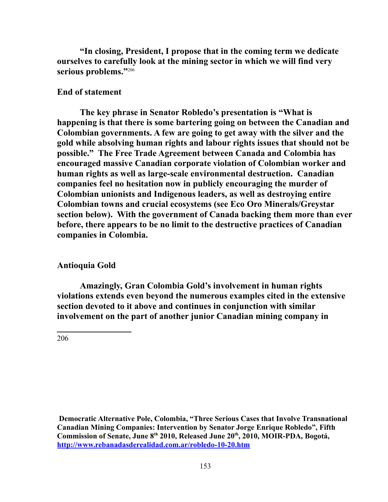**"In closing, President, I propose that in the coming term we dedicate ourselves to carefully look at the mining sector in which we will find very**  serious problems."<sup>2[206](#page-152-0)</sup>

## **End of statement**

**The key phrase in Senator Robledo's presentation is "What is happening is that there is some bartering going on between the Canadian and Colombian governments. A few are going to get away with the silver and the gold while absolving human rights and labour rights issues that should not be possible." The Free Trade Agreement between Canada and Colombia has encouraged massive Canadian corporate violation of Colombian worker and human rights as well as large-scale environmental destruction. Canadian companies feel no hesitation now in publicly encouraging the murder of Colombian unionists and Indigenous leaders, as well as destroying entire Colombian towns and crucial ecosystems (see Eco Oro Minerals/Greystar section below). With the government of Canada backing them more than ever before, there appears to be no limit to the destructive practices of Canadian companies in Colombia.** 

## **Antioquia Gold**

**Amazingly, Gran Colombia Gold's involvement in human rights violations extends even beyond the numerous examples cited in the extensive section devoted to it above and continues in conjunction with similar involvement on the part of another junior Canadian mining company in** 

<span id="page-152-0"></span>206

 **Democratic Alternative Pole, Colombia, "Three Serious Cases that Involve Transnational Canadian Mining Companies: Intervention by Senator Jorge Enrique Robledo", Fifth Commission of Senate, June 8th 2010, Released June 20th, 2010, MOIR-PDA, Bogotá, <http://www.rebanadasderealidad.com.ar/robledo-10-20.htm>**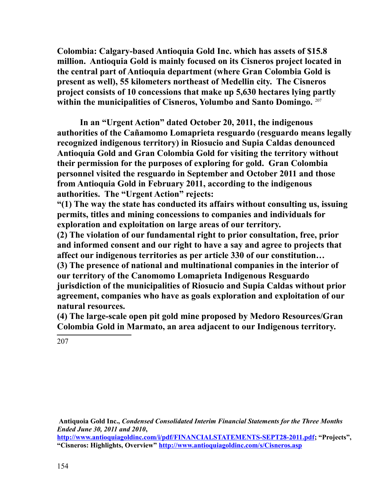**Colombia: Calgary-based Antioquia Gold Inc. which has assets of \$15.8 million. Antioquia Gold is mainly focused on its Cisneros project located in the central part of Antioquia department (where Gran Colombia Gold is present as well), 55 kilometers northeast of Medellin city. The Cisneros project consists of 10 concessions that make up 5,630 hectares lying partly within the municipalities of Cisneros, Yolumbo and Santo Domingo.** [207](#page-153-0)

**In an "Urgent Action" dated October 20, 2011, the indigenous authorities of the Cañamomo Lomaprieta resguardo (resguardo means legally recognized indigenous territory) in Riosucio and Supia Caldas denounced Antioquia Gold and Gran Colombia Gold for visiting the territory without their permission for the purposes of exploring for gold. Gran Colombia personnel visited the resguardo in September and October 2011 and those from Antioquia Gold in February 2011, according to the indigenous authorities. The "Urgent Action" rejects:** 

**"(1) The way the state has conducted its affairs without consulting us, issuing permits, titles and mining concessions to companies and individuals for exploration and exploitation on large areas of our territory.** 

**(2) The violation of our fundamental right to prior consultation, free, prior and informed consent and our right to have a say and agree to projects that affect our indigenous territories as per article 330 of our constitution…**

**(3) The presence of national and multinational companies in the interior of our territory of the Canomomo Lomaprieta Indigenous Resguardo jurisdiction of the municipalities of Riosucio and Supia Caldas without prior agreement, companies who have as goals exploration and exploitation of our natural resources.** 

**(4) The large-scale open pit gold mine proposed by Medoro Resources/Gran Colombia Gold in Marmato, an area adjacent to our Indigenous territory.** 

<span id="page-153-0"></span>207

**Antiquoia Gold Inc.,** *Condensed Consolidated Interim Financial Statements for the Three Months Ended June 30, 2011 and 2010***,** 

**[http://www.antioquiagoldinc.com/i/pdf/FINANCIALSTATEMENTS-SEPT28-2011.pdf;](http://www.antioquiagoldinc.com/i/pdf/FINANCIALSTATEMENTS-SEPT28-2011.pdf) "Projects", "Cisneros: Highlights, Overview"<http://www.antioquiagoldinc.com/s/Cisneros.asp>**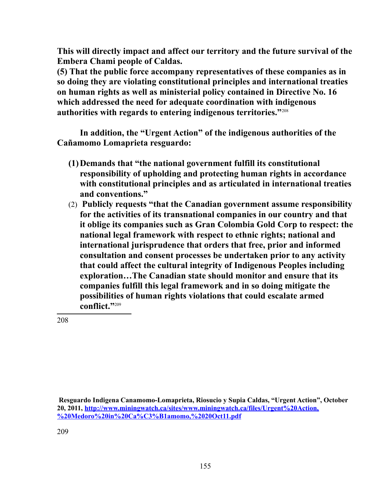**This will directly impact and affect our territory and the future survival of the Embera Chami people of Caldas.**

**(5) That the public force accompany representatives of these companies as in so doing they are violating constitutional principles and international treaties on human rights as well as ministerial policy contained in Directive No. 16 which addressed the need for adequate coordination with indigenous authorities with regards to entering indigenous territories."**[208](#page-154-0)

**In addition, the "Urgent Action" of the indigenous authorities of the Cañamomo Lomaprieta resguardo:**

- **(1)Demands that "the national government fulfill its constitutional responsibility of upholding and protecting human rights in accordance with constitutional principles and as articulated in international treaties and conventions."**
- (2) **Publicly requests "that the Canadian government assume responsibility for the activities of its transnational companies in our country and that it oblige its companies such as Gran Colombia Gold Corp to respect: the national legal framework with respect to ethnic rights; national and international jurisprudence that orders that free, prior and informed consultation and consent processes be undertaken prior to any activity that could affect the cultural integrity of Indigenous Peoples including exploration…The Canadian state should monitor and ensure that its companies fulfill this legal framework and in so doing mitigate the possibilities of human rights violations that could escalate armed conflict."**[209](#page-154-1)

<span id="page-154-1"></span><span id="page-154-0"></span>**Resguardo Indigena Canamomo-Lomaprieta, Riosucio y Supia Caldas, "Urgent Action", October 20, 2011, [http://www.miningwatch.ca/sites/www.miningwatch.ca/files/Urgent%20Action,](http://www.miningwatch.ca/sites/www.miningwatch.ca/files/Urgent%20Action,%20Medoro%20in%20Ca%C3%B1amomo,%2020Oct11.pdf) [%20Medoro%20in%20Ca%C3%B1amomo,%2020Oct11.pdf](http://www.miningwatch.ca/sites/www.miningwatch.ca/files/Urgent%20Action,%20Medoro%20in%20Ca%C3%B1amomo,%2020Oct11.pdf)**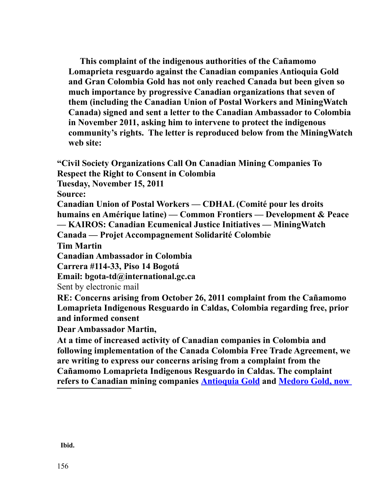**This complaint of the indigenous authorities of the Cañamomo Lomaprieta resguardo against the Canadian companies Antioquia Gold and Gran Colombia Gold has not only reached Canada but been given so much importance by progressive Canadian organizations that seven of them (including the Canadian Union of Postal Workers and MiningWatch Canada) signed and sent a letter to the Canadian Ambassador to Colombia in November 2011, asking him to intervene to protect the indigenous community's rights. The letter is reproduced below from the MiningWatch web site:** 

**"Civil Society Organizations Call On Canadian Mining Companies To Respect the Right to Consent in Colombia** 

**Tuesday, November 15, 2011** 

**Source:**

**Canadian Union of Postal Workers — CDHAL (Comité pour les droits humains en Amérique latine) — Common Frontiers — Development & Peace — KAIROS: Canadian Ecumenical Justice Initiatives — MiningWatch** 

**Canada — Projet Accompagnement Solidarité Colombie** 

**Tim Martin**

**Canadian Ambassador in Colombia**

**Carrera #114-33, Piso 14 Bogotá**

**Email: bgota-td@international.gc.ca**

Sent by electronic mail

**RE: Concerns arising from October 26, 2011 complaint from the Cañamomo Lomaprieta Indigenous Resguardo in Caldas, Colombia regarding free, prior and informed consent**

**Dear Ambassador Martin,**

**At a time of increased activity of Canadian companies in Colombia and following implementation of the Canada Colombia Free Trade Agreement, we are writing to express our concerns arising from a complaint from the Cañamomo Lomaprieta Indigenous Resguardo in Caldas. The complaint refers to Canadian mining companies [Antioquia Gold](http://www.antioquiagoldinc.com/) and [Medoro Gold, now](http://www.grancolombiagold.com/)**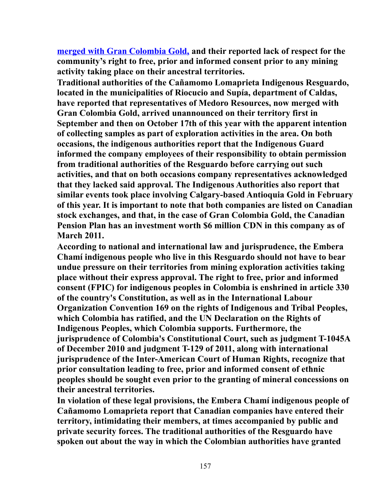**[merged with Gran Colombia Gold,](http://www.grancolombiagold.com/) and their reported lack of respect for the community's right to free, prior and informed consent prior to any mining activity taking place on their ancestral territories.**

**Traditional authorities of the Cañamomo Lomaprieta Indigenous Resguardo, located in the municipalities of Riocucio and Supía, department of Caldas, have reported that representatives of Medoro Resources, now merged with Gran Colombia Gold, arrived unannounced on their territory first in September and then on October 17th of this year with the apparent intention of collecting samples as part of exploration activities in the area. On both occasions, the indigenous authorities report that the Indigenous Guard informed the company employees of their responsibility to obtain permission from traditional authorities of the Resguardo before carrying out such activities, and that on both occasions company representatives acknowledged that they lacked said approval. The Indigenous Authorities also report that similar events took place involving Calgary-based Antioquia Gold in February of this year. It is important to note that both companies are listed on Canadian stock exchanges, and that, in the case of Gran Colombia Gold, the Canadian Pension Plan has an investment worth \$6 million CDN in this company as of March 2011.**

**According to national and international law and jurisprudence, the Embera Chamí indigenous people who live in this Resguardo should not have to bear undue pressure on their territories from mining exploration activities taking place without their express approval. The right to free, prior and informed consent (FPIC) for indigenous peoples in Colombia is enshrined in article 330 of the country's Constitution, as well as in the International Labour Organization Convention 169 on the rights of Indigenous and Tribal Peoples, which Colombia has ratified, and the UN Declaration on the Rights of Indigenous Peoples, which Colombia supports. Furthermore, the jurisprudence of Colombia's Constitutional Court, such as judgment T-1045A of December 2010 and judgment T-129 of 2011, along with international jurisprudence of the Inter-American Court of Human Rights, recognize that prior consultation leading to free, prior and informed consent of ethnic peoples should be sought even prior to the granting of mineral concessions on their ancestral territories.**

**In violation of these legal provisions, the Embera Chamí indigenous people of Cañamomo Lomaprieta report that Canadian companies have entered their territory, intimidating their members, at times accompanied by public and private security forces. The traditional authorities of the Resguardo have spoken out about the way in which the Colombian authorities have granted**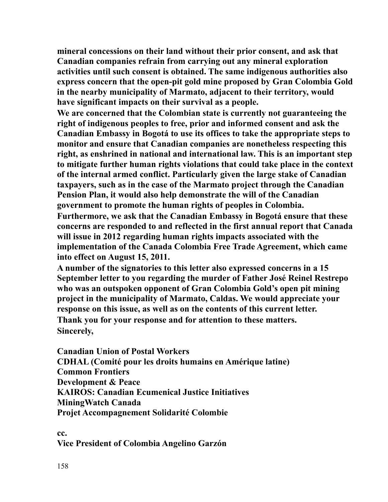**mineral concessions on their land without their prior consent, and ask that Canadian companies refrain from carrying out any mineral exploration activities until such consent is obtained. The same indigenous authorities also express concern that the open-pit gold mine proposed by Gran Colombia Gold in the nearby municipality of Marmato, adjacent to their territory, would have significant impacts on their survival as a people.**

**We are concerned that the Colombian state is currently not guaranteeing the right of indigenous peoples to free, prior and informed consent and ask the Canadian Embassy in Bogotá to use its offices to take the appropriate steps to monitor and ensure that Canadian companies are nonetheless respecting this right, as enshrined in national and international law. This is an important step to mitigate further human rights violations that could take place in the context of the internal armed conflict. Particularly given the large stake of Canadian taxpayers, such as in the case of the Marmato project through the Canadian Pension Plan, it would also help demonstrate the will of the Canadian government to promote the human rights of peoples in Colombia.**

**Furthermore, we ask that the Canadian Embassy in Bogotá ensure that these concerns are responded to and reflected in the first annual report that Canada will issue in 2012 regarding human rights impacts associated with the implementation of the Canada Colombia Free Trade Agreement, which came into effect on August 15, 2011.**

**A number of the signatories to this letter also expressed concerns in a 15 September letter to you regarding the murder of Father José Reinel Restrepo who was an outspoken opponent of Gran Colombia Gold's open pit mining project in the municipality of Marmato, Caldas. We would appreciate your response on this issue, as well as on the contents of this current letter. Thank you for your response and for attention to these matters. Sincerely,**

**Canadian Union of Postal Workers CDHAL (Comité pour les droits humains en Amérique latine) Common Frontiers Development & Peace KAIROS: Canadian Ecumenical Justice Initiatives MiningWatch Canada Projet Accompagnement Solidarité Colombie**

**cc. Vice President of Colombia Angelino Garzón**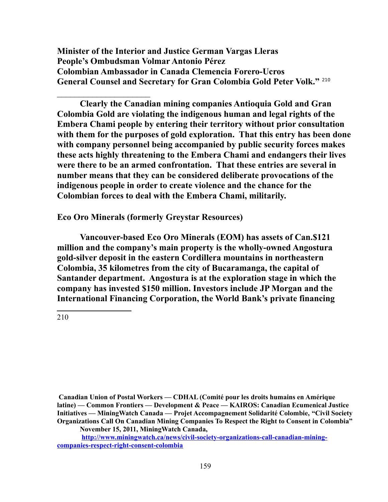**Minister of the Interior and Justice German Vargas Lleras People's Ombudsman Volmar Antonio Pérez Colombian Ambassador in Canada Clemencia Forero-Ucros General Counsel and Secretary for Gran Colombia Gold Peter Volk."** [210](#page-158-0)

**Clearly the Canadian mining companies Antioquia Gold and Gran Colombia Gold are violating the indigenous human and legal rights of the Embera Chami people by entering their territory without prior consultation with them for the purposes of gold exploration. That this entry has been done with company personnel being accompanied by public security forces makes these acts highly threatening to the Embera Chami and endangers their lives were there to be an armed confrontation. That these entries are several in number means that they can be considered deliberate provocations of the indigenous people in order to create violence and the chance for the Colombian forces to deal with the Embera Chami, militarily.** 

**Eco Oro Minerals (formerly Greystar Resources)**

 $\mathcal{L}_\text{max}$  , where  $\mathcal{L}_\text{max}$  , we have the set of the set of the set of the set of the set of the set of the set of the set of the set of the set of the set of the set of the set of the set of the set of the set of

**Vancouver-based Eco Oro Minerals (EOM) has assets of Can.\$121 million and the company's main property is the wholly-owned Angostura gold-silver deposit in the eastern Cordillera mountains in northeastern Colombia, 35 kilometres from the city of Bucaramanga, the capital of Santander department. Angostura is at the exploration stage in which the company has invested \$150 million. Investors include JP Morgan and the International Financing Corporation, the World Bank's private financing** 

<span id="page-158-0"></span>210

**November 15, 2011, MiningWatch Canada,** 

**Canadian Union of Postal Workers — CDHAL (Comité pour les droits humains en Amérique latine) — Common Frontiers — Development & Peace — KAIROS: Canadian Ecumenical Justice Initiatives — MiningWatch Canada — Projet Accompagnement Solidarité Colombie, "Civil Society Organizations Call On Canadian Mining Companies To Respect the Right to Consent in Colombia"**

**[http://www.miningwatch.ca/news/civil-society-organizations-call-canadian-mining](http://www.miningwatch.ca/news/civil-society-organizations-call-canadian-mining-companies-respect-right-consent-colombia)[companies-respect-right-consent-colombia](http://www.miningwatch.ca/news/civil-society-organizations-call-canadian-mining-companies-respect-right-consent-colombia)**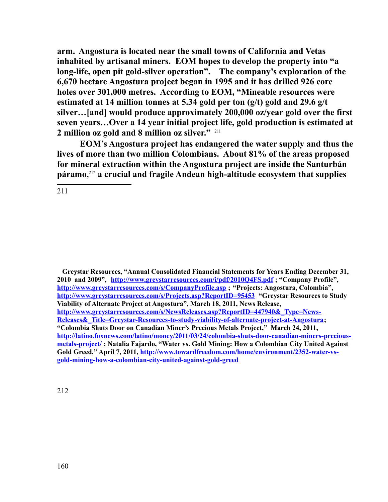**arm. Angostura is located near the small towns of California and Vetas inhabited by artisanal miners. EOM hopes to develop the property into "a long-life, open pit gold-silver operation". The company's exploration of the 6,670 hectare Angostura project began in 1995 and it has drilled 926 core holes over 301,000 metres. According to EOM, "Mineable resources were estimated at 14 million tonnes at 5.34 gold per ton (g/t) gold and 29.6 g/t silver…[and] would produce approximately 200,000 oz/year gold over the first seven years…Over a 14 year initial project life, gold production is estimated at 2 million oz gold and 8 million oz silver."** [211](#page-159-0)

**EOM's Angostura project has endangered the water supply and thus the lives of more than two million Colombians. About 81% of the areas proposed for mineral extraction within the Angostura project are inside the Santurbán páramo,**[212](#page-159-1) **a crucial and fragile Andean high-altitude ecosystem that supplies** 

<span id="page-159-0"></span>211

<span id="page-159-1"></span> **Greystar Resources, "Annual Consolidated Financial Statements for Years Ending December 31, 2010 and 2009", <http://www.greystarresources.com/i/pdf/2010Q4FS.pdf>; "Company Profile", <http://www.greystarresources.com/s/CompanyProfile.asp>; "Projects: Angostura, Colombia", <http://www.greystarresources.com/s/Projects.asp?ReportID=95453>"Greystar Resources to Study Viability of Alternate Project at Angostura", March 18, 2011, News Release, [http://www.greystarresources.com/s/NewsReleases.asp?ReportID=447940&\\_Type=News-](http://www.greystarresources.com/s/NewsReleases.asp?ReportID=447940&_Type=News-Releases&_Title=Greystar-Resources-to-study-viability-of-alternate-project-at-Angostura)[Releases&\\_Title=Greystar-Resources-to-study-viability-of-alternate-project-at-Angostura;](http://www.greystarresources.com/s/NewsReleases.asp?ReportID=447940&_Type=News-Releases&_Title=Greystar-Resources-to-study-viability-of-alternate-project-at-Angostura) "Colombia Shuts Door on Canadian Miner's Precious Metals Project," March 24, 2011, [http://latino.foxnews.com/latino/money/2011/03/24/colombia-shuts-door-canadian-miners-precious](http://latino.foxnews.com/latino/money/2011/03/24/colombia-shuts-door-canadian-miners-precious-metals-project/)[metals-project/](http://latino.foxnews.com/latino/money/2011/03/24/colombia-shuts-door-canadian-miners-precious-metals-project/) ; Natalia Fajardo, "Water vs. Gold Mining: How a Colombian City United Against Gold Greed," April 7, 2011, [http://www.towardfreedom.com/home/environment/2352-water-vs](http://www.towardfreedom.com/home/environment/2352-water-vs-gold-mining-how-a-colombian-city-united-against-gold-greed)[gold-mining-how-a-colombian-city-united-against-gold-greed](http://www.towardfreedom.com/home/environment/2352-water-vs-gold-mining-how-a-colombian-city-united-against-gold-greed)**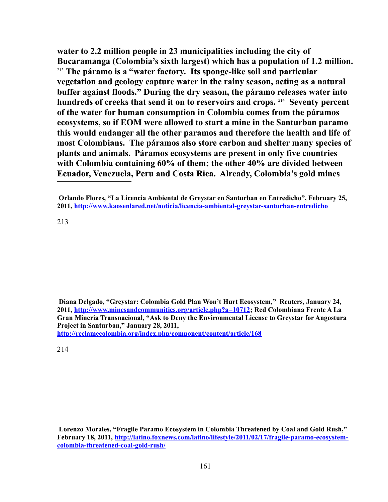**water to 2.2 million people in 23 municipalities including the city of Bucaramanga (Colombia's sixth largest) which has a population of 1.2 million.** [213](#page-160-0) **The páramo is a "water factory. Its sponge-like soil and particular vegetation and geology capture water in the rainy season, acting as a natural buffer against floods." During the dry season, the páramo releases water into hundreds of creeks that send it on to reservoirs and crops.** [214](#page-160-1)  **Seventy percent of the water for human consumption in Colombia comes from the páramos ecosystems, so if EOM were allowed to start a mine in the Santurban paramo this would endanger all the other paramos and therefore the health and life of most Colombians. The páramos also store carbon and shelter many species of plants and animals. Páramos ecosystems are present in only five countries with Colombia containing 60% of them; the other 40% are divided between Ecuador, Venezuela, Peru and Costa Rica. Already, Colombia's gold mines** 

<span id="page-160-0"></span>213

**Diana Delgado, "Greystar: Colombia Gold Plan Won't Hurt Ecosystem," Reuters, January 24, 2011, [http://www.minesandcommunities.org/article.php?a=10712;](http://www.minesandcommunities.org/article.php?a=10712) Red Colombiana Frente A La Gran Mineria Transnacional, "Ask to Deny the Environmental License to Greystar for Angostura Project in Santurban," January 28, 2011,** 

**<http://reclamecolombia.org/index.php/component/content/article/168>**

<span id="page-160-1"></span>214

**Lorenzo Morales, "Fragile Paramo Ecosystem in Colombia Threatened by Coal and Gold Rush," February 18, 2011, [http://latino.foxnews.com/latino/lifestyle/2011/02/17/fragile-paramo-ecosystem](http://latino.foxnews.com/latino/lifestyle/2011/02/17/fragile-paramo-ecosystem-colombia-threatened-coal-gold-rush/)[colombia-threatened-coal-gold-rush/](http://latino.foxnews.com/latino/lifestyle/2011/02/17/fragile-paramo-ecosystem-colombia-threatened-coal-gold-rush/)** 

**Orlando Flores, "La Licencia Ambiental de Greystar en Santurban en Entredicho", February 25, 2011,<http://www.kaosenlared.net/noticia/licencia-ambiental-greystar-santurban-entredicho>**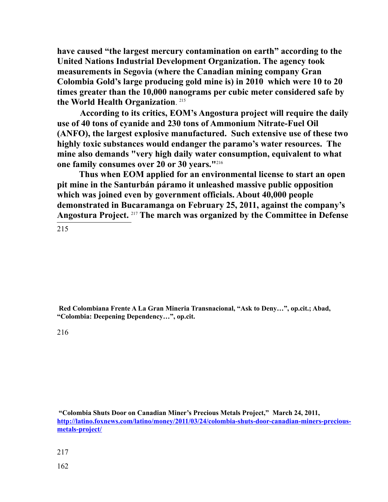**have caused "the largest mercury contamination on earth" according to the United Nations Industrial Development Organization. The agency took measurements in Segovia (where the Canadian mining company Gran Colombia Gold's large producing gold mine is) in 2010 which were 10 to 20 times greater than the 10,000 nanograms per cubic meter considered safe by the World Health Organization**. [215](#page-161-0)

**According to its critics, EOM's Angostura project will require the daily use of 40 tons of cyanide and 230 tons of Ammonium Nitrate-Fuel Oil (ANFO), the largest explosive manufactured. Such extensive use of these two highly toxic substances would endanger the paramo's water resources. The mine also demands "very high daily water consumption, equivalent to what one family consumes over 20 or 30 years."**[216](#page-161-1)

 **Thus when EOM applied for an environmental license to start an open pit mine in the Santurbán páramo it unleashed massive public opposition which was joined even by government officials. About 40,000 people demonstrated in Bucaramanga on February 25, 2011, against the company's Angostura Project.** [217](#page-161-2) **The march was organized by the Committee in Defense** 

<span id="page-161-0"></span>215

**Red Colombiana Frente A La Gran Mineria Transnacional, "Ask to Deny…", op.cit.; Abad, "Colombia: Deepening Dependency…", op.cit.** 

<span id="page-161-1"></span>216

<span id="page-161-2"></span> **"Colombia Shuts Door on Canadian Miner's Precious Metals Project," March 24, 2011, [http://latino.foxnews.com/latino/money/2011/03/24/colombia-shuts-door-canadian-miners-precious](http://latino.foxnews.com/latino/money/2011/03/24/colombia-shuts-door-canadian-miners-precious-metals-project/)[metals-project/](http://latino.foxnews.com/latino/money/2011/03/24/colombia-shuts-door-canadian-miners-precious-metals-project/)**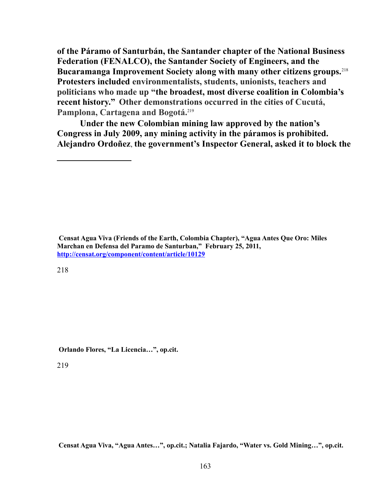**of the Páramo of Santurbán, the Santander chapter of the National Business Federation (FENALCO), the Santander Society of Engineers, and the Bucaramanga Improvement Society along with many other citizens groups.**[218](#page-162-0) **Protesters included environmentalists, students, unionists, teachers and politicians who made up "the broadest, most diverse coalition in Colombia's recent history." Other demonstrations occurred in the cities of Cucutá, Pamplona, Cartagena and Bogotá.**[219](#page-162-1)

**Under the new Colombian mining law approved by the nation's Congress in July 2009, any mining activity in the páramos is prohibited. Alejandro Ordoñez**, **the government's Inspector General, asked it to block the** 

**Censat Agua Viva (Friends of the Earth, Colombia Chapter), "Agua Antes Que Oro: Miles Marchan en Defensa del Paramo de Santurban," February 25, 2011, <http://censat.org/component/content/article/10129>**

<span id="page-162-0"></span>218

 **Orlando Flores, "La Licencia…", op.cit.**

<span id="page-162-1"></span>219

**Censat Agua Viva, "Agua Antes…", op.cit.; Natalia Fajardo, "Water vs. Gold Mining…", op.cit.**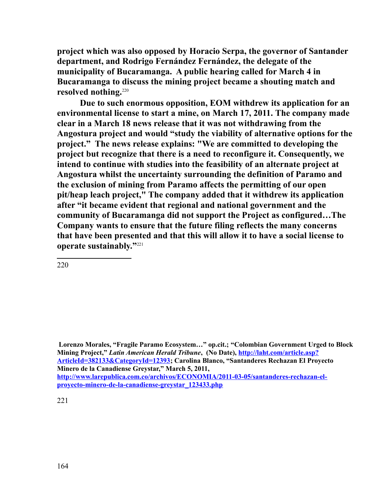**project which was also opposed by Horacio Serpa, the governor of Santander department, and Rodrigo Fernández Fernández, the delegate of the municipality of Bucaramanga. A public hearing called for March 4 in Bucaramanga to discuss the mining project became a shouting match and**  resolved nothing.<sup>[220](#page-163-0)</sup>

**Due to such enormous opposition, EOM withdrew its application for an environmental license to start a mine, on March 17, 2011. The company made clear in a March 18 news release that it was not withdrawing from the Angostura project and would "study the viability of alternative options for the project." The news release explains: "We are committed to developing the project but recognize that there is a need to reconfigure it. Consequently, we intend to continue with studies into the feasibility of an alternate project at Angostura whilst the uncertainty surrounding the definition of Paramo and the exclusion of mining from Paramo affects the permitting of our open pit/heap leach project," The company added that it withdrew its application after "it became evident that regional and national government and the community of Bucaramanga did not support the Project as configured…The Company wants to ensure that the future filing reflects the many concerns that have been presented and that this will allow it to have a social license to operate sustainably."**[221](#page-163-1)

<span id="page-163-0"></span>220

<span id="page-163-1"></span> **Lorenzo Morales, "Fragile Paramo Ecosystem…" op.cit.; "Colombian Government Urged to Block Mining Project,"** *Latin American Herald Tribune***, (No Date), [http://laht.com/article.asp?](http://laht.com/article.asp?ArticleId=382133&CategoryId=12393) [ArticleId=382133&CategoryId=12393;](http://laht.com/article.asp?ArticleId=382133&CategoryId=12393) Carolina Blanco, "Santanderes Rechazan El Proyecto Minero de la Canadiense Greystar," March 5, 2011, [http://www.larepublica.com.co/archivos/ECONOMIA/2011-03-05/santanderes-rechazan-el](http://www.larepublica.com.co/archivos/ECONOMIA/2011-03-05/santanderes-rechazan-el-proyecto-minero-de-la-canadiense-greystar_123433.php)[proyecto-minero-de-la-canadiense-greystar\\_123433.php](http://www.larepublica.com.co/archivos/ECONOMIA/2011-03-05/santanderes-rechazan-el-proyecto-minero-de-la-canadiense-greystar_123433.php)**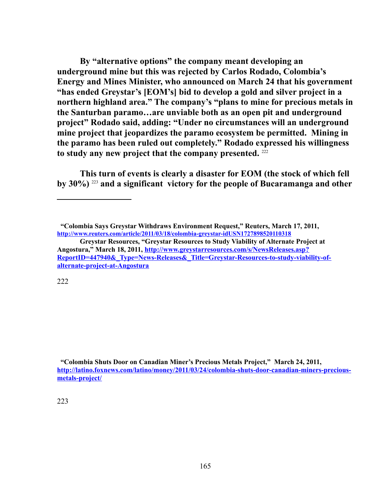**By "alternative options" the company meant developing an underground mine but this was rejected by Carlos Rodado, Colombia's Energy and Mines Minister, who announced on March 24 that his government "has ended Greystar's [EOM's] bid to develop a gold and silver project in a northern highland area." The company's "plans to mine for precious metals in the Santurban paramo…are unviable both as an open pit and underground project" Rodado said, adding: "Under no circumstances will an underground mine project that jeopardizes the paramo ecosystem be permitted. Mining in the paramo has been ruled out completely." Rodado expressed his willingness to study any new project that the company presented.** [222](#page-164-0)

**This turn of events is clearly a disaster for EOM (the stock of which fell by 30%)** [223](#page-164-1) **and a significant victory for the people of Bucaramanga and other**

<span id="page-164-0"></span>222

<span id="page-164-1"></span> **"Colombia Shuts Door on Canadian Miner's Precious Metals Project," March 24, 2011, [http://latino.foxnews.com/latino/money/2011/03/24/colombia-shuts-door-canadian-miners-precious](http://latino.foxnews.com/latino/money/2011/03/24/colombia-shuts-door-canadian-miners-precious-metals-project/)[metals-project/](http://latino.foxnews.com/latino/money/2011/03/24/colombia-shuts-door-canadian-miners-precious-metals-project/)**

 **<sup>&</sup>quot;Colombia Says Greystar Withdraws Environment Request," Reuters, March 17, 2011, <http://www.reuters.com/article/2011/03/18/colombia-greystar-idUSN1727898520110318>**

**Greystar Resources, "Greystar Resources to Study Viability of Alternate Project at Angostura," March 18, 2011, [http://www.greystarresources.com/s/NewsReleases.asp?](http://www.greystarresources.com/s/NewsReleases.asp?ReportID=447940&_Type=News-Releases&_Title=Greystar-Resources-to-study-viability-of-alternate-project-at-Angostura) [ReportID=447940&\\_Type=News-Releases&\\_Title=Greystar-Resources-to-study-viability-of](http://www.greystarresources.com/s/NewsReleases.asp?ReportID=447940&_Type=News-Releases&_Title=Greystar-Resources-to-study-viability-of-alternate-project-at-Angostura)[alternate-project-at-Angostura](http://www.greystarresources.com/s/NewsReleases.asp?ReportID=447940&_Type=News-Releases&_Title=Greystar-Resources-to-study-viability-of-alternate-project-at-Angostura)**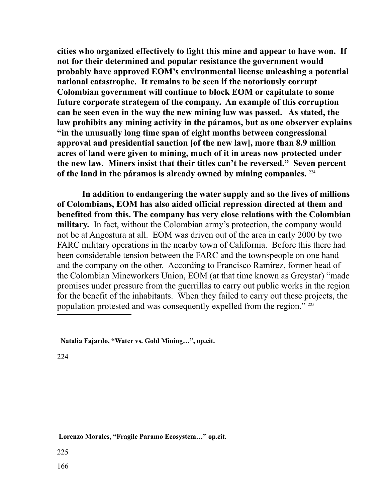**cities who organized effectively to fight this mine and appear to have won. If not for their determined and popular resistance the government would probably have approved EOM's environmental license unleashing a potential national catastrophe. It remains to be seen if the notoriously corrupt Colombian government will continue to block EOM or capitulate to some future corporate strategem of the company. An example of this corruption can be seen even in the way the new mining law was passed. As stated, the law prohibits any mining activity in the páramos, but as one observer explains "in the unusually long time span of eight months between congressional approval and presidential sanction [of the new law], more than 8.9 million acres of land were given to mining, much of it in areas now protected under the new law. Miners insist that their titles can't be reversed." Seven percent of the land in the páramos is already owned by mining companies.** [224](#page-165-0)

 **In addition to endangering the water supply and so the lives of millions of Colombians, EOM has also aided official repression directed at them and benefited from this. The company has very close relations with the Colombian military.** In fact, without the Colombian army's protection, the company would not be at Angostura at all. EOM was driven out of the area in early 2000 by two FARC military operations in the nearby town of California. Before this there had been considerable tension between the FARC and the townspeople on one hand and the company on the other. According to Francisco Ramirez, former head of the Colombian Mineworkers Union, EOM (at that time known as Greystar) "made promises under pressure from the guerrillas to carry out public works in the region for the benefit of the inhabitants. When they failed to carry out these projects, the population protested and was consequently expelled from the region." [225](#page-165-1)

<span id="page-165-0"></span>224

<span id="page-165-1"></span> **Lorenzo Morales, "Fragile Paramo Ecosystem…" op.cit.** 

**Natalia Fajardo, "Water vs. Gold Mining…", op.cit.**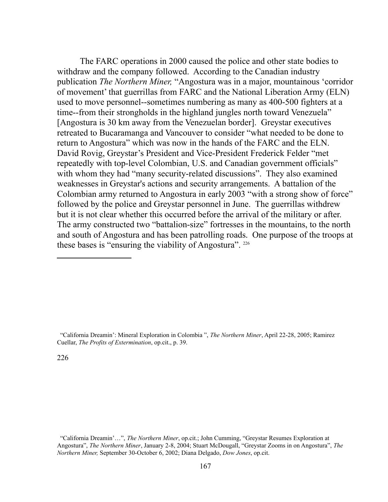The FARC operations in 2000 caused the police and other state bodies to withdraw and the company followed. According to the Canadian industry publication *The Northern Miner,* "Angostura was in a major, mountainous 'corridor of movement' that guerrillas from FARC and the National Liberation Army (ELN) used to move personnel--sometimes numbering as many as 400-500 fighters at a time--from their strongholds in the highland jungles north toward Venezuela" [Angostura is 30 km away from the Venezuelan border]. Greystar executives retreated to Bucaramanga and Vancouver to consider "what needed to be done to return to Angostura" which was now in the hands of the FARC and the ELN. David Rovig, Greystar's President and Vice-President Frederick Felder "met repeatedly with top-level Colombian, U.S. and Canadian government officials" with whom they had "many security-related discussions". They also examined weaknesses in Greystar's actions and security arrangements. A battalion of the Colombian army returned to Angostura in early 2003 "with a strong show of force" followed by the police and Greystar personnel in June. The guerrillas withdrew but it is not clear whether this occurred before the arrival of the military or after. The army constructed two "battalion-size" fortresses in the mountains, to the north and south of Angostura and has been patrolling roads. One purpose of the troops at these bases is "ensuring the viability of Angostura". [226](#page-166-0)

 "California Dreamin': Mineral Exploration in Colombia ", *The Northern Miner*, April 22-28, 2005; Ramirez Cuellar, *The Profits of Extermination*, op.cit., p. 39.

<span id="page-166-0"></span>226

 "California Dreamin'…", *The Northern Miner*, op.cit.; John Cumming, "Greystar Resumes Exploration at Angostura", *The Northern Miner*, January 2-8, 2004; Stuart McDougall, "Greystar Zooms in on Angostura", *The Northern Miner,* September 30-October 6, 2002; Diana Delgado, *Dow Jones*, op.cit.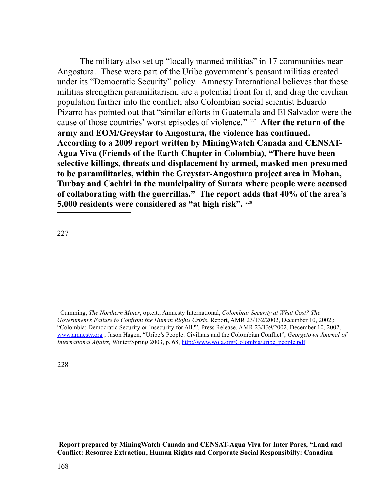The military also set up "locally manned militias" in 17 communities near Angostura.These were part of the Uribe government's peasant militias created under its "Democratic Security" policy. Amnesty International believes that these militias strengthen paramilitarism, are a potential front for it, and drag the civilian population further into the conflict; also Colombian social scientist Eduardo Pizarro has pointed out that "similar efforts in Guatemala and El Salvador were the cause of those countries' worst episodes of violence." [227](#page-167-0) **After the return of the army and EOM/Greystar to Angostura, the violence has continued. According to a 2009 report written by MiningWatch Canada and CENSAT-Agua Viva (Friends of the Earth Chapter in Colombia), "There have been selective killings, threats and displacement by armed, masked men presumed to be paramilitaries, within the Greystar-Angostura project area in Mohan, Turbay and Cachiri in the municipality of Surata where people were accused of collaborating with the guerrillas." The report adds that 40% of the area's 5,000 residents were considered as "at high risk".** [228](#page-167-1)

<span id="page-167-0"></span>227

<span id="page-167-1"></span>228

 **Report prepared by MiningWatch Canada and CENSAT-Agua Viva for Inter Pares, "Land and Conflict: Resource Extraction, Human Rights and Corporate Social Responsibilty: Canadian** 

Cumming, *The Northern Miner*, op.cit.; Amnesty International, *Colombia: Security at What Cost? The Government's Failure to Confront the Human Rights Crisis*, Report, AMR 23/132/2002, December 10, 2002,; "Colombia: Democratic Security or Insecurity for All?", Press Release, AMR 23/139/2002, December 10, 2002, [www.amnesty.org](http://www.amnesty.org/) ; Jason Hagen, "Uribe's People: Civilians and the Colombian Conflict", *Georgetown Journal of International Affairs,* Winter/Spring 2003, p. 68, [http://www.wola.org/Colombia/uribe\\_people.pdf](http://www.wola.org/Colombia/uribe_people.pdf)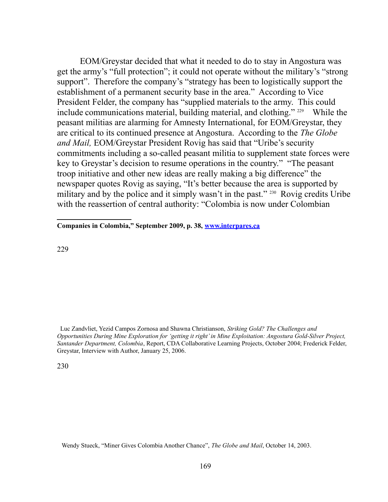EOM/Greystar decided that what it needed to do to stay in Angostura was get the army's "full protection"; it could not operate without the military's "strong support". Therefore the company's "strategy has been to logistically support the establishment of a permanent security base in the area." According to Vice President Felder, the company has "supplied materials to the army. This could include communications material, building material, and clothing." [229](#page-168-0) While the peasant militias are alarming for Amnesty International, for EOM/Greystar, they are critical to its continued presence at Angostura. According to the *The Globe and Mail,* EOM/Greystar President Rovig has said that "Uribe's security commitments including a so-called peasant militia to supplement state forces were key to Greystar's decision to resume operations in the country." "The peasant troop initiative and other new ideas are really making a big difference" the newspaper quotes Rovig as saying, "It's better because the area is supported by military and by the police and it simply wasn't in the past."<sup>[230](#page-168-1)</sup> Rovig credits Uribe with the reassertion of central authority: "Colombia is now under Colombian

**Companies in Colombia," September 2009, p. 38, [www.interpares.ca](http://www.interpares.ca/)**

<span id="page-168-0"></span>229

 Luc Zandvliet, Yezid Campos Zornosa and Shawna Christianson, *Striking Gold? The Challenges and Opportunities During Mine Exploration for 'getting it right' in Mine Exploitation: Angostura Gold-Silver Project, Santander Department, Colombia*, Report, CDA Collaborative Learning Projects, October 2004; Frederick Felder, Greystar, Interview with Author, January 25, 2006.

<span id="page-168-1"></span>230

Wendy Stueck, "Miner Gives Colombia Another Chance", *The Globe and Mail*, October 14, 2003.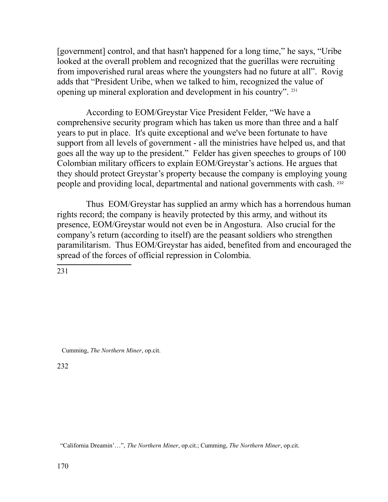[government] control, and that hasn't happened for a long time," he says, "Uribe looked at the overall problem and recognized that the guerillas were recruiting from impoverished rural areas where the youngsters had no future at all". Rovig adds that "President Uribe, when we talked to him, recognized the value of opening up mineral exploration and development in his country". [231](#page-169-0)

According to EOM/Greystar Vice President Felder, "We have a comprehensive security program which has taken us more than three and a half years to put in place. It's quite exceptional and we've been fortunate to have support from all levels of government - all the ministries have helped us, and that goes all the way up to the president." Felder has given speeches to groups of 100 Colombian military officers to explain EOM/Greystar's actions. He argues that they should protect Greystar's property because the company is employing young people and providing local, departmental and national governments with cash. [232](#page-169-1)

Thus EOM/Greystar has supplied an army which has a horrendous human rights record; the company is heavily protected by this army, and without its presence, EOM/Greystar would not even be in Angostura. Also crucial for the company's return (according to itself) are the peasant soldiers who strengthen paramilitarism. Thus EOM/Greystar has aided, benefited from and encouraged the spread of the forces of official repression in Colombia.

<span id="page-169-0"></span>231

Cumming, *The Northern Miner*, op.cit.

<span id="page-169-1"></span>232

"California Dreamin'…", *The Northern Miner*, op.cit.; Cumming, *The Northern Miner*, op.cit.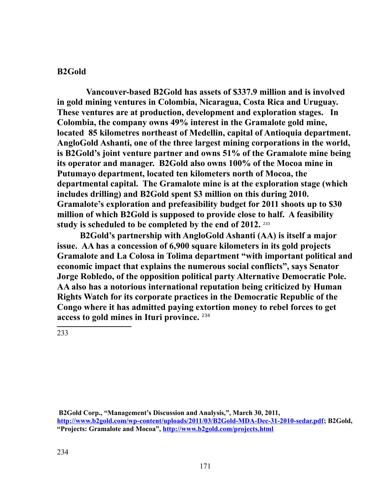## **B2Gold**

**Vancouver-based B2Gold has assets of \$337.9 million and is involved in gold mining ventures in Colombia, Nicaragua, Costa Rica and Uruguay. These ventures are at production, development and exploration stages. In Colombia, the company owns 49% interest in the Gramalote gold mine, located 85 kilometres northeast of Medellin, capital of Antioquia department. AngloGold Ashanti, one of the three largest mining corporations in the world, is B2Gold's joint venture partner and owns 51% of the Gramalote mine being its operator and manager. B2Gold also owns 100% of the Mocoa mine in Putumayo department, located ten kilometers north of Mocoa, the departmental capital. The Gramalote mine is at the exploration stage (which includes drilling) and B2Gold spent \$3 million on this during 2010. Gramalote's exploration and prefeasibility budget for 2011 shoots up to \$30 million of which B2Gold is supposed to provide close to half. A feasibility**  study is scheduled to be completed by the end of 2012. <sup>[233](#page-170-0)</sup>

**B2Gold's partnership with AngloGold Ashanti (AA) is itself a major issue. AA has a concession of 6,900 square kilometers in its gold projects Gramalote and La Colosa in Tolima department "with important political and economic impact that explains the numerous social conflicts", says Senator Jorge Robledo, of the opposition political party Alternative Democratic Pole. AA also has a notorious international reputation being criticized by Human Rights Watch for its corporate practices in the Democratic Republic of the Congo where it has admitted paying extortion money to rebel forces to get access to gold mines in Ituri province.** [234](#page-170-1)

<span id="page-170-1"></span><span id="page-170-0"></span>**B2Gold Corp., "Management's Discussion and Analysis,", March 30, 2011, [http://www.b2gold.com/wp-content/uploads/2011/03/B2Gold-MDA-Dec-31-2010-sedar.pdf;](http://www.b2gold.com/wp-content/uploads/2011/03/B2Gold-MDA-Dec-31-2010-sedar.pdf) B2Gold, "Projects: Gramalote and Mocoa",<http://www.b2gold.com/projects.html>**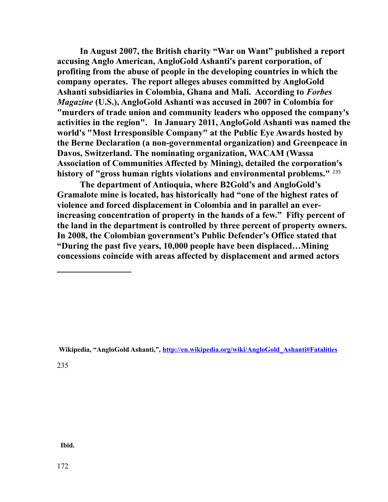**In August 2007, the British charity "War on Want" published a report accusing Anglo American, AngloGold Ashanti's parent corporation, of profiting from the abuse of people in the developing countries in which the company operates. The report alleges abuses committed by AngloGold Ashanti subsidiaries in Colombia, Ghana and Mali. According to** *Forbes Magazine* **(U.S.), AngloGold Ashanti was accused in 2007 in Colombia for "murders of trade union and community leaders who opposed the company's activities in the region". In January 2011, AngloGold Ashanti was named the world's "Most Irresponsible Company" at the Public Eye Awards hosted by the Berne Declaration (a non-governmental organization) and Greenpeace in Davos, Switzerland. The nominating organization, WACAM (Wassa Association of Communities Affected by Mining), detailed the corporation's history of "gross human rights violations and environmental problems."** [235](#page-171-1)

**The department of Antioquia, where B2Gold's and AngloGold's Gramalote mine is located, has historically had "one of the highest rates of violence and forced displacement in Colombia and in parallel an everincreasing concentration of property in the hands of a few." Fifty percent of the land in the department is controlled by three percent of property owners. In 2008, the Colombian government's Public Defender's Office stated that "During the past five years, 10,000 people have been displaced…Mining concessions coincide with areas affected by displacement and armed actors** 

<span id="page-171-0"></span>**Wikipedia, "AngloGold Ashanti,", [http://en.wikipedia.org/wiki/AngloGold\\_Ashanti#Fatalities](#page-171-0)**

<span id="page-171-1"></span>235

 **Ibid.**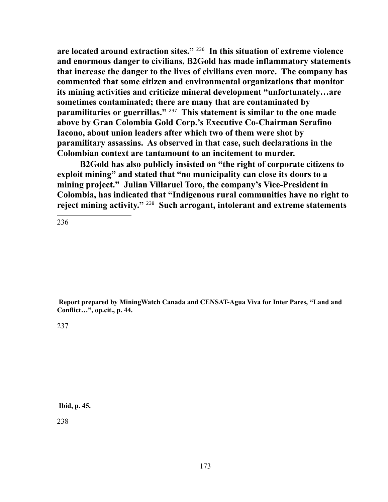**are located around extraction sites."** [236](#page-172-0) **In this situation of extreme violence and enormous danger to civilians, B2Gold has made inflammatory statements that increase the danger to the lives of civilians even more. The company has commented that some citizen and environmental organizations that monitor its mining activities and criticize mineral development "unfortunately…are sometimes contaminated; there are many that are contaminated by paramilitaries or guerrillas."** [237](#page-172-1) **This statement is similar to the one made above by Gran Colombia Gold Corp.'s Executive Co-Chairman Serafino Iacono, about union leaders after which two of them were shot by paramilitary assassins. As observed in that case, such declarations in the Colombian context are tantamount to an incitement to murder.**

**B2Gold has also publicly insisted on "the right of corporate citizens to exploit mining" and stated that "no municipality can close its doors to a mining project." Julian Villaruel Toro, the company's Vice-President in Colombia, has indicated that "Indigenous rural communities have no right to reject mining activity."** [238](#page-172-2) **Such arrogant, intolerant and extreme statements** 

<span id="page-172-0"></span>236

 **Report prepared by MiningWatch Canada and CENSAT-Agua Viva for Inter Pares, "Land and Conflict…", op.cit., p. 44.** 

<span id="page-172-1"></span>237

<span id="page-172-2"></span>**Ibid, p. 45.**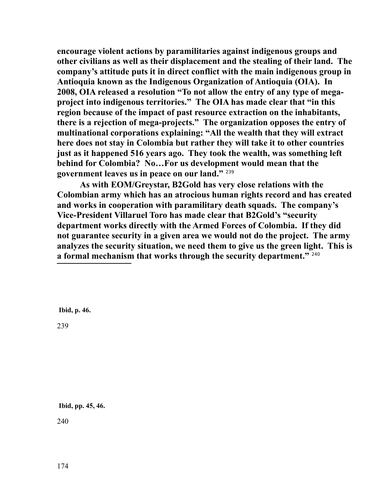**encourage violent actions by paramilitaries against indigenous groups and other civilians as well as their displacement and the stealing of their land. The company's attitude puts it in direct conflict with the main indigenous group in Antioquia known as the Indigenous Organization of Antioquia (OIA). In 2008, OIA released a resolution "To not allow the entry of any type of megaproject into indigenous territories." The OIA has made clear that "in this region because of the impact of past resource extraction on the inhabitants, there is a rejection of mega-projects." The organization opposes the entry of multinational corporations explaining: "All the wealth that they will extract here does not stay in Colombia but rather they will take it to other countries just as it happened 516 years ago. They took the wealth, was something left behind for Colombia? No…For us development would mean that the government leaves us in peace on our land."** [239](#page-173-0)

**As with EOM/Greystar, B2Gold has very close relations with the Colombian army which has an atrocious human rights record and has created and works in cooperation with paramilitary death squads. The company's Vice-President Villaruel Toro has made clear that B2Gold's "security department works directly with the Armed Forces of Colombia. If they did not guarantee security in a given area we would not do the project. The army analyzes the security situation, we need them to give us the green light. This is a formal mechanism that works through the security department."** [240](#page-173-1)

**Ibid, p. 46.**

<span id="page-173-0"></span>239

<span id="page-173-1"></span>**Ibid, pp. 45, 46.**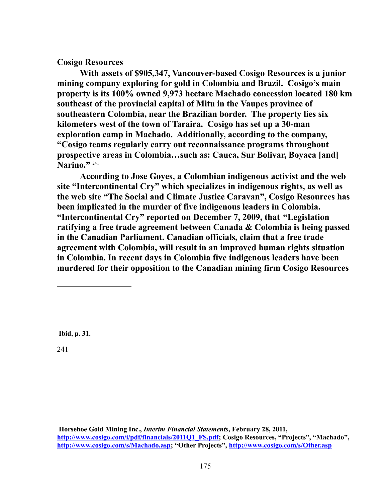## **Cosigo Resources**

**With assets of \$905,347, Vancouver-based Cosigo Resources is a junior mining company exploring for gold in Colombia and Brazil. Cosigo's main property is its 100% owned 9,973 hectare Machado concession located 180 km southeast of the provincial capital of Mitu in the Vaupes province of southeastern Colombia, near the Brazilian border. The property lies six kilometers west of the town of Taraira. Cosigo has set up a 30-man exploration camp in Machado. Additionally, according to the company, "Cosigo teams regularly carry out reconnaissance programs throughout prospective areas in Colombia…such as: Cauca, Sur Bolivar, Boyaca [and] Narino."** [241](#page-174-0)

**According to Jose Goyes, a Colombian indigenous activist and the web site "Intercontinental Cry" which specializes in indigenous rights, as well as the web site "The Social and Climate Justice Caravan", Cosigo Resources has been implicated in the murder of five indigenous leaders in Colombia. "Intercontinental Cry" reported on December 7, 2009, that "Legislation ratifying a free trade agreement between Canada & Colombia is being passed in the Canadian Parliament. Canadian officials, claim that a free trade agreement with Colombia, will result in an improved human rights situation in Colombia. In recent days in Colombia five indigenous leaders have been murdered for their opposition to the Canadian mining firm Cosigo Resources** 

<span id="page-174-0"></span>**Ibid, p. 31.**

**Horsehoe Gold Mining Inc.,** *Interim Financial Statements***, February 28, 2011, [http://www.cosigo.com/i/pdf/financials/2011Q1\\_FS.pdf;](http://www.cosigo.com/i/pdf/financials/2011Q1_FS.pdf) Cosigo Resources, "Projects", "Machado", [http://www.cosigo.com/s/Machado.asp;](http://www.cosigo.com/s/Machado.asp) "Other Projects",<http://www.cosigo.com/s/Other.asp>**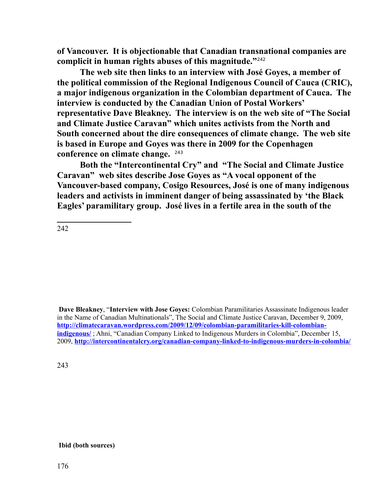**of Vancouver. It is objectionable that Canadian transnational companies are complicit in human rights abuses of this magnitude."**[242](#page-175-0)

**The web site then links to an interview with José Goyes, a member of the political commission of the Regional Indigenous Council of Cauca (CRIC), a major indigenous organization in the Colombian department of Cauca. The interview is conducted by the Canadian Union of Postal Workers' representative Dave Bleakney. The interview is on the web site of "The Social and Climate Justice Caravan" which unites activists from the North and South concerned about the dire consequences of climate change. The web site is based in Europe and Goyes was there in 2009 for the Copenhagen conference on climate change.** [243](#page-175-1)

**Both the "Intercontinental Cry" and "The Social and Climate Justice Caravan" web sites describe Jose Goyes as "A vocal opponent of the Vancouver-based company, Cosigo Resources, José is one of many indigenous leaders and activists in imminent danger of being assassinated by 'the Black Eagles' paramilitary group. José lives in a fertile area in the south of the** 

<span id="page-175-0"></span>242

**Dave Bleakney**, "**Interview with Jose Goyes:** Colombian Paramilitaries Assassinate Indigenous leader in the Name of Canadian Multinationals", The Social and Climate Justice Caravan, December 9, 2009, **[http://climatecaravan.wordpress.com/2009/12/09/colombian-paramilitaries-kill-colombian](http://climatecaravan.wordpress.com/2009/12/09/colombian-paramilitaries-kill-colombian-indigenous/)[indigenous/](http://climatecaravan.wordpress.com/2009/12/09/colombian-paramilitaries-kill-colombian-indigenous/)** ; Ahni, "Canadian Company Linked to Indigenous Murders in Colombia", December 15, 2009, **<http://intercontinentalcry.org/canadian-company-linked-to-indigenous-murders-in-colombia/>**

<span id="page-175-1"></span>243

**Ibid (both sources)**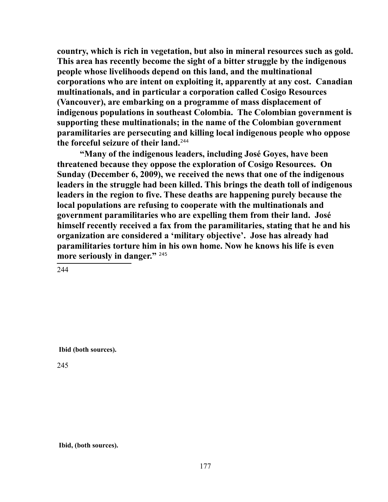**country, which is rich in vegetation, but also in mineral resources such as gold. This area has recently become the sight of a bitter struggle by the indigenous people whose livelihoods depend on this land, and the multinational corporations who are intent on exploiting it, apparently at any cost. Canadian multinationals, and in particular a corporation called Cosigo Resources (Vancouver), are embarking on a programme of mass displacement of indigenous populations in southeast Colombia. The Colombian government is supporting these multinationals; in the name of the Colombian government paramilitaries are persecuting and killing local indigenous people who oppose the forceful seizure of their land.**[244](#page-176-0)

**"Many of the indigenous leaders, including José Goyes, have been threatened because they oppose the exploration of Cosigo Resources. On Sunday (December 6, 2009), we received the news that one of the indigenous leaders in the struggle had been killed. This brings the death toll of indigenous leaders in the region to five. These deaths are happening purely because the local populations are refusing to cooperate with the multinationals and government paramilitaries who are expelling them from their land. José himself recently received a fax from the paramilitaries, stating that he and his organization are considered a 'military objective'. Jose has already had paramilitaries torture him in his own home. Now he knows his life is even more seriously in danger."** [245](#page-176-1)

<span id="page-176-0"></span>244

**Ibid (both sources).**

<span id="page-176-1"></span>245

**Ibid, (both sources).**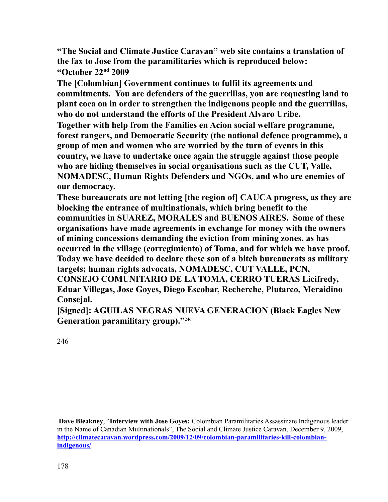**"The Social and Climate Justice Caravan" web site contains a translation of the fax to Jose from the paramilitaries which is reproduced below: "October 22nd 2009**

**The [Colombian] Government continues to fulfil its agreements and commitments. You are defenders of the guerrillas, you are requesting land to plant coca on in order to strengthen the indigenous people and the guerrillas, who do not understand the efforts of the President Alvaro Uribe. Together with help from the Families en Acion social welfare programme, forest rangers, and Democratic Security (the national defence programme), a group of men and women who are worried by the turn of events in this country, we have to undertake once again the struggle against those people who are hiding themselves in social organisations such as the CUT, Valle, NOMADESC, Human Rights Defenders and NGOs, and who are enemies of our democracy.**

**These bureaucrats are not letting [the region of] CAUCA progress, as they are blocking the entrance of multinationals, which bring benefit to the communities in SUAREZ, MORALES and BUENOS AIRES. Some of these organisations have made agreements in exchange for money with the owners of mining concessions demanding the eviction from mining zones, as has occurred in the village (corregimiento) of Toma, and for which we have proof. Today we have decided to declare these son of a bitch bureaucrats as military targets; human rights advocats, NOMADESC, CUT VALLE, PCN, CONSEJO COMUNITARIO DE LA TOMA, CERRO TUERAS Licifredy, Eduar Villegas, Jose Goyes, Diego Escobar, Recherche, Plutarco, Meraidino Consejal.**

**[Signed]: AGUILAS NEGRAS NUEVA GENERACION (Black Eagles New Generation paramilitary group)."**[246](#page-177-0)

<span id="page-177-0"></span>246

 **Dave Bleakney**, "**Interview with Jose Goyes:** Colombian Paramilitaries Assassinate Indigenous leader in the Name of Canadian Multinationals", The Social and Climate Justice Caravan, December 9, 2009, **[http://climatecaravan.wordpress.com/2009/12/09/colombian-paramilitaries-kill-colombian](http://climatecaravan.wordpress.com/2009/12/09/colombian-paramilitaries-kill-colombian-indigenous/)[indigenous/](http://climatecaravan.wordpress.com/2009/12/09/colombian-paramilitaries-kill-colombian-indigenous/)**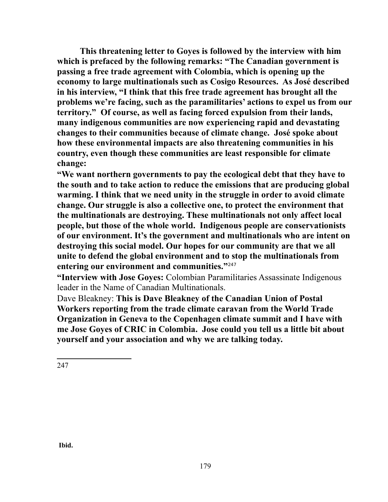**This threatening letter to Goyes is followed by the interview with him which is prefaced by the following remarks: "The Canadian government is passing a free trade agreement with Colombia, which is opening up the economy to large multinationals such as Cosigo Resources. As José described in his interview, "I think that this free trade agreement has brought all the problems we're facing, such as the paramilitaries' actions to expel us from our territory." Of course, as well as facing forced expulsion from their lands, many indigenous communities are now experiencing rapid and devastating changes to their communities because of climate change. José spoke about how these environmental impacts are also threatening communities in his country, even though these communities are least responsible for climate change:**

**"We want northern governments to pay the ecological debt that they have to the south and to take action to reduce the emissions that are producing global warming. I think that we need unity in the struggle in order to avoid climate change. Our struggle is also a collective one, to protect the environment that the multinationals are destroying. These multinationals not only affect local people, but those of the whole world. Indigenous people are conservationists of our environment. It's the government and multinationals who are intent on destroying this social model. Our hopes for our community are that we all unite to defend the global environment and to stop the multinationals from entering our environment and communities."**[247](#page-178-0)

**"Interview with Jose Goyes:** Colombian Paramilitaries Assassinate Indigenous leader in the Name of Canadian Multinationals.

<span id="page-178-0"></span>Dave Bleakney: **This is Dave Bleakney of the Canadian Union of Postal Workers reporting from the trade climate caravan from the World Trade Organization in Geneva to the Copenhagen climate summit and I have with me Jose Goyes of CRIC in Colombia. Jose could you tell us a little bit about yourself and your association and why we are talking today.**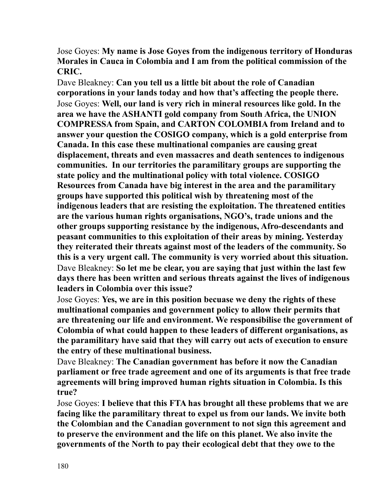Jose Goyes: **My name is Jose Goyes from the indigenous territory of Honduras Morales in Cauca in Colombia and I am from the political commission of the CRIC.**

Dave Bleakney: **Can you tell us a little bit about the role of Canadian corporations in your lands today and how that's affecting the people there.** Jose Goyes: **Well, our land is very rich in mineral resources like gold. In the area we have the ASHANTI gold company from South Africa, the UNION COMPRESSA from Spain, and CARTON COLOMBIA from Ireland and to answer your question the COSIGO company, which is a gold enterprise from Canada. In this case these multinational companies are causing great displacement, threats and even massacres and death sentences to indigenous communities. In our territories the paramilitary groups are supporting the state policy and the multinational policy with total violence. COSIGO Resources from Canada have big interest in the area and the paramilitary groups have supported this political wish by threatening most of the indigenous leaders that are resisting the exploitation. The threatened entities are the various human rights organisations, NGO's, trade unions and the other groups supporting resistance by the indigenous, Afro-descendants and peasant communities to this exploitation of their areas by mining. Yesterday they reiterated their threats against most of the leaders of the community. So this is a very urgent call. The community is very worried about this situation.** Dave Bleakney: **So let me be clear, you are saying that just within the last few days there has been written and serious threats against the lives of indigenous leaders in Colombia over this issue?**

Jose Goyes: **Yes, we are in this position becuase we deny the rights of these multinational companies and government policy to allow their permits that are threatening our life and environment. We responsibilise the government of Colombia of what could happen to these leaders of different organisations, as the paramilitary have said that they will carry out acts of execution to ensure the entry of these multinational business.**

Dave Bleakney: **The Canadian government has before it now the Canadian parliament or free trade agreement and one of its arguments is that free trade agreements will bring improved human rights situation in Colombia. Is this true?**

Jose Goyes: **I believe that this FTA has brought all these problems that we are facing like the paramilitary threat to expel us from our lands. We invite both the Colombian and the Canadian government to not sign this agreement and to preserve the environment and the life on this planet. We also invite the governments of the North to pay their ecological debt that they owe to the**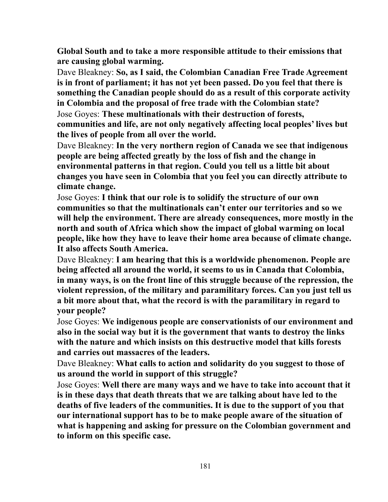**Global South and to take a more responsible attitude to their emissions that are causing global warming.**

Dave Bleakney: **So, as I said, the Colombian Canadian Free Trade Agreement is in front of parliament; it has not yet been passed. Do you feel that there is something the Canadian people should do as a result of this corporate activity in Colombia and the proposal of free trade with the Colombian state?** Jose Goyes: **These multinationals with their destruction of forests,** 

**communities and life, are not only negatively affecting local peoples' lives but the lives of people from all over the world.**

Dave Bleakney: **In the very northern region of Canada we see that indigenous people are being affected greatly by the loss of fish and the change in environmental patterns in that region. Could you tell us a little bit about changes you have seen in Colombia that you feel you can directly attribute to climate change.**

Jose Goyes: **I think that our role is to solidify the structure of our own communities so that the multinationals can't enter our territories and so we will help the environment. There are already consequences, more mostly in the north and south of Africa which show the impact of global warming on local people, like how they have to leave their home area because of climate change. It also affects South America.**

Dave Bleakney: **I am hearing that this is a worldwide phenomenon. People are being affected all around the world, it seems to us in Canada that Colombia, in many ways, is on the front line of this struggle because of the repression, the violent repression, of the military and paramilitary forces. Can you just tell us a bit more about that, what the record is with the paramilitary in regard to your people?**

Jose Goyes: **We indigenous people are conservationists of our environment and also in the social way but it is the government that wants to destroy the links with the nature and which insists on this destructive model that kills forests and carries out massacres of the leaders.**

Dave Bleakney: **What calls to action and solidarity do you suggest to those of us around the world in support of this struggle?**

Jose Goyes: **Well there are many ways and we have to take into account that it is in these days that death threats that we are talking about have led to the deaths of five leaders of the communities. It is due to the support of you that our international support has to be to make people aware of the situation of what is happening and asking for pressure on the Colombian government and to inform on this specific case.**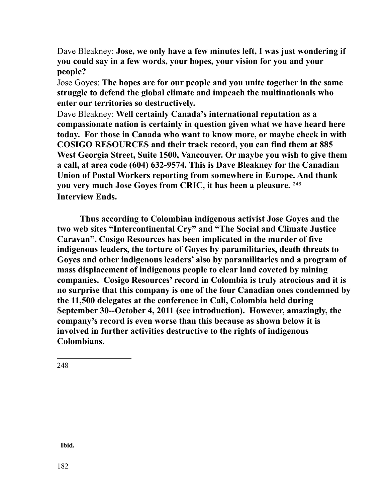Dave Bleakney: **Jose, we only have a few minutes left, I was just wondering if you could say in a few words, your hopes, your vision for you and your people?**

Jose Goyes: **The hopes are for our people and you unite together in the same struggle to defend the global climate and impeach the multinationals who enter our territories so destructively.**

Dave Bleakney: **Well certainly Canada's international reputation as a compassionate nation is certainly in question given what we have heard here today. For those in Canada who want to know more, or maybe check in with COSIGO RESOURCES and their track record, you can find them at 885 West Georgia Street, Suite 1500, Vancouver. Or maybe you wish to give them a call, at area code (604) 632-9574. This is Dave Bleakney for the Canadian Union of Postal Workers reporting from somewhere in Europe. And thank you very much Jose Goyes from CRIC, it has been a pleasure.** [248](#page-181-0) **Interview Ends.**

**Thus according to Colombian indigenous activist Jose Goyes and the two web sites "Intercontinental Cry" and "The Social and Climate Justice Caravan", Cosigo Resources has been implicated in the murder of five indigenous leaders, the torture of Goyes by paramilitaries, death threats to Goyes and other indigenous leaders' also by paramilitaries and a program of mass displacement of indigenous people to clear land coveted by mining companies. Cosigo Resources' record in Colombia is truly atrocious and it is no surprise that this company is one of the four Canadian ones condemned by the 11,500 delegates at the conference in Cali, Colombia held during September 30--October 4, 2011 (see introduction). However, amazingly, the company's record is even worse than this because as shown below it is involved in further activities destructive to the rights of indigenous Colombians.**

<span id="page-181-0"></span>248

 **Ibid.**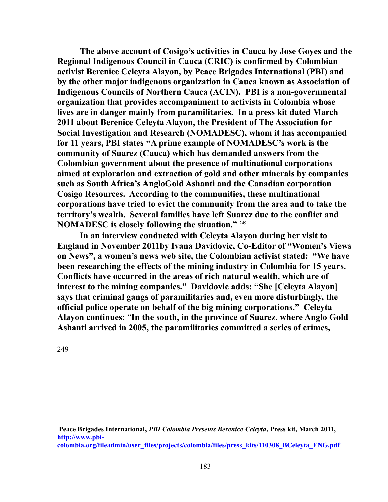**The above account of Cosigo's activities in Cauca by Jose Goyes and the Regional Indigenous Council in Cauca (CRIC) is confirmed by Colombian activist Berenice Celeyta Alayon, by Peace Brigades International (PBI) and by the other major indigenous organization in Cauca known as Association of Indigenous Councils of Northern Cauca (ACIN). PBI is a non-governmental organization that provides accompaniment to activists in Colombia whose lives are in danger mainly from paramilitaries. In a press kit dated March 2011 about Berenice Celeyta Alayon, the President of The Association for Social Investigation and Research (NOMADESC), whom it has accompanied for 11 years, PBI states "A prime example of NOMADESC's work is the community of Suarez (Cauca) which has demanded answers from the Colombian government about the presence of multinational corporations aimed at exploration and extraction of gold and other minerals by companies such as South Africa's AngloGold Ashanti and the Canadian corporation Cosigo Resources. According to the communities, these multinational corporations have tried to evict the community from the area and to take the territory's wealth. Several families have left Suarez due to the conflict and NOMADESC is closely following the situation."** [249](#page-182-0)

**In an interview conducted with Celeyta Alayon during her visit to England in November 2011by Ivana Davidovic, Co-Editor of "Women's Views on News", a women's news web site, the Colombian activist stated: "We have been researching the effects of the mining industry in Colombia for 15 years. Conflicts have occurred in the areas of rich natural wealth, which are of interest to the mining companies." Davidovic adds: "She [Celeyta Alayon] says that criminal gangs of paramilitaries and, even more disturbingly, the official police operate on behalf of the big mining corporations." Celeyta Alayon continues:** "**In the south, in the province of Suarez, where Anglo Gold Ashanti arrived in 2005, the paramilitaries committed a series of crimes,** 

<span id="page-182-0"></span>249

 **Peace Brigades International,** *PBI Colombia Presents Berenice Celeyta***, Press kit, March 2011, [http://www.pbi](http://www.pbi-colombia.org/fileadmin/user_files/projects/colombia/files/press_kits/110308_BCeleyta_ENG.pdf)[colombia.org/fileadmin/user\\_files/projects/colombia/files/press\\_kits/110308\\_BCeleyta\\_ENG.pdf](http://www.pbi-colombia.org/fileadmin/user_files/projects/colombia/files/press_kits/110308_BCeleyta_ENG.pdf)**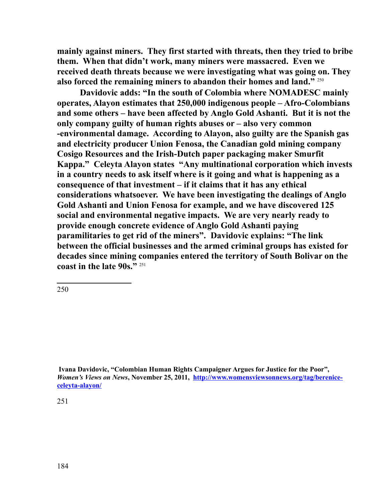**mainly against miners. They first started with threats, then they tried to bribe them. When that didn't work, many miners were massacred. Even we received death threats because we were investigating what was going on. They also forced the remaining miners to abandon their homes and land."** [250](#page-183-0)

**Davidovic adds: "In the south of Colombia where NOMADESC mainly operates, Alayon estimates that 250,000 indigenous people – Afro-Colombians and some others – have been affected by Anglo Gold Ashanti. But it is not the only company guilty of human rights abuses or – also very common -environmental damage. According to Alayon, also guilty are the Spanish gas and electricity producer Union Fenosa, the Canadian gold mining company Cosigo Resources and the Irish-Dutch paper packaging maker Smurfit Kappa." Celeyta Alayon states "Any multinational corporation which invests in a country needs to ask itself where is it going and what is happening as a consequence of that investment – if it claims that it has any ethical considerations whatsoever. We have been investigating the dealings of Anglo Gold Ashanti and Union Fenosa for example, and we have discovered 125 social and environmental negative impacts. We are very nearly ready to provide enough concrete evidence of Anglo Gold Ashanti paying paramilitaries to get rid of the miners". Davidovic explains: "The link between the official businesses and the armed criminal groups has existed for decades since mining companies entered the territory of South Bolivar on the coast in the late 90s."** [251](#page-183-1)

<span id="page-183-0"></span>250

<span id="page-183-1"></span>**Ivana Davidovic, "Colombian Human Rights Campaigner Argues for Justice for the Poor",**  *Women's Views on News***, November 25, 2011, [http://www.womensviewsonnews.org/tag/berenice](http://www.womensviewsonnews.org/tag/berenice-celeyta-alayon/)[celeyta-alayon/](http://www.womensviewsonnews.org/tag/berenice-celeyta-alayon/)**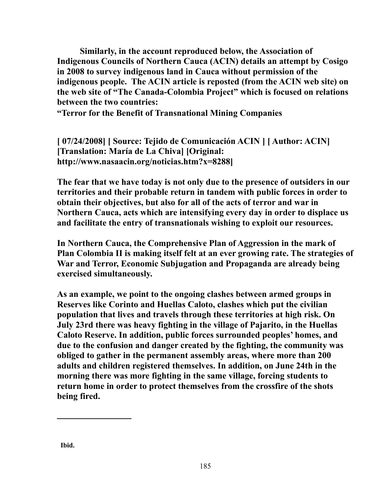**Similarly, in the account reproduced below, the Association of Indigenous Councils of Northern Cauca (ACIN) details an attempt by Cosigo in 2008 to survey indigenous land in Cauca without permission of the indigenous people. The ACIN article is reposted (from the ACIN web site) on the web site of "The Canada-Colombia Project" which is focused on relations between the two countries:**

**"Terror for the Benefit of Transnational Mining Companies** 

**[ 07/24/2008] [ Source: Tejido de Comunicación ACIN ] [ Author: ACIN] [Translation: María de La Chiva] [Original: http://www.nasaacin.org/noticias.htm?x=8288]**

**The fear that we have today is not only due to the presence of outsiders in our territories and their probable return in tandem with public forces in order to obtain their objectives, but also for all of the acts of terror and war in Northern Cauca, acts which are intensifying every day in order to displace us and facilitate the entry of transnationals wishing to exploit our resources.**

**In Northern Cauca, the Comprehensive Plan of Aggression in the mark of Plan Colombia II is making itself felt at an ever growing rate. The strategies of War and Terror, Economic Subjugation and Propaganda are already being exercised simultaneously.**

**As an example, we point to the ongoing clashes between armed groups in Reserves like Corinto and Huellas Caloto, clashes which put the civilian population that lives and travels through these territories at high risk. On July 23rd there was heavy fighting in the village of Pajarito, in the Huellas Caloto Reserve. In addition, public forces surrounded peoples' homes, and due to the confusion and danger created by the fighting, the community was obliged to gather in the permanent assembly areas, where more than 200 adults and children registered themselves. In addition, on June 24th in the morning there was more fighting in the same village, forcing students to return home in order to protect themselves from the crossfire of the shots being fired.**

 **Ibid.**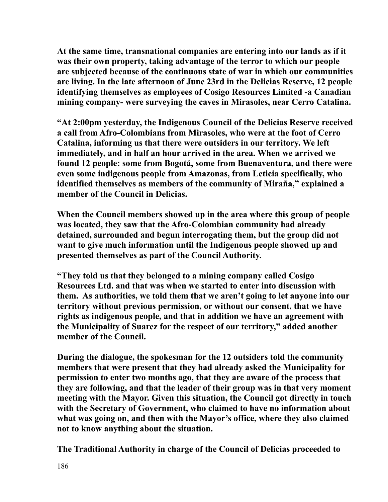**At the same time, transnational companies are entering into our lands as if it was their own property, taking advantage of the terror to which our people are subjected because of the continuous state of war in which our communities are living. In the late afternoon of June 23rd in the Delicias Reserve, 12 people identifying themselves as employees of Cosigo Resources Limited -a Canadian mining company- were surveying the caves in Mirasoles, near Cerro Catalina.**

**"At 2:00pm yesterday, the Indigenous Council of the Delicias Reserve received a call from Afro-Colombians from Mirasoles, who were at the foot of Cerro Catalina, informing us that there were outsiders in our territory. We left immediately, and in half an hour arrived in the area. When we arrived we found 12 people: some from Bogotá, some from Buenaventura, and there were even some indigenous people from Amazonas, from Leticia specifically, who identified themselves as members of the community of Miraña," explained a member of the Council in Delicias.**

**When the Council members showed up in the area where this group of people was located, they saw that the Afro-Colombian community had already detained, surrounded and begun interrogating them, but the group did not want to give much information until the Indigenous people showed up and presented themselves as part of the Council Authority.**

**"They told us that they belonged to a mining company called Cosigo Resources Ltd. and that was when we started to enter into discussion with them. As authorities, we told them that we aren't going to let anyone into our territory without previous permission, or without our consent, that we have rights as indigenous people, and that in addition we have an agreement with the Municipality of Suarez for the respect of our territory," added another member of the Council.**

**During the dialogue, the spokesman for the 12 outsiders told the community members that were present that they had already asked the Municipality for permission to enter two months ago, that they are aware of the process that they are following, and that the leader of their group was in that very moment meeting with the Mayor. Given this situation, the Council got directly in touch with the Secretary of Government, who claimed to have no information about what was going on, and then with the Mayor's office, where they also claimed not to know anything about the situation.**

**The Traditional Authority in charge of the Council of Delicias proceeded to**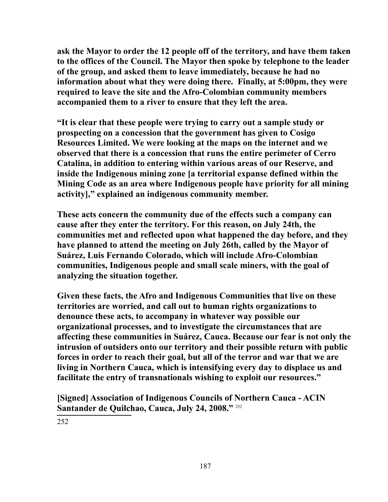**ask the Mayor to order the 12 people off of the territory, and have them taken to the offices of the Council. The Mayor then spoke by telephone to the leader of the group, and asked them to leave immediately, because he had no information about what they were doing there. Finally, at 5:00pm, they were required to leave the site and the Afro-Colombian community members accompanied them to a river to ensure that they left the area.**

**"It is clear that these people were trying to carry out a sample study or prospecting on a concession that the government has given to Cosigo Resources Limited. We were looking at the maps on the internet and we observed that there is a concession that runs the entire perimeter of Cerro Catalina, in addition to entering within various areas of our Reserve, and inside the Indigenous mining zone [a territorial expanse defined within the Mining Code as an area where Indigenous people have priority for all mining activity]," explained an indigenous community member.**

**These acts concern the community due of the effects such a company can cause after they enter the territory. For this reason, on July 24th, the communities met and reflected upon what happened the day before, and they have planned to attend the meeting on July 26th, called by the Mayor of Suárez, Luis Fernando Colorado, which will include Afro-Colombian communities, Indigenous people and small scale miners, with the goal of analyzing the situation together.**

**Given these facts, the Afro and Indigenous Communities that live on these territories are worried, and call out to human rights organizations to denounce these acts, to accompany in whatever way possible our organizational processes, and to investigate the circumstances that are affecting these communities in Suárez, Cauca. Because our fear is not only the intrusion of outsiders onto our territory and their possible return with public forces in order to reach their goal, but all of the terror and war that we are living in Northern Cauca, which is intensifying every day to displace us and facilitate the entry of transnationals wishing to exploit our resources."**

<span id="page-186-0"></span>**[Signed] Association of Indigenous Councils of Northern Cauca - ACIN Santander de Quilchao, Cauca, July 24, 2008."** [252](#page-186-0)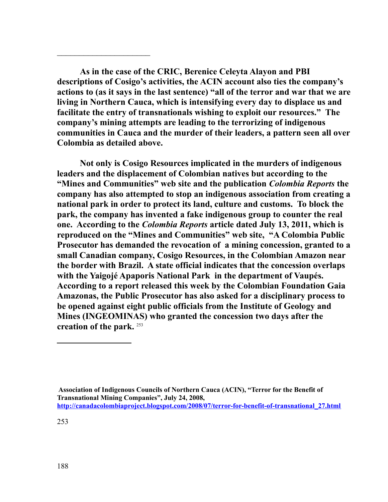**As in the case of the CRIC, Berenice Celeyta Alayon and PBI descriptions of Cosigo's activities, the ACIN account also ties the company's actions to (as it says in the last sentence) "all of the terror and war that we are living in Northern Cauca, which is intensifying every day to displace us and facilitate the entry of transnationals wishing to exploit our resources." The company's mining attempts are leading to the terrorizing of indigenous communities in Cauca and the murder of their leaders, a pattern seen all over Colombia as detailed above.** 

 $\mathcal{L}_\text{max}$  , where  $\mathcal{L}_\text{max}$  , we have the set of  $\mathcal{L}_\text{max}$ 

**Not only is Cosigo Resources implicated in the murders of indigenous leaders and the displacement of Colombian natives but according to the "Mines and Communities" web site and the publication** *Colombia Reports* **the company has also attempted to stop an indigenous association from creating a national park in order to protect its land, culture and customs. To block the park, the company has invented a fake indigenous group to counter the real one. According to the** *Colombia Reports* **article dated July 13, 2011, which is reproduced on the "Mines and Communities" web site, "A Colombia Public Prosecutor has demanded the revocation of a mining concession, granted to a small Canadian company, Cosigo Resources, in the Colombian Amazon near the border with Brazil. A state official indicates that the concession overlaps with the Yaigojé Apaporis National Park in the department of Vaupés. According to a report released this week by the Colombian Foundation Gaia Amazonas, the Public Prosecutor has also asked for a disciplinary process to be opened against eight public officials from the Institute of Geology and Mines (INGEOMINAS) who granted the concession two days after the creation of the park.** [253](#page-187-0)

<span id="page-187-0"></span>**Association of Indigenous Councils of Northern Cauca (ACIN), "Terror for the Benefit of Transnational Mining Companies", July 24, 2008, [http://canadacolombiaproject.blogspot.com/2008/07/terror-for-benefit-of-transnational\\_27.html](http://canadacolombiaproject.blogspot.com/2008/07/terror-for-benefit-of-transnational_27.html)**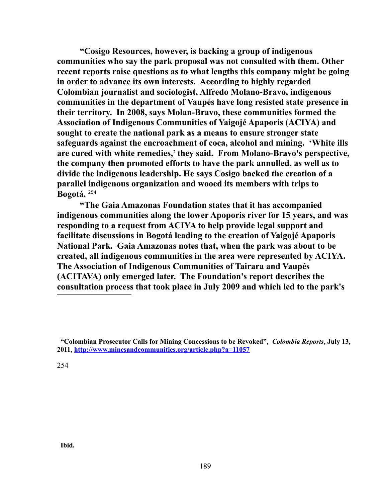**"Cosigo Resources, however, is backing a group of indigenous communities who say the park proposal was not consulted with them. Other recent reports raise questions as to what lengths this company might be going in order to advance its own interests. According to highly regarded Colombian journalist and sociologist, Alfredo Molano-Bravo, indigenous communities in the department of Vaupés have long resisted state presence in their territory. In 2008, says Molan-Bravo, these communities formed the Association of Indigenous Communities of Yaigojé Apaporis (ACIYA) and sought to create the national park as a means to ensure stronger state safeguards against the encroachment of coca, alcohol and mining. 'White ills are cured with white remedies,' they said. From Molano-Bravo's perspective, the company then promoted efforts to have the park annulled, as well as to divide the indigenous leadership. He says Cosigo backed the creation of a parallel indigenous organization and wooed its members with trips to Bogotá.** [254](#page-188-0)

**"The Gaia Amazonas Foundation states that it has accompanied indigenous communities along the lower Apoporis river for 15 years, and was responding to a request from ACIYA to help provide legal support and facilitate discussions in Bogotá leading to the creation of Yaigojé Apaporis National Park. Gaia Amazonas notes that, when the park was about to be created, all indigenous communities in the area were represented by ACIYA. The Association of Indigenous Communities of Tairara and Vaupés (ACITAVA) only emerged later. The Foundation's report describes the consultation process that took place in July 2009 and which led to the park's** 

<span id="page-188-0"></span>254

 **Ibid.** 

 **<sup>&</sup>quot;Colombian Prosecutor Calls for Mining Concessions to be Revoked",** *Colombia Reports***, July 13, 2011,<http://www.minesandcommunities.org/article.php?a=11057>**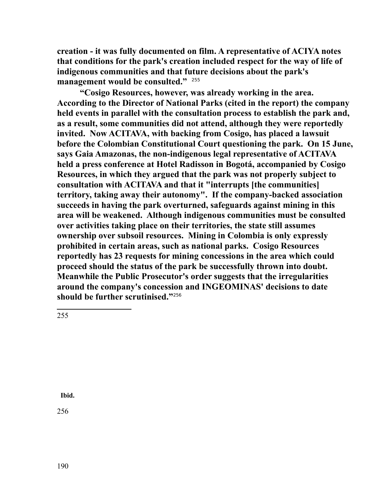**creation - it was fully documented on film. A representative of ACIYA notes that conditions for the park's creation included respect for the way of life of indigenous communities and that future decisions about the park's management would be consulted."** [255](#page-189-0)

**"Cosigo Resources, however, was already working in the area. According to the Director of National Parks (cited in the report) the company held events in parallel with the consultation process to establish the park and, as a result, some communities did not attend, although they were reportedly invited. Now ACITAVA, with backing from Cosigo, has placed a lawsuit before the Colombian Constitutional Court questioning the park. On 15 June, says Gaia Amazonas, the non-indigenous legal representative of ACITAVA held a press conference at Hotel Radisson in Bogotá, accompanied by Cosigo Resources, in which they argued that the park was not properly subject to consultation with ACITAVA and that it "interrupts [the communities] territory, taking away their autonomy". If the company-backed association succeeds in having the park overturned, safeguards against mining in this area will be weakened. Although indigenous communities must be consulted over activities taking place on their territories, the state still assumes ownership over subsoil resources. Mining in Colombia is only expressly prohibited in certain areas, such as national parks. Cosigo Resources reportedly has 23 requests for mining concessions in the area which could proceed should the status of the park be successfully thrown into doubt. Meanwhile the Public Prosecutor's order suggests that the irregularities around the company's concession and INGEOMINAS' decisions to date should be further scrutinised."**[256](#page-189-1)

<span id="page-189-0"></span>255

<span id="page-189-1"></span> **Ibid.**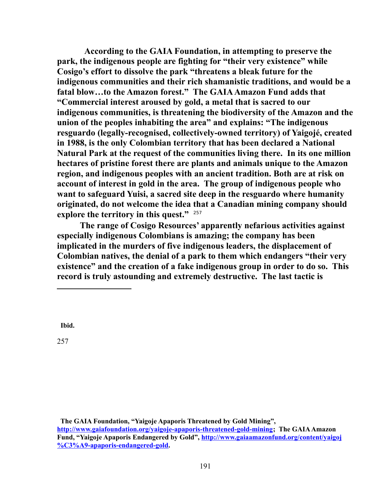**According to the GAIA Foundation, in attempting to preserve the park, the indigenous people are fighting for "their very existence" while Cosigo's effort to dissolve the park "threatens a bleak future for the indigenous communities and their rich shamanistic traditions, and would be a fatal blow…to the Amazon forest." The GAIA Amazon Fund adds that "Commercial interest aroused by gold, a metal that is sacred to our indigenous communities, is threatening the biodiversity of the Amazon and the union of the peoples inhabiting the area" and explains: "The indigenous resguardo (legally-recognised, collectively-owned territory) of Yaigojé, created in 1988, is the only Colombian territory that has been declared a National Natural Park at the request of the communities living there. In its one million hectares of pristine forest there are plants and animals unique to the Amazon region, and indigenous peoples with an ancient tradition. Both are at risk on account of interest in gold in the area. The group of indigenous people who want to safeguard Yuisi, a sacred site deep in the resguardo where humanity originated, do not welcome the idea that a Canadian mining company should explore the territory in this quest."** [257](#page-190-0)

**The range of Cosigo Resources' apparently nefarious activities against especially indigenous Colombians is amazing; the company has been implicated in the murders of five indigenous leaders, the displacement of Colombian natives, the denial of a park to them which endangers "their very existence" and the creation of a fake indigenous group in order to do so. This record is truly astounding and extremely destructive. The last tactic is** 

 **Ibid.** 

<span id="page-190-0"></span>257

 **The GAIA Foundation, "Yaigoje Apaporis Threatened by Gold Mining", [http://www.gaiafoundation.org/yaigoje-apaporis-threatened-gold-mining;](http://www.gaiafoundation.org/yaigoje-apaporis-threatened-gold-mining) The GAIA Amazon Fund, "Yaigoje Apaporis Endangered by Gold", [http://www.gaiaamazonfund.org/content/yaigoj](http://www.gaiaamazonfund.org/content/yaigoj%C3%A9-apaporis-endangered-gold) [%C3%A9-apaporis-endangered-gold.](http://www.gaiaamazonfund.org/content/yaigoj%C3%A9-apaporis-endangered-gold)**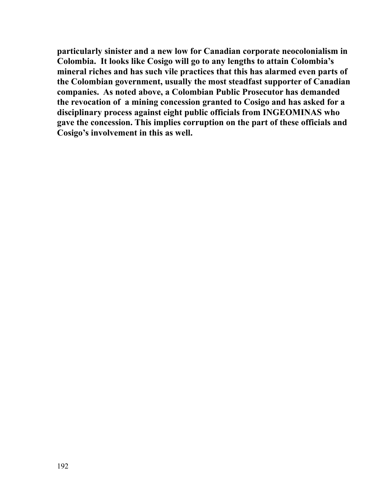**particularly sinister and a new low for Canadian corporate neocolonialism in Colombia. It looks like Cosigo will go to any lengths to attain Colombia's mineral riches and has such vile practices that this has alarmed even parts of the Colombian government, usually the most steadfast supporter of Canadian companies. As noted above, a Colombian Public Prosecutor has demanded the revocation of a mining concession granted to Cosigo and has asked for a disciplinary process against eight public officials from INGEOMINAS who gave the concession. This implies corruption on the part of these officials and Cosigo's involvement in this as well.**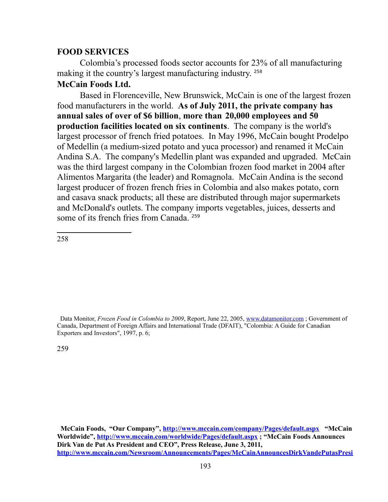### **FOOD SERVICES**

Colombia's processed foods sector accounts for 23% of all manufacturing making it the country's largest manufacturing industry. [258](#page-192-0)

## **McCain Foods Ltd.**

Based in Florenceville, New Brunswick, McCain is one of the largest frozen food manufacturers in the world. **As of July 2011, the private company has annual sales of over of \$6 billion**, **more than 20,000 employees and 50 production facilities located on six continents**. The company is the world's largest processor of french fried potatoes. In May 1996, McCain bought Prodelpo of Medellin (a medium-sized potato and yuca processor) and renamed it McCain Andina S.A. The company's Medellin plant was expanded and upgraded. McCain was the third largest company in the Colombian frozen food market in 2004 after Alimentos Margarita (the leader) and Romagnola. McCain Andina is the second largest producer of frozen french fries in Colombia and also makes potato, corn and casava snack products; all these are distributed through major supermarkets and McDonald's outlets. The company imports vegetables, juices, desserts and some of its french fries from Canada.<sup>[259](#page-192-1)</sup>

<span id="page-192-0"></span>258

<span id="page-192-1"></span>Data Monitor, *Frozen Food in Colombia to 2009*, Report, June 22, 2005, [www.datamonitor.com](http://www.datamonitor.com/) ; Government of Canada, Department of Foreign Affairs and International Trade (DFAIT), "Colombia: A Guide for Canadian Exporters and Investors", 1997, p. 6;

**McCain Foods, "Our Company",<http://www.mccain.com/company/Pages/default.aspx>"McCain Worldwide",<http://www.mccain.com/worldwide/Pages/default.aspx>; "McCain Foods Announces Dirk Van de Put As President and CEO", Press Release, June 3, 2011, [http://www.mccain.com/Newsroom/Announcements/Pages/McCainAnnouncesDirkVandePutasPresi](http://www.mccain.com/Newsroom/Announcements/Pages/McCainAnnouncesDirkVandePutasPresidentandCEO.aspx)**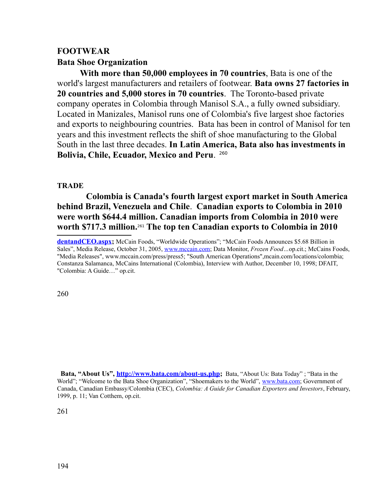# **FOOTWEAR Bata Shoe Organization**

**With more than 50,000 employees in 70 countries**, Bata is one of the world's largest manufacturers and retailers of footwear. **Bata owns 27 factories in 20 countries and 5,000 stores in 70 countries**. The Toronto-based private company operates in Colombia through Manisol S.A., a fully owned subsidiary. Located in Manizales, Manisol runs one of Colombia's five largest shoe factories and exports to neighbouring countries. Bata has been in control of Manisol for ten years and this investment reflects the shift of shoe manufacturing to the Global South in the last three decades. **In Latin America, Bata also has investments in Bolivia, Chile, Ecuador, Mexico and Peru**. [260](#page-193-0)

# **TRADE**

**Colombia is Canada's fourth largest export market in South America behind Brazil, Venezuela and Chile**. **Canadian exports to Colombia in 2010 were worth \$644.4 million. Canadian imports from Colombia in 2010 were worth \$717.3 million.**[261](#page-193-1) **The top ten Canadian exports to Colombia in 2010** 

<span id="page-193-0"></span>260

<span id="page-193-1"></span> **Bata, "About Us", [http://www.bata.com/about-us.php;](http://www.bata.com/about-us.php)** Bata, "About Us: Bata Today" ; "Bata in the World"; "Welcome to the Bata Shoe Organization", "Shoemakers to the World", [www.bata.com;](http://www.bata.com/) Government of Canada, Canadian Embassy/Colombia (CEC), *Colombia: A Guide for Canadian Exporters and Investors*, February, 1999, p. 11; Van Cotthem, op.cit.

**[dentandCEO.aspx;](http://www.mccain.com/Newsroom/Announcements/Pages/McCainAnnouncesDirkVandePutasPresidentandCEO.aspx)** McCain Foods, "Worldwide Operations"; "McCain Foods Announces \$5.68 Billion in Sales", Media Release, October 31, 2005, [www.mccain.com;](http://www.mccain.com/) Data Monitor, *Frozen Food…*op.cit.; McCains Foods, "Media Releases", www.mccain.com/press/press5; "South American Operations",mcain.com/locations/colombia; Constanza Salamanca, McCains International (Colombia), Interview with Author, December 10, 1998; DFAIT, "Colombia: A Guide…" op.cit.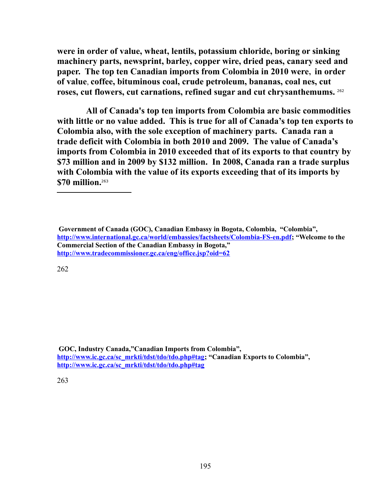**were in order of value, wheat, lentils, potassium chloride, boring or sinking machinery parts, newsprint, barley, copper wire, dried peas, canary seed and paper. The top ten Canadian imports from Colombia in 2010 were, in order of value**, **coffee, bituminous coal, crude petroleum, bananas, coal nes, cut roses, cut flowers, cut carnations, refined sugar and cut chrysanthemums.** [262](#page-194-2)

**All of Canada's top ten imports from Colombia are basic commodities with little or no value added. This is true for all of Canada's top ten exports to Colombia also, with the sole exception of machinery parts. Canada ran a trade deficit with Colombia in both 2010 and 2009. The value of Canada's imports from Colombia in 2010 exceeded that of its exports to that country by \$73 million and in 2009 by \$132 million. In 2008, Canada ran a trade surplus with Colombia with the value of its exports exceeding that of its imports by \$70 million.**[263](#page-194-3)

<span id="page-194-2"></span>262

<span id="page-194-3"></span><span id="page-194-1"></span><span id="page-194-0"></span> **GOC, Industry Canada,"Canadian Imports from Colombia", [http://www.ic.gc.ca/sc\\_mrkti/tdst/tdo/tdo.php#tag;](#page-194-1) "Canadian Exports to Colombia", [http://www.ic.gc.ca/sc\\_mrkti/tdst/tdo/tdo.php#tag](#page-194-0)** 

**Government of Canada (GOC), Canadian Embassy in Bogota, Colombia, "Colombia", [http://www.international.gc.ca/world/embassies/factsheets/Colombia-FS-en.pdf;](http://www.international.gc.ca/world/embassies/factsheets/Colombia-FS-en.pdf) "Welcome to the Commercial Section of the Canadian Embassy in Bogota," <http://www.tradecommissioner.gc.ca/eng/office.jsp?oid=62>**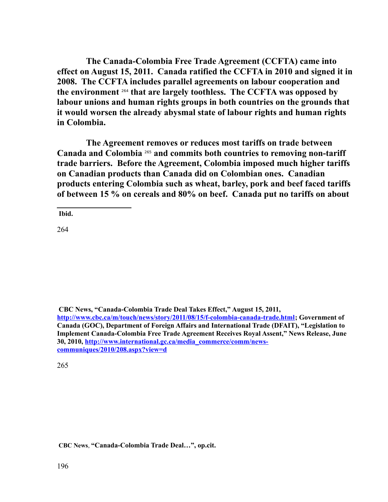**The Canada-Colombia Free Trade Agreement (CCFTA) came into effect on August 15, 2011. Canada ratified the CCFTA in 2010 and signed it in 2008. The CCFTA includes parallel agreements on labour cooperation and the environment** [264](#page-195-0) **that are largely toothless. The CCFTA was opposed by labour unions and human rights groups in both countries on the grounds that it would worsen the already abysmal state of labour rights and human rights in Colombia.** 

**The Agreement removes or reduces most tariffs on trade between Canada and Colombia** [265](#page-195-1) **and commits both countries to removing non-tariff trade barriers. Before the Agreement, Colombia imposed much higher tariffs on Canadian products than Canada did on Colombian ones. Canadian products entering Colombia such as wheat, barley, pork and beef faced tariffs of between 15 % on cereals and 80% on beef. Canada put no tariffs on about** 

**Ibid.**

<span id="page-195-0"></span>264

 **CBC News, "Canada-Colombia Trade Deal Takes Effect," August 15, 2011,** 

**[http://www.cbc.ca/m/touch/news/story/2011/08/15/f-colombia-canada-trade.html;](http://www.cbc.ca/m/touch/news/story/2011/08/15/f-colombia-canada-trade.html) Government of Canada (GOC), Department of Foreign Affairs and International Trade (DFAIT), "Legislation to Implement Canada-Colombia Free Trade Agreement Receives Royal Assent," News Release, June 30, 2010, [http://www.international.gc.ca/media\\_commerce/comm/news](http://www.international.gc.ca/media_commerce/comm/news-communiques/2010/208.aspx?view=d)[communiques/2010/208.aspx?view=d](http://www.international.gc.ca/media_commerce/comm/news-communiques/2010/208.aspx?view=d)** 

<span id="page-195-1"></span>265

 **CBC News**, **"Canada-Colombia Trade Deal…", op.cit.**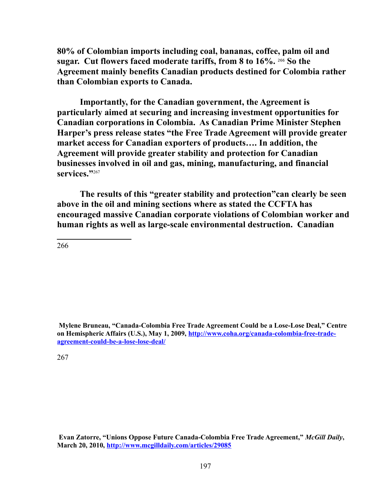**80% of Colombian imports including coal, bananas, coffee, palm oil and sugar. Cut flowers faced moderate tariffs, from 8 to 16%.** [266](#page-196-0) **So the Agreement mainly benefits Canadian products destined for Colombia rather than Colombian exports to Canada.** 

**Importantly, for the Canadian government, the Agreement is particularly aimed at securing and increasing investment opportunities for Canadian corporations in Colombia. As Canadian Prime Minister Stephen Harper's press release states "the Free Trade Agreement will provide greater market access for Canadian exporters of products…. In addition, the Agreement will provide greater stability and protection for Canadian businesses involved in oil and gas, mining, manufacturing, and financial**  services."[267](#page-196-1)

**The results of this "greater stability and protection"can clearly be seen above in the oil and mining sections where as stated the CCFTA has encouraged massive Canadian corporate violations of Colombian worker and human rights as well as large-scale environmental destruction. Canadian** 

<span id="page-196-0"></span>266

**Mylene Bruneau, "Canada-Colombia Free Trade Agreement Could be a Lose-Lose Deal," Centre on Hemispheric Affairs (U.S.), May 1, 2009, [http://www.coha.org/canada-colombia-free-trade](http://www.coha.org/canada-colombia-free-trade-agreement-could-be-a-lose-lose-deal/)[agreement-could-be-a-lose-lose-deal/](http://www.coha.org/canada-colombia-free-trade-agreement-could-be-a-lose-lose-deal/)**

<span id="page-196-1"></span>267

**Evan Zatorre, "Unions Oppose Future Canada-Colombia Free Trade Agreement,"** *McGill Daily***, March 20, 2010,<http://www.mcgilldaily.com/articles/29085>**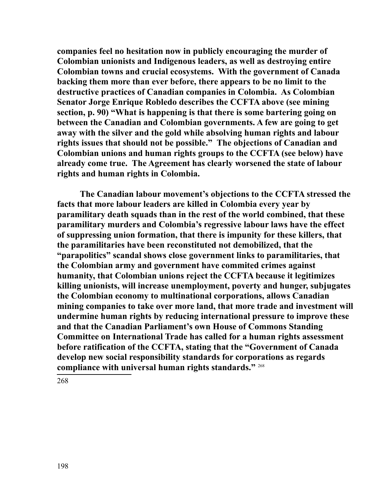**companies feel no hesitation now in publicly encouraging the murder of Colombian unionists and Indigenous leaders, as well as destroying entire Colombian towns and crucial ecosystems. With the government of Canada backing them more than ever before, there appears to be no limit to the destructive practices of Canadian companies in Colombia. As Colombian Senator Jorge Enrique Robledo describes the CCFTA above (see mining section, p. 90) "What is happening is that there is some bartering going on between the Canadian and Colombian governments. A few are going to get away with the silver and the gold while absolving human rights and labour rights issues that should not be possible." The objections of Canadian and Colombian unions and human rights groups to the CCFTA (see below) have already come true. The Agreement has clearly worsened the state of labour rights and human rights in Colombia.**

<span id="page-197-0"></span>**The Canadian labour movement's objections to the CCFTA stressed the facts that more labour leaders are killed in Colombia every year by paramilitary death squads than in the rest of the world combined, that these paramilitary murders and Colombia's regressive labour laws have the effect of suppressing union formation, that there is impunity for these killers, that the paramilitaries have been reconstituted not demobilized, that the "parapolitics" scandal shows close government links to paramilitaries, that the Colombian army and government have commited crimes against humanity, that Colombian unions reject the CCFTA because it legitimizes killing unionists, will increase unemployment, poverty and hunger, subjugates the Colombian economy to multinational corporations, allows Canadian mining companies to take over more land, that more trade and investment will undermine human rights by reducing international pressure to improve these and that the Canadian Parliament's own House of Commons Standing Committee on International Trade has called for a human rights assessment before ratification of the CCFTA, stating that the "Government of Canada develop new social responsibility standards for corporations as regards compliance with universal human rights standards."** [268](#page-197-0)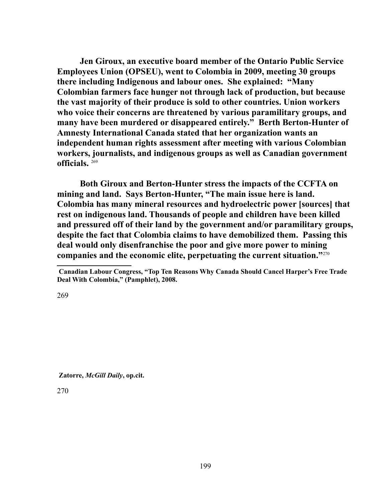**Jen Giroux, an executive board member of the Ontario Public Service Employees Union (OPSEU), went to Colombia in 2009, meeting 30 groups there including Indigenous and labour ones. She explained: "Many Colombian farmers face hunger not through lack of production, but because the vast majority of their produce is sold to other countries. Union workers who voice their concerns are threatened by various paramilitary groups, and many have been murdered or disappeared entirely." Berth Berton-Hunter of Amnesty International Canada stated that her organization wants an independent human rights assessment after meeting with various Colombian workers, journalists, and indigenous groups as well as Canadian government officials.** [269](#page-198-0)

**Both Giroux and Berton-Hunter stress the impacts of the CCFTA on mining and land. Says Berton-Hunter, "The main issue here is land. Colombia has many mineral resources and hydroelectric power [sources] that rest on indigenous land. Thousands of people and children have been killed and pressured off of their land by the government and/or paramilitary groups, despite the fact that Colombia claims to have demobilized them. Passing this deal would only disenfranchise the poor and give more power to mining companies and the economic elite, perpetuating the current situation."**[270](#page-198-1)

<span id="page-198-0"></span>269

<span id="page-198-1"></span>**Zatorre,** *McGill Daily***, op.cit.**

**Canadian Labour Congress, "Top Ten Reasons Why Canada Should Cancel Harper's Free Trade Deal With Colombia," (Pamphlet), 2008.**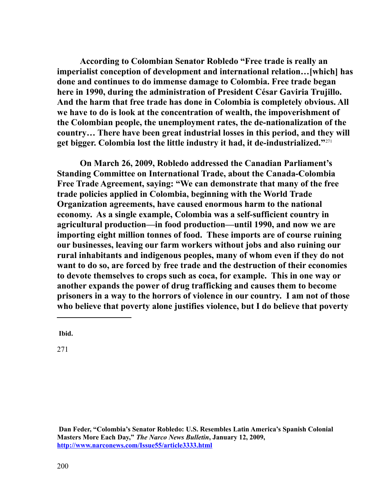**According to Colombian Senator Robledo "Free trade is really an imperialist conception of development and international relation…[which] has done and continues to do immense damage to Colombia. Free trade began here in 1990, during the administration of President César Gaviria Trujillo. And the harm that free trade has done in Colombia is completely obvious. All we have to do is look at the concentration of wealth, the impoverishment of the Colombian people, the unemployment rates, the de-nationalization of the country… There have been great industrial losses in this period, and they will get bigger. Colombia lost the little industry it had, it de-industrialized."**[271](#page-199-0) 

**On March 26, 2009, Robledo addressed the Canadian Parliament's Standing Committee on International Trade, about the Canada-Colombia Free Trade Agreement, saying: "We can demonstrate that many of the free trade policies applied in Colombia, beginning with the World Trade Organization agreements, have caused enormous harm to the national economy. As a single example, Colombia was a self-sufficient country in agricultural production—in food production—until 1990, and now we are importing eight million tonnes of food. These imports are of course ruining our businesses, leaving our farm workers without jobs and also ruining our rural inhabitants and indigenous peoples, many of whom even if they do not want to do so, are forced by free trade and the destruction of their economies to devote themselves to crops such as coca, for example. This in one way or another expands the power of drug trafficking and causes them to become prisoners in a way to the horrors of violence in our country. I am not of those who believe that poverty alone justifies violence, but I do believe that poverty** 

<span id="page-199-0"></span>**Ibid.**

**Dan Feder, "Colombia's Senator Robledo: U.S. Resembles Latin America's Spanish Colonial Masters More Each Day,"** *The Narco News Bulletin***, January 12, 2009, <http://www.narconews.com/Issue55/article3333.html>**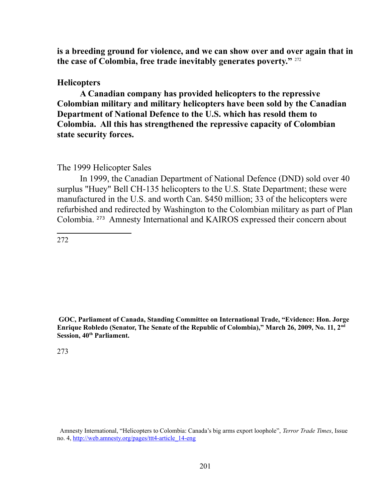**is a breeding ground for violence, and we can show over and over again that in the case of Colombia, free trade inevitably generates poverty."** [272](#page-200-0)

#### **Helicopters**

**A Canadian company has provided helicopters to the repressive Colombian military and military helicopters have been sold by the Canadian Department of National Defence to the U.S. which has resold them to Colombia. All this has strengthened the repressive capacity of Colombian state security forces.** 

#### The 1999 Helicopter Sales

In 1999, the Canadian Department of National Defence (DND) sold over 40 surplus "Huey" Bell CH-135 helicopters to the U.S. State Department; these were manufactured in the U.S. and worth Can. \$450 million; 33 of the helicopters were refurbished and redirected by Washington to the Colombian military as part of Plan Colombia. [273](#page-200-1) Amnesty International and KAIROS expressed their concern about

<span id="page-200-0"></span>272

<span id="page-200-1"></span> **GOC, Parliament of Canada, Standing Committee on International Trade, "Evidence: Hon. Jorge Enrique Robledo (Senator, The Senate of the Republic of Colombia)," March 26, 2009, No. 11, 2nd Session, 40th Parliament.** 

Amnesty International, "Helicopters to Colombia: Canada's big arms export loophole", *Terror Trade Times*, Issue no. 4, [http://web.amnesty.org/pages/ttt4-article\\_14-eng](http://web.amnesty.org/pages/ttt4-article_14-eng)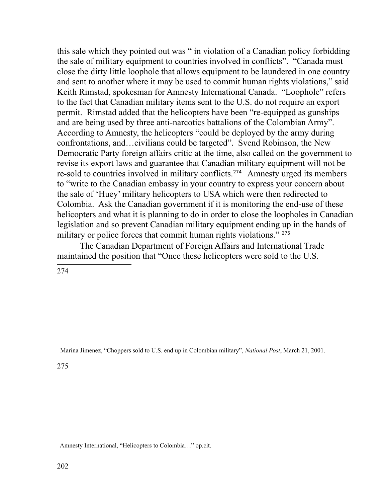this sale which they pointed out was " in violation of a Canadian policy forbidding the sale of military equipment to countries involved in conflicts". "Canada must close the dirty little loophole that allows equipment to be laundered in one country and sent to another where it may be used to commit human rights violations," said Keith Rimstad, spokesman for Amnesty International Canada. "Loophole" refers to the fact that Canadian military items sent to the U.S. do not require an export permit. Rimstad added that the helicopters have been "re-equipped as gunships and are being used by three anti-narcotics battalions of the Colombian Army". According to Amnesty, the helicopters "could be deployed by the army during confrontations, and…civilians could be targeted". Svend Robinson, the New Democratic Party foreign affairs critic at the time, also called on the government to revise its export laws and guarantee that Canadian military equipment will not be re-sold to countries involved in military conflicts.<sup>[274](#page-201-0)</sup> Amnesty urged its members to "write to the Canadian embassy in your country to express your concern about the sale of 'Huey' military helicopters to USA which were then redirected to Colombia. Ask the Canadian government if it is monitoring the end-use of these helicopters and what it is planning to do in order to close the loopholes in Canadian legislation and so prevent Canadian military equipment ending up in the hands of military or police forces that commit human rights violations."<sup>[275](#page-201-1)</sup>

The Canadian Department of Foreign Affairs and International Trade maintained the position that "Once these helicopters were sold to the U.S.

<span id="page-201-0"></span>274

Marina Jimenez, "Choppers sold to U.S. end up in Colombian military", *National Post*, March 21, 2001.

<span id="page-201-1"></span>275

Amnesty International, "Helicopters to Colombia…" op.cit.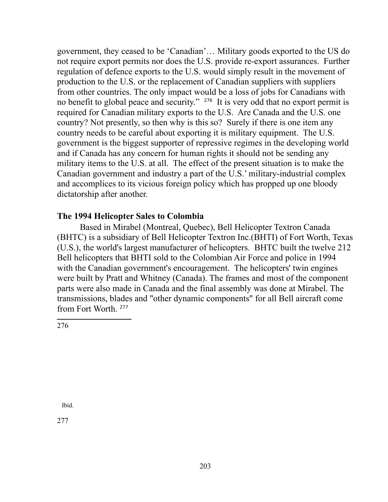government, they ceased to be 'Canadian'… Military goods exported to the US do not require export permits nor does the U.S. provide re-export assurances. Further regulation of defence exports to the U.S. would simply result in the movement of production to the U.S. or the replacement of Canadian suppliers with suppliers from other countries. The only impact would be a loss of jobs for Canadians with no benefit to global peace and security." [276](#page-202-0) It is very odd that no export permit is required for Canadian military exports to the U.S. Are Canada and the U.S. one country? Not presently, so then why is this so? Surely if there is one item any country needs to be careful about exporting it is military equipment. The U.S. government is the biggest supporter of repressive regimes in the developing world and if Canada has any concern for human rights it should not be sending any military items to the U.S. at all. The effect of the present situation is to make the Canadian government and industry a part of the U.S.' military-industrial complex and accomplices to its vicious foreign policy which has propped up one bloody dictatorship after another.

## **The 1994 Helicopter Sales to Colombia**

Based in Mirabel (Montreal, Quebec), Bell Helicopter Textron Canada (BHTC) is a subsidiary of Bell Helicopter Textron Inc.(BHTI) of Fort Worth, Texas (U.S.), the world's largest manufacturer of helicopters. BHTC built the twelve 212 Bell helicopters that BHTI sold to the Colombian Air Force and police in 1994 with the Canadian government's encouragement. The helicopters' twin engines were built by Pratt and Whitney (Canada). The frames and most of the component parts were also made in Canada and the final assembly was done at Mirabel. The transmissions, blades and "other dynamic components" for all Bell aircraft come from Fort Worth. [277](#page-202-1)

<span id="page-202-0"></span>276

<span id="page-202-1"></span>Ibid.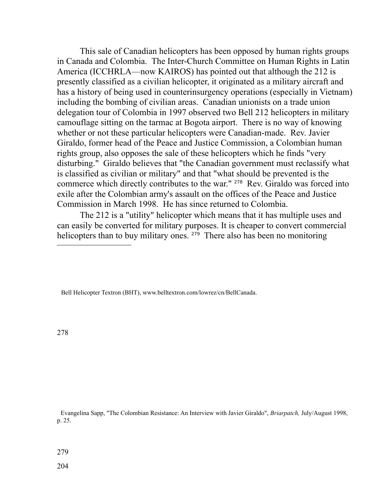This sale of Canadian helicopters has been opposed by human rights groups in Canada and Colombia. The Inter-Church Committee on Human Rights in Latin America (ICCHRLA—now KAIROS) has pointed out that although the 212 is presently classified as a civilian helicopter, it originated as a military aircraft and has a history of being used in counterinsurgency operations (especially in Vietnam) including the bombing of civilian areas. Canadian unionists on a trade union delegation tour of Colombia in 1997 observed two Bell 212 helicopters in military camouflage sitting on the tarmac at Bogota airport. There is no way of knowing whether or not these particular helicopters were Canadian-made. Rev. Javier Giraldo, former head of the Peace and Justice Commission, a Colombian human rights group, also opposes the sale of these helicopters which he finds "very disturbing." Giraldo believes that "the Canadian government must reclassify what is classified as civilian or military" and that "what should be prevented is the commerce which directly contributes to the war." [278](#page-203-0) Rev. Giraldo was forced into exile after the Colombian army's assault on the offices of the Peace and Justice Commission in March 1998. He has since returned to Colombia.

The 212 is a "utility" helicopter which means that it has multiple uses and can easily be converted for military purposes. It is cheaper to convert commercial helicopters than to buy military ones. <sup>[279](#page-203-1)</sup> There also has been no monitoring

Bell Helicopter Textron (BHT), www.belltextron.com/lowrez/cn/BellCanada.

<span id="page-203-0"></span>278

Evangelina Sapp, "The Colombian Resistance: An Interview with Javier Giraldo", *Briarpatch,* July/August 1998, p. 25.

<span id="page-203-1"></span>279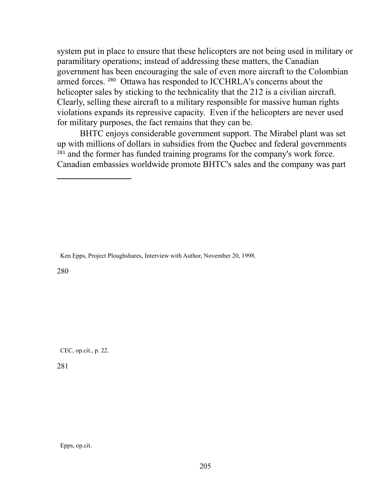system put in place to ensure that these helicopters are not being used in military or paramilitary operations; instead of addressing these matters, the Canadian government has been encouraging the sale of even more aircraft to the Colombian armed forces. [280](#page-204-0) Ottawa has responded to ICCHRLA's concerns about the helicopter sales by sticking to the technicality that the 212 is a civilian aircraft. Clearly, selling these aircraft to a military responsible for massive human rights violations expands its repressive capacity. Even if the helicopters are never used for military purposes, the fact remains that they can be.

BHTC enjoys considerable government support. The Mirabel plant was set up with millions of dollars in subsidies from the Quebec and federal governments <sup>[281](#page-204-1)</sup> and the former has funded training programs for the company's work force. Canadian embassies worldwide promote BHTC's sales and the company was part

Ken Epps, Project Ploughshares, Interview with Author, November 20, 1998.

<span id="page-204-0"></span>280

CEC, op.cit., p. 22.

<span id="page-204-1"></span>281

Epps, op.cit.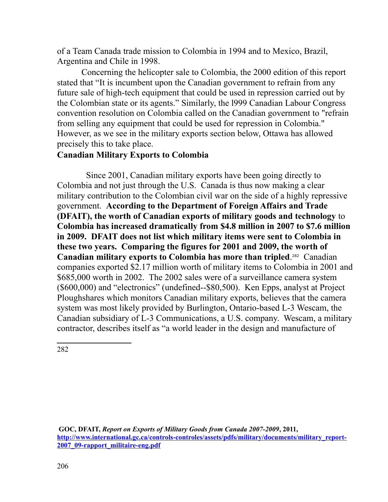of a Team Canada trade mission to Colombia in 1994 and to Mexico, Brazil, Argentina and Chile in 1998.

 Concerning the helicopter sale to Colombia, the 2000 edition of this report stated that "It is incumbent upon the Canadian government to refrain from any future sale of high-tech equipment that could be used in repression carried out by the Colombian state or its agents." Similarly, the l999 Canadian Labour Congress convention resolution on Colombia called on the Canadian government to "refrain from selling any equipment that could be used for repression in Colombia." However, as we see in the military exports section below, Ottawa has allowed precisely this to take place.

# **Canadian Military Exports to Colombia**

Since 2001, Canadian military exports have been going directly to Colombia and not just through the U.S. Canada is thus now making a clear military contribution to the Colombian civil war on the side of a highly repressive government. **According to the Department of Foreign Affairs and Trade (DFAIT), the worth of Canadian exports of military goods and technology** to **Colombia has increased dramatically from \$4.8 million in 2007 to \$7.6 million in 2009. DFAIT does not list which military items were sent to Colombia in these two years. Comparing the figures for 2001 and 2009, the worth of Canadian military exports to Colombia has more than tripled**. [282](#page-205-0) Canadian companies exported \$2.17 million worth of military items to Colombia in 2001 and \$685,000 worth in 2002. The 2002 sales were of a surveillance camera system (\$600,000) and "electronics" (undefined--\$80,500). Ken Epps, analyst at Project Ploughshares which monitors Canadian military exports, believes that the camera system was most likely provided by Burlington, Ontario-based L-3 Wescam, the Canadian subsidiary of L-3 Communications, a U.S. company. Wescam, a military contractor, describes itself as "a world leader in the design and manufacture of

<span id="page-205-0"></span>**GOC, DFAIT,** *Report on Exports of Military Goods from Canada 2007-2009***, 2011,**  [http://www.international.gc.ca/controls-controles/assets/pdfs/military/documents/military\\_report-](http://www.international.gc.ca/controls-controles/assets/pdfs/military/documents/military_report-2007_09-rapport_militaire-eng.pdf)**[2007\\_09-rapport\\_militaire-eng.pdf](http://www.international.gc.ca/controls-controles/assets/pdfs/military/documents/military_report-2007_09-rapport_militaire-eng.pdf)**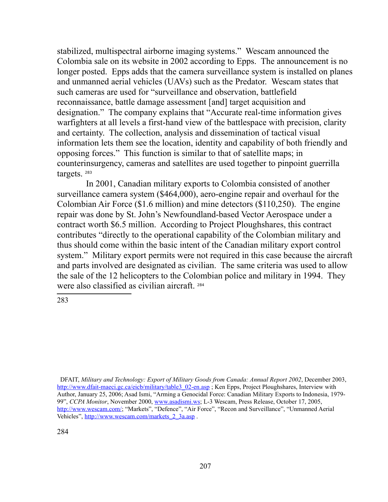stabilized, multispectral airborne imaging systems." Wescam announced the Colombia sale on its website in 2002 according to Epps. The announcement is no longer posted. Epps adds that the camera surveillance system is installed on planes and unmanned aerial vehicles (UAVs) such as the Predator. Wescam states that such cameras are used for "surveillance and observation, battlefield reconnaissance, battle damage assessment [and] target acquisition and designation." The company explains that "Accurate real-time information gives warfighters at all levels a first-hand view of the battlespace with precision, clarity and certainty. The collection, analysis and dissemination of tactical visual information lets them see the location, identity and capability of both friendly and opposing forces." This function is similar to that of satellite maps; in counterinsurgency, cameras and satellites are used together to pinpoint guerrilla targets. [283](#page-206-0)

In 2001, Canadian military exports to Colombia consisted of another surveillance camera system (\$464,000), aero-engine repair and overhaul for the Colombian Air Force (\$1.6 million) and mine detectors (\$110,250). The engine repair was done by St. John's Newfoundland-based Vector Aerospace under a contract worth \$6.5 million. According to Project Ploughshares, this contract contributes "directly to the operational capability of the Colombian military and thus should come within the basic intent of the Canadian military export control system." Military export permits were not required in this case because the aircraft and parts involved are designated as civilian. The same criteria was used to allow the sale of the 12 helicopters to the Colombian police and military in 1994. They were also classified as civilian aircraft. [284](#page-206-1)

<span id="page-206-1"></span><span id="page-206-0"></span>DFAIT, *Military and Technology: Export of Military Goods from Canada: Annual Report 2002*, December 2003, [http://www.dfait-maeci.gc.ca/eicb/military/table3\\_02-en.asp](http://www.dfait-maeci.gc.ca/eicb/military/table3_02-en.asp) ; Ken Epps, Project Ploughshares, Interview with Author, January 25, 2006; Asad Ismi, "Arming a Genocidal Force: Canadian Military Exports to Indonesia, 1979- 99", *CCPA Monitor*, November 2000, [www.asadismi.ws;](http://www.asadismi.ws/) L-3 Wescam, Press Release, October 17, 2005, [http://www.wescam.com/;](http://www.wescam.com/) "Markets", "Defence", "Air Force", "Recon and Surveillance", "Unmanned Aerial Vehicles", [http://www.wescam.com/markets\\_2\\_3a.asp](http://www.wescam.com/markets_2_3a.asp) .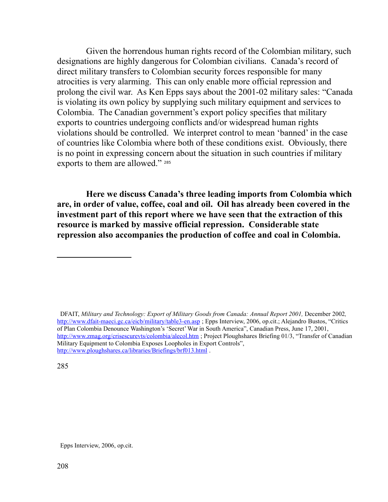Given the horrendous human rights record of the Colombian military, such designations are highly dangerous for Colombian civilians. Canada's record of direct military transfers to Colombian security forces responsible for many atrocities is very alarming. This can only enable more official repression and prolong the civil war. As Ken Epps says about the 2001-02 military sales: "Canada is violating its own policy by supplying such military equipment and services to Colombia. The Canadian government's export policy specifies that military exports to countries undergoing conflicts and/or widespread human rights violations should be controlled. We interpret control to mean 'banned' in the case of countries like Colombia where both of these conditions exist. Obviously, there is no point in expressing concern about the situation in such countries if military exports to them are allowed." [285](#page-207-0)

**Here we discuss Canada's three leading imports from Colombia which are, in order of value, coffee, coal and oil. Oil has already been covered in the investment part of this report where we have seen that the extraction of this resource is marked by massive official repression. Considerable state repression also accompanies the production of coffee and coal in Colombia.** 

 DFAIT, *Military and Technology: Export of Military Goods from Canada: Annual Report 2001,* December 2002*,*  <http://www.dfait-maeci.gc.ca/eicb/military/table3-en.asp>; Epps Interview, 2006, op.cit.; Alejandro Bustos, "Critics of Plan Colombia Denounce Washington's 'Secret' War in South America", Canadian Press, June 17, 2001, <http://www.zmag.org/crisescurevts/colombia/alecol.htm>; Project Ploughshares Briefing 01/3, "Transfer of Canadian Military Equipment to Colombia Exposes Loopholes in Export Controls", <http://www.ploughshares.ca/libraries/Briefings/brf013.html>.

<span id="page-207-0"></span>285

Epps Interview, 2006, op.cit.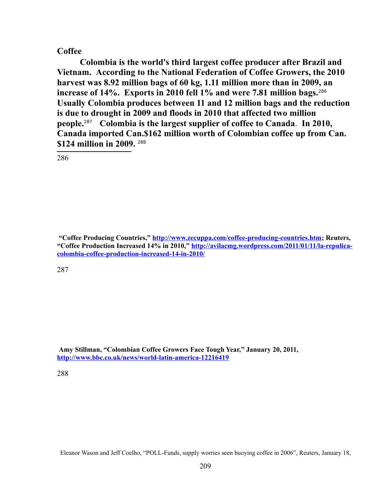#### **Coffee**

**Colombia is the world's third largest coffee producer after Brazil and Vietnam. According to the National Federation of Coffee Growers, the 2010 harvest was 8.92 million bags of 60 kg, 1.11 million more than in 2009, an increase of 14%. Exports in 2010 fell 1% and were 7.81 million bags.**[286](#page-208-0)  **Usually Colombia produces between 11 and 12 million bags and the reduction is due to drought in 2009 and floods in 2010 that affected two million people.**[287](#page-208-1)  **Colombia is the largest supplier of coffee to Canada**. **In 2010, Canada imported Can.\$162 million worth of Colombian coffee up from Can. \$124 million in 2009.** [288](#page-208-2)

<span id="page-208-0"></span>286

 **"Coffee Producing Countries," [http://www.zecuppa.com/coffee-producing-countries.htm;](http://www.zecuppa.com/coffee-producing-countries.htm) Reuters, "Coffee Production Increased 14% in 2010," [http://avilacmg.wordpress.com/2011/01/11/la-repulica](http://avilacmg.wordpress.com/2011/01/11/la-repulica-colombia-coffee-production-increased-14-in-2010/)[colombia-coffee-production-increased-14-in-2010/](http://avilacmg.wordpress.com/2011/01/11/la-repulica-colombia-coffee-production-increased-14-in-2010/)** 

<span id="page-208-1"></span>287

**Amy Stillman, "Colombian Coffee Growers Face Tough Year," January 20, 2011, <http://www.bbc.co.uk/news/world-latin-america-12216419>**

<span id="page-208-2"></span>288

Eleanor Wason and Jeff Coelho, "POLL-Funds, supply worries seen buoying coffee in 2006", Reuters, January 18,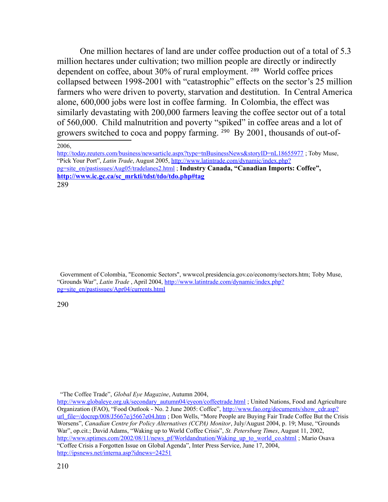One million hectares of land are under coffee production out of a total of 5.3 million hectares under cultivation; two million people are directly or indirectly dependent on coffee, about 30% of rural employment. [289](#page-209-1) World coffee prices collapsed between 1998-2001 with "catastrophic" effects on the sector's 25 million farmers who were driven to poverty, starvation and destitution. In Central America alone, 600,000 jobs were lost in coffee farming. In Colombia, the effect was similarly devastating with 200,000 farmers leaving the coffee sector out of a total of 560,000. Child malnutrition and poverty "spiked" in coffee areas and a lot of growers switched to coca and poppy farming. [290](#page-209-2) By 2001, thousands of out-of-

<span id="page-209-2"></span> Government of Colombia, "Economic Sectors", wwwcol.presidencia.gov.co/economy/sectors.htm; Toby Muse, "Grounds War", *Latin Trade* , April 2004, [http://www.latintrade.com/dynamic/index.php?](http://www.latintrade.com/dynamic/index.php?pg=site_en/pastissues/Apr04/currents.html) [pg=site\\_en/pastissues/Apr04/currents.html](http://www.latintrade.com/dynamic/index.php?pg=site_en/pastissues/Apr04/currents.html)

<sup>2006,</sup> 

<span id="page-209-1"></span><span id="page-209-0"></span>http://today.reuters.com/business/newsarticle.aspx?type=tnBusinessNews&storyID=nL18655977; Toby Muse, "Pick Your Port", *Latin Trade*, August 2005, [http://www.latintrade.com/dynamic/index.php?](http://www.latintrade.com/dynamic/index.php?pg=site_en/pastissues/Aug05/tradelanes2.html) [pg=site\\_en/pastissues/Aug05/tradelanes2.html](http://www.latintrade.com/dynamic/index.php?pg=site_en/pastissues/Aug05/tradelanes2.html) ; **Industry Canada, "Canadian Imports: Coffee", [http://www.ic.gc.ca/sc\\_mrkti/tdst/tdo/tdo.php#tag](#page-209-0)** 289

 <sup>&</sup>quot;The Coffee Trade", *Global Eye Magazine*, Autumn 2004,

[http://www.globaleye.org.uk/secondary\\_autumn04/eyeon/coffeetrade.html](http://www.globaleye.org.uk/secondary_autumn04/eyeon/coffeetrade.html) ; United Nations, Food and Agriculture Organization (FAO), "Food Outlook - No. 2 June 2005: Coffee", [http://www.fao.org/documents/show\\_cdr.asp?](http://www.fao.org/documents/show_cdr.asp?url_file=/docrep/008/J5667e/j5667e04.htm) [url\\_file=/docrep/008/J5667e/j5667e04.htm](http://www.fao.org/documents/show_cdr.asp?url_file=/docrep/008/J5667e/j5667e04.htm) ; Don Wells, "More People are Buying Fair Trade Coffee But the Crisis Worsens", *Canadian Centre for Policy Alternatives (CCPA) Monitor*, July/August 2004, p. 19; Muse, "Grounds War", op.cit.; David Adams, "Waking up to World Coffee Crisis", *St. Petersburg Times*, August 11, 2002, [http://www.sptimes.com/2002/08/11/news\\_pf/Worldandnation/Waking\\_up\\_to\\_world\\_co.shtml](http://www.sptimes.com/2002/08/11/news_pf/Worldandnation/Waking_up_to_world_co.shtml) ; Mario Osava "Coffee Crisis a Forgotten Issue on Global Agenda", Inter Press Service, June 17, 2004, <http://ipsnews.net/interna.asp?idnews=24251>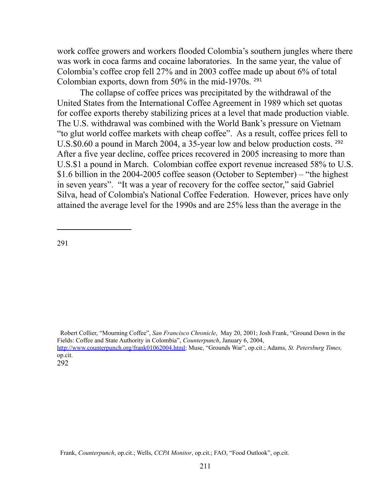work coffee growers and workers flooded Colombia's southern jungles where there was work in coca farms and cocaine laboratories. In the same year, the value of Colombia's coffee crop fell 27% and in 2003 coffee made up about 6% of total Colombian exports, down from 50% in the mid-1970s. [291](#page-210-0)

The collapse of coffee prices was precipitated by the withdrawal of the United States from the International Coffee Agreement in 1989 which set quotas for coffee exports thereby stabilizing prices at a level that made production viable. The U.S. withdrawal was combined with the World Bank's pressure on Vietnam "to glut world coffee markets with cheap coffee". As a result, coffee prices fell to U.S.\$0.60 a pound in March 2004, a 35-year low and below production costs. <sup>[292](#page-210-1)</sup> After a five year decline, coffee prices recovered in 2005 increasing to more than U.S.\$1 a pound in March. Colombian coffee export revenue increased 58% to U.S. \$1.6 billion in the 2004-2005 coffee season (October to September) – "the highest in seven years". "It was a year of recovery for the coffee sector," said Gabriel Silva, head of Colombia's National Coffee Federation. However, prices have only attained the average level for the 1990s and are 25% less than the average in the

<span id="page-210-0"></span>291

<span id="page-210-1"></span> Robert Collier, "Mourning Coffee", *San Francisco Chronicle*, May 20, 2001; Josh Frank, "Ground Down in the Fields: Coffee and State Authority in Colombia", *Counterpunch*, January 6, 2004, [http://www.counterpunch.org/frank01062004.html;](http://www.counterpunch.org/frank01062004.html) Muse, "Grounds War", op.cit.; Adams, *St. Petersburg Times,* op.cit. 292

Frank, *Counterpunch*, op.cit.; Wells, *CCPA Monitor*, op.cit.; FAO, "Food Outlook", op.cit.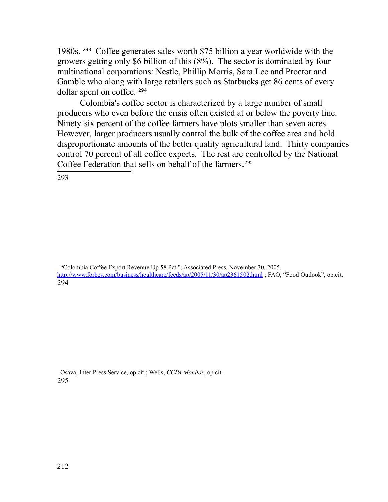1980s. [293](#page-211-0) Coffee generates sales worth \$75 billion a year worldwide with the growers getting only \$6 billion of this (8%). The sector is dominated by four multinational corporations: Nestle, Phillip Morris, Sara Lee and Proctor and Gamble who along with large retailers such as Starbucks get 86 cents of every dollar spent on coffee. [294](#page-211-1)

Colombia's coffee sector is characterized by a large number of small producers who even before the crisis often existed at or below the poverty line. Ninety-six percent of the coffee farmers have plots smaller than seven acres. However, larger producers usually control the bulk of the coffee area and hold disproportionate amounts of the better quality agricultural land. Thirty companies control 70 percent of all coffee exports. The rest are controlled by the National Coffee Federation that sells on behalf of the farmers.<sup>[295](#page-211-2)</sup>

<span id="page-211-0"></span>293

<span id="page-211-1"></span> "Colombia Coffee Export Revenue Up 58 Pct.", Associated Press, November 30, 2005, <http://www.forbes.com/business/healthcare/feeds/ap/2005/11/30/ap2361502.html>; FAO, "Food Outlook", op.cit. 294

<span id="page-211-2"></span> Osava, Inter Press Service, op.cit.; Wells, *CCPA Monitor*, op.cit. 295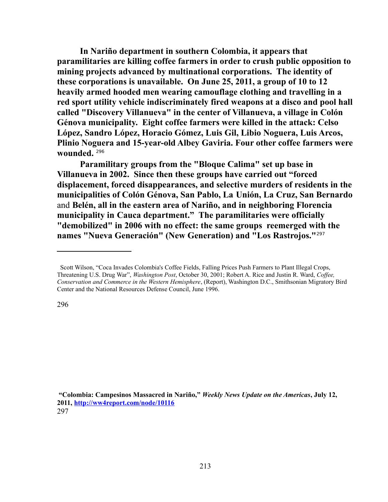**In Nariño department in southern Colombia, it appears that paramilitaries are killing coffee farmers in order to crush public opposition to mining projects advanced by multinational corporations. The identity of these corporations is unavailable. On June 25, 2011, a group of 10 to 12 heavily armed hooded men wearing camouflage clothing and travelling in a red sport utility vehicle indiscriminately fired weapons at a disco and pool hall called "Discovery Villanueva" in the center of Villanueva, a village in Colón Génova municipality. Eight coffee farmers were killed in the attack: Celso López, Sandro López, Horacio Gómez, Luis Gil, Libio Noguera, Luis Arcos, Plinio Noguera and 15-year-old Albey Gaviria. Four other coffee farmers were wounded.** [296](#page-212-0)

**Paramilitary groups from the "Bloque Calima" set up base in Villanueva in 2002. Since then these groups have carried out "forced displacement, forced disappearances, and selective murders of residents in the municipalities of Colón Génova, San Pablo, La Unión, La Cruz, San Bernardo** and **Belén, all in the eastern area of Nariño, and in neighboring Florencia municipality in Cauca department." The paramilitaries were officially "demobilized" in 2006 with no effect: the same groups reemerged with the names "Nueva Generación" (New Generation) and "Los Rastrojos."**[297](#page-212-1)

<span id="page-212-0"></span>Scott Wilson, "Coca Invades Colombia's Coffee Fields, Falling Prices Push Farmers to Plant Illegal Crops, Threatening U.S. Drug War", *Washington Post*, October 30, 2001; Robert A. Rice and Justin R. Ward, *Coffee, Conservation and Commerce in the Western Hemisphere*, (Report), Washington D.C., Smithsonian Migratory Bird Center and the National Resources Defense Council, June 1996.

<span id="page-212-1"></span> **<sup>&</sup>quot;Colombia: Campesinos Massacred in Nariño,"** *Weekly News Update on the Americas***, July 12, 2011,<http://ww4report.com/node/10116>** 297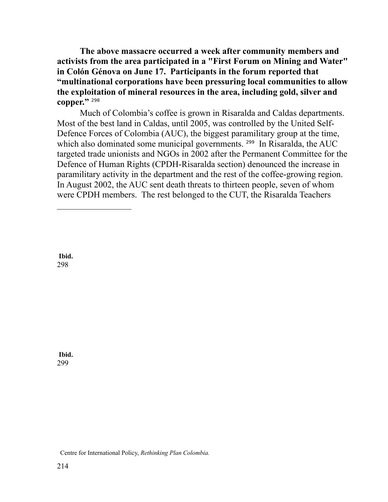**The above massacre occurred a week after community members and activists from the area participated in a "First Forum on Mining and Water" in Colón Génova on June 17. Participants in the forum reported that "multinational corporations have been pressuring local communities to allow the exploitation of mineral resources in the area, including gold, silver and copper."** [298](#page-213-0)

Much of Colombia's coffee is grown in Risaralda and Caldas departments. Most of the best land in Caldas, until 2005, was controlled by the United Self-Defence Forces of Colombia (AUC), the biggest paramilitary group at the time, which also dominated some municipal governments. <sup>[299](#page-213-1)</sup> In Risaralda, the AUC targeted trade unionists and NGOs in 2002 after the Permanent Committee for the Defence of Human Rights (CPDH-Risaralda section) denounced the increase in paramilitary activity in the department and the rest of the coffee-growing region. In August 2002, the AUC sent death threats to thirteen people, seven of whom were CPDH members. The rest belonged to the CUT, the Risaralda Teachers

<span id="page-213-0"></span>**Ibid.** 298

<span id="page-213-1"></span>**Ibid.** 299

Centre for International Policy, *Rethinking Plan Colombia.*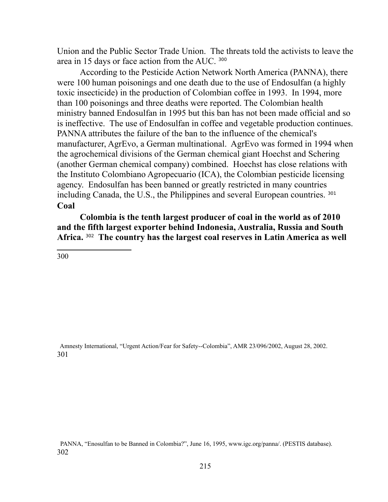Union and the Public Sector Trade Union. The threats told the activists to leave the area in 15 days or face action from the AUC. [300](#page-214-0)

According to the Pesticide Action Network North America (PANNA), there were 100 human poisonings and one death due to the use of Endosulfan (a highly toxic insecticide) in the production of Colombian coffee in 1993. In 1994, more than 100 poisonings and three deaths were reported. The Colombian health ministry banned Endosulfan in 1995 but this ban has not been made official and so is ineffective. The use of Endosulfan in coffee and vegetable production continues. PANNA attributes the failure of the ban to the influence of the chemical's manufacturer, AgrEvo, a German multinational. AgrEvo was formed in 1994 when the agrochemical divisions of the German chemical giant Hoechst and Schering (another German chemical company) combined. Hoechst has close relations with the Instituto Colombiano Agropecuario (ICA), the Colombian pesticide licensing agency. Endosulfan has been banned or greatly restricted in many countries including Canada, the U.S., the Philippines and several European countries. [301](#page-214-1) **Coal**

**Colombia is the tenth largest producer of coal in the world as of 2010 and the fifth largest exporter behind Indonesia, Australia, Russia and South Africa.** [302](#page-214-2) **The country has the largest coal reserves in Latin America as well** 

<span id="page-214-0"></span>300

<span id="page-214-1"></span> Amnesty International, "Urgent Action/Fear for Safety--Colombia", AMR 23/096/2002, August 28, 2002. 301

<span id="page-214-2"></span> PANNA, "Enosulfan to be Banned in Colombia?", June 16, 1995, www.igc.org/panna/. (PESTIS database). 302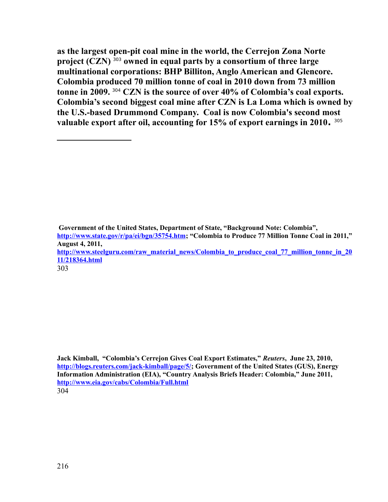**as the largest open-pit coal mine in the world, the Cerrejon Zona Norte project (CZN)** [303](#page-215-0) **owned in equal parts by a consortium of three large multinational corporations: BHP Billiton, Anglo American and Glencore. Colombia produced 70 million tonne of coal in 2010 down from 73 million tonne in 2009.** [304](#page-215-1) **CZN is the source of over 40% of Colombia's coal exports. Colombia's second biggest coal mine after CZN is La Loma which is owned by the U.S.-based Drummond Company. Coal is now Colombia's second most valuable export after oil, accounting for 15% of export earnings in 2010.**  305 

 **Government of the United States, Department of State, "Background Note: Colombia", [http://www.state.gov/r/pa/ei/bgn/35754.htm;](http://www.state.gov/r/pa/ei/bgn/35754.htm) "Colombia to Produce 77 Million Tonne Coal in 2011," August 4, 2011, [http://www.steelguru.com/raw\\_material\\_news/Colombia\\_to\\_produce\\_coal\\_77\\_million\\_tonne\\_in\\_20](http://www.steelguru.com/raw_material_news/Colombia_to_produce_coal_77_million_tonne_in_2011/218364.html) [11/218364.html](http://www.steelguru.com/raw_material_news/Colombia_to_produce_coal_77_million_tonne_in_2011/218364.html)** 

<span id="page-215-0"></span>303

<span id="page-215-1"></span>**Jack Kimball, "Colombia's Cerrejon Gives Coal Export Estimates,"** *Reuters***, June 23, 2010, [http://blogs.reuters.com/jack-kimball/page/5/;](http://blogs.reuters.com/jack-kimball/page/5/) Government of the United States (GUS), Energy Information Administration (EIA), "Country Analysis Briefs Header: Colombia," June 2011, <http://www.eia.gov/cabs/Colombia/Full.html>** 304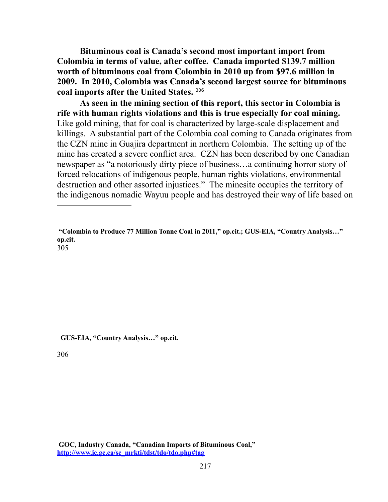**Bituminous coal is Canada's second most important import from Colombia in terms of value, after coffee. Canada imported \$139.7 million worth of bituminous coal from Colombia in 2010 up from \$97.6 million in 2009. In 2010, Colombia was Canada's second largest source for bituminous coal imports after the United States.** [306](#page-216-1)

**As seen in the mining section of this report, this sector in Colombia is rife with human rights violations and this is true especially for coal mining.**  Like gold mining, that for coal is characterized by large-scale displacement and killings. A substantial part of the Colombia coal coming to Canada originates from the CZN mine in Guajira department in northern Colombia. The setting up of the mine has created a severe conflict area. CZN has been described by one Canadian newspaper as "a notoriously dirty piece of business…a continuing horror story of forced relocations of indigenous people, human rights violations, environmental destruction and other assorted injustices." The minesite occupies the territory of the indigenous nomadic Wayuu people and has destroyed their way of life based on

**"Colombia to Produce 77 Million Tonne Coal in 2011," op.cit.; GUS-EIA, "Country Analysis…" op.cit.**

305

 **GUS-EIA, "Country Analysis…" op.cit.**

<span id="page-216-1"></span><span id="page-216-0"></span>306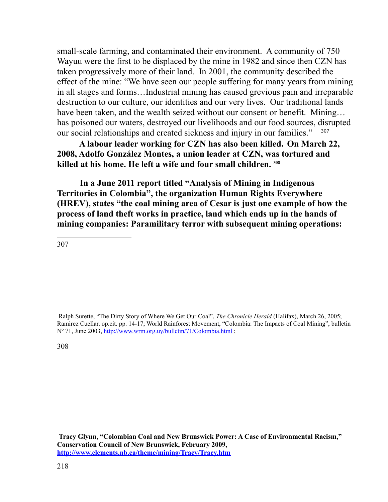small-scale farming, and contaminated their environment. A community of 750 Wayuu were the first to be displaced by the mine in 1982 and since then CZN has taken progressively more of their land. In 2001, the community described the effect of the mine: "We have seen our people suffering for many years from mining in all stages and forms…Industrial mining has caused grevious pain and irreparable destruction to our culture, our identities and our very lives. Our traditional lands have been taken, and the wealth seized without our consent or benefit. Mining... has poisoned our waters, destroyed our livelihoods and our food sources, disrupted our social relationships and created sickness and injury in our families."

 **A labour leader working for CZN has also been killed. On March 22, 2008, Adolfo González Montes, a union leader at CZN, was tortured and killed at his home. He left a wife and four small children. [308](#page-217-1)**

**In a June 2011 report titled "Analysis of Mining in Indigenous Territories in Colombia", the organization Human Rights Everywhere (HREV), states "the coal mining area of Cesar is just one example of how the process of land theft works in practice, land which ends up in the hands of mining companies: Paramilitary terror with subsequent mining operations:** 

<span id="page-217-0"></span>307

 Ralph Surette, "The Dirty Story of Where We Get Our Coal", *The Chronicle Herald* (Halifax), March 26, 2005; Ramirez Cuellar, op.cit. pp. 14-17; World Rainforest Movement, "Colombia: The Impacts of Coal Mining", bulletin Nº 71, June 2003,<http://www.wrm.org.uy/bulletin/71/Colombia.html>;

<span id="page-217-1"></span>308

**Tracy Glynn, "Colombian Coal and New Brunswick Power: A Case of Environmental Racism," Conservation Council of New Brunswick, February 2009, <http://www.elements.nb.ca/theme/mining/Tracy/Tracy.htm>**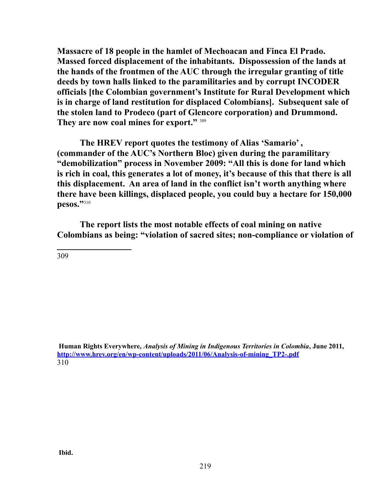**Massacre of 18 people in the hamlet of Mechoacan and Finca El Prado. Massed forced displacement of the inhabitants. Dispossession of the lands at the hands of the frontmen of the AUC through the irregular granting of title deeds by town halls linked to the paramilitaries and by corrupt INCODER officials [the Colombian government's Institute for Rural Development which is in charge of land restitution for displaced Colombians]. Subsequent sale of the stolen land to Prodeco (part of Glencore corporation) and Drummond. They are now coal mines for export."** [309](#page-218-0)

**The HREV report quotes the testimony of Alias 'Samario' , (commander of the AUC's Northern Bloc) given during the paramilitary "demobilization" process in November 2009: "All this is done for land which is rich in coal, this generates a lot of money, it's because of this that there is all this displacement. An area of land in the conflict isn't worth anything where there have been killings, displaced people, you could buy a hectare for 150,000 pesos."**[310](#page-218-1)

**The report lists the most notable effects of coal mining on native Colombians as being: "violation of sacred sites; non-compliance or violation of**

<span id="page-218-0"></span>309

<span id="page-218-1"></span> **Human Rights Everywhere,** *Analysis of Mining in Indigenous Territories in Colombia***, June 2011, [http://www.hrev.org/en/wp-content/uploads/2011/06/Analysis-of-mining\\_TP2-.pdf](http://www.hrev.org/en/wp-content/uploads/2011/06/Analysis-of-mining_TP2-.pdf)**  310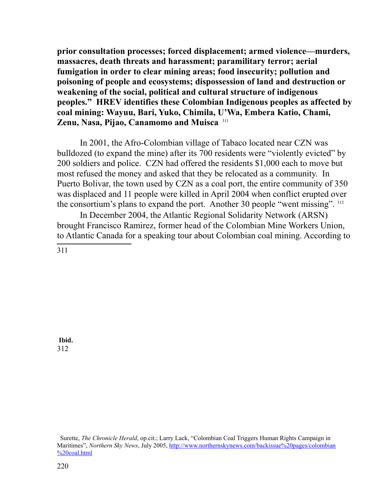**prior consultation processes; forced displacement; armed violence—murders, massacres, death threats and harassment; paramilitary terror; aerial fumigation in order to clear mining areas; food insecurity; pollution and poisoning of people and ecosystems; dispossession of land and destruction or weakening of the social, political and cultural structure of indigenous peoples." HREV identifies these Colombian Indigenous peoples as affected by coal mining: Wayuu, Bari, Yuko, Chimila, U'Wa, Embera Katio, Chami, Zenu, Nasa, Pijao, Canamomo and Muisca** [311](#page-219-0)

In 2001, the Afro-Colombian village of Tabaco located near CZN was bulldozed (to expand the mine) after its 700 residents were "violently evicted" by 200 soldiers and police. CZN had offered the residents \$1,000 each to move but most refused the money and asked that they be relocated as a community. In Puerto Bolivar, the town used by CZN as a coal port, the entire community of 350 was displaced and 11 people were killed in April 2004 when conflict erupted over the consortium's plans to expand the port. Another 30 people "went missing". [312](#page-219-1)

In December 2004, the Atlantic Regional Solidarity Network (ARSN) brought Francisco Ramirez, former head of the Colombian Mine Workers Union, to Atlantic Canada for a speaking tour about Colombian coal mining. According to

<span id="page-219-0"></span>311

<span id="page-219-1"></span>**Ibid.** 312

Surette, *The Chronicle Herald*, op.cit.; Larry Lack, "Colombian Coal Triggers Human Rights Campaign in Maritimes", *Northern Sky News*, July 2005, [http://www.northernskynews.com/backissue%20pages/colombian](http://www.northernskynews.com/backissue%20pages/colombian%20coal.html) [%20coal.html](http://www.northernskynews.com/backissue%20pages/colombian%20coal.html)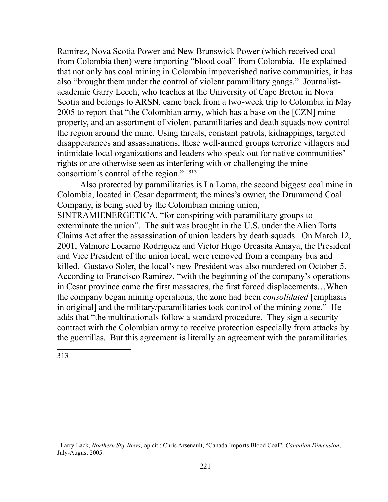Ramirez, Nova Scotia Power and New Brunswick Power (which received coal from Colombia then) were importing "blood coal" from Colombia. He explained that not only has coal mining in Colombia impoverished native communities, it has also "brought them under the control of violent paramilitary gangs." Journalistacademic Garry Leech, who teaches at the University of Cape Breton in Nova Scotia and belongs to ARSN, came back from a two-week trip to Colombia in May 2005 to report that "the Colombian army, which has a base on the [CZN] mine property, and an assortment of violent paramilitaries and death squads now control the region around the mine. Using threats, constant patrols, kidnappings, targeted disappearances and assassinations, these well-armed groups terrorize villagers and intimidate local organizations and leaders who speak out for native communities' rights or are otherwise seen as interfering with or challenging the mine consortium's control of the region." [313](#page-220-0)

Also protected by paramilitaries is La Loma, the second biggest coal mine in Colombia, located in Cesar department; the mines's owner, the Drummond Coal Company, is being sued by the Colombian mining union, SINTRAMIENERGETICA, "for conspiring with paramilitary groups to

exterminate the union". The suit was brought in the U.S. under the Alien Torts Claims Act after the assassination of union leaders by death squads. On March 12, 2001, Valmore Locarno Rodriguez and Victor Hugo Orcasita Amaya, the President and Vice President of the union local, were removed from a company bus and killed. Gustavo Soler, the local's new President was also murdered on October 5. According to Francisco Ramirez, "with the beginning of the company's operations in Cesar province came the first massacres, the first forced displacements…When the company began mining operations, the zone had been *consolidated* [emphasis in original] and the military/paramilitaries took control of the mining zone." He adds that "the multinationals follow a standard procedure. They sign a security contract with the Colombian army to receive protection especially from attacks by the guerrillas. But this agreement is literally an agreement with the paramilitaries

<span id="page-220-0"></span>313

Larry Lack, *Northern Sky News*, op.cit.; Chris Arsenault, "Canada Imports Blood Coal", *Canadian Dimension*, July-August 2005.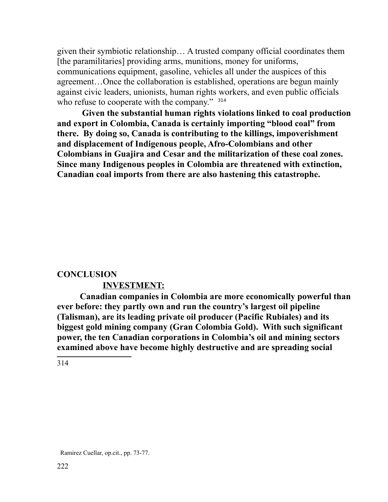given their symbiotic relationship… A trusted company official coordinates them [the paramilitaries] providing arms, munitions, money for uniforms, communications equipment, gasoline, vehicles all under the auspices of this agreement…Once the collaboration is established, operations are begun mainly against civic leaders, unionists, human rights workers, and even public officials who refuse to cooperate with the company."  $314$ 

**Given the substantial human rights violations linked to coal production and export in Colombia, Canada is certainly importing "blood coal" from there. By doing so, Canada is contributing to the killings, impoverishment and displacement of Indigenous people, Afro-Colombians and other Colombians in Guajira and Cesar and the militarization of these coal zones. Since many Indigenous peoples in Colombia are threatened with extinction, Canadian coal imports from there are also hastening this catastrophe.** 

### **CONCLUSION**

## **INVESTMENT:**

**Canadian companies in Colombia are more economically powerful than ever before: they partly own and run the country's largest oil pipeline (Talisman), are its leading private oil producer (Pacific Rubiales) and its biggest gold mining company (Gran Colombia Gold). With such significant power, the ten Canadian corporations in Colombia's oil and mining sectors examined above have become highly destructive and are spreading social** 

<span id="page-221-0"></span>314

Ramirez Cuellar, op.cit., pp. 73-77.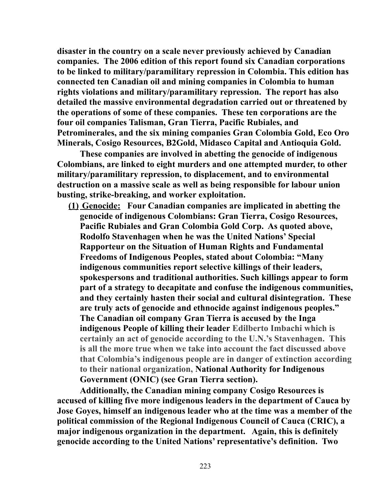**disaster in the country on a scale never previously achieved by Canadian companies. The 2006 edition of this report found six Canadian corporations to be linked to military/paramilitary repression in Colombia. This edition has connected ten Canadian oil and mining companies in Colombia to human rights violations and military/paramilitary repression. The report has also detailed the massive environmental degradation carried out or threatened by the operations of some of these companies. These ten corporations are the four oil companies Talisman, Gran Tierra, Pacific Rubiales, and Petrominerales, and the six mining companies Gran Colombia Gold, Eco Oro Minerals, Cosigo Resources, B2Gold, Midasco Capital and Antioquia Gold.** 

**These companies are involved in abetting the genocide of indigenous Colombians, are linked to eight murders and one attempted murder, to other military/paramilitary repression, to displacement, and to environmental destruction on a massive scale as well as being responsible for labour union busting, strike-breaking, and worker exploitation.** 

 **(1) Genocide: Four Canadian companies are implicated in abetting the genocide of indigenous Colombians: Gran Tierra, Cosigo Resources, Pacific Rubiales and Gran Colombia Gold Corp. As quoted above, Rodolfo Stavenhagen when he was the United Nations' Special Rapporteur on the Situation of Human Rights and Fundamental Freedoms of Indigenous Peoples, stated about Colombia: "Many indigenous communities report selective killings of their leaders, spokespersons and traditional authorities. Such killings appear to form part of a strategy to decapitate and confuse the indigenous communities, and they certainly hasten their social and cultural disintegration. These are truly acts of genocide and ethnocide against indigenous peoples." The Canadian oil company Gran Tierra is accused by the Inga indigenous People of killing their leader Edilberto Imbachi which is certainly an act of genocide according to the U.N.'s Stavenhagen. This is all the more true when we take into account the fact discussed above that Colombia's indigenous people are in danger of extinction according to their national organization, National Authority for Indigenous Government (ONIC) (see Gran Tierra section).**

**Additionally, the Canadian mining company Cosigo Resources is accused of killing five more indigenous leaders in the department of Cauca by Jose Goyes, himself an indigenous leader who at the time was a member of the political commission of the Regional Indigenous Council of Cauca (CRIC), a major indigenous organization in the department. Again, this is definitely genocide according to the United Nations' representative's definition. Two**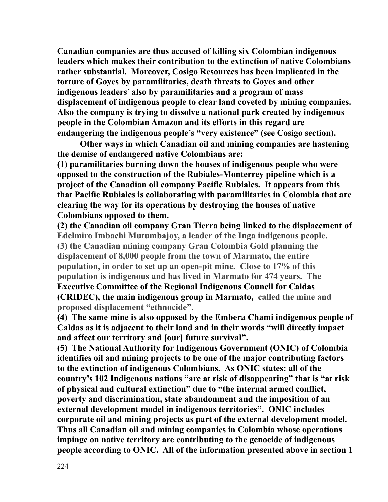**Canadian companies are thus accused of killing six Colombian indigenous leaders which makes their contribution to the extinction of native Colombians rather substantial. Moreover, Cosigo Resources has been implicated in the torture of Goyes by paramilitaries, death threats to Goyes and other indigenous leaders' also by paramilitaries and a program of mass displacement of indigenous people to clear land coveted by mining companies. Also the company is trying to dissolve a national park created by indigenous people in the Colombian Amazon and its efforts in this regard are endangering the indigenous people's "very existence" (see Cosigo section).** 

**Other ways in which Canadian oil and mining companies are hastening the demise of endangered native Colombians are:** 

**(1) paramilitaries burning down the houses of indigenous people who were opposed to the construction of the Rubiales-Monterrey pipeline which is a project of the Canadian oil company Pacific Rubiales. It appears from this that Pacific Rubiales is collaborating with paramilitaries in Colombia that are clearing the way for its operations by destroying the houses of native Colombians opposed to them.** 

**(2) the Canadian oil company Gran Tierra being linked to the displacement of Edelmiro Imbachi Mutumbajoy, a leader of the Inga indigenous people. (3) the Canadian mining company Gran Colombia Gold planning the displacement of 8,000 people from the town of Marmato, the entire population, in order to set up an open-pit mine. Close to 17% of this population is indigenous and has lived in Marmato for 474 years. The Executive Committee of the Regional Indigenous Council for Caldas (CRIDEC), the main indigenous group in Marmato, called the mine and proposed displacement "ethnocide".** 

**(4) The same mine is also opposed by the Embera Chami indigenous people of Caldas as it is adjacent to their land and in their words "will directly impact and affect our territory and [our] future survival".**

**(5) The National Authority for Indigenous Government (ONIC) of Colombia identifies oil and mining projects to be one of the major contributing factors to the extinction of indigenous Colombians. As ONIC states: all of the country's 102 Indigenous nations "are at risk of disappearing" that is "at risk of physical and cultural extinction" due to "the internal armed conflict, poverty and discrimination, state abandonment and the imposition of an external development model in indigenous territories". ONIC includes corporate oil and mining projects as part of the external development model. Thus all Canadian oil and mining companies in Colombia whose operations impinge on native territory are contributing to the genocide of indigenous people according to ONIC. All of the information presented above in section 1**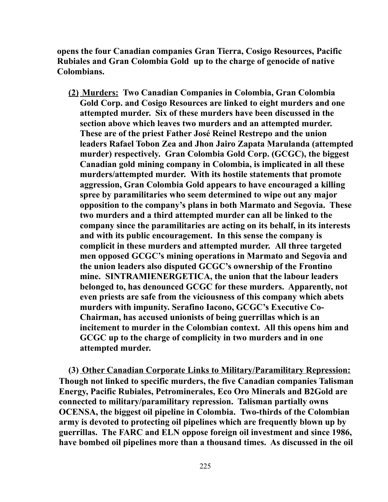**opens the four Canadian companies Gran Tierra, Cosigo Resources, Pacific Rubiales and Gran Colombia Gold up to the charge of genocide of native Colombians.** 

 **(2) Murders: Two Canadian Companies in Colombia, Gran Colombia Gold Corp. and Cosigo Resources are linked to eight murders and one attempted murder. Six of these murders have been discussed in the section above which leaves two murders and an attempted murder. These are of the priest Father José Reinel Restrepo and the union leaders Rafael Tobon Zea and Jhon Jairo Zapata Marulanda (attempted murder) respectively. Gran Colombia Gold Corp. (GCGC), the biggest Canadian gold mining company in Colombia, is implicated in all these murders/attempted murder. With its hostile statements that promote aggression, Gran Colombia Gold appears to have encouraged a killing spree by paramilitaries who seem determined to wipe out any major opposition to the company's plans in both Marmato and Segovia. These two murders and a third attempted murder can all be linked to the company since the paramilitaries are acting on its behalf, in its interests and with its public encouragement. In this sense the company is complicit in these murders and attempted murder. All three targeted men opposed GCGC's mining operations in Marmato and Segovia and the union leaders also disputed GCGC's ownership of the Frontino mine. SINTRAMIENERGETICA, the union that the labour leaders belonged to, has denounced GCGC for these murders. Apparently, not even priests are safe from the viciousness of this company which abets murders with impunity. Serafino Iacono, GCGC's Executive Co-Chairman, has accused unionists of being guerrillas which is an incitement to murder in the Colombian context. All this opens him and GCGC up to the charge of complicity in two murders and in one attempted murder.** 

**(3) Other Canadian Corporate Links to Military/Paramilitary Repression: Though not linked to specific murders, the five Canadian companies Talisman Energy, Pacific Rubiales, Petrominerales, Eco Oro Minerals and B2Gold are connected to military/paramilitary repression. Talisman partially owns OCENSA, the biggest oil pipeline in Colombia. Two-thirds of the Colombian army is devoted to protecting oil pipelines which are frequently blown up by guerrillas. The FARC and ELN oppose foreign oil investment and since 1986, have bombed oil pipelines more than a thousand times. As discussed in the oil**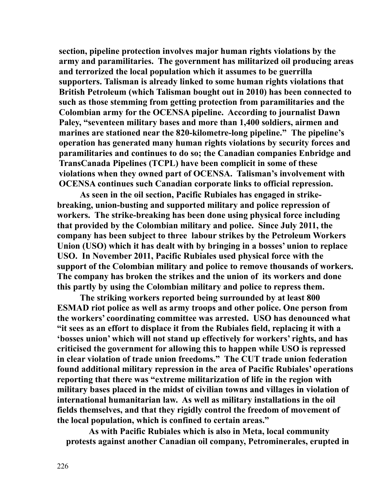**section, pipeline protection involves major human rights violations by the army and paramilitaries. The government has militarized oil producing areas and terrorized the local population which it assumes to be guerrilla supporters. Talisman is already linked to some human rights violations that British Petroleum (which Talisman bought out in 2010) has been connected to such as those stemming from getting protection from paramilitaries and the Colombian army for the OCENSA pipeline. According to journalist Dawn Paley, "seventeen military bases and more than 1,400 soldiers, airmen and marines are stationed near the 820-kilometre-long pipeline." The pipeline's operation has generated many human rights violations by security forces and paramilitaries and continues to do so; the Canadian companies Enbridge and TransCanada Pipelines (TCPL) have been complicit in some of these violations when they owned part of OCENSA. Talisman's involvement with OCENSA continues such Canadian corporate links to official repression.** 

**As seen in the oil section, Pacific Rubiales has engaged in strikebreaking, union-busting and supported military and police repression of workers. The strike-breaking has been done using physical force including that provided by the Colombian military and police. Since July 2011, the company has been subject to three labour strikes by the Petroleum Workers Union (USO) which it has dealt with by bringing in a bosses' union to replace USO. In November 2011, Pacific Rubiales used physical force with the support of the Colombian military and police to remove thousands of workers. The company has broken the strikes and the union of its workers and done this partly by using the Colombian military and police to repress them.** 

**The striking workers reported being surrounded by at least 800 ESMAD riot police as well as army troops and other police. One person from the workers' coordinating committee was arrested. USO has denounced what "it sees as an effort to displace it from the Rubiales field, replacing it with a 'bosses union' which will not stand up effectively for workers' rights, and has criticised the government for allowing this to happen while USO is repressed in clear violation of trade union freedoms." The CUT trade union federation found additional military repression in the area of Pacific Rubiales' operations reporting that there was "extreme militarization of life in the region with military bases placed in the midst of civilian towns and villages in violation of international humanitarian law. As well as military installations in the oil fields themselves, and that they rigidly control the freedom of movement of the local population, which is confined to certain areas."**

**As with Pacific Rubiales which is also in Meta, local community protests against another Canadian oil company, Petrominerales, erupted in**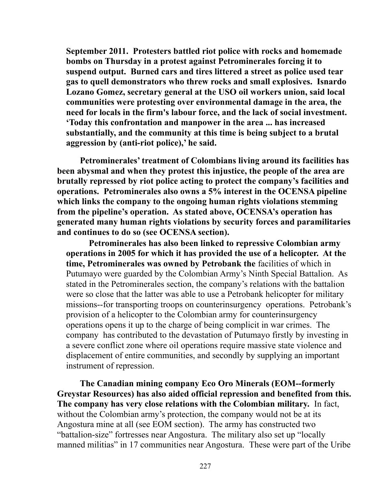**September 2011. Protesters battled riot police with rocks and homemade bombs on Thursday in a protest against Petrominerales forcing it to suspend output. Burned cars and tires littered a street as police used tear gas to quell demonstrators who threw rocks and small explosives. Isnardo Lozano Gomez, secretary general at the USO oil workers union, said local communities were protesting over environmental damage in the area, the need for locals in the firm's labour force, and the lack of social investment. 'Today this confrontation and manpower in the area ... has increased substantially, and the community at this time is being subject to a brutal aggression by (anti-riot police),' he said.** 

**Petrominerales' treatment of Colombians living around its facilities has been abysmal and when they protest this injustice, the people of the area are brutally repressed by riot police acting to protect the company's facilities and operations. Petrominerales also owns a 5% interest in the OCENSA pipeline which links the company to the ongoing human rights violations stemming from the pipeline's operation. As stated above, OCENSA's operation has generated many human rights violations by security forces and paramilitaries and continues to do so (see OCENSA section).** 

**Petrominerales has also been linked to repressive Colombian army operations in 2005 for which it has provided the use of a helicopter. At the time, Petrominerales was owned by Petrobank the** facilities of which in Putumayo were guarded by the Colombian Army's Ninth Special Battalion. As stated in the Petrominerales section, the company's relations with the battalion were so close that the latter was able to use a Petrobank helicopter for military missions--for transporting troops on counterinsurgency operations. Petrobank's provision of a helicopter to the Colombian army for counterinsurgency operations opens it up to the charge of being complicit in war crimes. The company has contributed to the devastation of Putumayo firstly by investing in a severe conflict zone where oil operations require massive state violence and displacement of entire communities, and secondly by supplying an important instrument of repression.

**The Canadian mining company Eco Oro Minerals (EOM--formerly Greystar Resources) has also aided official repression and benefited from this. The company has very close relations with the Colombian military.** In fact, without the Colombian army's protection, the company would not be at its Angostura mine at all (see EOM section). The army has constructed two "battalion-size" fortresses near Angostura. The military also set up "locally manned militias" in 17 communities near Angostura.These were part of the Uribe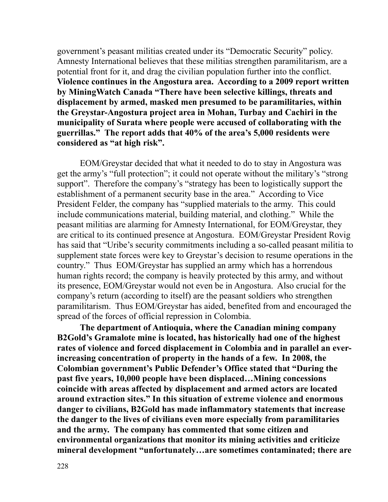government's peasant militias created under its "Democratic Security" policy. Amnesty International believes that these militias strengthen paramilitarism, are a potential front for it, and drag the civilian population further into the conflict. **Violence continues in the Angostura area. According to a 2009 report written by MiningWatch Canada "There have been selective killings, threats and displacement by armed, masked men presumed to be paramilitaries, within the Greystar-Angostura project area in Mohan, Turbay and Cachiri in the municipality of Surata where people were accused of collaborating with the guerrillas." The report adds that 40% of the area's 5,000 residents were considered as "at high risk".** 

EOM/Greystar decided that what it needed to do to stay in Angostura was get the army's "full protection"; it could not operate without the military's "strong support". Therefore the company's "strategy has been to logistically support the establishment of a permanent security base in the area." According to Vice President Felder, the company has "supplied materials to the army. This could include communications material, building material, and clothing." While the peasant militias are alarming for Amnesty International, for EOM/Greystar, they are critical to its continued presence at Angostura. EOM/Greystar President Rovig has said that "Uribe's security commitments including a so-called peasant militia to supplement state forces were key to Greystar's decision to resume operations in the country." Thus EOM/Greystar has supplied an army which has a horrendous human rights record; the company is heavily protected by this army, and without its presence, EOM/Greystar would not even be in Angostura. Also crucial for the company's return (according to itself) are the peasant soldiers who strengthen paramilitarism. Thus EOM/Greystar has aided, benefited from and encouraged the spread of the forces of official repression in Colombia.

**The department of Antioquia, where the Canadian mining company B2Gold's Gramalote mine is located, has historically had one of the highest rates of violence and forced displacement in Colombia and in parallel an everincreasing concentration of property in the hands of a few. In 2008, the Colombian government's Public Defender's Office stated that "During the past five years, 10,000 people have been displaced…Mining concessions coincide with areas affected by displacement and armed actors are located around extraction sites." In this situation of extreme violence and enormous danger to civilians, B2Gold has made inflammatory statements that increase the danger to the lives of civilians even more especially from paramilitaries and the army. The company has commented that some citizen and environmental organizations that monitor its mining activities and criticize mineral development "unfortunately…are sometimes contaminated; there are**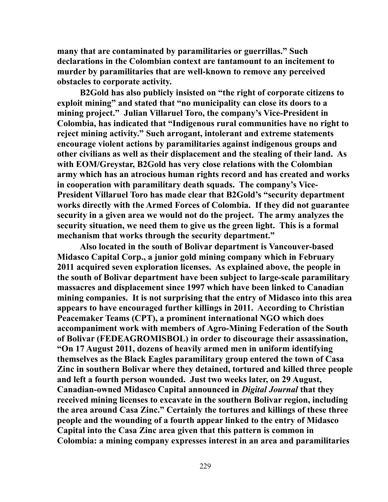**many that are contaminated by paramilitaries or guerrillas." Such declarations in the Colombian context are tantamount to an incitement to murder by paramilitaries that are well-known to remove any perceived obstacles to corporate activity.**

**B2Gold has also publicly insisted on "the right of corporate citizens to exploit mining" and stated that "no municipality can close its doors to a mining project." Julian Villaruel Toro, the company's Vice-President in Colombia, has indicated that "Indigenous rural communities have no right to reject mining activity." Such arrogant, intolerant and extreme statements encourage violent actions by paramilitaries against indigenous groups and other civilians as well as their displacement and the stealing of their land. As with EOM/Greystar, B2Gold has very close relations with the Colombian army which has an atrocious human rights record and has created and works in cooperation with paramilitary death squads. The company's Vice-President Villaruel Toro has made clear that B2Gold's "security department works directly with the Armed Forces of Colombia. If they did not guarantee security in a given area we would not do the project. The army analyzes the security situation, we need them to give us the green light. This is a formal mechanism that works through the security department."**

**Also located in the south of Bolivar department is Vancouver-based Midasco Capital Corp., a junior gold mining company which in February 2011 acquired seven exploration licenses. As explained above, the people in the south of Bolivar department have been subject to large-scale paramilitary massacres and displacement since 1997 which have been linked to Canadian mining companies. It is not surprising that the entry of Midasco into this area appears to have encouraged further killings in 2011. According to Christian Peacemaker Teams (CPT), a prominent international NGO which does accompaniment work with members of Agro-Mining Federation of the South of Bolivar (FEDEAGROMISBOL) in order to discourage their assassination, "On 17 August 2011, dozens of heavily armed men in uniform identifying themselves as the Black Eagles paramilitary group entered the town of Casa Zinc in southern Bolivar where they detained, tortured and killed three people and left a fourth person wounded. Just two weeks later, on 29 August, Canadian-owned Midasco Capital announced in** *Digital Journal* **that they received mining licenses to excavate in the southern Bolivar region, including the area around Casa Zinc." Certainly the tortures and killings of these three people and the wounding of a fourth appear linked to the entry of Midasco Capital into the Casa Zinc area given that this pattern is common in Colombia: a mining company expresses interest in an area and paramilitaries**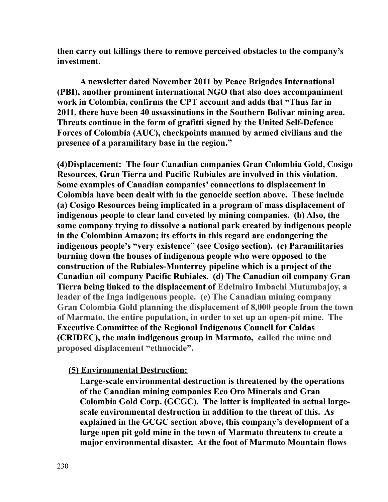**then carry out killings there to remove perceived obstacles to the company's investment.** 

**A newsletter dated November 2011 by Peace Brigades International (PBI), another prominent international NGO that also does accompaniment work in Colombia, confirms the CPT account and adds that "Thus far in 2011, there have been 40 assassinations in the Southern Bolivar mining area. Threats continue in the form of grafitti signed by the United Self-Defence Forces of Colombia (AUC), checkpoints manned by armed civilians and the presence of a paramilitary base in the region."** 

**(4)Displacement: The four Canadian companies Gran Colombia Gold, Cosigo Resources, Gran Tierra and Pacific Rubiales are involved in this violation. Some examples of Canadian companies' connections to displacement in Colombia have been dealt with in the genocide section above. These include (a) Cosigo Resources being implicated in a program of mass displacement of indigenous people to clear land coveted by mining companies. (b) Also, the same company trying to dissolve a national park created by indigenous people in the Colombian Amazon; its efforts in this regard are endangering the indigenous people's "very existence" (see Cosigo section). (c) Paramilitaries burning down the houses of indigenous people who were opposed to the construction of the Rubiales-Monterrey pipeline which is a project of the Canadian oil company Pacific Rubiales. (d) The Canadian oil company Gran Tierra being linked to the displacement of Edelmiro Imbachi Mutumbajoy, a leader of the Inga indigenous people. (e) The Canadian mining company Gran Colombia Gold planning the displacement of 8,000 people from the town of Marmato, the entire population, in order to set up an open-pit mine. The Executive Committee of the Regional Indigenous Council for Caldas (CRIDEC), the main indigenous group in Marmato, called the mine and proposed displacement "ethnocide".** 

### **(5) Environmental Destruction:**

**Large-scale environmental destruction is threatened by the operations of the Canadian mining companies Eco Oro Minerals and Gran Colombia Gold Corp. (GCGC). The latter is implicated in actual largescale environmental destruction in addition to the threat of this. As explained in the GCGC section above, this company's development of a large open pit gold mine in the town of Marmato threatens to create a major environmental disaster. At the foot of Marmato Mountain flows**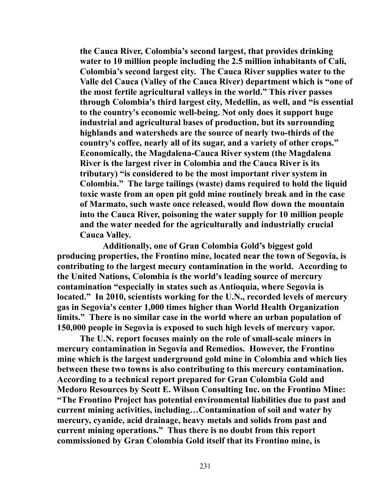**the Cauca River, Colombia's second largest, that provides drinking water to 10 million people including the 2.5 million inhabitants of Cali, Colombia's second largest city. The Cauca River supplies water to the Valle del Cauca (Valley of the Cauca River) department which is "one of the most fertile agricultural valleys in the world." This river passes through Colombia's third largest city, Medellin, as well, and "is essential to the country's economic well-being. Not only does it support huge industrial and agricultural bases of production, but its surrounding highlands and watersheds are the source of nearly two-thirds of the country's coffee, nearly all of its sugar, and a variety of other crops." Economically, the Magdalena-Cauca River system (the Magdalena River is the largest river in Colombia and the Cauca River is its tributary) "is considered to be the most important river system in Colombia." The large tailings (waste) dams required to hold the liquid toxic waste from an open pit gold mine routinely break and in the case of Marmato, such waste once released, would flow down the mountain into the Cauca River, poisoning the water supply for 10 million people and the water needed for the agriculturally and industrially crucial Cauca Valley.** 

**Additionally, one of Gran Colombia Gold's biggest gold producing properties, the Frontino mine, located near the town of Segovia, is contributing to the largest mecury contamination in the world. According to the United Nations, Colombia is the world's leading source of mercury contamination "especially in states such as Antioquia, where Segovia is located." In 2010, scientists working for the U.N., recorded levels of mercury gas in Segovia's center 1,000 times higher than World Health Organization limits." There is no similar case in the world where an urban population of 150,000 people in Segovia is exposed to such high levels of mercury vapor.** 

**The U.N. report focuses mainly on the role of small-scale miners in mercury contamination in Segovia and Remedios. However, the Frontino mine which is the largest underground gold mine in Colombia and which lies between these two towns is also contributing to this mercury contamination. According to a technical report prepared for Gran Colombia Gold and Medoro Resources by Scott E. Wilson Consulting Inc. on the Frontino Mine: "The Frontino Project has potential environmental liabilities due to past and current mining activities, including…Contamination of soil and water by mercury, cyanide, acid drainage, heavy metals and solids from past and current mining operations." Thus there is no doubt from this report commissioned by Gran Colombia Gold itself that its Frontino mine, is**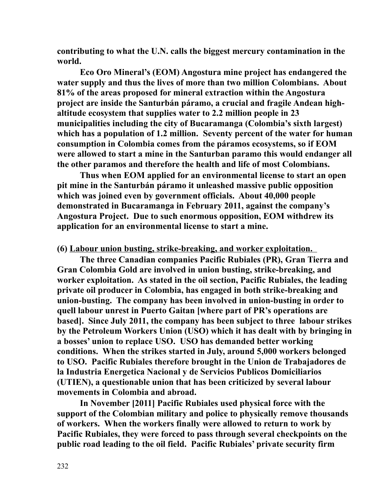**contributing to what the U.N. calls the biggest mercury contamination in the world.** 

**Eco Oro Mineral's (EOM) Angostura mine project has endangered the water supply and thus the lives of more than two million Colombians. About 81% of the areas proposed for mineral extraction within the Angostura project are inside the Santurbán páramo, a crucial and fragile Andean highaltitude ecosystem that supplies water to 2.2 million people in 23 municipalities including the city of Bucaramanga (Colombia's sixth largest) which has a population of 1.2 million. Seventy percent of the water for human consumption in Colombia comes from the páramos ecosystems, so if EOM were allowed to start a mine in the Santurban paramo this would endanger all the other paramos and therefore the health and life of most Colombians.** 

**Thus when EOM applied for an environmental license to start an open pit mine in the Santurbán páramo it unleashed massive public opposition which was joined even by government officials. About 40,000 people demonstrated in Bucaramanga in February 2011, against the company's Angostura Project. Due to such enormous opposition, EOM withdrew its application for an environmental license to start a mine.**

**(6) Labour union busting, strike-breaking, and worker exploitation.** 

**The three Canadian companies Pacific Rubiales (PR), Gran Tierra and Gran Colombia Gold are involved in union busting, strike-breaking, and worker exploitation. As stated in the oil section, Pacific Rubiales, the leading private oil producer in Colombia, has engaged in both strike-breaking and union-busting. The company has been involved in union-busting in order to quell labour unrest in Puerto Gaitan [where part of PR's operations are based]. Since July 2011, the company has been subject to three labour strikes by the Petroleum Workers Union (USO) which it has dealt with by bringing in a bosses' union to replace USO. USO has demanded better working conditions. When the strikes started in July, around 5,000 workers belonged to USO. Pacific Rubiales therefore brought in the Union de Trabajadores de la Industria Energetica Nacional y de Servicios Publicos Domiciliarios (UTIEN), a questionable union that has been criticized by several labour movements in Colombia and abroad.** 

**In November [2011] Pacific Rubiales used physical force with the support of the Colombian military and police to physically remove thousands of workers. When the workers finally were allowed to return to work by Pacific Rubiales, they were forced to pass through several checkpoints on the public road leading to the oil field. Pacific Rubiales' private security firm**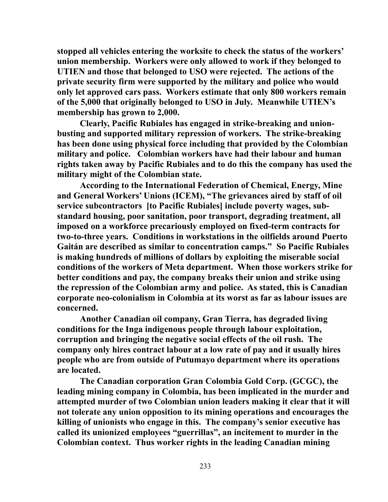**stopped all vehicles entering the worksite to check the status of the workers' union membership. Workers were only allowed to work if they belonged to UTIEN and those that belonged to USO were rejected. The actions of the private security firm were supported by the military and police who would only let approved cars pass. Workers estimate that only 800 workers remain of the 5,000 that originally belonged to USO in July. Meanwhile UTIEN's membership has grown to 2,000.** 

**Clearly, Pacific Rubiales has engaged in strike-breaking and unionbusting and supported military repression of workers. The strike-breaking has been done using physical force including that provided by the Colombian military and police. Colombian workers have had their labour and human rights taken away by Pacific Rubiales and to do this the company has used the military might of the Colombian state.** 

**According to the International Federation of Chemical, Energy, Mine and General Workers' Unions (ICEM), "The grievances aired by staff of oil service subcontractors [to Pacific Rubiales] include poverty wages, substandard housing, poor sanitation, poor transport, degrading treatment, all imposed on a workforce precariously employed on fixed-term contracts for two-to-three years. Conditions in workstations in the oilfields around Puerto Gaitán are described as similar to concentration camps." So Pacific Rubiales is making hundreds of millions of dollars by exploiting the miserable social conditions of the workers of Meta department. When those workers strike for better conditions and pay, the company breaks their union and strike using the repression of the Colombian army and police. As stated, this is Canadian corporate neo-colonialism in Colombia at its worst as far as labour issues are concerned.**

**Another Canadian oil company, Gran Tierra, has degraded living conditions for the Inga indigenous people through labour exploitation, corruption and bringing the negative social effects of the oil rush. The company only hires contract labour at a low rate of pay and it usually hires people who are from outside of Putumayo department where its operations are located.** 

**The Canadian corporation Gran Colombia Gold Corp. (GCGC), the leading mining company in Colombia, has been implicated in the murder and attempted murder of two Colombian union leaders making it clear that it will not tolerate any union opposition to its mining operations and encourages the killing of unionists who engage in this. The company's senior executive has called its unionized employees "guerrillas", an incitement to murder in the Colombian context. Thus worker rights in the leading Canadian mining**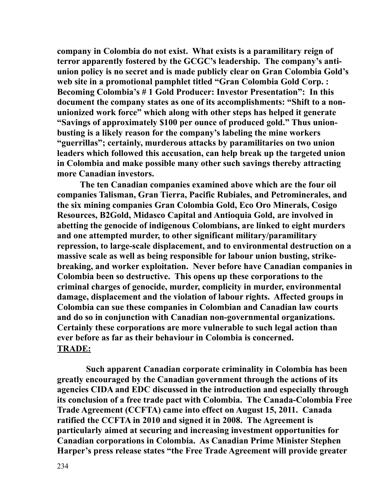**company in Colombia do not exist. What exists is a paramilitary reign of terror apparently fostered by the GCGC's leadership. The company's antiunion policy is no secret and is made publicly clear on Gran Colombia Gold's web site in a promotional pamphlet titled "Gran Colombia Gold Corp. : Becoming Colombia's # 1 Gold Producer: Investor Presentation": In this document the company states as one of its accomplishments: "Shift to a nonunionized work force" which along with other steps has helped it generate "Savings of approximately \$100 per ounce of produced gold." Thus unionbusting is a likely reason for the company's labeling the mine workers "guerrillas"; certainly, murderous attacks by paramilitaries on two union leaders which followed this accusation, can help break up the targeted union in Colombia and make possible many other such savings thereby attracting more Canadian investors.** 

**The ten Canadian companies examined above which are the four oil companies Talisman, Gran Tierra, Pacific Rubiales, and Petrominerales, and the six mining companies Gran Colombia Gold, Eco Oro Minerals, Cosigo Resources, B2Gold, Midasco Capital and Antioquia Gold, are involved in abetting the genocide of indigenous Colombians, are linked to eight murders and one attempted murder, to other significant military/paramilitary repression, to large-scale displacement, and to environmental destruction on a massive scale as well as being responsible for labour union busting, strikebreaking, and worker exploitation. Never before have Canadian companies in Colombia been so destructive. This opens up these corporations to the criminal charges of genocide, murder, complicity in murder, environmental damage, displacement and the violation of labour rights. Affected groups in Colombia can sue these companies in Colombian and Canadian law courts and do so in conjunction with Canadian non-governmental organizations. Certainly these corporations are more vulnerable to such legal action than ever before as far as their behaviour in Colombia is concerned. TRADE:**

**Such apparent Canadian corporate criminality in Colombia has been greatly encouraged by the Canadian government through the actions of its agencies CIDA and EDC discussed in the introduction and especially through its conclusion of a free trade pact with Colombia. The Canada-Colombia Free Trade Agreement (CCFTA) came into effect on August 15, 2011. Canada ratified the CCFTA in 2010 and signed it in 2008. The Agreement is particularly aimed at securing and increasing investment opportunities for Canadian corporations in Colombia. As Canadian Prime Minister Stephen Harper's press release states "the Free Trade Agreement will provide greater**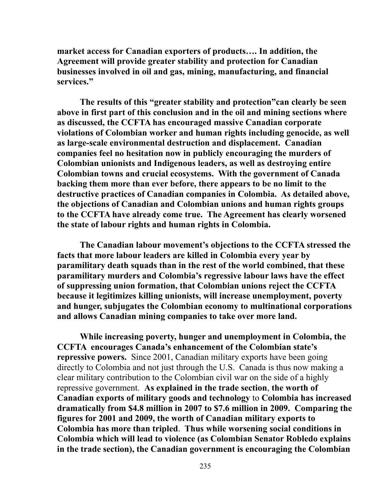**market access for Canadian exporters of products…. In addition, the Agreement will provide greater stability and protection for Canadian businesses involved in oil and gas, mining, manufacturing, and financial services."** 

**The results of this "greater stability and protection"can clearly be seen above in first part of this conclusion and in the oil and mining sections where as discussed, the CCFTA has encouraged massive Canadian corporate violations of Colombian worker and human rights including genocide, as well as large-scale environmental destruction and displacement. Canadian companies feel no hesitation now in publicly encouraging the murders of Colombian unionists and Indigenous leaders, as well as destroying entire Colombian towns and crucial ecosystems. With the government of Canada backing them more than ever before, there appears to be no limit to the destructive practices of Canadian companies in Colombia. As detailed above, the objections of Canadian and Colombian unions and human rights groups to the CCFTA have already come true. The Agreement has clearly worsened the state of labour rights and human rights in Colombia.**

**The Canadian labour movement's objections to the CCFTA stressed the facts that more labour leaders are killed in Colombia every year by paramilitary death squads than in the rest of the world combined, that these paramilitary murders and Colombia's regressive labour laws have the effect of suppressing union formation, that Colombian unions reject the CCFTA because it legitimizes killing unionists, will increase unemployment, poverty and hunger, subjugates the Colombian economy to multinational corporations and allows Canadian mining companies to take over more land.** 

**While increasing poverty, hunger and unemployment in Colombia, the CCFTA encourages Canada's enhancement of the Colombian state's repressive powers.** Since 2001, Canadian military exports have been going directly to Colombia and not just through the U.S. Canada is thus now making a clear military contribution to the Colombian civil war on the side of a highly repressive government. **As explained in the trade section**, **the worth of Canadian exports of military goods and technology** to **Colombia has increased dramatically from \$4.8 million in 2007 to \$7.6 million in 2009. Comparing the figures for 2001 and 2009, the worth of Canadian military exports to Colombia has more than tripled**. **Thus while worsening social conditions in Colombia which will lead to violence (as Colombian Senator Robledo explains in the trade section), the Canadian government is encouraging the Colombian**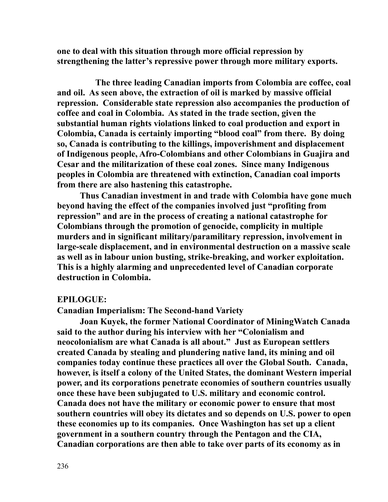**one to deal with this situation through more official repression by strengthening the latter's repressive power through more military exports.** 

 **The three leading Canadian imports from Colombia are coffee, coal and oil. As seen above, the extraction of oil is marked by massive official repression. Considerable state repression also accompanies the production of coffee and coal in Colombia. As stated in the trade section, given the substantial human rights violations linked to coal production and export in Colombia, Canada is certainly importing "blood coal" from there. By doing so, Canada is contributing to the killings, impoverishment and displacement of Indigenous people, Afro-Colombians and other Colombians in Guajira and Cesar and the militarization of these coal zones. Since many Indigenous peoples in Colombia are threatened with extinction, Canadian coal imports from there are also hastening this catastrophe.** 

**Thus Canadian investment in and trade with Colombia have gone much beyond having the effect of the companies involved just "profiting from repression" and are in the process of creating a national catastrophe for Colombians through the promotion of genocide, complicity in multiple murders and in significant military/paramilitary repression, involvement in large-scale displacement, and in environmental destruction on a massive scale as well as in labour union busting, strike-breaking, and worker exploitation. This is a highly alarming and unprecedented level of Canadian corporate destruction in Colombia.**

#### **EPILOGUE:**

**Canadian Imperialism: The Second-hand Variety**

**Joan Kuyek, the former National Coordinator of MiningWatch Canada said to the author during his interview with her "Colonialism and neocolonialism are what Canada is all about." Just as European settlers created Canada by stealing and plundering native land, its mining and oil companies today continue these practices all over the Global South. Canada, however, is itself a colony of the United States, the dominant Western imperial power, and its corporations penetrate economies of southern countries usually once these have been subjugated to U.S. military and economic control. Canada does not have the military or economic power to ensure that most southern countries will obey its dictates and so depends on U.S. power to open these economies up to its companies. Once Washington has set up a client government in a southern country through the Pentagon and the CIA, Canadian corporations are then able to take over parts of its economy as in**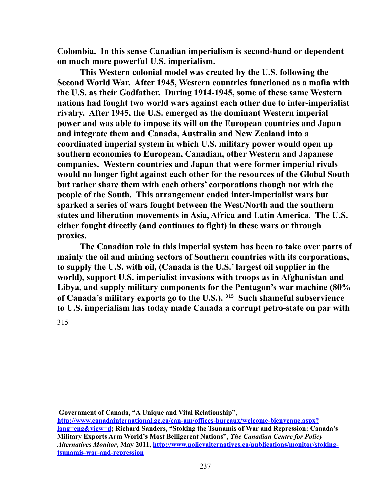**Colombia. In this sense Canadian imperialism is second-hand or dependent on much more powerful U.S. imperialism.** 

**This Western colonial model was created by the U.S. following the Second World War. After 1945, Western countries functioned as a mafia with the U.S. as their Godfather. During 1914-1945, some of these same Western nations had fought two world wars against each other due to inter-imperialist rivalry. After 1945, the U.S. emerged as the dominant Western imperial power and was able to impose its will on the European countries and Japan and integrate them and Canada, Australia and New Zealand into a coordinated imperial system in which U.S. military power would open up southern economies to European, Canadian, other Western and Japanese companies. Western countries and Japan that were former imperial rivals would no longer fight against each other for the resources of the Global South but rather share them with each others' corporations though not with the people of the South. This arrangement ended inter-imperialist wars but sparked a series of wars fought between the West/North and the southern states and liberation movements in Asia, Africa and Latin America. The U.S. either fought directly (and continues to fight) in these wars or through proxies.** 

**The Canadian role in this imperial system has been to take over parts of mainly the oil and mining sectors of Southern countries with its corporations, to supply the U.S. with oil, (Canada is the U.S.' largest oil supplier in the world), support U.S. imperialist invasions with troops as in Afghanistan and Libya, and supply military components for the Pentagon's war machine (80% of Canada's military exports go to the U.S.).** [315](#page-236-0) **Such shameful subservience to U.S. imperialism has today made Canada a corrupt petro-state on par with** 

<span id="page-236-0"></span>315

 **Government of Canada, "A Unique and Vital Relationship",** 

**[http://www.canadainternational.gc.ca/can-am/offices-bureaux/welcome-bienvenue.aspx?](http://www.canadainternational.gc.ca/can-am/offices-bureaux/welcome-bienvenue.aspx?lang=eng&view=d) [lang=eng&view=d;](http://www.canadainternational.gc.ca/can-am/offices-bureaux/welcome-bienvenue.aspx?lang=eng&view=d) Richard Sanders, "Stoking the Tsunamis of War and Repression: Canada's Military Exports Arm World's Most Belligerent Nations",** *The Canadian Centre for Policy Alternatives Monitor***, May 2011, [http://www.policyalternatives.ca/publications/monitor/stoking](http://www.policyalternatives.ca/publications/monitor/stoking-tsunamis-war-and-repression)[tsunamis-war-and-repression](http://www.policyalternatives.ca/publications/monitor/stoking-tsunamis-war-and-repression)**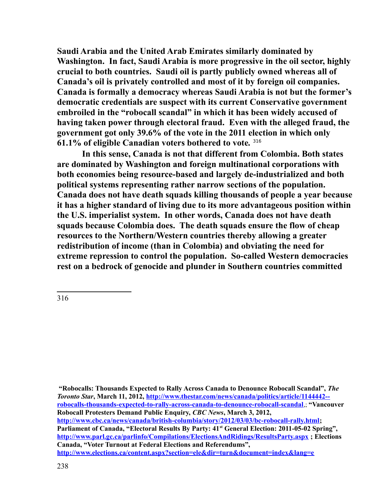**Saudi Arabia and the United Arab Emirates similarly dominated by Washington. In fact, Saudi Arabia is more progressive in the oil sector, highly crucial to both countries. Saudi oil is partly publicly owned whereas all of Canada's oil is privately controlled and most of it by foreign oil companies. Canada is formally a democracy whereas Saudi Arabia is not but the former's democratic credentials are suspect with its current Conservative government embroiled in the "robocall scandal" in which it has been widely accused of having taken power through electoral fraud. Even with the alleged fraud, the government got only 39.6% of the vote in the 2011 election in which only 61.1% of eligible Canadian voters bothered to vote***.* [316](#page-237-0)

**In this sense, Canada is not that different from Colombia. Both states are dominated by Washington and foreign multinational corporations with both economies being resource-based and largely de-industrialized and both political systems representing rather narrow sections of the population. Canada does not have death squads killing thousands of people a year because it has a higher standard of living due to its more advantageous position within the U.S. imperialist system. In other words, Canada does not have death squads because Colombia does. The death squads ensure the flow of cheap resources to the Northern/Western countries thereby allowing a greater redistribution of income (than in Colombia) and obviating the need for extreme repression to control the population. So-called Western democracies rest on a bedrock of genocide and plunder in Southern countries committed** 

<span id="page-237-0"></span>316

**"Robocalls: Thousands Expected to Rally Across Canada to Denounce Robocall Scandal",** *The Toronto Star***, March 11, 2012, [http://www.thestar.com/news/canada/politics/article/1144442-](http://www.thestar.com/news/canada/politics/article/1144442--robocalls-thousands-expected-to-rally-across-canada-to-denounce-robocall-scandal) [robocalls-thousands-expected-to-rally-across-canada-to-denounce-robocall-scandal](http://www.thestar.com/news/canada/politics/article/1144442--robocalls-thousands-expected-to-rally-across-canada-to-denounce-robocall-scandal)**,; **"Vancouver Robocall Protesters Demand Public Enquiry,** *CBC News***, March 3, 2012, [http://www.cbc.ca/news/canada/british-columbia/story/2012/03/03/bc-robocall-rally.html;](http://www.cbc.ca/news/canada/british-columbia/story/2012/03/03/bc-robocall-rally.html) Parliament of Canada, "Electoral Results By Party: 41st General Election: 2011-05-02 Spring", <http://www.parl.gc.ca/parlinfo/Compilations/ElectionsAndRidings/ResultsParty.aspx>; Elections Canada, "Voter Turnout at Federal Elections and Referendums", <http://www.elections.ca/content.aspx?section=ele&dir=turn&document=index&lang=e>**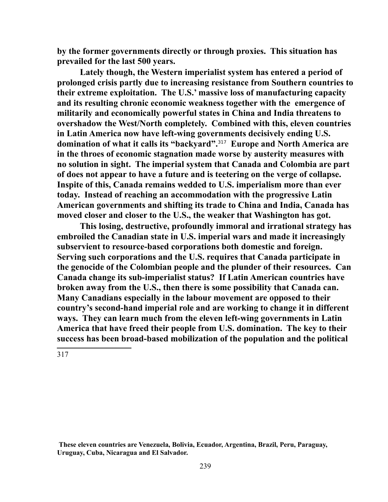**by the former governments directly or through proxies. This situation has prevailed for the last 500 years.** 

**Lately though, the Western imperialist system has entered a period of prolonged crisis partly due to increasing resistance from Southern countries to their extreme exploitation. The U.S.' massive loss of manufacturing capacity and its resulting chronic economic weakness together with the emergence of militarily and economically powerful states in China and India threatens to overshadow the West/North completely. Combined with this, eleven countries in Latin America now have left-wing governments decisively ending U.S. domination of what it calls its "backyard".**[317](#page-238-0) **Europe and North America are in the throes of economic stagnation made worse by austerity measures with no solution in sight. The imperial system that Canada and Colombia are part of does not appear to have a future and is teetering on the verge of collapse. Inspite of this, Canada remains wedded to U.S. imperialism more than ever today. Instead of reaching an accommodation with the progressive Latin American governments and shifting its trade to China and India, Canada has moved closer and closer to the U.S., the weaker that Washington has got.** 

**This losing, destructive, profoundly immoral and irrational strategy has embroiled the Canadian state in U.S. imperial wars and made it increasingly subservient to resource-based corporations both domestic and foreign. Serving such corporations and the U.S. requires that Canada participate in the genocide of the Colombian people and the plunder of their resources. Can Canada change its sub-imperialist status? If Latin American countries have broken away from the U.S., then there is some possibility that Canada can. Many Canadians especially in the labour movement are opposed to their country's second-hand imperial role and are working to change it in different ways. They can learn much from the eleven left-wing governments in Latin America that have freed their people from U.S. domination. The key to their success has been broad-based mobilization of the population and the political** 

<span id="page-238-0"></span>317

**These eleven countries are Venezuela, Bolivia, Ecuador, Argentina, Brazil, Peru, Paraguay, Uruguay, Cuba, Nicaragua and El Salvador.**